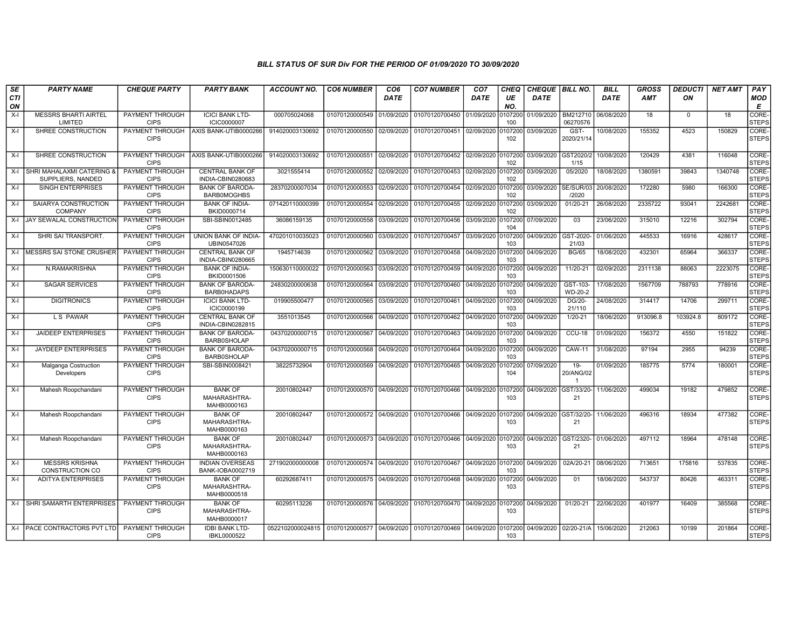| <b>SE</b>        | <b>PARTY NAME</b>                               | <b>CHEQUE PARTY</b>                   | <b>PARTY BANK</b>                             | <b>ACCOUNT NO.</b>                                                           | <b>CO6 NUMBER</b>         | CO <sub>6</sub> | <b>CO7 NUMBER</b>         | CO <sub>7</sub> | CHEQ           | <b>CHEQUE BILL NO.</b> |                             | <b>BILL</b> | <b>GROSS</b> | <b>DEDUCTI</b> | <b>NET AMT</b> | PAY                   |
|------------------|-------------------------------------------------|---------------------------------------|-----------------------------------------------|------------------------------------------------------------------------------|---------------------------|-----------------|---------------------------|-----------------|----------------|------------------------|-----------------------------|-------------|--------------|----------------|----------------|-----------------------|
| <b>CTI</b><br>ON |                                                 |                                       |                                               |                                                                              |                           | DATE            |                           | DATE            | UE<br>NO.      | DATE                   |                             | DATE        | <b>AMT</b>   | ON             |                | <b>MOD</b><br>Е       |
| $X-I$            | <b>MESSRS BHARTI AIRTEL</b><br>LIMITED          | PAYMENT THROUGH<br><b>CIPS</b>        | <b>ICICI BANK LTD-</b><br><b>ICIC0000007</b>  | 000705024068                                                                 | 01070120000549            | 01/09/2020      | 01070120700450            | 01/09/2020      | 107200<br>100  | 01/09/2020             | BM212710<br>06270576        | 06/08/2020  | 18           | $\Omega$       | 18             | CORE-<br><b>STEPS</b> |
| $X-I$            | SHREE CONSTRUCTION                              | <b>CIPS</b>                           | PAYMENT THROUGH AXIS BANK-UTIB0000266         | 914020003130692                                                              | 01070120000550 02/09/2020 |                 | 01070120700451            | 02/09/2020      | 107200<br>102  | 03/09/2020             | GST-<br>2020/21/14          | 10/08/2020  | 155352       | 4523           | 150829         | CORE-<br><b>STEPS</b> |
| $X-I$            | SHREE CONSTRUCTION                              | PAYMENT THROUGH<br><b>CIPS</b>        | AXIS BANK-UTIB0000266                         | 914020003130692                                                              | 01070120000551            | 02/09/2020      | 01070120700452            | 02/09/2020      | 0107200<br>102 | 03/09/2020 GST2020/2   | 1/15                        | 10/08/2020  | 120429       | 4381           | 116048         | CORE-<br><b>STEPS</b> |
| $X-I$            | SHRI MAHALAXMI CATERING &<br>SUPPLIERS, NANDED  | <b>PAYMENT THROUGH</b><br><b>CIPS</b> | <b>CENTRAL BANK OF</b><br>INDIA-CBIN0280683   | 3021555414                                                                   | 01070120000552            | 02/09/2020      | 01070120700453            | 02/09/2020      | 0107200<br>102 | 03/09/2020             | 05/2020                     | 18/08/2020  | 1380591      | 39843          | 1340748        | CORE-<br><b>STEPS</b> |
| $X-I$            | <b>SINGH ENTERPRISES</b>                        | PAYMENT THROUGH<br><b>CIPS</b>        | <b>BANK OF BARODA-</b><br><b>BARB0MOGHBS</b>  | 28370200007034                                                               | 01070120000553            | 02/09/2020      | 01070120700454            | 02/09/2020      | 107200<br>102  | 03/09/2020 SE/SUR/03   | /2020                       | 20/08/2020  | 172280       | 5980           | 166300         | CORE-<br><b>STEPS</b> |
| $X-I$            | SAIARYA CONSTRUCTION<br><b>COMPANY</b>          | PAYMENT THROUGH<br><b>CIPS</b>        | <b>BANK OF INDIA-</b><br>BKID0000714          | 071420110000399                                                              | 01070120000554            | 02/09/2020      | 01070120700455            | 02/09/2020      | 107200<br>102  | 03/09/2020             | 01/20-21                    | 26/08/2020  | 2335722      | 93041          | 2242681        | CORE-<br><b>STEPS</b> |
| $X-I$            | JAY SEWALAL CONSTRUCTION                        | PAYMENT THROUGH<br><b>CIPS</b>        | SBI-SBIN0012485                               | 36086159135                                                                  | 01070120000558            | 03/09/2020      | 01070120700456            | 03/09/2020      | 107200<br>104  | 07/09/2020             | 03                          | 23/06/2020  | 315010       | 12216          | 302794         | CORE-<br><b>STEPS</b> |
| $X-I$            | SHRI SAI TRANSPORT.                             | <b>PAYMENT THROUGH</b><br><b>CIPS</b> | UNION BANK OF INDIA-<br>UBIN0547026           | 470201010035023                                                              | 01070120000560            | 03/09/2020      | 01070120700457            | 03/09/2020      | 107200<br>103  | 04/09/2020             | GST-2020<br>21/03           | 01/06/2020  | 445533       | 16916          | 428617         | CORE-<br><b>STEPS</b> |
| $X-I$            | <b>MESSRS SAI STONE CRUSHER</b>                 | PAYMENT THROUGH<br><b>CIPS</b>        | <b>CENTRAL BANK OF</b><br>INDIA-CBIN0280665   | 1945714639                                                                   | 01070120000562            | 03/09/2020      | 01070120700458            | 04/09/2020      | 107200<br>103  | 04/09/2020             | <b>BG/65</b>                | 18/08/2020  | 432301       | 65964          | 366337         | CORE-<br><b>STEPS</b> |
| $X-I$            | N.RAMAKRISHNA                                   | PAYMENT THROUGH<br><b>CIPS</b>        | <b>BANK OF INDIA-</b><br>BKID0001506          | 150630110000022                                                              | 01070120000563            | 03/09/2020      | 01070120700459            | 04/09/2020      | 107200<br>103  | 04/09/2020             | 11/20-21                    | 02/09/2020  | 2311138      | 88063          | 2223075        | CORE-<br><b>STEPS</b> |
| $X-I$            | <b>SAGAR SERVICES</b>                           | PAYMENT THROUGH<br><b>CIPS</b>        | <b>BANK OF BARODA-</b><br>BARB0HADAPS         | 24830200000638                                                               | 01070120000564            | 03/09/2020      | 01070120700460            | 04/09/2020      | 107200<br>103  | 04/09/2020             | GST-103-<br>WD-20-2         | 17/08/2020  | 1567709      | 788793         | 778916         | CORE-<br><b>STEPS</b> |
| $X-I$            | <b>DIGITRONICS</b>                              | PAYMENT THROUGH<br><b>CIPS</b>        | <b>ICICI BANK LTD-</b><br>ICIC0000199         | 019905500477                                                                 | 01070120000565            | 03/09/2020      | 01070120700461            | 04/09/2020      | 107200<br>103  | 04/09/2020             | DG/20-<br>21/110            | 24/08/2020  | 314417       | 14706          | 299711         | CORE-<br><b>STEPS</b> |
| $X-I$            | L S PAWAR                                       | <b>PAYMENT THROUGH</b><br><b>CIPS</b> | CENTRAL BANK OF<br>INDIA-CBIN0282815          | 3551013545                                                                   | 01070120000566            | 04/09/2020      | 01070120700462            | 04/09/2020      | 0107200<br>103 | 04/09/2020             | $1/20 - 21$                 | 18/06/2020  | 913096.8     | 103924.8       | 809172         | CORE-<br><b>STEPS</b> |
| $X-I$            | <b>JAIDEEP ENTERPRISES</b>                      | PAYMENT THROUGH<br><b>CIPS</b>        | <b>BANK OF BARODA-</b><br><b>BARB0SHOLAP</b>  | 04370200000715                                                               | 01070120000567            | 04/09/2020      | 01070120700463            | 04/09/2020      | 107200<br>103  | 04/09/2020             | CCU-18                      | 01/09/2020  | 156372       | 4550           | 151822         | CORE-<br><b>STEPS</b> |
| $X-I$            | <b>JAYDEEP ENTERPRISES</b>                      | <b>PAYMENT THROUGH</b><br><b>CIPS</b> | <b>BANK OF BARODA-</b><br><b>BARB0SHOLAP</b>  | 04370200000715                                                               | 01070120000568            | 04/09/2020      | 01070120700464 04/09/2020 |                 | 107200<br>103  | 04/09/2020             | <b>CAW-11</b>               | 31/08/2020  | 97194        | 2955           | 94239          | CORE-<br><b>STEPS</b> |
| $X-I$            | Malganga Costruction<br>Developers              | <b>PAYMENT THROUGH</b><br><b>CIPS</b> | SBI-SBIN0008421                               | 38225732904                                                                  | 01070120000569            | 04/09/2020      | 01070120700465            | 04/09/2020      | 107200<br>104  | 07/09/2020             | $19 -$<br>20/ANG/02         | 01/09/2020  | 185775       | 5774           | 180001         | CORE-<br><b>STEPS</b> |
| $X-I$            | Mahesh Roopchandani                             | PAYMENT THROUGH<br><b>CIPS</b>        | <b>BANK OF</b><br>MAHARASHTRA-<br>MAHB0000163 | 20010802447                                                                  | 01070120000570            | 04/09/2020      | 01070120700466            | 04/09/2020      | 0107200<br>103 |                        | 04/09/2020 GST/33/20-<br>21 | 11/06/2020  | 499034       | 19182          | 479852         | CORE-<br><b>STEPS</b> |
| $X-I$            | Mahesh Roopchandani                             | PAYMENT THROUGH<br><b>CIPS</b>        | <b>BANK OF</b><br>MAHARASHTRA-<br>MAHB0000163 | 20010802447                                                                  | 01070120000572            | 04/09/2020      | 01070120700466            | 04/09/2020      | 0107200<br>103 |                        | 04/09/2020 GST/32/20-<br>21 | 11/06/2020  | 496316       | 18934          | 477382         | CORE-<br><b>STEPS</b> |
| $X-I$            | Mahesh Roopchandani                             | PAYMENT THROUGH<br><b>CIPS</b>        | <b>BANK OF</b><br>MAHARASHTRA-<br>MAHB0000163 | 20010802447                                                                  | 01070120000573            | 04/09/2020      | 01070120700466            | 04/09/2020      | 0107200<br>103 | 04/09/2020             | GST/2320-<br>21             | 01/06/2020  | 497112       | 18964          | 478148         | CORE-<br><b>STEPS</b> |
| $X-I$            | <b>MESSRS KRISHNA</b><br><b>CONSTRUCTION CO</b> | PAYMENT THROUGH<br><b>CIPS</b>        | <b>INDIAN OVERSEAS</b><br>BANK-IOBA0002719    | 271902000000008                                                              | 01070120000574            | 04/09/2020      | 01070120700467            | 04/09/2020      | 0107200<br>103 | 04/09/2020             | 02A/20-21                   | 08/06/2020  | 713651       | 175816         | 537835         | CORE-<br><b>STEPS</b> |
| $X-I$            | <b>ADITYA ENTERPRISES</b>                       | PAYMENT THROUGH<br><b>CIPS</b>        | <b>BANK OF</b><br>MAHARASHTRA-<br>MAHB0000518 | 60292687411                                                                  | 01070120000575 04/09/2020 |                 | 01070120700468            | 04/09/2020      | 107200<br>103  | 04/09/2020             | 01                          | 18/06/2020  | 543737       | 80426          | 463311         | CORE-<br><b>STEPS</b> |
| $X-I$            | SHRI SAMARTH ENTERPRISES                        | PAYMENT THROUGH<br><b>CIPS</b>        | <b>BANK OF</b><br>MAHARASHTRA-<br>MAHB0000017 | 60295113226                                                                  | 01070120000576 04/09/2020 |                 | 01070120700470 04/09/2020 |                 | 0107200<br>103 | 04/09/2020             | 01/20-21                    | 22/06/2020  | 401977       | 16409          | 385568         | CORE-<br><b>STEPS</b> |
|                  | X-I   PACE CONTRACTORS PVT LTD                  | PAYMENT THROUGH<br><b>CIPS</b>        | <b>IDBI BANK LTD-</b><br>IBKL0000522          | 0522102000024815   01070120000577   04/09/2020   01070120700469   04/09/2020 |                           |                 |                           |                 | 0107200<br>103 | 04/09/2020 02/20-21/A  |                             | 15/06/2020  | 212063       | 10199          | 201864         | CORE-<br><b>STEPS</b> |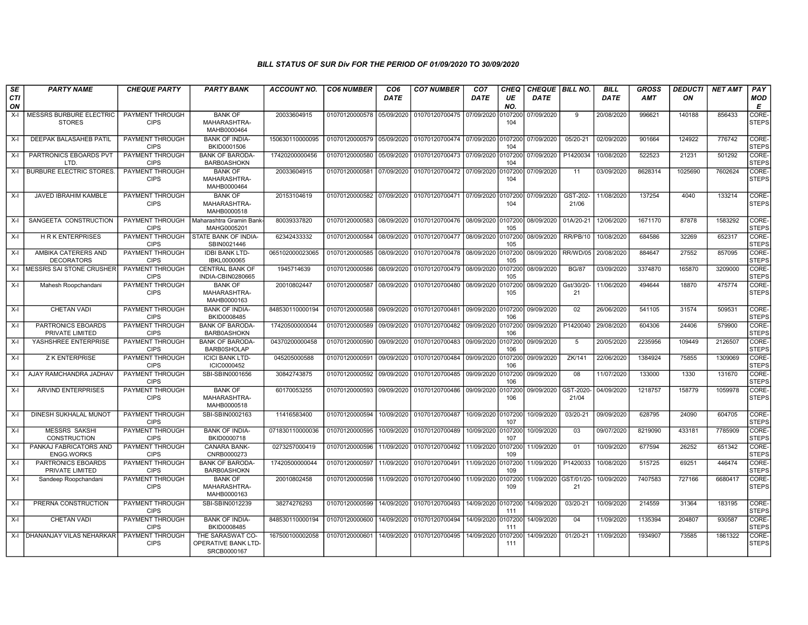| SE               | <b>PARTY NAME</b>                               | <b>CHEQUE PARTY</b>                   | <b>PARTY BANK</b>                                      | ACCOUNT NO.     | <b>CO6 NUMBER</b>         | CO <sub>6</sub> | <b>CO7 NUMBER</b>                                           | CO <sub>7</sub>    | <b>CHEQ</b>    | CHEQUE   BILL NO.    |                   | <b>BILL</b> | <b>GROSS</b> | <b>DEDUCTI</b> | <b>NET AMT</b> | PAY                         |
|------------------|-------------------------------------------------|---------------------------------------|--------------------------------------------------------|-----------------|---------------------------|-----------------|-------------------------------------------------------------|--------------------|----------------|----------------------|-------------------|-------------|--------------|----------------|----------------|-----------------------------|
| <b>CTI</b><br>ON |                                                 |                                       |                                                        |                 |                           | <b>DATE</b>     |                                                             | <b>DATE</b>        | UE<br>NO.      | <b>DATE</b>          |                   | <b>DATE</b> | <b>AMT</b>   | ON             |                | <b>MOD</b><br>E             |
| X-I              | <b>MESSRS BURBURE ELECTRIC</b><br><b>STORES</b> | PAYMENT THROUGH<br><b>CIPS</b>        | <b>BANK OF</b><br>MAHARASHTRA-<br>MAHB0000464          | 20033604915     | 01070120000578            | 05/09/2020      | 01070120700475                                              | 07/09/2020         | 0107200<br>104 | 07/09/2020           | 9                 | 20/08/2020  | 996621       | 140188         | 856433         | <b>CORE</b><br><b>STEPS</b> |
| X-I              | DEEPAK BALASAHEB PATIL                          | PAYMENT THROUGH<br><b>CIPS</b>        | <b>BANK OF INDIA-</b><br>BKID0001506                   | 150630110000095 | 01070120000579            | 05/09/2020      | 01070120700474 07/09/2020                                   |                    | 0107200<br>104 | 07/09/2020           | 05/20-21          | 02/09/2020  | 901664       | 124922         | 776742         | <b>CORE</b><br><b>STEPS</b> |
| X-I              | PARTRONICS EBOARDS PVT<br>LTD.                  | <b>PAYMENT THROUGH</b><br><b>CIPS</b> | <b>BANK OF BARODA-</b><br><b>BARB0ASHOKN</b>           | 17420200000456  | 01070120000580            | 05/09/2020      | 01070120700473 07/09/2020                                   |                    | 0107200<br>104 | 07/09/2020           | P1420034          | 10/08/2020  | 522523       | 21231          | 501292         | CORE-<br><b>STEPS</b>       |
| $X-I$            | <b>BURBURE ELECTRIC STORES.</b>                 | PAYMENT THROUGH<br><b>CIPS</b>        | <b>BANK OF</b><br>MAHARASHTRA-<br>MAHB0000464          | 20033604915     | 01070120000581 07/09/2020 |                 | 01070120700472 07/09/2020 0107200                           |                    | 104            | 07/09/2020           | 11                | 03/09/2020  | 8628314      | 1025690        | 7602624        | CORE-<br><b>STEPS</b>       |
| X-I              | JAVED IBRAHIM KAMBLE                            | PAYMENT THROUGH<br><b>CIPS</b>        | <b>BANK OF</b><br>MAHARASHTRA-<br>MAHB0000518          | 20153104619     |                           |                 | 01070120000582 07/09/2020 01070120700471 07/09/2020 0107200 |                    | 104            | 07/09/2020           | GST-202-<br>21/06 | 11/08/2020  | 137254       | 4040           | 133214         | CORE-<br><b>STEPS</b>       |
| X-I              | SANGEETA CONSTRUCTION                           | PAYMENT THROUGH<br><b>CIPS</b>        | Maharashtra Gramin Bank<br>MAHG0005201                 | 80039337820     | 01070120000583            | 08/09/2020      | 01070120700476 08/09/2020 0107200                           |                    | 105            | 08/09/2020           | 01A/20-21         | 12/06/2020  | 1671170      | 87878          | 1583292        | CORE-<br><b>STEPS</b>       |
| X-I              | <b>HRK ENTERPRISES</b>                          | PAYMENT THROUGH<br><b>CIPS</b>        | STATE BANK OF INDIA-<br>SBIN0021446                    | 62342433332     | 01070120000584 08/09/2020 |                 | 01070120700477 08/09/2020 0107200                           |                    | 105            | 08/09/2020           | RR/PB/10          | 10/08/2020  | 684586       | 32269          | 652317         | CORE-<br><b>STEPS</b>       |
| X-I              | AMBIKA CATERERS AND<br><b>DECORATORS</b>        | <b>PAYMENT THROUGH</b><br><b>CIPS</b> | <b>IDBI BANK LTD-</b><br>IBKL0000065                   | 065102000023065 | 01070120000585            | 08/09/2020      | 01070120700478 08/09/2020                                   |                    | 0107200<br>105 | 08/09/2020           | RR/WD/05          | 20/08/2020  | 884647       | 27552          | 857095         | CORE-<br><b>STEPS</b>       |
| X-I              | <b>MESSRS SAI STONE CRUSHER</b>                 | <b>PAYMENT THROUGH</b><br><b>CIPS</b> | <b>CENTRAL BANK OF</b><br>INDIA-CBIN0280665            | 1945714639      | 01070120000586            | 08/09/2020      | 01070120700479 08/09/2020                                   |                    | 0107200<br>105 | 08/09/2020           | <b>BG/87</b>      | 03/09/2020  | 3374870      | 165870         | 3209000        | CORE-<br><b>STEPS</b>       |
| X-I              | Mahesh Roopchandani                             | PAYMENT THROUGH<br><b>CIPS</b>        | <b>BANK OF</b><br>MAHARASHTRA-<br>MAHB0000163          | 20010802447     | 01070120000587            | 08/09/2020      | 01070120700480                                              | 08/09/2020         | 0107200<br>105 | 08/09/2020           | Gst/30/20<br>21   | 11/06/2020  | 494644       | 18870          | 475774         | CORE-<br><b>STEPS</b>       |
| $X-I$            | <b>CHETAN VADI</b>                              | PAYMENT THROUGH<br><b>CIPS</b>        | <b>BANK OF INDIA-</b><br>BKID0008485                   | 848530110000194 |                           |                 | 01070120000588 09/09/2020 01070120700481 09/09/2020 0107200 |                    | 106            | 09/09/2020           | 02                | 26/06/2020  | 541105       | 31574          | 509531         | CORE-<br><b>STEPS</b>       |
| $X-I$            | PARTRONICS EBOARDS<br>PRIVATE LIMITED           | <b>PAYMENT THROUGH</b><br><b>CIPS</b> | <b>BANK OF BARODA-</b><br><b>BARB0ASHOKN</b>           | 17420500000044  | 01070120000589            | 09/09/2020      | 01070120700482                                              | 09/09/2020         | 0107200<br>106 | 09/09/2020           | P1420040          | 29/08/2020  | 604306       | 24406          | 579900         | CORE-<br><b>STEPS</b>       |
| $X-I$            | YASHSHREE ENTERPRISE                            | PAYMENT THROUGH<br><b>CIPS</b>        | <b>BANK OF BARODA-</b><br><b>BARB0SHOLAP</b>           | 04370200000458  | 01070120000590            | 09/09/2020      | 01070120700483                                              | 09/09/2020         | 0107200<br>106 | 09/09/2020           | -5                | 20/05/2020  | 2235956      | 109449         | 2126507        | CORE-<br><b>STEPS</b>       |
| X-I              | <b>Z K ENTERPRISE</b>                           | <b>PAYMENT THROUGH</b><br><b>CIPS</b> | <b>ICICI BANK LTD-</b><br>ICIC0000452                  | 045205000588    | 01070120000591            | 09/09/2020      | 01070120700484 09/09/2020 0107200                           |                    | 106            | 09/09/2020           | ZK/141            | 22/06/2020  | 1384924      | 75855          | 1309069        | CORE-<br><b>STEPS</b>       |
| X-I              | AJAY RAMCHANDRA JADHAV                          | <b>PAYMENT THROUGH</b><br><b>CIPS</b> | SBI-SBIN0001656                                        | 30842743875     | 01070120000592 09/09/2020 |                 | 01070120700485 09/09/2020 0107200                           |                    | 106            | 09/09/2020           | $\overline{08}$   | 11/07/2020  | 133000       | 1330           | 131670         | CORE-<br><b>STEPS</b>       |
| X-I              | <b>ARVIND ENTERPRISES</b>                       | PAYMENT THROUGH<br><b>CIPS</b>        | <b>BANK OF</b><br>MAHARASHTRA-<br>MAHB0000518          | 60170053255     | 01070120000593            | 09/09/2020      | 01070120700486                                              | 09/09/2020         | 0107200<br>106 | 09/09/2020           | GST-2020<br>21/04 | 04/09/2020  | 1218757      | 158779         | 1059978        | CORE-<br>STEPS              |
| X-I              | DINESH SUKHALAL MUNOT                           | PAYMENT THROUGH<br><b>CIPS</b>        | SBI-SBIN0002163                                        | 11416583400     | 01070120000594            | 10/09/2020      | 01070120700487                                              | 10/09/2020 0107200 | 107            | 10/09/2020           | $03/20 - 21$      | 09/09/2020  | 628795       | 24090          | 604705         | CORE-<br>Isteps             |
| X-I              | <b>MESSRS SAKSHI</b><br><b>CONSTRUCTION</b>     | PAYMENT THROUGH<br><b>CIPS</b>        | <b>BANK OF INDIA-</b><br>BKID0000718                   | 071830110000036 | 01070120000595            | 10/09/2020      | 01070120700489                                              | 10/09/2020         | 0107200<br>107 | 10/09/2020           | 03                | 09/07/2020  | 8219090      | 433181         | 7785909        | CORE-<br><b>STEPS</b>       |
| X-I              | PANKAJ FABRICATORS AND<br><b>ENGG.WORKS</b>     | PAYMENT THROUGH<br><b>CIPS</b>        | <b>CANARA BANK-</b><br>CNRB0000273                     | 0273257000419   | 01070120000596            | 11/09/2020      | 01070120700492                                              | 11/09/2020         | 0107200<br>109 | 11/09/2020           | 01                | 10/09/2020  | 677594       | 26252          | 651342         | CORE-<br>STEPS              |
| $X-I$            | PARTRONICS EBOARDS<br>PRIVATE LIMITED           | <b>PAYMENT THROUGH</b><br><b>CIPS</b> | <b>BANK OF BARODA</b><br><b>BARB0ASHOKN</b>            | 17420500000044  | 01070120000597            | 11/09/2020      | 01070120700491                                              | 11/09/2020         | 0107200<br>109 | 11/09/2020           | P1420033          | 10/08/2020  | 515725       | 69251          | 446474         | CORE-<br><b>STEPS</b>       |
| X-I              | Sandeep Roopchandani                            | <b>PAYMENT THROUGH</b><br><b>CIPS</b> | <b>BANK OF</b><br>MAHARASHTRA-<br>MAHB0000163          | 20010802458     | 01070120000598            | 11/09/2020      | 01070120700490                                              | 11/09/2020         | 0107200<br>109 | 11/09/2020 GST/01/20 | 21                | 10/09/2020  | 7407583      | 727166         | 6680417        | CORE-<br><b>STEPS</b>       |
| X-I              | PRERNA CONSTRUCTION                             | PAYMENT THROUGH<br><b>CIPS</b>        | SBI-SBIN0012239                                        | 38274276293     | 01070120000599            | 14/09/2020      | 01070120700493                                              | 14/09/2020         | 0107200<br>111 | 14/09/2020           | 03/20-21          | 10/09/2020  | 214559       | 31364          | 183195         | CORE-<br><b>STEPS</b>       |
| X-I              | CHETAN VADI                                     | PAYMENT THROUGH<br><b>CIPS</b>        | <b>BANK OF INDIA-</b><br>BKID0008485                   | 848530110000194 | 01070120000600            | 14/09/2020      | 01070120700494                                              | 14/09/2020         | 0107200<br>111 | 14/09/2020           | 04                | 11/09/2020  | 1135394      | 204807         | 930587         | CORE-<br>STEPS              |
|                  | X-I DHANANJAY VILAS NEHARKAR                    | PAYMENT THROUGH<br><b>CIPS</b>        | THE SARASWAT CO-<br>OPERATIVE BANK LTD-<br>SRCB0000167 | 167500100002058 | 01070120000601            | 14/09/2020      | 01070120700495                                              | 14/09/2020         | 10720<br>111   | 14/09/2020           | 01/20-21          | 11/09/2020  | 1934907      | 73585          | 1861322        | CORE-<br><b>STEPS</b>       |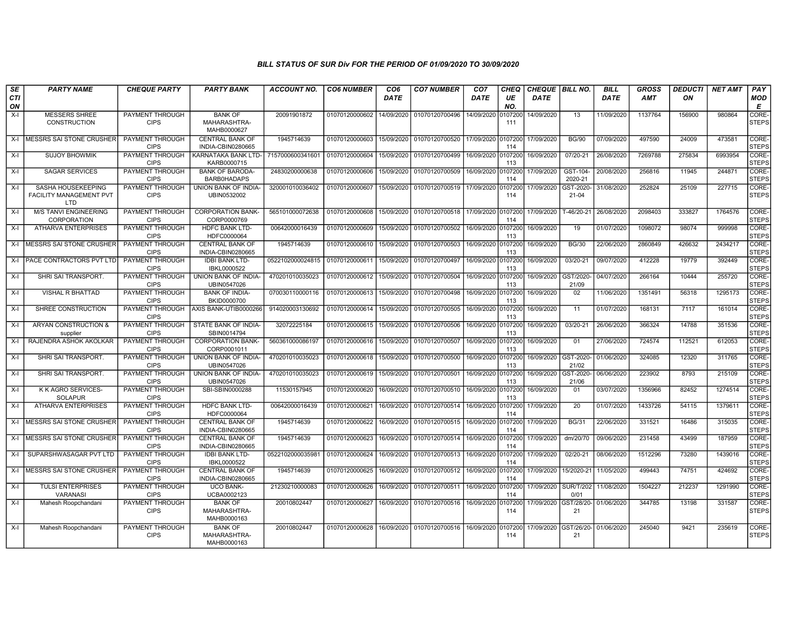| SE               | <b>PARTY NAME</b>                                    | <b>CHEQUE PARTY</b>                   | <b>PARTY BANK</b>                             | ACCOUNT NO.      | <b>CO6 NUMBER</b> | CO <sub>6</sub> | <b>CO7 NUMBER</b>                 | CO <sub>7</sub> | CHEQ           | <b>CHEQUE   BILL NO.</b> |                                        | <b>BILL</b> | GROSS      | DEDUCTI | <b>NET AMT</b> | <b>PAY</b>            |
|------------------|------------------------------------------------------|---------------------------------------|-----------------------------------------------|------------------|-------------------|-----------------|-----------------------------------|-----------------|----------------|--------------------------|----------------------------------------|-------------|------------|---------|----------------|-----------------------|
| <b>CTI</b><br>ON |                                                      |                                       |                                               |                  |                   | <b>DATE</b>     |                                   | DATE            | UE<br>NO.      | <b>DATE</b>              |                                        | <b>DATE</b> | <b>AMT</b> | ON      |                | MOD<br>Е              |
| $X-I$            | <b>MESSERS SHREE</b><br><b>CONSTRUCTION</b>          | <b>PAYMENT THROUGH</b><br><b>CIPS</b> | <b>BANK OF</b><br>MAHARASHTRA-<br>MAHB0000627 | 20091901872      | 01070120000602    | 14/09/2020      | 01070120700496                    | 14/09/2020      | 0107200<br>111 | 14/09/2020               | 13                                     | 11/09/2020  | 1137764    | 156900  | 980864         | CORE-<br><b>STEPS</b> |
| $X-I$            | MESSRS SAI STONE CRUSHER                             | PAYMENT THROUGH<br><b>CIPS</b>        | <b>CENTRAL BANK OF</b><br>INDIA-CBIN0280665   | 1945714639       | 01070120000603    | 15/09/2020      | 01070120700520                    | 17/09/2020      | 0107200<br>114 | 17/09/2020               | <b>BG/90</b>                           | 07/09/2020  | 497590     | 24009   | 473581         | CORE-<br><b>STEPS</b> |
| X-I              | <b>SUJOY BHOWMIK</b>                                 | PAYMENT THROUGH<br><b>CIPS</b>        | KARNATAKA BANK LTD-<br>KARB0000715            | 7157000600341601 | 01070120000604    | 15/09/2020      | 01070120700499                    | 16/09/2020      | 0107200<br>113 | 16/09/2020               | 07/20-21                               | 26/08/2020  | 7269788    | 275834  | 6993954        | CORE-<br><b>STEPS</b> |
| X-I              | <b>SAGAR SERVICES</b>                                | <b>PAYMENT THROUGH</b><br><b>CIPS</b> | <b>BANK OF BARODA-</b><br><b>BARB0HADAPS</b>  | 24830200000638   | 01070120000606    | 15/09/2020      | 01070120700509                    | 16/09/2020      | 107200<br>114  | 17/09/2020               | GST-104-<br>2020-21                    | 20/08/2020  | 256816     | 11945   | 244871         | CORE-<br><b>STEPS</b> |
| X-I              | SASHA HOUSEKEEPING<br>FACILITY MANAGEMENT PVT<br>LTD | PAYMENT THROUGH<br><b>CIPS</b>        | UNION BANK OF INDIA-<br>UBIN0532002           | 320001010036402  | 01070120000607    | 15/09/2020      | 01070120700519                    | 17/09/2020      | 107200<br>114  | 17/09/2020               | GST-2020<br>21-04                      | 31/08/2020  | 252824     | 25109   | 227715         | CORE-<br><b>STEPS</b> |
| X-I              | <b>M/S TANVI ENGINEERING</b><br>CORPORATION          | <b>PAYMENT THROUGH</b><br><b>CIPS</b> | <b>CORPORATION BANK-</b><br>CORP0000769       | 565101000072638  | 01070120000608    | 15/09/2020      | 01070120700518 17/09/2020         |                 | 107200<br>114  | 17/09/2020               | $T-46/20-21$                           | 26/08/2020  | 2098403    | 333827  | 1764576        | CORE-<br><b>STEPS</b> |
| X-I              | <b>ATHARVA ENTERPRISES</b>                           | PAYMENT THROUGH<br><b>CIPS</b>        | <b>HDFC BANK LTD-</b><br>HDFC0000064          | 00642000016439   | 01070120000609    | 15/09/2020      | 01070120700502                    | 16/09/2020      | 0107200<br>113 | 16/09/2020               | 19                                     | 01/07/2020  | 1098072    | 98074   | 999998         | CORE-<br><b>STEPS</b> |
| X-l              | MESSRS SAI STONE CRUSHER                             | PAYMENT THROUGH<br><b>CIPS</b>        | <b>CENTRAL BANK OF</b><br>INDIA-CBIN0280665   | 1945714639       | 01070120000610    | 15/09/2020      | 01070120700503                    | 16/09/2020      | 107200<br>113  | 16/09/2020               | <b>BG/30</b>                           | 22/06/2020  | 2860849    | 426632  | 2434217        | CORE-<br><b>STEPS</b> |
| $X-I$            | <b>PACE CONTRACTORS PVT LTD</b>                      | PAYMENT THROUGH<br><b>CIPS</b>        | <b>IDBI BANK LTD-</b><br>IBKL0000522          | 0522102000024815 | 01070120000611    | 15/09/2020      | 01070120700497                    | 16/09/2020      | 0107200<br>113 | 16/09/2020               | 03/20-21                               | 09/07/2020  | 412228     | 19779   | 392449         | CORE-<br><b>STEPS</b> |
| X-I              | SHRI SAI TRANSPORT.                                  | PAYMENT THROUGH<br><b>CIPS</b>        | <b>UNION BANK OF INDIA-</b><br>UBIN0547026    | 470201010035023  | 01070120000612    | 15/09/2020      | 01070120700504                    | 16/09/2020      | 107200<br>113  | 16/09/2020               | GST/2020-<br>21/09                     | 04/07/2020  | 266164     | 10444   | 255720         | CORE-<br><b>STEPS</b> |
| $X-I$            | <b>VISHAL R BHATTAD</b>                              | PAYMENT THROUGH<br><b>CIPS</b>        | <b>BANK OF INDIA-</b><br>BKID0000700          | 070030110000116  | 01070120000613    | 15/09/2020      | 01070120700498                    | 16/09/2020      | 0107200<br>113 | 16/09/2020               | 02                                     | 11/06/2020  | 1351491    | 56318   | 1295173        | CORE-<br><b>STEPS</b> |
| X-I              | SHREE CONSTRUCTION                                   | PAYMENT THROUGH<br><b>CIPS</b>        | AXIS BANK-UTIB0000266                         | 914020003130692  | 01070120000614    | 15/09/2020      | 01070120700505                    | 16/09/2020      | 107200<br>113  | 16/09/2020               | 11                                     | 01/07/2020  | 168131     | 7117    | 161014         | CORE-<br><b>STEPS</b> |
| X-I              | ARYAN CONSTRUCTION &<br>supplier                     | PAYMENT THROUGH<br><b>CIPS</b>        | STATE BANK OF INDIA-<br>SBIN0014794           | 32072225184      | 01070120000615    | 15/09/2020      | 01070120700506                    | 16/09/2020      | 0107200<br>113 | 16/09/2020               | 03/20-21                               | 26/06/2020  | 366324     | 14788   | 351536         | CORE-<br><b>STEPS</b> |
| $X-I$            | RAJENDRA ASHOK AKOLKAR                               | <b>PAYMENT THROUGH</b><br><b>CIPS</b> | <b>CORPORATION BANK-</b><br>CORP0001011       | 560361000086197  | 01070120000616    | 15/09/2020      | 01070120700507                    | 16/09/2020      | 0107200<br>113 | 16/09/2020               | 01                                     | 27/06/2020  | 724574     | 112521  | 612053         | CORE-<br><b>STEPS</b> |
| X-I              | SHRI SAI TRANSPORT.                                  | PAYMENT THROUGH<br><b>CIPS</b>        | <b>UNION BANK OF INDIA-</b><br>UBIN0547026    | 470201010035023  | 01070120000618    | 15/09/2020      | 01070120700500                    | 16/09/2020      | 107200<br>113  | 16/09/2020               | GST-2020<br>21/02                      | 01/06/2020  | 324085     | 12320   | 311765         | CORE-<br><b>STEPS</b> |
| X-I              | SHRI SAI TRANSPORT.                                  | PAYMENT THROUGH<br><b>CIPS</b>        | UNION BANK OF INDIA-<br>UBIN0547026           | 470201010035023  | 01070120000619    | 15/09/2020      | 01070120700501                    | 16/09/2020      | 107200<br>113  | 16/09/2020               | GST-2020<br>21/06                      | 06/06/2020  | 223902     | 8793    | 215109         | CORE-<br><b>STEPS</b> |
| X-I              | K K AGRO SERVICES-<br><b>SOLAPUR</b>                 | PAYMENT THROUGH<br><b>CIPS</b>        | SBI-SBIN0000288                               | 11530157945      | 01070120000620    | 16/09/2020      | 01070120700510                    | 16/09/2020      | 107200<br>113  | 16/09/2020               | 01                                     | 03/07/2020  | 1356966    | 82452   | 1274514        | CORE-<br><b>STEPS</b> |
| $X-I$            | <b>ATHARVA ENTERPRISES</b>                           | PAYMENT THROUGH<br><b>CIPS</b>        | <b>HDFC BANK LTD-</b><br>HDFC0000064          | 00642000016439   | 01070120000621    | 16/09/2020      | 01070120700514                    | 16/09/2020      | 0107200<br>114 | 17/09/2020               | 20                                     | 01/07/2020  | 1433726    | 54115   | 1379611        | CORE-<br><b>STEPS</b> |
| $X-I$            | MESSRS SAI STONE CRUSHER                             | <b>PAYMENT THROUGH</b><br><b>CIPS</b> | <b>CENTRAL BANK OF</b><br>INDIA-CBIN0280665   | 1945714639       | 01070120000622    | 16/09/2020      | 01070120700515                    | 16/09/2020      | 107200<br>114  | 17/09/2020               | <b>BG/31</b>                           | 22/06/2020  | 331521     | 16486   | 315035         | CORE-<br><b>STEPS</b> |
| $X-I$            | MESSRS SAI STONE CRUSHER                             | PAYMENT THROUGH<br><b>CIPS</b>        | <b>CENTRAL BANK OF</b><br>INDIA-CBIN0280665   | 1945714639       | 01070120000623    | 16/09/2020      | 01070120700514                    | 16/09/2020      | 0107200<br>114 | 17/09/2020               | dm/20/70                               | 09/06/2020  | 231458     | 43499   | 187959         | CORE-<br><b>STEPS</b> |
| X-I              | SUPARSHWASAGAR PVT LTD                               | PAYMENT THROUGH<br><b>CIPS</b>        | <b>IDBI BANK LTD-</b><br>IBKL0000522          | 052210200003598  | 01070120000624    | 16/09/2020      | 01070120700513                    | 16/09/2020      | 107200<br>114  | 17/09/2020               | 02/20-21                               | 08/06/2020  | 1512296    | 73280   | 1439016        | CORE-<br><b>STEPS</b> |
| $X-I$            | MESSRS SAI STONE CRUSHER                             | PAYMENT THROUGH<br><b>CIPS</b>        | <b>CENTRAL BANK OF</b><br>INDIA-CBIN0280665   | 1945714639       | 01070120000625    | 16/09/2020      | 01070120700512                    | 16/09/2020      | 0107200<br>114 | 17/09/2020               | 15/2020-21                             | 11/05/2020  | 499443     | 74751   | 424692         | CORE-<br><b>STEPS</b> |
| X-I              | TULSI ENTERPRISES<br><b>VARANASI</b>                 | PAYMENT THROUGH<br><b>CIPS</b>        | <b>UCO BANK-</b><br>UCBA0002123               | 21230210000083   | 01070120000626    | 16/09/2020      | 01070120700511 16/09/2020         |                 | 0107200<br>114 | 17/09/2020               | <b>SUR/T/202</b><br>0/01               | 11/08/2020  | 1504227    | 212237  | 1291990        | CORE-<br><b>STEPS</b> |
| X-I              | Mahesh Roopchandani                                  | PAYMENT THROUGH<br><b>CIPS</b>        | <b>BANK OF</b><br>MAHARASHTRA-<br>MAHB0000163 | 20010802447      | 01070120000627    | 16/09/2020      | 01070120700516                    | 16/09/2020      | 107200<br>114  | 17/09/2020               | GST/28/20-<br>21                       | 01/06/2020  | 344785     | 13198   | 331587         | CORE-<br><b>STEPS</b> |
| X-I              | Mahesh Roopchandani                                  | PAYMENT THROUGH<br><b>CIPS</b>        | <b>BANK OF</b><br>MAHARASHTRA-<br>MAHB0000163 | 20010802447      | 01070120000628    | 16/09/2020      | 01070120700516 16/09/2020 0107200 |                 | 114            |                          | 17/09/2020 GST/26/20-101/06/2020<br>21 |             | 245040     | 9421    | 235619         | CORE-<br><b>STEPS</b> |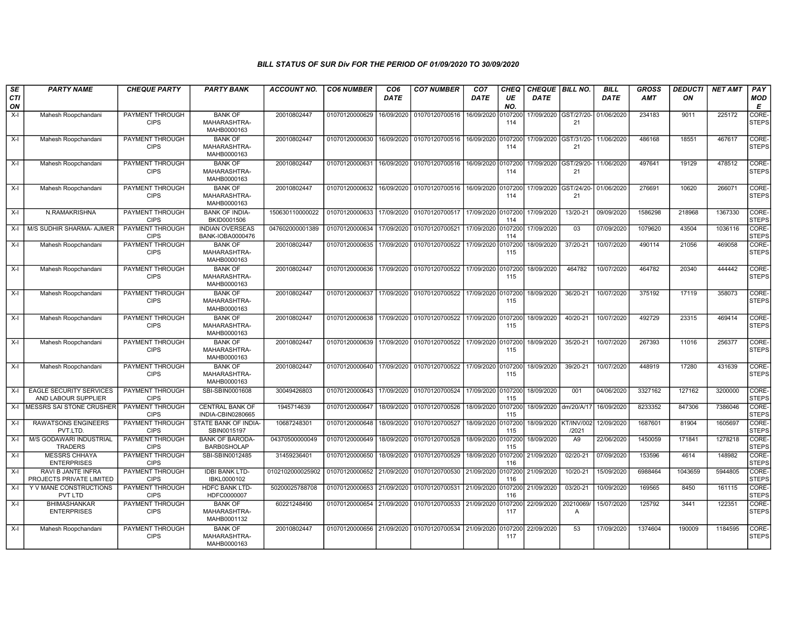| SE<br><b>CTI</b> | <b>PARTY NAME</b>                                     | <b>CHEQUE PARTY</b>                   | <b>PARTY BANK</b>                             | <b>ACCOUNT NO.</b> | <b>CO6 NUMBER</b>         | CO <sub>6</sub><br><b>DATE</b> | <b>CO7 NUMBER</b>         | CO <sub>7</sub><br><b>DATE</b> | CHEQ<br>UE     | <b>CHEQUE   BILL NO.</b><br><b>DATE</b> |                                        | <b>BILL</b><br><b>DATE</b> | <b>GROSS</b><br><b>AMT</b> | <b>DEDUCTI</b><br>ON | <b>NET AMT</b> | PAY<br>MOD            |
|------------------|-------------------------------------------------------|---------------------------------------|-----------------------------------------------|--------------------|---------------------------|--------------------------------|---------------------------|--------------------------------|----------------|-----------------------------------------|----------------------------------------|----------------------------|----------------------------|----------------------|----------------|-----------------------|
| ON               |                                                       |                                       |                                               |                    |                           |                                |                           |                                | NO.            |                                         |                                        |                            |                            |                      |                | E                     |
| X-I              | Mahesh Roopchandani                                   | PAYMENT THROUGH<br><b>CIPS</b>        | <b>BANK OF</b><br>MAHARASHTRA-<br>MAHB0000163 | 20010802447        | 01070120000629            | 16/09/2020                     | 01070120700516            | 16/09/2020                     | 107200<br>114  |                                         | 17/09/2020 GST/27/20-<br>21            | 01/06/2020                 | 234183                     | 9011                 | 225172         | CORE-<br><b>STEPS</b> |
| X-I              | Mahesh Roopchandani                                   | PAYMENT THROUGH<br><b>CIPS</b>        | <b>BANK OF</b><br>MAHARASHTRA-<br>MAHB0000163 | 20010802447        | 01070120000630            | 16/09/2020                     | 01070120700516            | 16/09/2020                     | 0107200<br>114 | 17/09/2020 GST/31/20-                   | 21                                     | 11/06/2020                 | 486168                     | 18551                | 467617         | CORE-<br><b>STEPS</b> |
| $X-I$            | Mahesh Roopchandani                                   | PAYMENT THROUGH<br><b>CIPS</b>        | <b>BANK OF</b><br>MAHARASHTRA-<br>MAHB0000163 | 20010802447        | 01070120000631            | 16/09/2020                     | 01070120700516            | 16/09/2020                     | 0107200<br>114 | 17/09/2020                              | GST/29/20-<br>21                       | 11/06/2020                 | 497641                     | 19129                | 478512         | CORE-<br><b>STEPS</b> |
| $X-I$            | Mahesh Roopchandani                                   | <b>PAYMENT THROUGH</b><br><b>CIPS</b> | <b>BANK OF</b><br>MAHARASHTRA-<br>MAHB0000163 | 20010802447        | 01070120000632            | 16/09/2020                     | 01070120700516            | 16/09/2020                     | 107200<br>114  |                                         | 17/09/2020 GST/24/20- 01/06/2020<br>21 |                            | 276691                     | 10620                | 266071         | CORE-<br><b>STEPS</b> |
| X-I              | N.RAMAKRISHNA                                         | PAYMENT THROUGH<br><b>CIPS</b>        | <b>BANK OF INDIA-</b><br>BKID0001506          | 150630110000022    | 01070120000633            | 17/09/2020                     | 01070120700517            | 17/09/2020                     | 107200<br>114  | 17/09/2020                              | 13/20-21                               | 09/09/2020                 | 1586298                    | 218968               | 1367330        | CORE-<br><b>STEPS</b> |
| $X-I$            | M/S SUDHIR SHARMA- AJMER                              | <b>PAYMENT THROUGH</b><br><b>CIPS</b> | <b>INDIAN OVERSEAS</b><br>BANK-IOBA0000476    | 047602000001389    | 01070120000634            | 17/09/2020                     | 01070120700521            | 17/09/2020                     | 107200<br>114  | 17/09/2020                              | 03                                     | 07/09/2020                 | 1079620                    | 43504                | 1036116        | CORE-<br><b>STEPS</b> |
| X-I              | Mahesh Roopchandani                                   | <b>PAYMENT THROUGH</b><br><b>CIPS</b> | <b>BANK OF</b><br>MAHARASHTRA-<br>MAHB0000163 | 20010802447        | 01070120000635            | 17/09/2020                     | 01070120700522            | 17/09/2020                     | 107200<br>115  | 18/09/2020                              | 37/20-21                               | 10/07/2020                 | 490114                     | 21056                | 469058         | CORE-<br><b>STEPS</b> |
| X-I              | Mahesh Roopchandani                                   | PAYMENT THROUGH<br><b>CIPS</b>        | <b>BANK OF</b><br>MAHARASHTRA-<br>MAHB0000163 | 20010802447        | 01070120000636            | 17/09/2020                     | 01070120700522            | 17/09/2020                     | 0107200<br>115 | 18/09/2020                              | 464782                                 | 10/07/2020                 | 464782                     | 20340                | 444442         | CORE-<br><b>STEPS</b> |
| X-I              | Mahesh Roopchandani                                   | PAYMENT THROUGH<br><b>CIPS</b>        | <b>BANK OF</b><br>MAHARASHTRA-<br>MAHB0000163 | 20010802447        | 01070120000637            | 17/09/2020                     | 01070120700522 17/09/2020 |                                | 0107200<br>115 | 18/09/2020                              | 36/20-21                               | 10/07/2020                 | 375192                     | 17119                | 358073         | CORE-<br><b>STEPS</b> |
| $X-I$            | Mahesh Roopchandani                                   | <b>PAYMENT THROUGH</b><br><b>CIPS</b> | <b>BANK OF</b><br>MAHARASHTRA-<br>MAHB0000163 | 20010802447        | 01070120000638            | 17/09/2020                     | 01070120700522            | 17/09/2020                     | 0107200<br>115 | 18/09/2020                              | 40/20-21                               | 10/07/2020                 | 492729                     | 23315                | 469414         | CORE-<br><b>STEPS</b> |
| $X-I$            | Mahesh Roopchandani                                   | <b>PAYMENT THROUGH</b><br><b>CIPS</b> | <b>BANK OF</b><br>MAHARASHTRA-<br>MAHB0000163 | 20010802447        | 01070120000639            | 17/09/2020                     | 01070120700522            | 17/09/2020                     | 107200<br>115  | 18/09/2020                              | 35/20-21                               | 10/07/2020                 | 267393                     | 11016                | 256377         | CORE-<br><b>STEPS</b> |
| $X-I$            | Mahesh Roopchandani                                   | PAYMENT THROUGH<br><b>CIPS</b>        | <b>BANK OF</b><br>MAHARASHTRA-<br>MAHB0000163 | 20010802447        | 01070120000640            | 17/09/2020                     | 01070120700522 17/09/2020 |                                | 0107200<br>115 | 18/09/2020                              | 39/20-21                               | 10/07/2020                 | 448919                     | 17280                | 431639         | CORE-<br><b>STEPS</b> |
| $X-I$            | <b>EAGLE SECURITY SERVICES</b><br>AND LABOUR SUPPLIER | PAYMENT THROUGH<br><b>CIPS</b>        | SBI-SBIN0001608                               | 30049426803        | 01070120000643            | 17/09/2020                     | 01070120700524            | 17/09/2020                     | 0107200<br>115 | 18/09/2020                              | 001                                    | 04/06/2020                 | 3327162                    | 127162               | 3200000        | CORE-<br><b>STEPS</b> |
| $X-I$            | MESSRS SAI STONE CRUSHER                              | PAYMENT THROUGH<br><b>CIPS</b>        | <b>CENTRAL BANK OF</b><br>INDIA-CBIN0280665   | 1945714639         | 01070120000647            | 18/09/2020                     | 01070120700526            | 18/09/2020                     | 0107200<br>115 | 18/09/2020 dm/20/A/17                   |                                        | 16/09/2020                 | 8233352                    | 847306               | 7386046        | CORE-<br><b>STEPS</b> |
| X-I              | <b>RAWATSONS ENGINEERS</b><br>PVT.LTD                 | PAYMENT THROUGH<br><b>CIPS</b>        | STATE BANK OF INDIA-<br>SBIN0015197           | 10687248301        | 01070120000648            | 18/09/2020                     | 01070120700527            | 18/09/2020                     | 107200<br>115  | 18/09/2020                              | <b>KT/INV/002</b><br>/2021             | 12/09/2020                 | 1687601                    | 81904                | 1605697        | CORE-<br><b>STEPS</b> |
| X-I              | <b>M/S GODAWARI INDUSTRIAL</b><br><b>TRADERS</b>      | PAYMENT THROUGH<br><b>CIPS</b>        | <b>BANK OF BARODA-</b><br><b>BARB0SHOLAP</b>  | 04370500000049     | 01070120000649            | 18/09/2020                     | 01070120700528            | 18/09/2020                     | 0107200<br>115 | 18/09/2020                              | A9                                     | 22/06/2020                 | 1450059                    | 171841               | 1278218        | CORE-<br><b>STEPS</b> |
| X-I              | <b>MESSRS CHHAYA</b><br><b>ENTERPRISES</b>            | <b>PAYMENT THROUGH</b><br><b>CIPS</b> | SBI-SBIN0012485                               | 31459236401        | 01070120000650            | 18/09/2020                     | 01070120700529            | 18/09/2020                     | 107200<br>116  | 21/09/2020                              | $02/20 - 21$                           | 07/09/2020                 | 153596                     | 4614                 | 148982         | CORE-<br><b>STEPS</b> |
| $X-I$            | RAVI B JANTE INFRA<br>PROJECTS PRIVATE LIMITED        | PAYMENT THROUGH<br><b>CIPS</b>        | <b>IDBI BANK LTD-</b><br>IBKL0000102          | 0102102000025902   | 01070120000652            | 21/09/2020                     | 01070120700530 21/09/2020 |                                | 0107200<br>116 | 21/09/2020                              | 10/20-21                               | 15/09/2020                 | 6988464                    | 1043659              | 5944805        | CORE-<br><b>STEPS</b> |
| X-I              | Y V MANE CONSTRUCTIONS<br>PVT LTD                     | PAYMENT THROUGH<br><b>CIPS</b>        | <b>HDFC BANK LTD-</b><br>HDFC0000007          | 50200025788708     | 01070120000653            | 21/09/2020                     | 01070120700531            | 21/09/2020                     | 0107200<br>116 | 21/09/2020                              | 03/20-21                               | 10/09/2020                 | 169565                     | 8450                 | 161115         | CORE-<br><b>STEPS</b> |
| X-I              | <b>BHIMASHANKAR</b><br><b>ENTERPRISES</b>             | PAYMENT THROUGH<br><b>CIPS</b>        | <b>BANK OF</b><br>MAHARASHTRA-<br>MAHB0001132 | 60221248490        | 01070120000654            | 21/09/2020                     | 01070120700533            | 21/09/2020                     | 107200<br>117  | 22/09/2020                              | 20210069<br>A                          | 15/07/2020                 | 125792                     | 3441                 | 122351         | CORE-<br><b>STEPS</b> |
| X-I              | Mahesh Roopchandani                                   | PAYMENT THROUGH<br><b>CIPS</b>        | <b>BANK OF</b><br>MAHARASHTRA-<br>MAHB0000163 | 20010802447        | 01070120000656 21/09/2020 |                                | 01070120700534 21/09/2020 |                                | 107200<br>117  | 22/09/2020                              | 53                                     | 17/09/2020                 | 1374604                    | 190009               | 1184595        | CORE-<br><b>STEPS</b> |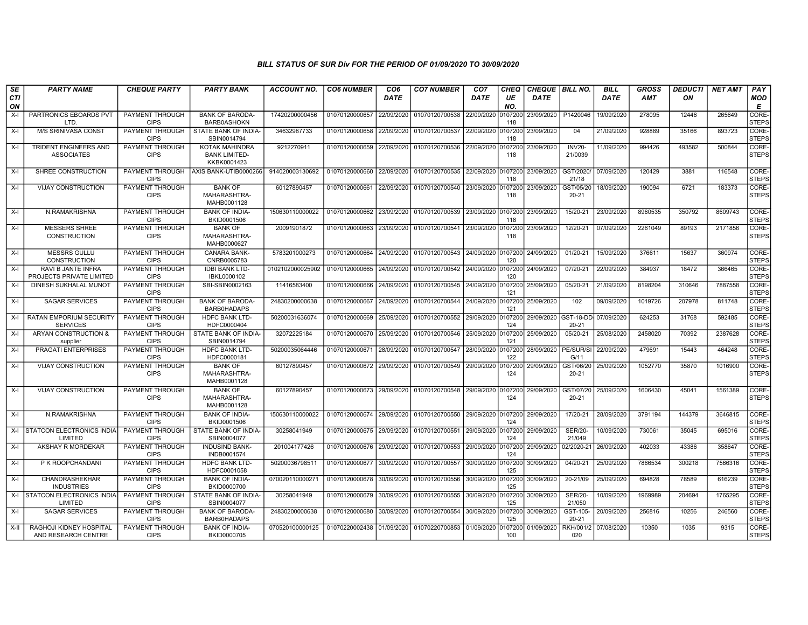| <b>SE</b>        | <b>PARTY NAME</b>                                     | <b>CHEQUE PARTY</b>                   | <b>PARTY BANK</b>                                            | <b>ACCOUNT NO.</b> | <b>CO6 NUMBER</b>         | CO <sub>6</sub> | <b>CO7 NUMBER</b>                 | CO <sub>7</sub>    | CHEQ           | CHEQUE BILL NO.       |                          | <b>BILL</b> | <b>GROSS</b> | <b>DEDUCTI</b> | <b>NET AMT</b> | PAY                   |
|------------------|-------------------------------------------------------|---------------------------------------|--------------------------------------------------------------|--------------------|---------------------------|-----------------|-----------------------------------|--------------------|----------------|-----------------------|--------------------------|-------------|--------------|----------------|----------------|-----------------------|
| <b>CTI</b><br>ON |                                                       |                                       |                                                              |                    |                           | <b>DATE</b>     |                                   | DATE               | UE<br>NO.      | <b>DATE</b>           |                          | <b>DATE</b> | <b>AMT</b>   | ON             |                | MOD<br>E              |
| $X-I$            | PARTRONICS EBOARDS PVT<br>LTD.                        | PAYMENT THROUGH<br><b>CIPS</b>        | <b>BANK OF BARODA-</b><br><b>BARB0ASHOKN</b>                 | 17420200000456     | 01070120000657            | 22/09/2020      | 01070120700538                    | 22/09/2020         | 107200<br>118  | 23/09/2020            | P1420046                 | 19/09/2020  | 278095       | 12446          | 265649         | CORE-<br><b>STEPS</b> |
| $X-I$            | <b>M/S SRINIVASA CONST</b>                            | PAYMENT THROUGH<br><b>CIPS</b>        | STATE BANK OF INDIA-<br>SBIN0014794                          | 34632987733        | 01070120000658            | 22/09/2020      | 01070120700537                    | 22/09/2020         | 107200<br>118  | 23/09/2020            | 04                       | 21/09/2020  | 928889       | 35166          | 893723         | CORE-<br><b>STEPS</b> |
| $X-I$            | TRIDENT ENGINEERS AND<br><b>ASSOCIATES</b>            | PAYMENT THROUGH<br><b>CIPS</b>        | <b>KOTAK MAHINDRA</b><br><b>BANK LIMITED-</b><br>KKBK0001423 | 9212270911         | 01070120000659            | 22/09/2020      | 01070120700536                    | 22/09/2020         | 107200<br>118  | 23/09/2020            | <b>INV20-</b><br>21/0039 | 11/09/2020  | 994426       | 493582         | 500844         | CORE-<br><b>STEPS</b> |
| $X-I$            | SHREE CONSTRUCTION                                    | PAYMENT THROUGH<br><b>CIPS</b>        | AXIS BANK-UTIB0000266                                        | 914020003130692    | 01070120000660            | 22/09/2020      | 01070120700535                    | 22/09/2020 0107200 | 118            | 23/09/2020            | GST/2020<br>21/18        | 07/09/2020  | 120429       | 3881           | 116548         | CORE-<br><b>STEPS</b> |
| $X-I$            | VIJAY CONSTRUCTION                                    | <b>PAYMENT THROUGH</b><br><b>CIPS</b> | <b>BANK OF</b><br>MAHARASHTRA-<br>MAHB0001128                | 60127890457        | 01070120000661            | 22/09/2020      | 01070120700540                    | 23/09/2020         | 0107200<br>118 | 23/09/2020            | GST/05/20<br>20-21       | 18/09/2020  | 190094       | 6721           | 183373         | CORE-<br><b>STEPS</b> |
| $X-I$            | N.RAMAKRISHNA                                         | PAYMENT THROUGH<br><b>CIPS</b>        | <b>BANK OF INDIA-</b><br>BKID0001506                         | 150630110000022    | 01070120000662            | 23/09/2020      | 01070120700539                    | 23/09/2020         | 0107200<br>118 | 23/09/2020            | 15/20-21                 | 23/09/2020  | 8960535      | 350792         | 8609743        | CORE-<br><b>STEPS</b> |
| $X-I$            | <b>MESSERS SHREE</b><br><b>CONSTRUCTION</b>           | PAYMENT THROUGH<br><b>CIPS</b>        | <b>BANK OF</b><br>MAHARASHTRA-<br>MAHB0000627                | 20091901872        | 01070120000663            | 23/09/2020      | 01070120700541 23/09/2020         |                    | 107200<br>118  | 23/09/2020            | 12/20-21                 | 07/09/2020  | 2261049      | 89193          | 2171856        | CORE-<br><b>STEPS</b> |
| $X-I$            | <b>MESSRS GULLU</b><br>CONSTRUCTION                   | <b>PAYMENT THROUGH</b><br><b>CIPS</b> | <b>CANARA BANK-</b><br>CNRB0005783                           | 5783201000273      | 01070120000664            | 24/09/2020      | 01070120700543 24/09/2020         |                    | 0107200<br>120 | 24/09/2020            | $01/20-21$               | 15/09/2020  | 376611       | 15637          | 360974         | CORE-<br><b>STEPS</b> |
| $X-I$            | <b>RAVI B JANTE INFRA</b><br>PROJECTS PRIVATE LIMITED | <b>PAYMENT THROUGH</b><br><b>CIPS</b> | <b>IDBI BANK LTD-</b><br>IBKL0000102                         | 0102102000025902   | 01070120000665            | 24/09/2020      | 01070120700542                    | 24/09/2020         | 0107200<br>120 | 24/09/2020            | 07/20-21                 | 22/09/2020  | 384937       | 18472          | 366465         | CORE-<br><b>STEPS</b> |
| $X-I$            | DINESH SUKHALAL MUNOT                                 | PAYMENT THROUGH<br><b>CIPS</b>        | SBI-SBIN0002163                                              | 11416583400        | 01070120000666            | 24/09/2020      | 01070120700545                    | 24/09/2020         | 107200<br>121  | 25/09/2020            | 05/20-21                 | 21/09/2020  | 8198204      | 310646         | 7887558        | CORE-<br><b>STEPS</b> |
| $X-I$            | <b>SAGAR SERVICES</b>                                 | PAYMENT THROUGH<br><b>CIPS</b>        | <b>BANK OF BARODA-</b><br>BARB0HADAPS                        | 24830200000638     | 01070120000667            | 24/09/2020      | 01070120700544                    | 24/09/2020         | 107200<br>121  | 25/09/2020            | 102                      | 09/09/2020  | 1019726      | 207978         | 811748         | CORE-<br><b>STEPS</b> |
| $X-I$            | <b>RATAN EMPORIUM SECURITY</b><br><b>SERVICES</b>     | <b>PAYMENT THROUGH</b><br><b>CIPS</b> | <b>HDFC BANK LTD-</b><br>HDFC0000404                         | 50200031636074     | 01070120000669            | 25/09/2020      | 01070120700552                    | 29/09/2020         | 0107200<br>124 | 29/09/2020 GST-18-DD- | $20 - 21$                | 07/09/2020  | 624253       | 31768          | 592485         | CORE-<br><b>STEPS</b> |
| X-I              | ARYAN CONSTRUCTION &<br>supplier                      | PAYMENT THROUGH<br><b>CIPS</b>        | STATE BANK OF INDIA-<br>SBIN0014794                          | 32072225184        | 01070120000670            | 25/09/2020      | 01070120700546                    | 25/09/2020         | 107200<br>121  | 25/09/2020            | 05/20-21                 | 25/08/2020  | 2458020      | 70392          | 2387628        | CORE-<br><b>STEPS</b> |
| $X-I$            | PRAGATI ENTERPRISES                                   | PAYMENT THROUGH<br><b>CIPS</b>        | <b>HDFC BANK LTD-</b><br>HDFC0000181                         | 50200035064446     | 01070120000671            | 28/09/2020      | 01070120700547                    | 28/09/2020         | 0107200<br>122 | 28/09/2020            | PE/SUR/SI<br>G/11        | 22/09/2020  | 479691       | 15443          | 464248         | CORE-<br><b>STEPS</b> |
| $X-I$            | VIJAY CONSTRUCTION                                    | PAYMENT THROUGH<br><b>CIPS</b>        | <b>BANK OF</b><br>MAHARASHTRA-<br>MAHB0001128                | 60127890457        | 01070120000672 29/09/2020 |                 | 01070120700549                    | 29/09/2020         | 107200<br>124  | 29/09/2020            | GST/06/20<br>20-21       | 25/09/2020  | 1052770      | 35870          | 1016900        | CORE-<br><b>STEPS</b> |
| $X-I$            | <b>VIJAY CONSTRUCTION</b>                             | PAYMENT THROUGH<br><b>CIPS</b>        | <b>BANK OF</b><br>MAHARASHTRA-<br>MAHB0001128                | 60127890457        | 01070120000673 29/09/2020 |                 | 01070120700548                    | 29/09/2020         | 107200<br>124  | 29/09/2020            | GST/07/20<br>$20 - 21$   | 25/09/2020  | 1606430      | 45041          | 1561389        | CORE-<br><b>STEPS</b> |
| $X-I$            | N.RAMAKRISHNA                                         | PAYMENT THROUGH<br><b>CIPS</b>        | <b>BANK OF INDIA-</b><br>BKID0001506                         | 150630110000022    | 01070120000674 29/09/2020 |                 | 01070120700550 29/09/2020 0107200 |                    | 124            | 29/09/2020            | 17/20-21                 | 28/09/2020  | 3791194      | 144379         | 3646815        | CORE-<br><b>STEPS</b> |
| $X-I$            | STATCON ELECTRONICS INDIA<br>LIMITED                  | PAYMENT THROUGH<br><b>CIPS</b>        | STATE BANK OF INDIA-<br>SBIN0004077                          | 30258041949        | 01070120000675            | 29/09/2020      | 01070120700551                    | 29/09/2020         | 107200<br>124  | 29/09/2020            | <b>SER/20-</b><br>21/049 | 10/09/2020  | 730061       | 35045          | 695016         | CORE-<br><b>STEPS</b> |
| $X-I$            | AKSHAY R MORDEKAR                                     | PAYMENT THROUGH<br><b>CIPS</b>        | <b>INDUSIND BANK-</b><br>INDB0001574                         | 201004177426       | 01070120000676            | 29/09/2020      | 01070120700553                    | 29/09/2020         | 107200<br>124  | 29/09/2020            | 02/2020-21               | 26/09/2020  | 402033       | 43386          | 358647         | CORE-<br><b>STEPS</b> |
| $X-I$            | P K ROOPCHANDANI                                      | PAYMENT THROUGH<br><b>CIPS</b>        | <b>HDFC BANK LTD-</b><br>HDFC0001058                         | 50200036798511     | 01070120000677 30/09/2020 |                 | 01070120700557                    | 30/09/2020         | 0107200<br>125 | 30/09/2020            | 04/20-21                 | 25/09/2020  | 7866534      | 300218         | 7566316        | CORE-<br><b>STEPS</b> |
| $X-I$            | <b>CHANDRASHEKHAR</b><br><b>INDUSTRIES</b>            | PAYMENT THROUGH<br><b>CIPS</b>        | <b>BANK OF INDIA-</b><br>BKID0000700                         | 07002011000027     | 01070120000678            | 30/09/2020      | 01070120700556                    | 30/09/2020         | 107200<br>125  | 30/09/2020            | 20-21/09                 | 25/09/2020  | 694828       | 78589          | 616239         | CORE-<br><b>STEPS</b> |
|                  | X-I STATCON ELECTRONICS INDIA<br>LIMITED              | PAYMENT THROUGH<br><b>CIPS</b>        | STATE BANK OF INDIA-<br>SBIN0004077                          | 30258041949        | 01070120000679            | 30/09/2020      | 01070120700555                    | 30/09/2020         | 0107200<br>125 | 30/09/2020            | <b>SER/20-</b><br>21/050 | 10/09/2020  | 1969989      | 204694         | 1765295        | CORE-<br><b>STEPS</b> |
| $X-I$            | SAGAR SERVICES                                        | PAYMENT THROUGH<br><b>CIPS</b>        | <b>BANK OF BARODA-</b><br><b>BARB0HADAPS</b>                 | 24830200000638     | 01070120000680            | 30/09/2020      | 01070120700554                    | 30/09/2020         | 0107200<br>125 | 30/09/2020            | GST-105-<br>$20 - 21$    | 20/09/2020  | 256816       | 10256          | 246560         | CORE-<br><b>STEPS</b> |
| X-II             | RAGHOJI KIDNEY HOSPITAL<br>AND RESEARCH CENTRE        | PAYMENT THROUGH<br><b>CIPS</b>        | <b>BANK OF INDIA-</b><br>BKID0000705                         | 070520100000125    | 01070220002438            | 01/09/2020      | 01070220700853                    | 01/09/2020         | 107200<br>100  | 01/09/2020            | RKH/001/2<br>020         | 07/08/2020  | 10350        | 1035           | 9315           | CORE-<br><b>STEPS</b> |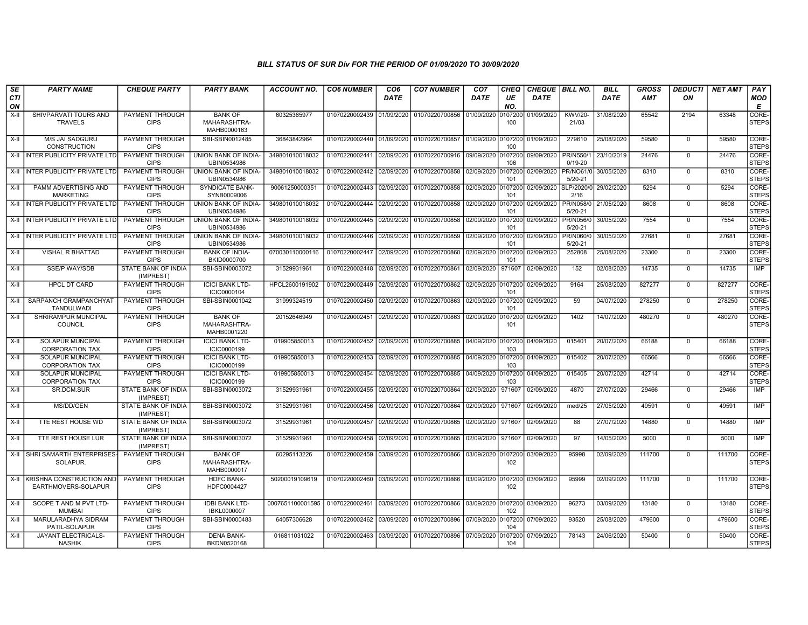| SE               | <b>PARTY NAME</b>                                    | <b>CHEQUE PARTY</b>                     | <b>PARTY BANK</b>                             | ACCOUNT NO.                     | <b>CO6 NUMBER</b>         | CO <sub>6</sub> | <b>CO7 NUMBER</b>                 | CO <sub>7</sub>    | <b>CHEQ</b>    | CHEQUE   BILL NO. |                                   | <b>BILL</b> | GROSS      | <b>DEDUCTI</b> | NET AMT | <b>PAY</b>            |
|------------------|------------------------------------------------------|-----------------------------------------|-----------------------------------------------|---------------------------------|---------------------------|-----------------|-----------------------------------|--------------------|----------------|-------------------|-----------------------------------|-------------|------------|----------------|---------|-----------------------|
| <b>CTI</b><br>ON |                                                      |                                         |                                               |                                 |                           | <b>DATE</b>     |                                   | DATE               | UE<br>NO.      | <b>DATE</b>       |                                   | <b>DATE</b> | <b>AMT</b> | ON             |         | <b>MOD</b><br>E       |
| $X-H$            | SHIVPARVATI TOURS AND<br><b>TRAVELS</b>              | PAYMENT THROUGH<br><b>CIPS</b>          | <b>BANK OF</b><br>MAHARASHTRA-<br>MAHB0000163 | 60325365977                     | 01070220002439            | 01/09/2020      | 01070220700856                    | 01/09/2020         | 0107200<br>100 | 01/09/2020        | <b>KWV/20-</b><br>21/03           | 31/08/2020  | 65542      | 2194           | 63348   | CORE-<br><b>STEPS</b> |
| X-II             | M/S JAI SADGURU<br>CONSTRUCTION                      | PAYMENT THROUGH<br><b>CIPS</b>          | SBI-SBIN0012485                               | 36843842964                     | 01070220002440 01/09/2020 |                 | 01070220700857                    | 01/09/2020         | 0107200<br>100 | 01/09/2020        | 279610                            | 25/08/2020  | 59580      | $\mathbf 0$    | 59580   | CORE-<br><b>STEPS</b> |
|                  | X-II INTER PUBLICITY PRIVATE LTD                     | <b>PAYMENT THROUGH</b><br><b>CIPS</b>   | UNION BANK OF INDIA-<br>UBIN0534986           | 349801010018032                 | 01070220002441            | 02/09/2020      | 01070220700916 09/09/2020 0107200 |                    | 106            | 09/09/2020        | PR/N550/1<br>$0/19 - 20$          | 23/10/2019  | 24476      | $\overline{0}$ | 24476   | CORE-<br><b>STEPS</b> |
|                  | X-II INTER PUBLICITY PRIVATE LTD                     | <b>PAYMENT THROUGH</b><br><b>CIPS</b>   | <b>UNION BANK OF INDIA-</b><br>UBIN0534986    | 349801010018032                 | 01070220002442 02/09/2020 |                 | 01070220700858                    | 02/09/2020 0107200 | 101            |                   | 02/09/2020 PR/NO61/0<br>$5/20-21$ | 30/05/2020  | 8310       | $\Omega$       | 8310    | CORE-<br><b>STEPS</b> |
| X-II             | PAMM ADVERTISING AND<br><b>MARKETING</b>             | PAYMENT THROUGH<br><b>CIPS</b>          | SYNDICATE BANK-<br>SYNB0009006                | 90061250000351                  | 01070220002443            | 02/09/2020      | 01070220700858                    | 02/09/2020         | 0107200<br>101 | 02/09/2020        | SLP/2020/0<br>2/16                | 29/02/2020  | 5294       | $\mathbf 0$    | 5294    | CORE-<br><b>STEPS</b> |
|                  | X-II INTER PUBLICITY PRIVATE LTD                     | PAYMENT THROUGH<br><b>CIPS</b>          | UNION BANK OF INDIA-<br>UBIN0534986           | 349801010018032                 | 01070220002444 02/09/2020 |                 | 01070220700858                    | 02/09/2020 010720  | 101            | 02/09/2020        | PR/N058/0<br>$5/20 - 21$          | 21/05/2020  | 8608       | $\Omega$       | 8608    | CORE-<br><b>STEPS</b> |
| X-II             | <b>INTER PUBLICITY PRIVATE LTD</b>                   | PAYMENT THROUGH<br><b>CIPS</b>          | UNION BANK OF INDIA-<br>UBIN0534986           | 349801010018032                 | 01070220002445            | 02/09/2020      | 01070220700858                    | 02/09/2020         | 0107200<br>101 | 02/09/2020        | PR/N056/0<br>$5/20 - 21$          | 30/05/2020  | 7554       | $\mathbf 0$    | 7554    | CORE-<br><b>STEPS</b> |
|                  | X-II INTER PUBLICITY PRIVATE LTD                     | <b>PAYMENT THROUGH</b><br><b>CIPS</b>   | <b>UNION BANK OF INDIA-</b><br>UBIN0534986    | 349801010018032                 | 01070220002446            | 02/09/2020      | 01070220700859                    | 02/09/2020 0107200 | 101            | 02/09/2020        | PR/N060/0<br>$5/20 - 21$          | 30/05/2020  | 27681      | $\overline{0}$ | 27681   | CORE-<br><b>STEPS</b> |
| X-II             | VISHAL R BHATTAD                                     | PAYMENT THROUGH<br><b>CIPS</b>          | <b>BANK OF INDIA-</b><br>BKID0000700          | 070030110000116                 | 01070220002447 02/09/2020 |                 | 01070220700860                    | 02/09/2020 0107200 | 101            | 02/09/2020        | 252808                            | 25/08/2020  | 23300      | $\Omega$       | 23300   | CORE-<br><b>STEPS</b> |
| $X-H$            | <b>SSE/P WAY/SDB</b>                                 | STATE BANK OF INDIA<br>(IMPREST)        | SBI-SBIN0003072                               | 31529931961                     | 01070220002448            | 02/09/2020      | 01070220700861                    | 02/09/2020         | 971607         | 02/09/2020        | 152                               | 02/08/2020  | 14735      | $\mathbf 0$    | 14735   | IMP                   |
| X-II             | <b>HPCL DT CARD</b>                                  | <b>PAYMENT THROUGH</b><br><b>CIPS</b>   | <b>ICICI BANK LTD-</b><br>ICIC0000104         | HPCL2600191902                  | 01070220002449 02/09/2020 |                 | 01070220700862                    | 02/09/2020 0107200 | 101            | 02/09/2020        | 9164                              | 25/08/2020  | 827277     | $\Omega$       | 827277  | CORE-<br><b>STEPS</b> |
| X-II             | SARPANCH GRAMPANCHYAT<br>.TANDULWADI                 | <b>PAYMENT THROUGH</b><br><b>CIPS</b>   | SBI-SBIN0001042                               | 31999324519                     | 01070220002450            | 02/09/2020      | 01070220700863                    | 02/09/2020         | 0107200<br>101 | 02/09/2020        | 59                                | 04/07/2020  | 278250     | $\mathbf 0$    | 278250  | CORE-<br><b>STEPS</b> |
| $X-H$            | SHRIRAMPUR MUNCIPAL<br>COUNCIL                       | <b>PAYMENT THROUGH</b><br><b>CIPS</b>   | <b>BANK OF</b><br>MAHARASHTRA-<br>MAHB0001220 | 20152646949                     | 01070220002451            | 02/09/2020      | 01070220700863                    | 02/09/2020 0107200 | 101            | 02/09/2020        | 1402                              | 14/07/2020  | 480270     | $\mathbf 0$    | 480270  | CORE-<br><b>STEPS</b> |
| $X-H$            | <b>SOLAPUR MUNCIPAL</b><br><b>CORPORATION TAX</b>    | <b>PAYMENT THROUGH</b><br><b>CIPS</b>   | <b>ICICI BANK LTD-</b><br>ICIC0000199         | 019905850013                    | 01070220002452            | 02/09/2020      | 01070220700885 04/09/2020 0107200 |                    | 103            | 04/09/2020        | 015401                            | 20/07/2020  | 66188      | $\overline{0}$ | 66188   | CORE-<br><b>STEPS</b> |
| X-II             | SOLAPUR MUNCIPAL<br><b>CORPORATION TAX</b>           | PAYMENT THROUGH<br><b>CIPS</b>          | <b>ICICI BANK LTD-</b><br>ICIC0000199         | 019905850013                    | 01070220002453            | 02/09/2020      | 01070220700885                    | 04/09/2020 0107200 | 103            | 04/09/2020        | 015402                            | 20/07/2020  | 66566      | $\mathbf 0$    | 66566   | CORE-<br><b>STEPS</b> |
| X-II             | SOLAPUR MUNCIPAL<br><b>CORPORATION TAX</b>           | PAYMENT THROUGH<br><b>CIPS</b>          | <b>ICICI BANK LTD-</b><br>ICIC0000199         | 019905850013                    | 01070220002454            | 02/09/2020      | 01070220700885                    | 04/09/2020         | 0107200<br>103 | 04/09/2020        | 015405                            | 20/07/2020  | 42714      | $\Omega$       | 42714   | CORE-<br><b>STEPS</b> |
| $X-II$           | SR.DCM.SUR                                           | <b>STATE BANK OF INDIA</b><br>(IMPREST) | SBI-SBIN0003072                               | 31529931961                     | 01070220002455            | 02/09/2020      | 01070220700864                    | 02/09/2020         | 971607         | 02/09/2020        | 4870                              | 27/07/2020  | 29466      | $\Omega$       | 29466   | IMP                   |
| X-II             | MS/DD/GEN                                            | STATE BANK OF INDIA<br>(IMPREST)        | SBI-SBIN0003072                               | 31529931961                     | 01070220002456 02/09/2020 |                 | 01070220700864                    | 02/09/2020 971607  |                | 02/09/2020        | med/25                            | 27/05/2020  | 49591      | $\mathbf 0$    | 49591   | IMP                   |
| $X-H$            | <b>TTE REST HOUSE WD</b>                             | <b>STATE BANK OF INDIA</b><br>(IMPREST) | SBI-SBIN0003072                               | 31529931961                     | 01070220002457            | 02/09/2020      | 01070220700865                    | 02/09/2020 971607  |                | 02/09/2020        | 88                                | 27/07/2020  | 14880      | $\overline{0}$ | 14880   | <b>IMP</b>            |
| $X-II$           | TTE REST HOUSE LUR                                   | <b>STATE BANK OF INDIA</b><br>(IMPREST) | SBI-SBIN0003072                               | 31529931961                     | 01070220002458            | 02/09/2020      | 01070220700865                    | 02/09/2020         | 971607         | 02/09/2020        | 97                                | 14/05/2020  | 5000       | $\Omega$       | 5000    | <b>IMP</b>            |
|                  | X-II SHRI SAMARTH ENTERPRISES-<br>SOLAPUR.           | <b>PAYMENT THROUGH</b><br><b>CIPS</b>   | <b>BANK OF</b><br>MAHARASHTRA-<br>MAHB0000017 | 60295113226                     | 01070220002459 03/09/2020 |                 | 01070220700866                    | 03/09/2020 0107200 | 102            | 03/09/2020        | 95998                             | 02/09/2020  | 111700     | $\Omega$       | 111700  | CORE-<br><b>STEPS</b> |
|                  | X-II KRISHNA CONSTRUCTION AND<br>EARTHMOVERS-SOLAPUR | PAYMENT THROUGH<br><b>CIPS</b>          | <b>HDFC BANK-</b><br>HDFC0004427              | 50200019109619                  | 01070220002460 03/09/2020 |                 | 01070220700866 03/09/2020 0107200 |                    | 102            | 03/09/2020        | 95999                             | 02/09/2020  | 111700     | $\mathbf 0$    | 111700  | CORE-<br><b>STEPS</b> |
| $X-H$            | SCOPE T AND M PVT LTD-<br><b>MUMBAI</b>              | <b>PAYMENT THROUGH</b><br><b>CIPS</b>   | <b>IDBI BANK LTD-</b><br>IBKL0000007          | 0007651100001595 01070220002461 |                           | 03/09/2020      | 01070220700866                    | 03/09/2020 0107200 | 102            | 03/09/2020        | 96273                             | 03/09/2020  | 13180      | $\mathbf 0$    | 13180   | CORE-<br><b>STEPS</b> |
| X-II             | MARULARADHYA SIDRAM<br>PATIL-SOLAPUR                 | PAYMENT THROUGH<br><b>CIPS</b>          | SBI-SBIN0000483                               | 64057306628                     | 01070220002462 03/09/2020 |                 | 01070220700896                    | 07/09/2020 0107200 | 104            | 07/09/2020        | 93520                             | 25/08/2020  | 479600     | $\Omega$       | 479600  | CORE-<br><b>STEPS</b> |
| X-II             | <b>JAYANT ELECTRICALS-</b><br>NASHIK.                | PAYMENT THROUGH<br><b>CIPS</b>          | <b>DENA BANK-</b><br>BKDN0520168              | 016811031022                    | 01070220002463 03/09/2020 |                 | 01070220700896                    | 07/09/2020         | 0107200<br>104 | 07/09/2020        | 78143                             | 24/06/2020  | 50400      | $\mathbf 0$    | 50400   | CORE-<br><b>STEPS</b> |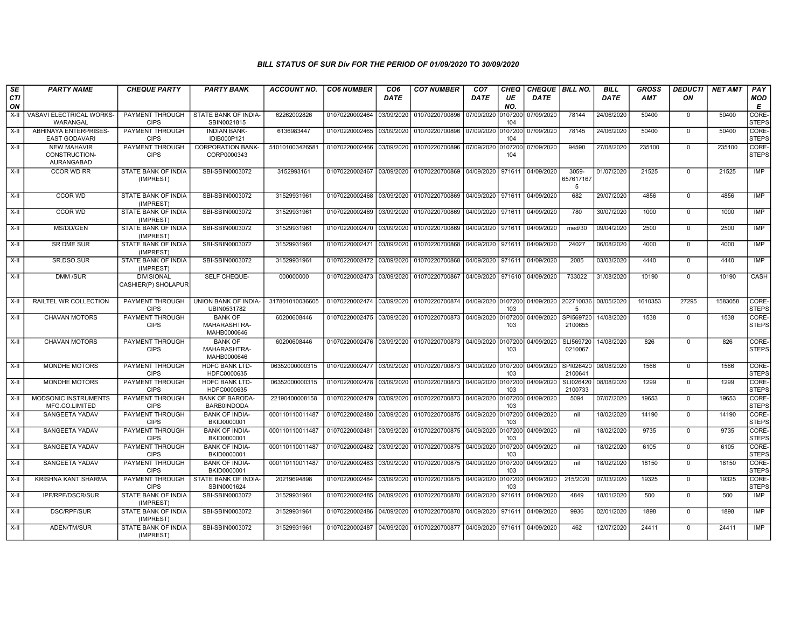| SE               | <b>PARTY NAME</b>                                 | <b>CHEQUE PARTY</b>                      | <b>PARTY BANK</b>                             | <b>ACCOUNT NO.</b> | <b>CO6 NUMBER</b>         | CO <sub>6</sub> | <b>CO7 NUMBER</b>                                           | CO <sub>7</sub>   | CHEQ           | CHEQUE BILL NO. |                         | <b>BILL</b> | <b>GROSS</b> | <b>DEDUCTI</b> | <b>NET AMT</b> | PAY                   |
|------------------|---------------------------------------------------|------------------------------------------|-----------------------------------------------|--------------------|---------------------------|-----------------|-------------------------------------------------------------|-------------------|----------------|-----------------|-------------------------|-------------|--------------|----------------|----------------|-----------------------|
| <b>CTI</b><br>ON |                                                   |                                          |                                               |                    |                           | <b>DATE</b>     |                                                             | DATE              | UE<br>NO.      | DATE            |                         | DATE        | <b>AMT</b>   | ON             |                | <b>MOD</b><br>E       |
| $X-H$            | VASAVI ELECTRICAL WORKS-<br>WARANGAL              | PAYMENT THROUGH<br><b>CIPS</b>           | STATE BANK OF INDIA-<br>SBIN0021815           | 62262002826        | 01070220002464            | 03/09/2020      | 01070220700896 07/09/2020                                   |                   | 0107200<br>104 | 07/09/2020      | 78144                   | 24/06/2020  | 50400        | $\mathbf 0$    | 50400          | CORE-<br><b>STEPS</b> |
| $X-H$            | ABHINAYA ENTERPRISES-<br><b>EAST GODAVARI</b>     | <b>PAYMENT THROUGH</b><br><b>CIPS</b>    | <b>INDIAN BANK-</b><br>IDIB000P121            | 6136983447         | 01070220002465 03/09/2020 |                 | 01070220700896 07/09/2020 0107200                           |                   | 104            | 07/09/2020      | 78145                   | 24/06/2020  | 50400        | $\Omega$       | 50400          | CORE-<br><b>STEPS</b> |
| $X-II$           | <b>NEW MAHAVIR</b><br>CONSTRUCTION-<br>AURANGABAD | PAYMENT THROUGH<br><b>CIPS</b>           | <b>CORPORATION BANK-</b><br>CORP0000343       | 510101003426581    | 01070220002466            | 03/09/2020      | 01070220700896 07/09/2020 0107200                           |                   | 104            | 07/09/2020      | 94590                   | 27/08/2020  | 235100       | $\mathbf 0$    | 235100         | CORE-<br><b>STEPS</b> |
| $X-H$            | <b>CCOR WD RR</b>                                 | <b>STATE BANK OF INDIA</b><br>(IMPREST)  | SBI-SBIN0003072                               | 3152993161         | 01070220002467            | 03/09/2020      | 01070220700869 04/09/2020 971611 04/09/2020                 |                   |                |                 | 3059-<br>657617167<br>5 | 01/07/2020  | 21525        | $\mathbf 0$    | 21525          | IMP                   |
| $X-II$           | <b>CCOR WD</b>                                    | STATE BANK OF INDIA<br>(IMPREST)         | SBI-SBIN0003072                               | 31529931961        | 01070220002468            | 03/09/2020      | 01070220700869 04/09/2020 971611                            |                   |                | 04/09/2020      | 682                     | 29/07/2020  | 4856         | $\mathbf 0$    | 4856           | <b>IMP</b>            |
| X-II             | CCOR WD                                           | STATE BANK OF INDIA<br>(IMPREST)         | SBI-SBIN0003072                               | 31529931961        | 01070220002469            | 03/09/2020      | 01070220700869                                              | 04/09/2020 971611 |                | 04/09/2020      | 780                     | 30/07/2020  | 1000         | $\mathbf 0$    | 1000           | <b>IMP</b>            |
| X-II             | MS/DD/GEN                                         | STATE BANK OF INDIA<br>(IMPREST)         | SBI-SBIN0003072                               | 31529931961        | 01070220002470            | 03/09/2020      | 01070220700869                                              | 04/09/2020 971611 |                | 04/09/2020      | med/30                  | 09/04/2020  | 2500         | $\mathbf 0$    | 2500           | IMP                   |
| $X-II$           | <b>SR DME SUR</b>                                 | STATE BANK OF INDIA<br>(IMPREST)         | SBI-SBIN0003072                               | 31529931961        | 01070220002471            | 03/09/2020      | 01070220700868                                              | 04/09/2020 971611 |                | 04/09/2020      | 24027                   | 06/08/2020  | 4000         | $\Omega$       | 4000           | <b>IMP</b>            |
| X-II             | SR.DSO.SUR                                        | <b>STATE BANK OF INDIA</b><br>(IMPREST)  | SBI-SBIN0003072                               | 31529931961        | 01070220002472 03/09/2020 |                 | 01070220700868                                              | 04/09/2020 971611 |                | 04/09/2020      | 2085                    | 03/03/2020  | 4440         | $\Omega$       | 4440           | <b>IMP</b>            |
| $X-H$            | <b>DMM/SUR</b>                                    | <b>DIVISIONAL</b><br>CASHIER(P) SHOLAPUR | <b>SELF CHEQUE-</b>                           | 000000000          | 01070220002473 03/09/2020 |                 | 01070220700867                                              | 04/09/2020 971610 |                | 04/09/2020      | 733022                  | 31/08/2020  | 10190        | $\overline{0}$ | 10190          | CASH                  |
| X-II             | RAILTEL WR COLLECTION                             | PAYMENT THROUGH<br><b>CIPS</b>           | UNION BANK OF INDIA-<br>UBIN0531782           | 317801010036605    | 01070220002474 03/09/2020 |                 | 01070220700874 04/09/2020 0107200                           |                   | 103            | 04/09/2020      | 202710036<br>5          | 08/05/2020  | 1610353      | 27295          | 1583058        | CORE-<br><b>STEPS</b> |
| X-II             | <b>CHAVAN MOTORS</b>                              | <b>PAYMENT THROUGH</b><br><b>CIPS</b>    | <b>BANK OF</b><br>MAHARASHTRA-<br>MAHB0000646 | 60200608446        |                           |                 | 01070220002475 03/09/2020 01070220700873 04/09/2020 0107200 |                   | 103            | 04/09/2020      | SPI569720<br>2100655    | 14/08/2020  | 1538         | $\mathbf 0$    | 1538           | CORE-<br><b>STEPS</b> |
| X-II             | <b>CHAVAN MOTORS</b>                              | PAYMENT THROUGH<br><b>CIPS</b>           | <b>BANK OF</b><br>MAHARASHTRA-<br>MAHB0000646 | 60200608446        |                           |                 | 01070220002476 03/09/2020 01070220700873 04/09/2020 0107200 |                   | 103            | 04/09/2020      | SLI569720<br>0210067    | 14/08/2020  | 826          | $\mathbf 0$    | 826            | CORE-<br><b>STEPS</b> |
| X-II             | <b>MONDHE MOTORS</b>                              | PAYMENT THROUGH<br><b>CIPS</b>           | <b>HDFC BANK LTD-</b><br>HDFC0000635          | 06352000000315     | 01070220002477            | 03/09/2020      | 01070220700873 04/09/2020 0107200                           |                   | 103            | 04/09/2020      | SPI026420<br>2100641    | 08/08/2020  | 1566         | $\Omega$       | 1566           | CORE-<br><b>STEPS</b> |
| $X-II$           | MONDHE MOTORS                                     | PAYMENT THROUGH<br><b>CIPS</b>           | HDFC BANK LTD-<br>HDFC0000635                 | 06352000000315     | 01070220002478            | 03/09/2020      | 01070220700873                                              | 04/09/2020        | 0107200<br>103 | 04/09/2020      | SLI026420<br>2100733    | 08/08/2020  | 1299         | $\mathbf 0$    | 1299           | CORE-<br><b>STEPS</b> |
| $X-II$           | MODSONIC INSTRUMENTS<br>MFG.CO.LIMITED            | PAYMENT THROUGH<br><b>CIPS</b>           | <b>BANK OF BARODA-</b><br><b>BARB0INDODA</b>  | 22190400008158     | 01070220002479 03/09/2020 |                 | 01070220700873 04/09/2020 0107200                           |                   | 103            | 04/09/2020      | 5094                    | 07/07/2020  | 19653        | $\overline{0}$ | 19653          | CORE-<br><b>STEPS</b> |
| $X-H$            | <b>SANGEETA YADAV</b>                             | <b>PAYMENT THROUGH</b><br><b>CIPS</b>    | <b>BANK OF INDIA-</b><br>BKID0000001          | 000110110011487    | 01070220002480            | 03/09/2020      | 01070220700875 04/09/2020 0107200                           |                   | 103            | 04/09/2020      | nil                     | 18/02/2020  | 14190        | $\Omega$       | 14190          | CORE-<br><b>STEPS</b> |
| X-II             | SANGEETA YADAV                                    | PAYMENT THROUGH<br><b>CIPS</b>           | <b>BANK OF INDIA-</b><br>BKID0000001          | 000110110011487    | 01070220002481            | 03/09/2020      | 01070220700875 04/09/2020 0107200                           |                   | 103            | 04/09/2020      | nil                     | 18/02/2020  | 9735         | $\mathbf 0$    | 9735           | CORE-<br><b>STEPS</b> |
| $X-II$           | SANGEETA YADAV                                    | PAYMENT THROUGH<br><b>CIPS</b>           | <b>BANK OF INDIA-</b><br>BKID0000001          | 000110110011487    | 01070220002482            | 03/09/2020      | 01070220700875 04/09/2020 0107200                           |                   | 103            | 04/09/2020      | nil                     | 18/02/2020  | 6105         | $\Omega$       | 6105           | CORE-<br><b>STEPS</b> |
| $X-II$           | SANGEETA YADAV                                    | PAYMENT THROUGH<br><b>CIPS</b>           | <b>BANK OF INDIA-</b><br>BKID0000001          | 000110110011487    | 01070220002483 03/09/2020 |                 | 01070220700875 04/09/2020 0107200                           |                   | 103            | 04/09/2020      | nil                     | 18/02/2020  | 18150        | $\mathbf 0$    | 18150          | CORE-<br><b>STEPS</b> |
| X-II             | <b>KRISHNA KANT SHARMA</b>                        | PAYMENT THROUGH<br><b>CIPS</b>           | STATE BANK OF INDIA-<br>SBIN0001624           | 20219694898        | 01070220002484 03/09/2020 |                 | 01070220700875 04/09/2020 0107200                           |                   | 103            | 04/09/2020      | 215/2020                | 07/03/2020  | 19325        | $\mathbf 0$    | 19325          | CORE-<br><b>STEPS</b> |
| $X-H$            | IPF/RPF/DSCR/SUR                                  | <b>STATE BANK OF INDIA</b><br>(IMPREST)  | SBI-SBIN0003072                               | 31529931961        | 01070220002485            | 04/09/2020      | 01070220700870 04/09/2020 971611 04/09/2020                 |                   |                |                 | 4849                    | 18/01/2020  | 500          | $\mathbf 0$    | 500            | IMP                   |
| X-II             | DSC/RPF/SUR                                       | STATE BANK OF INDIA<br>(IMPREST)         | SBI-SBIN0003072                               | 31529931961        | 01070220002486            | 04/09/2020      | 01070220700870 04/09/2020 971611                            |                   |                | 04/09/2020      | 9936                    | 02/01/2020  | 1898         | $\mathbf 0$    | 1898           | <b>IMP</b>            |
| X-II             | ADEN/TM/SUR                                       | STATE BANK OF INDIA<br>(IMPREST)         | SBI-SBIN0003072                               | 31529931961        | 01070220002487            | 04/09/2020      | 01070220700877 04/09/2020 971611                            |                   |                | 04/09/2020      | 462                     | 12/07/2020  | 24411        | $\mathbf 0$    | 24411          | <b>IMP</b>            |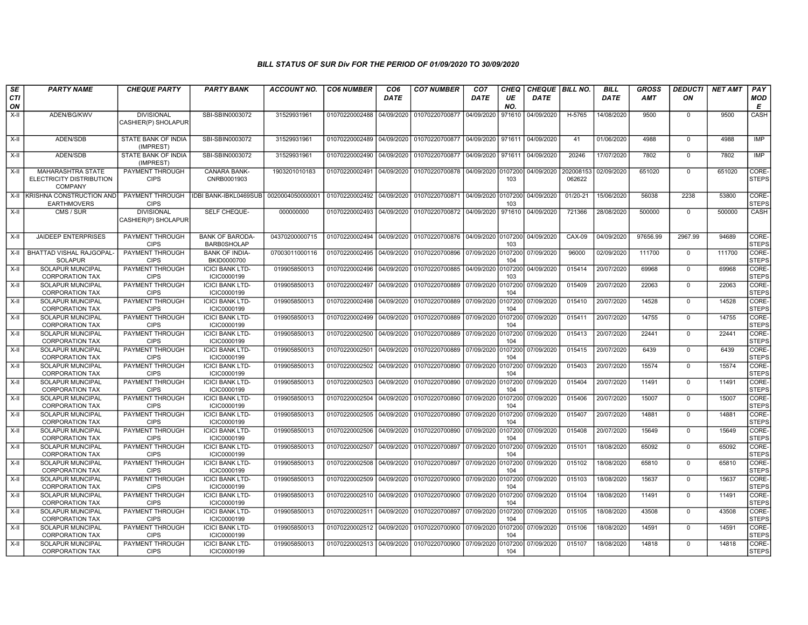| SE               | <b>PARTY NAME</b>                                               | <b>CHEQUE PARTY</b>                      | <b>PARTY BANK</b>                            | <b>ACCOUNT NO.</b>                                                           | <b>CO6 NUMBER</b>         | CO <sub>6</sub> | <b>CO7 NUMBER</b>                                          | CO <sub>7</sub>    | <b>CHEQ</b>    | CHEQUE   BILL NO. |                     | <b>BILL</b> | GROSS      | <b>DEDUCTI</b> | <b>NET AMT</b> | <b>PAY</b>            |
|------------------|-----------------------------------------------------------------|------------------------------------------|----------------------------------------------|------------------------------------------------------------------------------|---------------------------|-----------------|------------------------------------------------------------|--------------------|----------------|-------------------|---------------------|-------------|------------|----------------|----------------|-----------------------|
| <b>CTI</b><br>ON |                                                                 |                                          |                                              |                                                                              |                           | DATE            |                                                            | DATE               | UE<br>NO.      | <b>DATE</b>       |                     | <b>DATE</b> | <b>AMT</b> | ΟN             |                | <b>MOD</b><br>Е       |
| $X-H$            | ADEN/BG/KWV                                                     | <b>DIVISIONAL</b><br>CASHIER(P) SHOLAPUR | SBI-SBIN0003072                              | 31529931961                                                                  | 01070220002488            | 04/09/2020      | 01070220700877                                             | 04/09/2020         | 971610         | 04/09/2020        | H-5765              | 14/08/2020  | 9500       | $\mathbf 0$    | 9500           | CASH                  |
| X-II             | ADEN/SDB                                                        | STATE BANK OF INDIA<br>(IMPREST)         | SBI-SBIN0003072                              | 31529931961                                                                  |                           |                 | 01070220002489 04/09/2020 01070220700877 04/09/2020 971611 |                    |                | 04/09/2020        | 41                  | 01/06/2020  | 4988       | $\mathbf 0$    | 4988           | IMP                   |
| $X-H$            | ADEN/SDB                                                        | <b>STATE BANK OF INDIA</b><br>(IMPREST)  | SBI-SBIN0003072                              | 31529931961                                                                  | 01070220002490            | 04/09/2020      | 01070220700877                                             | 04/09/2020 971611  |                | 04/09/2020        | 20246               | 17/07/2020  | 7802       | $\Omega$       | 7802           | IMP                   |
| $X-H$            | MAHARASHTRA STATE<br>ELECTRICITY DISTRIBUTION<br><b>COMPANY</b> | <b>PAYMENT THROUGH</b><br><b>CIPS</b>    | CANARA BANK-<br>CNRB0001903                  | 1903201010183                                                                | 01070220002491            | 04/09/2020      | 01070220700878                                             | 04/09/2020 0107200 | 103            | 04/09/2020        | 202008153<br>062622 | 02/09/2020  | 651020     | $\mathbf 0$    | 651020         | CORE-<br><b>STEPS</b> |
|                  | X-II KRISHNA CONSTRUCTION AND<br><b>EARTHMOVERS</b>             | <b>PAYMENT THROUGH</b><br><b>CIPS</b>    | IDBI BANK-IBKL0469SUB                        | 0020004050000001 01070220002492 04/09/2020 01070220700871 04/09/2020 0107200 |                           |                 |                                                            |                    | 103            | 04/09/2020        | $01/20-21$          | 15/06/2020  | 56038      | 2238           | 53800          | CORE-<br><b>STEPS</b> |
| X-II             | CMS / SUR                                                       | <b>DIVISIONAL</b><br>CASHIER(P) SHOLAPUR | SELF CHEQUE-                                 | 000000000                                                                    | 01070220002493 04/09/2020 |                 | 01070220700872 04/09/2020 971610                           |                    |                | 04/09/2020        | 721366              | 28/08/2020  | 500000     | $\Omega$       | 500000         | <b>CASH</b>           |
| X-II             | <b>JAIDEEP ENTERPRISES</b>                                      | <b>PAYMENT THROUGH</b><br><b>CIPS</b>    | <b>BANK OF BARODA-</b><br><b>BARB0SHOLAP</b> | 04370200000715                                                               | 01070220002494 04/09/2020 |                 | 01070220700876 04/09/2020 0107200 04/09/2020               |                    | 103            |                   | CAX-09              | 04/09/2020  | 97656.99   | 2967.99        | 94689          | CORE-<br><b>STEPS</b> |
| X-II             | <b>BHATTAD VISHAL RAJGOPAL</b><br><b>SOLAPUR</b>                | PAYMENT THROUGH<br><b>CIPS</b>           | <b>BANK OF INDIA-</b><br>BKID0000700         | 07003011000116                                                               | 01070220002495 04/09/2020 |                 | 01070220700896                                             | 07/09/2020 0107200 | 104            | 07/09/2020        | 96000               | 02/09/2020  | 111700     | $\mathbf 0$    | 111700         | CORE-<br><b>STEPS</b> |
| X-II             | <b>SOLAPUR MUNCIPAL</b><br><b>CORPORATION TAX</b>               | PAYMENT THROUGH<br><b>CIPS</b>           | <b>ICICI BANK LTD-</b><br>ICIC0000199        | 019905850013                                                                 | 01070220002496 04/09/2020 |                 |                                                            |                    | 103            | 04/09/2020        | 015414              | 20/07/2020  | 69968      | $\mathbf 0$    | 69968          | CORE-<br><b>STEPS</b> |
| X-II             | SOLAPUR MUNCIPAL<br><b>CORPORATION TAX</b>                      | PAYMENT THROUGH<br><b>CIPS</b>           | <b>ICICI BANK LTD-</b><br>ICIC0000199        | 019905850013                                                                 | 01070220002497            | 04/09/2020      | 01070220700889                                             | 07/09/2020         | 0107200<br>104 | 07/09/2020        | 015409              | 20/07/2020  | 22063      | $\mathbf 0$    | 22063          | CORE-<br><b>STEPS</b> |
| $X-II$           | SOLAPUR MUNCIPAL<br><b>CORPORATION TAX</b>                      | PAYMENT THROUGH<br><b>CIPS</b>           | <b>ICICI BANK LTD-</b><br>ICIC0000199        | 019905850013                                                                 | 01070220002498            | 04/09/2020      | 01070220700889                                             | 07/09/2020 0107200 | 104            | 07/09/2020        | 015410              | 20/07/2020  | 14528      | $\mathbf 0$    | 14528          | CORE-<br><b>STEPS</b> |
| $X-II$           | <b>SOLAPUR MUNCIPAL</b><br><b>CORPORATION TAX</b>               | PAYMENT THROUGH<br><b>CIPS</b>           | <b>ICICI BANK LTD-</b><br>ICIC0000199        | 019905850013                                                                 | 01070220002499 04/09/2020 |                 | 01070220700889                                             | 07/09/2020 0107200 | 104            | 07/09/2020        | 015411              | 20/07/2020  | 14755      | $\mathbf 0$    | 14755          | CORE-<br><b>STEPS</b> |
| $X-H$            | <b>SOLAPUR MUNCIPAL</b><br><b>CORPORATION TAX</b>               | <b>PAYMENT THROUGH</b><br><b>CIPS</b>    | <b>ICICI BANK LTD-</b><br>ICIC0000199        | 019905850013                                                                 | 01070220002500 04/09/2020 |                 | 01070220700889 07/09/2020 0107200                          |                    | 104            | 07/09/2020        | 015413              | 20/07/2020  | 22441      | $\mathbf 0$    | 22441          | CORE-<br><b>STEPS</b> |
| X-II             | SOLAPUR MUNCIPAL<br><b>CORPORATION TAX</b>                      | PAYMENT THROUGH<br><b>CIPS</b>           | <b>ICICI BANK LTD-</b><br>ICIC0000199        | 019905850013                                                                 | 01070220002501            | 04/09/2020      | 01070220700889                                             | 07/09/2020         | 0107200<br>104 | 07/09/2020        | 015415              | 20/07/2020  | 6439       | $\Omega$       | 6439           | CORE-<br><b>STEPS</b> |
| $X-II$           | <b>SOLAPUR MUNCIPAL</b><br><b>CORPORATION TAX</b>               | PAYMENT THROUGH<br><b>CIPS</b>           | <b>ICICI BANK LTD-</b><br>ICIC0000199        | 019905850013                                                                 | 01070220002502            | 04/09/2020      | 01070220700890                                             | 07/09/2020         | 0107200<br>104 | 07/09/2020        | 015403              | 20/07/2020  | 15574      | $\overline{0}$ | 15574          | CORE-<br><b>STEPS</b> |
| $X-H$            | <b>SOLAPUR MUNCIPAL</b><br><b>CORPORATION TAX</b>               | <b>PAYMENT THROUGH</b><br><b>CIPS</b>    | <b>ICICI BANK LTD-</b><br>ICIC0000199        | 019905850013                                                                 | 01070220002503            | 04/09/2020      | 01070220700890                                             | 07/09/2020 0107200 | 104            | 07/09/2020        | 015404              | 20/07/2020  | 11491      | $\mathbf 0$    | 11491          | CORE-<br><b>STEPS</b> |
| X-II             | <b>SOLAPUR MUNCIPAL</b><br><b>CORPORATION TAX</b>               | <b>PAYMENT THROUGH</b><br><b>CIPS</b>    | <b>ICICI BANK LTD-</b><br>ICIC0000199        | 019905850013                                                                 | 01070220002504 04/09/2020 |                 | 01070220700890                                             | 07/09/2020 0107200 | 104            | 07/09/2020        | 015406              | 20/07/2020  | 15007      | $\mathbf 0$    | 15007          | CORE-<br><b>STEPS</b> |
| X-II             | SOLAPUR MUNCIPAL<br><b>CORPORATION TAX</b>                      | PAYMENT THROUGH<br><b>CIPS</b>           | <b>ICICI BANK LTD-</b><br>ICIC0000199        | 019905850013                                                                 | 01070220002505            | 04/09/2020      | 01070220700890                                             | 07/09/2020 0107200 | 104            | 07/09/2020        | 015407              | 20/07/2020  | 14881      | $\Omega$       | 14881          | CORE-<br><b>STEPS</b> |
| $X-II$           | SOLAPUR MUNCIPAL<br><b>CORPORATION TAX</b>                      | PAYMENT THROUGH<br><b>CIPS</b>           | <b>ICICI BANK LTD-</b><br>ICIC0000199        | 019905850013                                                                 | 01070220002506            | 04/09/2020      | 01070220700890                                             | 07/09/2020         | 0107200<br>104 | 07/09/2020        | 015408              | 20/07/2020  | 15649      | $\overline{0}$ | 15649          | CORE-<br><b>STEPS</b> |
| $X-H$            | <b>SOLAPUR MUNCIPAL</b><br><b>CORPORATION TAX</b>               | <b>PAYMENT THROUGH</b><br><b>CIPS</b>    | <b>ICICI BANK LTD-</b><br>ICIC0000199        | 019905850013                                                                 | 01070220002507            | 04/09/2020      | 01070220700897                                             | 07/09/2020 0107200 | 104            | 07/09/2020        | 015101              | 18/08/2020  | 65092      | $\overline{0}$ | 65092          | CORE-<br><b>STEPS</b> |
| X-II             | SOLAPUR MUNCIPAL<br><b>CORPORATION TAX</b>                      | <b>PAYMENT THROUGH</b><br><b>CIPS</b>    | <b>ICICI BANK LTD-</b><br>ICIC0000199        | 019905850013                                                                 | 01070220002508 04/09/2020 |                 | 01070220700897 07/09/2020 0107200                          |                    | 104            | 07/09/2020        | 015102              | 18/08/2020  | 65810      | $\mathbf 0$    | 65810          | CORE-<br><b>STEPS</b> |
| X-II             | <b>SOLAPUR MUNCIPAL</b><br><b>CORPORATION TAX</b>               | PAYMENT THROUGH<br><b>CIPS</b>           | <b>ICICI BANK LTD-</b><br>ICIC0000199        | 019905850013                                                                 | 01070220002509 04/09/2020 |                 | 01070220700900                                             | 07/09/2020 0107200 | 104            | 07/09/2020        | 015103              | 18/08/2020  | 15637      | $\Omega$       | 15637          | CORE-<br><b>STEPS</b> |
| X-II             | SOLAPUR MUNCIPAL<br><b>CORPORATION TAX</b>                      | <b>PAYMENT THROUGH</b><br><b>CIPS</b>    | <b>ICICI BANK LTD-</b><br>ICIC0000199        | 019905850013                                                                 | 01070220002510 04/09/2020 |                 | 01070220700900                                             | 07/09/2020 0107200 | 104            | 07/09/2020        | 015104              | 18/08/2020  | 11491      | $\Omega$       | 11491          | CORE-<br><b>STEPS</b> |
| X-II             | SOLAPUR MUNCIPAL<br><b>CORPORATION TAX</b>                      | PAYMENT THROUGH<br><b>CIPS</b>           | <b>ICICI BANK LTD-</b><br>ICIC0000199        | 019905850013                                                                 | 01070220002511 04/09/2020 |                 | 01070220700897                                             | 07/09/2020 0107200 | 104            | 07/09/2020        | 015105              | 18/08/2020  | 43508      | $\mathbf 0$    | 43508          | CORE-<br><b>STEPS</b> |
| X-II             | <b>SOLAPUR MUNCIPAL</b><br><b>CORPORATION TAX</b>               | <b>PAYMENT THROUGH</b><br><b>CIPS</b>    | <b>ICICI BANK LTD-</b><br>ICIC0000199        | 019905850013                                                                 | 01070220002512 04/09/2020 |                 | 01070220700900 07/09/2020 0107200                          |                    | 104            | 07/09/2020        | 015106              | 18/08/2020  | 14591      | $\mathbf 0$    | 14591          | CORE-<br><b>STEPS</b> |
| X-II             | <b>SOLAPUR MUNCIPAL</b><br><b>CORPORATION TAX</b>               | PAYMENT THROUGH<br><b>CIPS</b>           | <b>ICICI BANK LTD-</b><br>ICIC0000199        | 019905850013                                                                 |                           |                 | 01070220002513 04/09/2020 01070220700900 07/09/2020        |                    | 0107200<br>104 | 07/09/2020        | 015107              | 18/08/2020  | 14818      | $\mathbf 0$    | 14818          | CORE-<br><b>STEPS</b> |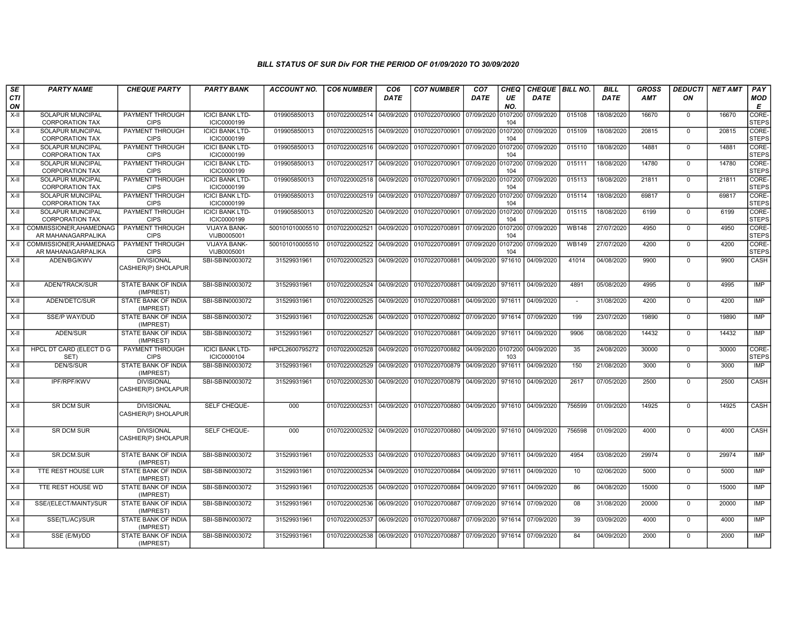| SE               | <b>PARTY NAME</b>                                 | <b>CHEQUE PARTY</b>                      | <b>PARTY BANK</b>                     | <b>ACCOUNT NO.</b> | <b>CO6 NUMBER</b>         | CO <sub>6</sub> | <b>CO7 NUMBER</b>                                                     | CO <sub>7</sub>               | <b>CHEQ</b>    | CHEQUE   BILL NO. |              | <b>BILL</b> | <b>GROSS</b> | <b>DEDUCTI</b> | <b>NET AMT</b> | <b>PAY</b>            |
|------------------|---------------------------------------------------|------------------------------------------|---------------------------------------|--------------------|---------------------------|-----------------|-----------------------------------------------------------------------|-------------------------------|----------------|-------------------|--------------|-------------|--------------|----------------|----------------|-----------------------|
| <b>CTI</b><br>ON |                                                   |                                          |                                       |                    |                           | <b>DATE</b>     |                                                                       | <b>DATE</b>                   | UE<br>NO.      | <b>DATE</b>       |              | <b>DATE</b> | <b>AMT</b>   | ON             |                | <b>MOD</b><br>E       |
| $X-H$            | SOLAPUR MUNCIPAL<br><b>CORPORATION TAX</b>        | <b>PAYMENT THROUGH</b><br><b>CIPS</b>    | <b>ICICI BANK LTD-</b><br>ICIC0000199 | 019905850013       | 01070220002514 04/09/2020 |                 | 01070220700900                                                        | 07/09/2020                    | 0107200<br>104 | 07/09/2020        | 015108       | 18/08/2020  | 16670        | $\mathbf 0$    | 16670          | CORE-<br><b>STEPS</b> |
| $X-H$            | <b>SOLAPUR MUNCIPAL</b><br><b>CORPORATION TAX</b> | <b>PAYMENT THROUGH</b><br><b>CIPS</b>    | <b>ICICI BANK LTD-</b><br>ICIC0000199 | 019905850013       | 01070220002515 04/09/2020 |                 | 01070220700901                                                        | 07/09/2020 0107200            | 104            | 07/09/2020        | 015109       | 18/08/2020  | 20815        | $\Omega$       | 20815          | CORE-<br><b>STEPS</b> |
| $X-H$            | <b>SOLAPUR MUNCIPAL</b><br><b>CORPORATION TAX</b> | PAYMENT THROUGH<br><b>CIPS</b>           | <b>ICICI BANK LTD-</b><br>ICIC0000199 | 019905850013       | 01070220002516 04/09/2020 |                 | 01070220700901                                                        | 07/09/2020 0107200            | 104            | 07/09/2020        | 015110       | 18/08/2020  | 14881        | $\mathbf 0$    | 14881          | CORE-<br><b>STEPS</b> |
| $X-II$           | SOLAPUR MUNCIPAL<br><b>CORPORATION TAX</b>        | PAYMENT THROUGH<br><b>CIPS</b>           | <b>ICICI BANK LTD-</b><br>ICIC0000199 | 019905850013       | 01070220002517 04/09/2020 |                 | 01070220700901                                                        | 07/09/2020                    | 0107200<br>104 | 07/09/2020        | 015111       | 18/08/2020  | 14780        | $\overline{0}$ | 14780          | CORE-<br><b>STEPS</b> |
| $X-H$            | <b>SOLAPUR MUNCIPAL</b><br><b>CORPORATION TAX</b> | <b>PAYMENT THROUGH</b><br><b>CIPS</b>    | <b>ICICI BANK LTD-</b><br>ICIC0000199 | 019905850013       | 01070220002518            | 04/09/2020      | 01070220700901                                                        | 07/09/2020 0107200            | 104            | 07/09/2020        | 015113       | 18/08/2020  | 21811        | $\mathbf 0$    | 21811          | CORE-<br><b>STEPS</b> |
| X-II             | <b>SOLAPUR MUNCIPAL</b><br><b>CORPORATION TAX</b> | <b>PAYMENT THROUGH</b><br><b>CIPS</b>    | <b>ICICI BANK LTD-</b><br>ICIC0000199 | 019905850013       | 01070220002519 04/09/2020 |                 | 01070220700897                                                        | 07/09/2020 0107200 07/09/2020 | 104            |                   | 015114       | 18/08/2020  | 69817        | $^{\circ}$     | 69817          | CORE-<br><b>STEPS</b> |
| X-II             | SOLAPUR MUNCIPAL<br><b>CORPORATION TAX</b>        | PAYMENT THROUGH<br><b>CIPS</b>           | <b>ICICI BANK LTD-</b><br>ICIC0000199 | 019905850013       | 01070220002520            | 04/09/2020      | 01070220700901                                                        | 07/09/2020                    | 0107200<br>104 | 07/09/2020        | 015115       | 18/08/2020  | 6199         | $\mathbf 0$    | 6199           | CORE-<br><b>STEPS</b> |
| $X-H$            | COMMISSIONER.AHAMEDNAG<br>AR MAHANAGARPALIKA      | PAYMENT THROUGH<br><b>CIPS</b>           | <b>VIJAYA BANK-</b><br>VIJB0005001    | 500101010005510    | 01070220002521            | 04/09/2020      | 01070220700891                                                        | 07/09/2020 0107200            | 104            | 07/09/2020        | <b>WB148</b> | 27/07/2020  | 4950         | $\mathbf 0$    | 4950           | CORE-<br><b>STEPS</b> |
| $X-H$            | COMMISSIONER.AHAMEDNAG<br>AR MAHANAGARPALIKA      | PAYMENT THROUGH<br><b>CIPS</b>           | VIJAYA BANK-<br>VIJB0005001           | 500101010005510    | 01070220002522 04/09/2020 |                 | 01070220700891                                                        | 07/09/2020 0107200            | 104            | 07/09/2020        | <b>WB149</b> | 27/07/2020  | 4200         | $\mathbf 0$    | 4200           | CORE-<br><b>STEPS</b> |
| $X-H$            | ADEN/BG/KWV                                       | <b>DIVISIONAL</b><br>CASHIER(P) SHOLAPUR | SBI-SBIN0003072                       | 31529931961        | 01070220002523            | 04/09/2020      | 01070220700881                                                        | 04/09/2020                    | 971610         | 04/09/2020        | 41014        | 04/08/2020  | 9900         | $\Omega$       | 9900           | CASH                  |
| $X-II$           | ADEN/TRACK/SUR                                    | STATE BANK OF INDIA<br>(IMPREST)         | SBI-SBIN0003072                       | 31529931961        |                           |                 | 01070220002524 04/09/2020 01070220700881                              | 04/09/2020 971611             |                | 04/09/2020        | 4891         | 05/08/2020  | 4995         | $\Omega$       | 4995           | <b>IMP</b>            |
| $X-H$            | ADEN/DETC/SUR                                     | <b>STATE BANK OF INDIA</b><br>(IMPREST)  | SBI-SBIN0003072                       | 31529931961        | 01070220002525 04/09/2020 |                 | 01070220700881                                                        | 04/09/2020 971611             |                | 04/09/2020        | $\sim$       | 31/08/2020  | 4200         | $\mathbf 0$    | 4200           | IMP                   |
| $X-H$            | SSE/P WAY/DUD                                     | STATE BANK OF INDIA<br>(IMPREST)         | SBI-SBIN0003072                       | 31529931961        | 01070220002526 04/09/2020 |                 | 01070220700892 07/09/2020 971614                                      |                               |                | 07/09/2020        | 199          | 23/07/2020  | 19890        | $\mathbf 0$    | 19890          | <b>IMP</b>            |
| X-II             | ADEN/SUR                                          | STATE BANK OF INDIA<br>(IMPREST)         | SBI-SBIN0003072                       | 31529931961        | 01070220002527 04/09/2020 |                 | 01070220700881                                                        | 04/09/2020                    | 971611         | 04/09/2020        | 9906         | 08/08/2020  | 14432        | $\mathbf 0$    | 14432          | IMP                   |
| X-II             | HPCL DT CARD (ELECT D G<br>SET)                   | PAYMENT THROUGH<br><b>CIPS</b>           | <b>ICICI BANK LTD-</b><br>ICIC0000104 | HPCL2600795272     | 01070220002528            | 04/09/2020      | 01070220700882                                                        | 04/09/2020                    | 0107200<br>103 | 04/09/2020        | 35           | 24/08/2020  | 30000        | $\mathbf 0$    | 30000          | CORE-<br><b>STEPS</b> |
| $X-H$            | <b>DEN/S/SUR</b>                                  | <b>STATE BANK OF INDIA</b><br>(IMPREST)  | SBI-SBIN0003072                       | 31529931961        | 01070220002529 04/09/2020 |                 | 01070220700879                                                        | 04/09/2020                    | 971611         | 04/09/2020        | 150          | 21/08/2020  | 3000         | $\Omega$       | 3000           | IMP                   |
| X-II             | <b>IPF/RPF/KWV</b>                                | <b>DIVISIONAL</b><br>CASHIER(P) SHOLAPUR | SBI-SBIN0003072                       | 31529931961        | 01070220002530 04/09/2020 |                 | 01070220700879                                                        | 04/09/2020 971610             |                | 04/09/2020        | 2617         | 07/05/2020  | 2500         | $\Omega$       | 2500           | CASH                  |
| X-II             | <b>SR DCM SUR</b>                                 | <b>DIVISIONAL</b><br>CASHIER(P) SHOLAPUR | SELF CHEQUE-                          | 000                | 01070220002531 04/09/2020 |                 | 01070220700880                                                        | 04/09/2020 971610             |                | 04/09/2020        | 756599       | 01/09/2020  | 14925        | $\Omega$       | 14925          | <b>CASH</b>           |
| X-II             | <b>SR DCM SUR</b>                                 | <b>DIVISIONAL</b><br>CASHIER(P) SHOLAPUR | SELF CHEQUE-                          | 000                |                           |                 | 01070220002532 04/09/2020 01070220700880 04/09/2020 971610 04/09/2020 |                               |                |                   | 756598       | 01/09/2020  | 4000         | $\mathbf 0$    | 4000           | CASH                  |
| $X-H$            | SR.DCM.SUR                                        | STATE BANK OF INDIA<br>(IMPREST)         | SBI-SBIN0003072                       | 31529931961        | 01070220002533 04/09/2020 |                 | 01070220700883 04/09/2020 971611                                      |                               |                | 04/09/2020        | 4954         | 03/08/2020  | 29974        | $\mathbf 0$    | 29974          | <b>IMP</b>            |
| X-II             | TTE REST HOUSE LUR                                | STATE BANK OF INDIA<br>(IMPREST)         | SBI-SBIN0003072                       | 31529931961        | 01070220002534 04/09/2020 |                 | 01070220700884                                                        | 04/09/2020 971611             |                | 04/09/2020        | 10           | 02/06/2020  | 5000         | $\Omega$       | 5000           | IMP                   |
| $X-II$           | TTE REST HOUSE WD                                 | STATE BANK OF INDIA<br>(IMPREST)         | SBI-SBIN0003072                       | 31529931961        | 01070220002535            | 04/09/2020      | 01070220700884                                                        | 04/09/2020                    | 971611         | 04/09/2020        | 86           | 04/08/2020  | 15000        | $\mathbf 0$    | 15000          | <b>IMP</b>            |
| X-II             | SSE/(ELECT/MAINT)/SUR                             | STATE BANK OF INDIA<br>(IMPREST)         | SBI-SBIN0003072                       | 31529931961        | 01070220002536 06/09/2020 |                 | 01070220700887                                                        | 07/09/2020 971614             |                | 07/09/2020        | 08           | 31/08/2020  | 20000        | $\mathbf 0$    | 20000          | IMP                   |
| X-II             | SSE(TL/AC)/SUR                                    | STATE BANK OF INDIA<br>(IMPREST)         | SBI-SBIN0003072                       | 31529931961        | 01070220002537 06/09/2020 |                 | 01070220700887                                                        | 07/09/2020 971614             |                | 07/09/2020        | 39           | 03/09/2020  | 4000         | $\mathbf 0$    | 4000           | <b>IMP</b>            |
| X-II             | SSE (E/M)/DD                                      | <b>STATE BANK OF INDIA</b><br>(IMPREST)  | SBI-SBIN0003072                       | 31529931961        | 01070220002538 06/09/2020 |                 | 01070220700887                                                        | 07/09/2020                    | 971614         | 07/09/2020        | 84           | 04/09/2020  | 2000         | $\mathbf 0$    | 2000           | <b>IMP</b>            |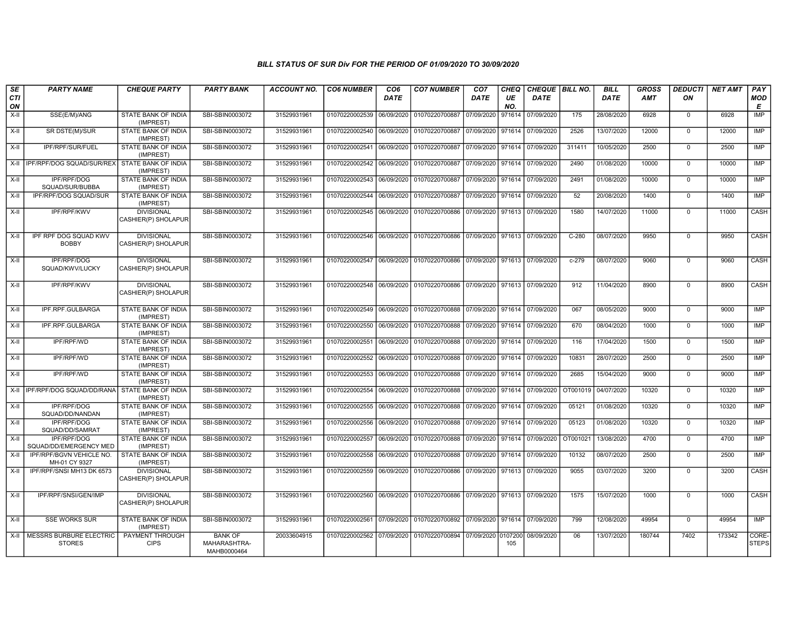| SE           | <b>PARTY NAME</b>                                    | <b>CHEQUE PARTY</b>                                     | <b>PARTY BANK</b>                             | <b>ACCOUNT NO.</b>         | <b>CO6 NUMBER</b>                | CO <sub>6</sub>          | <b>CO7 NUMBER</b>                                                     | CO <sub>7</sub>   | CHEQ      | CHEQUE   BILL NO.        |                   | <b>BILL</b>              | <b>GROSS</b>  | <b>DEDUCTI</b>             | <b>NET AMT</b> | PAY                   |
|--------------|------------------------------------------------------|---------------------------------------------------------|-----------------------------------------------|----------------------------|----------------------------------|--------------------------|-----------------------------------------------------------------------|-------------------|-----------|--------------------------|-------------------|--------------------------|---------------|----------------------------|----------------|-----------------------|
| CTI<br>ON    |                                                      |                                                         |                                               |                            |                                  | DATE                     |                                                                       | <b>DATE</b>       | UE<br>NO. | DATE                     |                   | <b>DATE</b>              | <b>AMT</b>    | ON                         |                | <b>MOD</b><br>E       |
| $X-H$        | SSE(E/M)/ANG                                         | STATE BANK OF INDIA<br>(IMPREST)                        | SBI-SBIN0003072                               | 31529931961                | 01070220002539                   | 06/09/2020               | 01070220700887                                                        | 07/09/2020        | 971614    | 07/09/2020               | 175               | 28/08/2020               | 6928          | $\mathbf 0$                | 6928           | IMP                   |
| X-II         | SR DSTE(M)/SUR                                       | STATE BANK OF INDIA<br>(IMPREST)                        | SBI-SBIN0003072                               | 31529931961                | 01070220002540 06/09/2020        |                          | 01070220700887 07/09/2020 971614                                      |                   |           | 07/09/2020               | 2526              | 13/07/2020               | 12000         | $\mathbf 0$                | 12000          | IMP                   |
| X-II         | IPF/RPF/SUR/FUEL                                     | STATE BANK OF INDIA<br>(IMPREST)                        | SBI-SBIN0003072                               | 31529931961                | 01070220002541                   | 06/09/2020               | 01070220700887 07/09/2020 971614                                      |                   |           | 07/09/2020               | 311411            | 10/05/2020               | 2500          | $\mathbf 0$                | 2500           | IMP                   |
|              | X-II   IPF/RPF/DOG SQUAD/SUR/REX                     | STATE BANK OF INDIA<br>(IMPREST)                        | SBI-SBIN0003072                               | 31529931961                | 01070220002542                   | 06/09/2020               | 01070220700887 07/09/2020                                             |                   | 971614    | 07/09/2020               | 2490              | 01/08/2020               | 10000         | $\mathbf 0$                | 10000          | IMP                   |
| X-II         | <b>IPF/RPF/DOG</b><br>SQUAD/SUR/BUBBA                | STATE BANK OF INDIA<br>(IMPREST)                        | SBI-SBIN0003072                               | 31529931961                | 01070220002543                   | 06/09/2020               | 01070220700887 07/09/2020 971614                                      |                   |           | 07/09/2020               | 2491              | 01/08/2020               | 10000         | $\overline{0}$             | 10000          | IMP                   |
| X-II         | <b>IPF/RPF/DOG SQUAD/SUR</b>                         | STATE BANK OF INDIA<br>(IMPREST)                        | SBI-SBIN0003072                               | 31529931961                | 01070220002544                   | 06/09/2020               | 01070220700887 07/09/2020 971614                                      |                   |           | 07/09/2020               | 52                | 20/08/2020               | 1400          | $\mathbf 0$                | 1400           | IMP                   |
| X-II         | IPF/RPF/KWV                                          | <b>DIVISIONAL</b><br>CASHIER(P) SHOLAPUR                | SBI-SBIN0003072                               | 31529931961                | 01070220002545 06/09/2020        |                          | 01070220700886 07/09/2020 971613 07/09/2020                           |                   |           |                          | 1580              | 14/07/2020               | 11000         | $\Omega$                   | 11000          | CASH                  |
| X-II         | IPF RPF DOG SQUAD KWV<br><b>BOBBY</b>                | <b>DIVISIONAL</b><br>CASHIER(P) SHOLAPUR                | SBI-SBIN0003072                               | 31529931961                | 01070220002546 06/09/2020        |                          | 01070220700886 07/09/2020 971613 07/09/2020                           |                   |           |                          | $C-280$           | 08/07/2020               | 9950          | $\overline{0}$             | 9950           | CASH                  |
| $X-H$        | IPF/RPF/DOG<br>SQUAD/KWV/LUCKY                       | <b>DIVISIONAL</b><br>CASHIER(P) SHOLAPUR                | SBI-SBIN0003072                               | 31529931961                |                                  |                          | 01070220002547 06/09/2020 01070220700886 07/09/2020 971613 07/09/2020 |                   |           |                          | $c - 279$         | 08/07/2020               | 9060          | $\Omega$                   | 9060           | CASH                  |
| X-II         | IPF/RPF/KWV                                          | <b>DIVISIONAL</b><br>CASHIER(P) SHOLAPUR                | SBI-SBIN0003072                               | 31529931961                | 01070220002548 06/09/2020        |                          | 01070220700886 07/09/2020 971613 07/09/2020                           |                   |           |                          | 912               | 11/04/2020               | 8900          | $\mathbf 0$                | 8900           | CASH                  |
| X-II         | IPF.RPF.GULBARGA                                     | STATE BANK OF INDIA<br>(IMPREST)                        | SBI-SBIN0003072                               | 31529931961                | 01070220002549 06/09/2020        |                          | 01070220700888 07/09/2020 971614 07/09/2020                           |                   |           |                          | 067               | 08/05/2020               | 9000          | $\mathbf 0$                | 9000           | IMP                   |
| $X-H$        | IPF.RPF.GULBARGA                                     | STATE BANK OF INDIA<br>(IMPREST)                        | SBI-SBIN0003072                               | 31529931961                | 01070220002550                   | 06/09/2020               | 01070220700888 07/09/2020 971614 07/09/2020                           |                   |           |                          | 670               | 08/04/2020               | 1000          | $\Omega$                   | 1000           | IMP                   |
| $X-II$       | IPF/RPF/WD                                           | STATE BANK OF INDIA<br>(IMPREST)                        | SBI-SBIN0003072                               | 31529931961                | 01070220002551                   | 06/09/2020               | 01070220700888                                                        | 07/09/2020        | 971614    | 07/09/2020               | 116               | 17/04/2020               | 1500          | $\overline{0}$             | 1500           | <b>IMP</b>            |
| X-II         | IPF/RPF/WD                                           | STATE BANK OF INDIA<br>(IMPREST)                        | SBI-SBIN0003072                               | 31529931961                | 01070220002552                   | 06/09/2020               | 01070220700888                                                        | 07/09/2020 971614 |           | 07/09/2020               | 10831             | 28/07/2020               | 2500          | $\overline{0}$             | 2500           | <b>IMP</b>            |
| X-II         | <b>IPF/RPF/WD</b>                                    | STATE BANK OF INDIA<br>(IMPREST)                        | SBI-SBIN0003072                               | 31529931961                | 01070220002553                   | 06/09/2020               | 01070220700888 07/09/2020 971614                                      |                   |           | 07/09/2020               | 2685              | 15/04/2020               | 9000          | $\mathbf 0$                | 9000           | IMP                   |
|              | X-II   IPF/RPF/DOG SQUAD/DD/RANA                     | STATE BANK OF INDIA<br>(IMPREST)                        | SBI-SBIN0003072                               | 31529931961                | 01070220002554                   | 06/09/2020               | 01070220700888 07/09/2020 971614                                      |                   |           | 07/09/2020               | OT001019          | 04/07/2020               | 10320         | $\mathbf 0$                | 10320          | IMP                   |
| $X-H$        | <b>IPF/RPF/DOG</b><br>SQUAD/DD/NANDAN                | STATE BANK OF INDIA<br>(IMPREST)                        | SBI-SBIN0003072                               | 31529931961                | 01070220002555                   | 06/09/2020               | 01070220700888 07/09/2020                                             |                   | 971614    | 07/09/2020               | 05121             | 01/08/2020               | 10320         | $\Omega$                   | 10320          | IMP                   |
| X-II<br>X-II | <b>IPF/RPF/DOG</b><br>SQUAD/DD/SAMRAT<br>IPF/RPF/DOG | STATE BANK OF INDIA<br>(IMPREST)<br>STATE BANK OF INDIA | SBI-SBIN0003072<br>SBI-SBIN0003072            | 31529931961<br>31529931961 | 01070220002556<br>01070220002557 | 06/09/2020<br>06/09/2020 | 01070220700888 07/09/2020<br>01070220700888 07/09/2020 971614         |                   | 971614    | 07/09/2020<br>07/09/2020 | 05123<br>OT001021 | 01/08/2020<br>13/08/2020 | 10320<br>4700 | $\overline{0}$<br>$\Omega$ | 10320<br>4700  | <b>IMP</b><br>IMP     |
|              | SQUAD/DD/EMERGENCY MED<br>IPF/RPF/BGVN VEHICLE NO.   | (IMPREST)                                               |                                               |                            |                                  |                          |                                                                       |                   |           |                          |                   |                          | 2500          | $\mathbf 0$                |                | IMP                   |
| $X-II$       | MH-01 CY 9327                                        | STATE BANK OF INDIA<br>(IMPREST)                        | SBI-SBIN0003072                               | 31529931961                | 01070220002558                   | 06/09/2020               | 01070220700888 07/09/2020 971614                                      |                   |           | 07/09/2020               | 10132             | 08/07/2020               |               |                            | 2500           |                       |
| $X-I$        | IPF/RPF/SNSI MH13 DK 6573                            | <b>DIVISIONAL</b><br>CASHIER(P) SHOLAPUR                | SBI-SBIN0003072                               | 31529931961                | 01070220002559                   | 06/09/2020               | 01070220700886 07/09/2020 971613 07/09/2020                           |                   |           |                          | 9055              | 03/07/2020               | 3200          | $\Omega$                   | 3200           | CASH                  |
| $X-H$        | IPF/RPF/SNSI/GEN/IMP                                 | <b>DIVISIONAL</b><br>CASHIER(P) SHOLAPUR                | SBI-SBIN0003072                               | 31529931961                | 01070220002560                   | 06/09/2020               | 01070220700886 07/09/2020 971613 07/09/2020                           |                   |           |                          | 1575              | 15/07/2020               | 1000          | $\Omega$                   | 1000           | CASH                  |
| $X-H$        | <b>SSE WORKS SUR</b>                                 | STATE BANK OF INDIA<br>(IMPREST)                        | SBI-SBIN0003072                               | 31529931961                | 01070220002561 07/09/2020        |                          | 01070220700892 07/09/2020 971614                                      |                   |           | 07/09/2020               | 799               | 12/08/2020               | 49954         | $\overline{0}$             | 49954          | IMP                   |
|              | X-II   MESSRS BURBURE ELECTRIC<br><b>STORES</b>      | PAYMENT THROUGH<br><b>CIPS</b>                          | <b>BANK OF</b><br>MAHARASHTRA-<br>MAHB0000464 | 20033604915                | 01070220002562 07/09/2020        |                          | 01070220700894 07/09/2020 0107200                                     |                   | 105       | 08/09/2020               | 06                | 13/07/2020               | 180744        | 7402                       | 173342         | CORE-<br><b>STEPS</b> |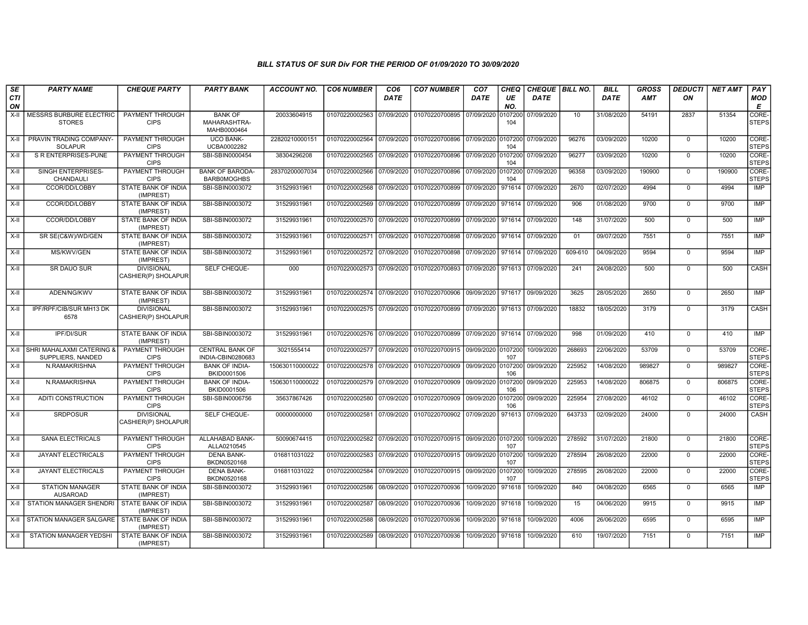| SE               | <b>PARTY NAME</b>                               | <b>CHEQUE PARTY</b>                      | <b>PARTY BANK</b>                             | ACCOUNT NO.     | <b>CO6 NUMBER</b>         | CO <sub>6</sub> | <b>CO7 NUMBER</b>                                           | CO <sub>7</sub>    | <b>CHEQ</b>    | CHEQUE   BILL NO. |         | <b>BILL</b> | GROSS      | <b>DEDUCTI</b> | NET AMT | PAY                   |
|------------------|-------------------------------------------------|------------------------------------------|-----------------------------------------------|-----------------|---------------------------|-----------------|-------------------------------------------------------------|--------------------|----------------|-------------------|---------|-------------|------------|----------------|---------|-----------------------|
| <b>CTI</b><br>ON |                                                 |                                          |                                               |                 |                           | DATE            |                                                             | DATE               | UE<br>NO.      | <b>DATE</b>       |         | <b>DATE</b> | <b>AMT</b> | ON             |         | <b>MOD</b><br>E       |
| $X-H$            | <b>MESSRS BURBURE ELECTRIC</b><br><b>STORES</b> | <b>PAYMENT THROUGH</b><br><b>CIPS</b>    | <b>BANK OF</b><br>MAHARASHTRA-<br>MAHB0000464 | 20033604915     | 01070220002563            | 07/09/2020      | 01070220700895                                              | 07/09/2020         | 0107200<br>104 | 07/09/2020        | 10      | 31/08/2020  | 54191      | 2837           | 51354   | CORE-<br><b>STEPS</b> |
| X-II             | PRAVIN TRADING COMPANY-<br><b>SOLAPUR</b>       | PAYMENT THROUGH<br><b>CIPS</b>           | <b>UCO BANK-</b><br>UCBA0002282               | 22820210000151  | 01070220002564            | 07/09/2020      | 01070220700896                                              | 07/09/2020         | 0107200<br>104 | 07/09/2020        | 96276   | 03/09/2020  | 10200      | $\mathbf 0$    | 10200   | CORE-<br><b>STEPS</b> |
| $X-H$            | <b>S R ENTERPRISES-PUNE</b>                     | <b>PAYMENT THROUGH</b><br><b>CIPS</b>    | SBI-SBIN0000454                               | 38304296208     | 01070220002565            | 07/09/2020      | 01070220700896                                              | 07/09/2020 0107200 | 104            | 07/09/2020        | 96277   | 03/09/2020  | 10200      | $\overline{0}$ | 10200   | CORE-<br><b>STEPS</b> |
| X-II             | SINGH ENTERPRISES-<br><b>CHANDAUL</b>           | <b>PAYMENT THROUGH</b><br><b>CIPS</b>    | <b>BANK OF BARODA-</b><br><b>BARB0MOGHBS</b>  | 28370200007034  | 01070220002566 07/09/2020 |                 | 01070220700896                                              | 07/09/2020 0107200 | 104            | 07/09/2020        | 96358   | 03/09/2020  | 190900     | $\mathbf 0$    | 190900  | CORE-<br><b>STEPS</b> |
| X-II             | CCOR/DD/LOBBY                                   | <b>STATE BANK OF INDIA</b><br>(IMPREST)  | SBI-SBIN0003072                               | 31529931961     | 01070220002568            | 07/09/2020      | 01070220700899                                              | 07/09/2020         | 971614         | 07/09/2020        | 2670    | 02/07/2020  | 4994       | $\mathbf 0$    | 4994    | IMP                   |
| X-II             | CCOR/DD/LOBBY                                   | STATE BANK OF INDIA<br>(IMPREST)         | SBI-SBIN0003072                               | 31529931961     | 01070220002569 07/09/2020 |                 | 01070220700899                                              | 07/09/2020         | 971614         | 07/09/2020        | 906     | 01/08/2020  | 9700       | $\Omega$       | 9700    | IMP                   |
| X-II             | CCOR/DD/LOBBY                                   | STATE BANK OF INDIA<br>(IMPREST)         | SBI-SBIN0003072                               | 31529931961     | 01070220002570 07/09/2020 |                 | 01070220700899                                              | 07/09/2020         | 971614         | 07/09/2020        | 148     | 31/07/2020  | 500        | $\mathbf 0$    | 500     | IMP                   |
| $X-H$            | SR SE(C&W)/WD/GEN                               | <b>STATE BANK OF INDIA</b><br>(IMPREST)  | SBI-SBIN0003072                               | 31529931961     | 01070220002571 07/09/2020 |                 | 01070220700898                                              | 07/09/2020 971614  |                | 07/09/2020        | 01      | 09/07/2020  | 7551       | $\overline{0}$ | 7551    | IMP                   |
| X-II             | MS/KWV/GEN                                      | STATE BANK OF INDIA<br>(IMPREST)         | SBI-SBIN0003072                               | 31529931961     | 01070220002572 07/09/2020 |                 | 01070220700898                                              | 07/09/2020 971614  |                | 07/09/2020        | 609-610 | 04/09/2020  | 9594       | $\Omega$       | 9594    | <b>IMP</b>            |
| X-II             | SR DAUO SUR                                     | <b>DIVISIONAL</b><br>CASHIER(P) SHOLAPUR | SELF CHEQUE-                                  | 000             | 01070220002573 07/09/2020 |                 | 01070220700893                                              | 07/09/2020 971613  |                | 07/09/2020        | 241     | 24/08/2020  | 500        | $\mathbf 0$    | 500     | CASH                  |
| X-II             | ADEN/NG/KWV                                     | STATE BANK OF INDIA<br>(IMPREST)         | SBI-SBIN0003072                               | 31529931961     | 01070220002574 07/09/2020 |                 | 01070220700906                                              | 09/09/2020 971617  |                | 09/09/2020        | 3625    | 28/05/2020  | 2650       | $\mathbf 0$    | 2650    | IMP                   |
| $X-II$           | IPF/RPF/CIB/SUR MH13 DK<br>6578                 | <b>DIVISIONAL</b><br>CASHIER(P) SHOLAPUR | SBI-SBIN0003072                               | 31529931961     | 01070220002575 07/09/2020 |                 | 01070220700899                                              | 07/09/2020 971613  |                | 07/09/2020        | 18832   | 18/05/2020  | 3179       | $\Omega$       | 3179    | CASH                  |
| $X-H$            | <b>IPF/DI/SUR</b>                               | <b>STATE BANK OF INDIA</b><br>(IMPREST)  | SBI-SBIN0003072                               | 31529931961     | 01070220002576 07/09/2020 |                 | 01070220700899 07/09/2020 971614                            |                    |                | 07/09/2020        | 998     | 01/09/2020  | 410        | $\Omega$       | 410     | IMP                   |
| X-II             | SHRI MAHALAXMI CATERING &<br>SUPPLIERS, NANDED  | <b>PAYMENT THROUGH</b><br><b>CIPS</b>    | <b>CENTRAL BANK OF</b><br>INDIA-CBIN0280683   | 3021555414      | 01070220002577 07/09/2020 |                 | 01070220700915 09/09/2020 0107200                           |                    | 107            | 10/09/2020        | 268693  | 22/06/2020  | 53709      | $\mathbf 0$    | 53709   | CORE-<br><b>STEPS</b> |
| $X-H$            | N.RAMAKRISHNA                                   | <b>PAYMENT THROUGH</b><br><b>CIPS</b>    | <b>BANK OF INDIA-</b><br>BKID0001506          | 150630110000022 | 01070220002578 07/09/2020 |                 | 01070220700909                                              | 09/09/2020 0107200 | 106            | 09/09/2020        | 225952  | 14/08/2020  | 989827     | $\overline{0}$ | 989827  | CORE-<br><b>STEPS</b> |
| $X-H$            | N.RAMAKRISHNA                                   | <b>PAYMENT THROUGH</b><br><b>CIPS</b>    | <b>BANK OF INDIA-</b><br>BKID0001506          | 150630110000022 | 01070220002579 07/09/2020 |                 | 01070220700909                                              | 09/09/2020 0107200 | 106            | 09/09/2020        | 225953  | 14/08/2020  | 806875     | $\mathbf 0$    | 806875  | CORE-<br><b>STEPS</b> |
| $X-H$            | <b>ADITI CONSTRUCTION</b>                       | <b>PAYMENT THROUGH</b><br><b>CIPS</b>    | SBI-SBIN0006756                               | 35637867426     | 01070220002580 07/09/2020 |                 | 01070220700909                                              | 09/09/2020 0107200 | 106            | 09/09/2020        | 225954  | 27/08/2020  | 46102      | $\mathbf 0$    | 46102   | CORE-<br><b>STEPS</b> |
| X-II             | <b>SRDPOSUR</b>                                 | <b>DIVISIONAL</b><br>CASHIER(P) SHOLAPUR | <b>SELF CHEQUE-</b>                           | 00000000000     | 01070220002581 07/09/2020 |                 | 01070220700902                                              | 07/09/2020         | 971613         | 07/09/2020        | 643733  | 02/09/2020  | 24000      | $\Omega$       | 24000   | CASH                  |
| $X-H$            | <b>SANA ELECTRICALS</b>                         | PAYMENT THROUGH<br><b>CIPS</b>           | ALLAHABAD BANK-<br>ALLA0210545                | 50090674415     |                           |                 | 01070220002582 07/09/2020 01070220700915 09/09/2020 0107200 |                    | 107            | 10/09/2020        | 278592  | 31/07/2020  | 21800      | $\Omega$       | 21800   | CORE-<br><b>STEPS</b> |
| X-II             | JAYANT ELECTRICALS                              | PAYMENT THROUGH<br><b>CIPS</b>           | <b>DENA BANK-</b><br>BKDN0520168              | 016811031022    | 01070220002583            | 07/09/2020      | 01070220700915 09/09/2020 0107200                           |                    | 107            | 10/09/2020        | 278594  | 26/08/2020  | 22000      | $\mathbf 0$    | 22000   | CORE-<br><b>STEPS</b> |
| X-II             | <b>JAYANT ELECTRICALS</b>                       | PAYMENT THROUGH<br><b>CIPS</b>           | <b>DENA BANK-</b><br>BKDN0520168              | 016811031022    | 01070220002584 07/09/2020 |                 | 01070220700915 09/09/2020 0107200                           |                    | 107            | 10/09/2020        | 278595  | 26/08/2020  | 22000      | $\mathbf 0$    | 22000   | CORE-<br><b>STEPS</b> |
| $X-H$            | <b>STATION MANAGER</b><br><b>AUSAROAD</b>       | <b>STATE BANK OF INDIA</b><br>(IMPREST)  | SBI-SBIN0003072                               | 31529931961     | 01070220002586 08/09/2020 |                 | 01070220700936                                              | 10/09/2020         | 971618         | 10/09/2020        | 840     | 04/08/2020  | 6565       | $\overline{0}$ | 6565    | <b>IMP</b>            |
| X-II             | STATION MANAGER SHENDRI                         | <b>STATE BANK OF INDIA</b><br>(IMPREST)  | SBI-SBIN0003072                               | 31529931961     | 01070220002587            | 08/09/2020      | 01070220700936                                              | 10/09/2020 971618  |                | 10/09/2020        | 15      | 04/06/2020  | 9915       | $\mathbf 0$    | 9915    | <b>IMP</b>            |
| X-II             | STATION MANAGER SALGARE                         | STATE BANK OF INDIA<br>(IMPREST)         | SBI-SBIN0003072                               | 31529931961     | 01070220002588 08/09/2020 |                 | 01070220700936                                              | 10/09/2020 971618  |                | 10/09/2020        | 4006    | 26/06/2020  | 6595       | $\Omega$       | 6595    | <b>IMP</b>            |
| X-II             | STATION MANAGER YEDSHI                          | STATE BANK OF INDIA<br>(IMPREST)         | SBI-SBIN0003072                               | 31529931961     | 01070220002589 08/09/2020 |                 | 01070220700936                                              | 10/09/2020         | 971618         | 10/09/2020        | 610     | 19/07/2020  | 7151       | $\mathbf{0}$   | 7151    | <b>IMP</b>            |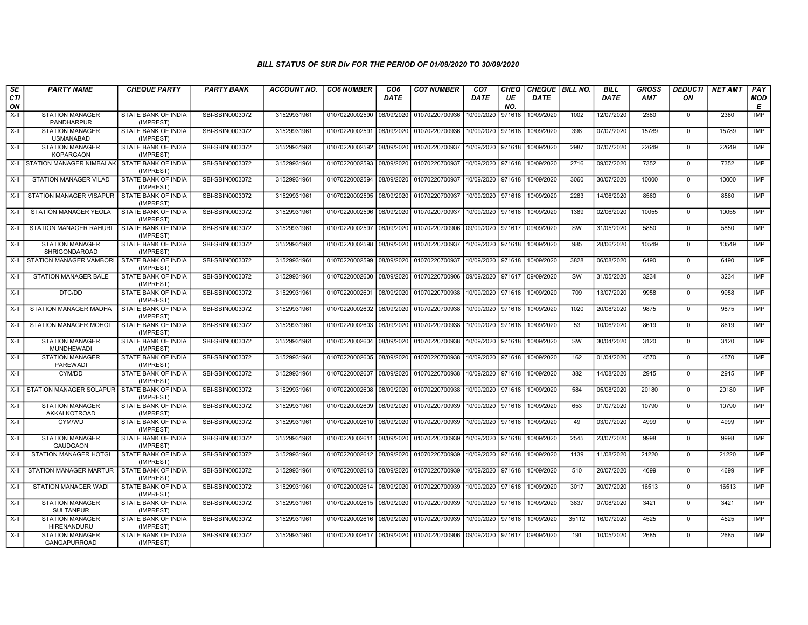| SE        | <b>PARTY NAME</b>                             | <b>CHEQUE PARTY</b>                     | <b>PARTY BANK</b> | <b>ACCOUNT NO.</b> | <b>CO6 NUMBER</b>                        | CO <sub>6</sub> | <b>CO7 NUMBER</b>                        | CO <sub>7</sub>   | CHEQ      | CHEQUE   BILL NO. |       | <b>BILL</b> | <b>GROSS</b> | <b>DEDUCTI</b> | <b>NET AMT</b> | PAY             |
|-----------|-----------------------------------------------|-----------------------------------------|-------------------|--------------------|------------------------------------------|-----------------|------------------------------------------|-------------------|-----------|-------------------|-------|-------------|--------------|----------------|----------------|-----------------|
| CTI<br>ON |                                               |                                         |                   |                    |                                          | <b>DATE</b>     |                                          | <b>DATE</b>       | UE<br>NO. | <b>DATE</b>       |       | <b>DATE</b> | AMT          | OΝ             |                | <b>MOD</b><br>E |
| $X-H$     | <b>STATION MANAGER</b><br>PANDHARPUR          | STATE BANK OF INDIA<br>(IMPREST)        | SBI-SBIN0003072   | 31529931961        | 01070220002590 08/09/2020                |                 | 01070220700936                           | 10/09/2020        | 971618    | 10/09/2020        | 1002  | 12/07/2020  | 2380         | $\mathbf 0$    | 2380           | <b>IMP</b>      |
| X-II      | <b>STATION MANAGER</b><br><b>USMANABAD</b>    | <b>STATE BANK OF INDIA</b><br>(IMPREST) | SBI-SBIN0003072   | 31529931961        | 01070220002591 08/09/2020                |                 | 01070220700936                           | 10/09/2020        | 971618    | 10/09/2020        | 398   | 07/07/2020  | 15789        | $\Omega$       | 15789          | IMP             |
| X-II      | <b>STATION MANAGER</b><br><b>KOPARGAON</b>    | <b>STATE BANK OF INDIA</b><br>(IMPREST) | SBI-SBIN0003072   | 31529931961        | 01070220002592 08/09/2020                |                 | 01070220700937                           | 10/09/2020 971618 |           | 10/09/2020        | 2987  | 07/07/2020  | 22649        | $\mathbf 0$    | 22649          | <b>IMP</b>      |
| X-II      | STATION MANAGER NIMBALAK STATE BANK OF INDIA  | (IMPREST)                               | SBI-SBIN0003072   | 31529931961        | 01070220002593 08/09/2020                |                 | 01070220700937                           | 10/09/2020        | 971618    | 10/09/2020        | 2716  | 09/07/2020  | 7352         | $\Omega$       | 7352           | <b>IMP</b>      |
| $X-H$     | STATION MANAGER VILAD                         | <b>STATE BANK OF INDIA</b><br>(IMPREST) | SBI-SBIN0003072   | 31529931961        | 01070220002594                           |                 | 08/09/2020 01070220700937                | 10/09/2020        | 971618    | 10/09/2020        | 3060  | 30/07/2020  | 10000        | $\mathbf 0$    | 10000          | IMP             |
| X-II      | STATION MANAGER VISAPUR                       | <b>STATE BANK OF INDIA</b><br>(IMPREST) | SBI-SBIN0003072   | 31529931961        | 01070220002595 08/09/2020 01070220700937 |                 |                                          | 10/09/2020 971618 |           | 10/09/2020        | 2283  | 14/06/2020  | 8560         | $^{\circ}$     | 8560           | IMP             |
| $X-II$    | <b>STATION MANAGER YEOLA</b>                  | STATE BANK OF INDIA<br>(IMPREST)        | SBI-SBIN0003072   | 31529931961        | 01070220002596 08/09/2020                |                 | 01070220700937                           | 10/09/2020        | 971618    | 10/09/2020        | 1389  | 02/06/2020  | 10055        | $\mathbf 0$    | 10055          | <b>IMP</b>      |
| $X-H$     | <b>STATION MANAGER RAHURI</b>                 | <b>STATE BANK OF INDIA</b><br>(IMPREST) | SBI-SBIN0003072   | 31529931961        | 01070220002597                           |                 | 08/09/2020 01070220700906                | 09/09/2020        | 971617    | 09/09/2020        | SW    | 31/05/2020  | 5850         | $\mathbf 0$    | 5850           | <b>IMP</b>      |
| X-II      | <b>STATION MANAGER</b><br>SHRIGONDAROAD       | <b>STATE BANK OF INDIA</b><br>(IMPREST) | SBI-SBIN0003072   | 31529931961        | 01070220002598 08/09/2020 01070220700937 |                 |                                          | 10/09/2020        | 971618    | 10/09/2020        | 985   | 28/06/2020  | 10549        | $\Omega$       | 10549          | <b>IMP</b>      |
| $X-H$     | STATION MANAGER VAMBORI                       | STATE BANK OF INDIA<br>(IMPREST)        | SBI-SBIN0003072   | 31529931961        | 01070220002599 08/09/2020                |                 | 01070220700937                           | 10/09/2020        | 971618    | 10/09/2020        | 3828  | 06/08/2020  | 6490         | $\mathbf 0$    | 6490           | <b>IMP</b>      |
| X-II      | STATION MANAGER BALE                          | <b>STATE BANK OF INDIA</b><br>(IMPREST) | SBI-SBIN0003072   | 31529931961        | 01070220002600 08/09/2020                |                 | 01070220700906                           | 09/09/2020        | 971617    | 09/09/2020        | SW    | 31/05/2020  | 3234         | $\mathbf 0$    | 3234           | IMP             |
| $X-II$    | DTC/DD                                        | STATE BANK OF INDIA<br>(IMPREST)        | SBI-SBIN0003072   | 31529931961        | 01070220002601                           | 08/09/2020      | 01070220700938                           | 10/09/2020        | 971618    | 10/09/2020        | 709   | 13/07/2020  | 9958         | $\mathbf 0$    | 9958           | <b>IMP</b>      |
| X-II      | STATION MANAGER MADHA                         | <b>STATE BANK OF INDIA</b><br>(IMPREST) | SBI-SBIN0003072   | 31529931961        | 01070220002602 08/09/2020                |                 | 01070220700938                           | 10/09/2020 971618 |           | 10/09/2020        | 1020  | 20/08/2020  | 9875         | $\Omega$       | 9875           | IMP             |
| X-II      | <b>STATION MANAGER MOHOL</b>                  | <b>STATE BANK OF INDIA</b><br>(IMPREST) | SBI-SBIN0003072   | 31529931961        | 01070220002603 08/09/2020                |                 | 01070220700938                           | 10/09/2020        | 971618    | 10/09/2020        | 53    | 10/06/2020  | 8619         | $\mathbf 0$    | 8619           | IMP             |
| X-II      | <b>STATION MANAGER</b><br>MUNDHEWADI          | STATE BANK OF INDIA<br>(IMPREST)        | SBI-SBIN0003072   | 31529931961        | 01070220002604                           | 08/09/2020      | 01070220700938                           | 10/09/2020        | 971618    | 10/09/2020        | SW    | 30/04/2020  | 3120         | $\mathbf 0$    | 3120           | <b>IMP</b>      |
| $X-II$    | <b>STATION MANAGER</b><br><b>PAREWADI</b>     | STATE BANK OF INDIA<br>(IMPREST)        | SBI-SBIN0003072   | 31529931961        | 01070220002605 08/09/2020                |                 | 01070220700938                           | 10/09/2020 971618 |           | 10/09/2020        | 162   | 01/04/2020  | 4570         | $\mathbf 0$    | 4570           | IMP             |
| X-II      | CYM/DD                                        | STATE BANK OF INDIA<br>(IMPREST)        | SBI-SBIN0003072   | 31529931961        | 01070220002607                           | 08/09/2020      | 01070220700938                           | 10/09/2020        | 971618    | 10/09/2020        | 382   | 14/08/2020  | 2915         | $\mathbf 0$    | 2915           | <b>IMP</b>      |
| X-II      | STATION MANAGER SOLAPUR   STATE BANK OF INDIA | (IMPREST)                               | SBI-SBIN0003072   | 31529931961        | 01070220002608 08/09/2020                |                 | 01070220700938                           | 10/09/2020        | 971618    | 10/09/2020        | 584   | 05/08/2020  | 20180        | $\mathbf 0$    | 20180          | <b>IMP</b>      |
| X-II      | <b>STATION MANAGER</b><br>AKKALKOTROAD        | STATE BANK OF INDIA<br>(IMPREST)        | SBI-SBIN0003072   | 31529931961        | 01070220002609 08/09/2020                |                 | 01070220700939                           | 10/09/2020        | 971618    | 10/09/2020        | 653   | 01/07/2020  | 10790        | $\Omega$       | 10790          | <b>IMP</b>      |
| $X-II$    | CYM/WD                                        | STATE BANK OF INDIA<br>(IMPREST)        | SBI-SBIN0003072   | 31529931961        | 01070220002610 08/09/2020                |                 | 01070220700939                           | 10/09/2020        | 971618    | 10/09/2020        | 49    | 03/07/2020  | 4999         | $\mathbf 0$    | 4999           | <b>IMP</b>      |
| $X-H$     | <b>STATION MANAGER</b><br><b>GAUDGAON</b>     | STATE BANK OF INDIA<br>(IMPREST)        | SBI-SBIN0003072   | 31529931961        | 01070220002611 08/09/2020                |                 | 01070220700939                           | 10/09/2020 971618 |           | 10/09/2020        | 2545  | 23/07/2020  | 9998         | $\mathbf 0$    | 9998           | <b>IMP</b>      |
| X-II      | STATION MANAGER HOTGI                         | STATE BANK OF INDIA<br>(IMPREST)        | SBI-SBIN0003072   | 31529931961        | 01070220002612 08/09/2020                |                 | 01070220700939                           | 10/09/2020        | 971618    | 10/09/2020        | 1139  | 11/08/2020  | 21220        | $\mathbf 0$    | 21220          | IMP             |
| X-II      | STATION MANAGER MARTUR                        | STATE BANK OF INDIA<br>(IMPREST)        | SBI-SBIN0003072   | 31529931961        | 01070220002613 08/09/2020                |                 | 01070220700939                           | 10/09/2020 971618 |           | 10/09/2020        | 510   | 20/07/2020  | 4699         | $\Omega$       | 4699           | IMP             |
| X-II      | <b>STATION MANAGER WADI</b>                   | STATE BANK OF INDIA<br>(IMPREST)        | SBI-SBIN0003072   | 31529931961        | 01070220002614 08/09/2020                |                 | 01070220700939                           | 10/09/2020        | 971618    | 10/09/2020        | 3017  | 20/07/2020  | 16513        | $\mathbf 0$    | 16513          | <b>IMP</b>      |
| $X-II$    | <b>STATION MANAGER</b><br>SULTANPUR           | STATE BANK OF INDIA<br>(IMPREST)        | SBI-SBIN0003072   | 31529931961        | 01070220002615 08/09/2020                |                 | 01070220700939                           | 10/09/2020 971618 |           | 10/09/2020        | 3837  | 07/08/2020  | 3421         | $\mathbf 0$    | 3421           | <b>IMP</b>      |
| $X-H$     | <b>STATION MANAGER</b><br>HIRENANDURU         | <b>STATE BANK OF INDIA</b><br>(IMPREST) | SBI-SBIN0003072   | 31529931961        | 01070220002616 08/09/2020                |                 | 01070220700939                           | 10/09/2020 971618 |           | 10/09/2020        | 35112 | 16/07/2020  | 4525         | $\Omega$       | 4525           | IMP             |
| X-II      | <b>STATION MANAGER</b><br>GANGAPURROAD        | STATE BANK OF INDIA<br>(IMPREST)        | SBI-SBIN0003072   | 31529931961        |                                          |                 | 01070220002617 08/09/2020 01070220700906 | 09/09/2020        | 971617    | 09/09/2020        | 191   | 10/05/2020  | 2685         | $\mathbf 0$    | 2685           | <b>IMP</b>      |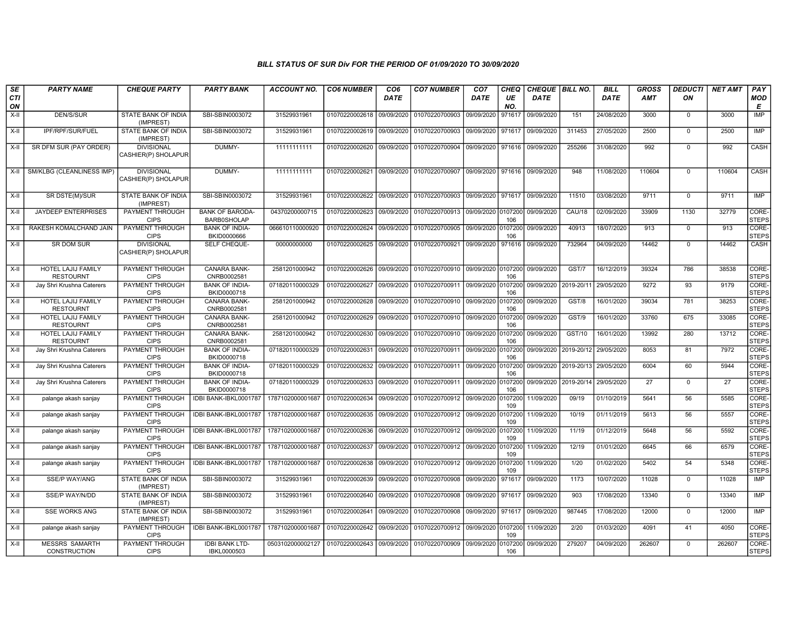| SE               | <b>PARTY NAME</b>                             | <b>CHEQUE PARTY</b>                      | <b>PARTY BANK</b>                            | <b>ACCOUNT NO.</b>                         | <b>CO6 NUMBER</b>                        | CO <sub>6</sub> | <b>CO7 NUMBER</b>                                          | CO <sub>7</sub>    | <b>CHEQ</b>    | CHEQUE   BILL NO. |                       | <b>BILL</b> | GROSS  | <b>DEDUCTI</b> | <b>NET AMT</b>  | PAY                   |
|------------------|-----------------------------------------------|------------------------------------------|----------------------------------------------|--------------------------------------------|------------------------------------------|-----------------|------------------------------------------------------------|--------------------|----------------|-------------------|-----------------------|-------------|--------|----------------|-----------------|-----------------------|
| <b>CTI</b><br>ON |                                               |                                          |                                              |                                            |                                          | <b>DATE</b>     |                                                            | <b>DATE</b>        | UE<br>NO.      | <b>DATE</b>       |                       | DATE        | AMT    | ON             |                 | MOD<br>E              |
| X-II             | DEN/S/SUR                                     | STATE BANK OF INDIA<br>(IMPREST)         | SBI-SBIN0003072                              | 31529931961                                | 01070220002618                           | 09/09/2020      | 01070220700903                                             | 09/09/2020         | 971617         | 09/09/2020        | 151                   | 24/08/2020  | 3000   | $\mathbf 0$    | 3000            | IMP                   |
| $X-H$            | IPF/RPF/SUR/FUEL                              | <b>STATE BANK OF INDIA</b><br>(IMPREST)  | SBI-SBIN0003072                              | 31529931961                                | 01070220002619                           | 09/09/2020      | 01070220700903                                             | 09/09/2020         | 971617         | 09/09/2020        | 311453                | 27/05/2020  | 2500   | $\mathbf 0$    | 2500            | IMP                   |
| X-II             | SR DFM SUR (PAY ORDER)                        | <b>DIVISIONAL</b><br>CASHIER(P) SHOLAPUR | DUMMY-                                       | 11111111111                                | 01070220002620 09/09/2020                |                 | 01070220700904                                             | 09/09/2020 971616  |                | 09/09/2020        | 255266                | 31/08/2020  | 992    | $\mathbf 0$    | 992             | CASH                  |
| X-II             | SM/KLBG (CLEANLINESS IMP)                     | <b>DIVISIONAL</b><br>CASHIER(P) SHOLAPUR | DUMMY-                                       | 11111111111                                | 01070220002621 09/09/2020 01070220700907 |                 |                                                            | 09/09/2020 971616  |                | 09/09/2020        | 948                   | 11/08/2020  | 110604 | $\mathbf 0$    | 110604          | CASH                  |
| X-II             | SR DSTE(M)/SUR                                | <b>STATE BANK OF INDIA</b><br>(IMPREST)  | SBI-SBIN0003072                              | 31529931961                                |                                          |                 | 01070220002622 09/09/2020 01070220700903 09/09/2020 971617 |                    |                | 09/09/2020        | 11510                 | 03/08/2020  | 9711   | $\mathbf 0$    | 9711            | <b>IMP</b>            |
| X-II             | <b>JAYDEEP ENTERPRISES</b>                    | <b>PAYMENT THROUGH</b><br><b>CIPS</b>    | <b>BANK OF BARODA-</b><br><b>BARB0SHOLAP</b> | 04370200000715                             | 01070220002623 09/09/2020                |                 | 01070220700913 09/09/2020 0107200                          |                    | 106            | 09/09/2020        | <b>CAU/18</b>         | 02/09/2020  | 33909  | 1130           | 32779           | CORE-<br><b>STEPS</b> |
| X-II             | RAKESH KOMALCHAND JAIN                        | PAYMENT THROUGH<br><b>CIPS</b>           | <b>BANK OF INDIA-</b><br>BKID0000666         | 066610110000920                            | 01070220002624                           | 09/09/2020      | 01070220700905                                             | 09/09/2020         | 0107200<br>106 | 09/09/2020        | 40913                 | 18/07/2020  | 913    | $\mathbf 0$    | 913             | CORE-<br><b>STEPS</b> |
| X-II             | SR DOM SUR                                    | <b>DIVISIONAL</b><br>CASHIER(P) SHOLAPUR | SELF CHEQUE-                                 | 00000000000                                | 01070220002625                           | 09/09/2020      | 01070220700921                                             | 09/09/2020         | 971616         | 09/09/2020        | 732964                | 04/09/2020  | 14462  | $\mathbf 0$    | 14462           | CASH                  |
| X-II             | <b>HOTEL LAJIJ FAMILY</b><br><b>RESTOURNT</b> | <b>PAYMENT THROUGH</b><br><b>CIPS</b>    | <b>CANARA BANK-</b><br>CNRB0002581           | 2581201000942                              | 01070220002626                           | 09/09/2020      | 01070220700910 09/09/2020 0107200                          |                    | 106            | 09/09/2020        | GST/7                 | 16/12/2019  | 39324  | 786            | 38538           | CORE-<br><b>STEPS</b> |
| X-II             | Jay Shri Krushna Caterers                     | PAYMENT THROUGH<br><b>CIPS</b>           | <b>BANK OF INDIA-</b><br>BKID0000718         | 071820110000329                            | 01070220002627                           | 09/09/2020      | 01070220700911 09/09/2020 0107200                          |                    | 106            | 09/09/2020        | 2019-20/11            | 29/05/2020  | 9272   | 93             | 9179            | CORE-<br><b>STEPS</b> |
| $X-H$            | HOTEL LAJIJ FAMILY<br><b>RESTOURNT</b>        | <b>PAYMENT THROUGH</b><br><b>CIPS</b>    | CANARA BANK-<br>CNRB0002581                  | 2581201000942                              | 01070220002628                           | 09/09/2020      | 01070220700910 09/09/2020 0107200                          |                    | 106            | 09/09/2020        | GST/8                 | 16/01/2020  | 39034  | 781            | 38253           | CORE-<br><b>STEPS</b> |
| X-II             | HOTEL LAJIJ FAMILY<br><b>RESTOURNT</b>        | <b>PAYMENT THROUGH</b><br><b>CIPS</b>    | CANARA BANK-<br>CNRB0002581                  | 2581201000942                              | 01070220002629                           | 09/09/2020      | 01070220700910 09/09/2020 0107200                          |                    | 106            | 09/09/2020        | GST/9                 | 16/01/2020  | 33760  | 675            | 33085           | CORE-<br><b>STEPS</b> |
| X-II             | HOTEL LAJIJ FAMILY<br><b>RESTOURNT</b>        | <b>PAYMENT THROUGH</b><br><b>CIPS</b>    | CANARA BANK-<br>CNRB0002581                  | 2581201000942                              | 01070220002630                           | 09/09/2020      | 01070220700910 09/09/2020 0107200                          |                    | 106            | 09/09/2020        | GST/10                | 16/01/2020  | 13992  | 280            | 13712           | CORE-<br><b>STEPS</b> |
| X-II             | Jay Shri Krushna Caterers                     | PAYMENT THROUGH<br><b>CIPS</b>           | <b>BANK OF INDIA-</b><br>BKID0000718         | 071820110000329                            | 01070220002631                           | 09/09/2020      | 01070220700911 09/09/2020 0107200                          |                    | 106            | 09/09/2020        | 2019-20/12 29/05/2020 |             | 8053   | 81             | 7972            | CORE-<br><b>STEPS</b> |
| $X-H$            | Jay Shri Krushna Caterers                     | PAYMENT THROUGH<br><b>CIPS</b>           | <b>BANK OF INDIA-</b><br>BKID0000718         | 071820110000329                            | 01070220002632                           | 09/09/2020      | 01070220700911 09/09/2020                                  |                    | 0107200<br>106 | 09/09/2020        | 2019-20/13 29/05/2020 |             | 6004   | 60             | 5944            | CORE-<br><b>STEPS</b> |
| X-II             | Jay Shri Krushna Caterers                     | <b>PAYMENT THROUGH</b><br><b>CIPS</b>    | <b>BANK OF INDIA-</b><br>BKID0000718         | 071820110000329                            | 01070220002633                           | 09/09/2020      | 01070220700911 09/09/2020 0107200                          |                    | 106            | 09/09/2020        | 2019-20/14 29/05/2020 |             | 27     | $\mathbf 0$    | $\overline{27}$ | CORE-<br><b>STEPS</b> |
| X-II             | palange akash sanjay                          | PAYMENT THROUGH<br><b>CIPS</b>           | IDBI BANK-IBKL0001787                        | 1787102000001687                           | 01070220002634                           | 09/09/2020      | 01070220700912                                             | 09/09/2020         | 0107200<br>109 | 11/09/2020        | 09/19                 | 01/10/2019  | 5641   | 56             | 5585            | CORE-<br><b>STEPS</b> |
| X-II             | palange akash sanjay                          | PAYMENT THROUGH<br><b>CIPS</b>           | IDBI BANK-IBKL0001787                        | 1787102000001687                           | 01070220002635                           | 09/09/2020      | 01070220700912                                             | 09/09/2020 0107200 | 109            | 11/09/2020        | 10/19                 | 01/11/2019  | 5613   | 56             | 5557            | CORE-<br><b>STEPS</b> |
| $X-II$           | palange akash sanjay                          | <b>PAYMENT THROUGH</b><br><b>CIPS</b>    | IDBI BANK-IBKL0001787                        | 1787102000001687                           | 01070220002636                           | 09/09/2020      | 01070220700912                                             | 09/09/2020 0107200 | 109            | 11/09/2020        | 11/19                 | 01/12/2019  | 5648   | 56             | 5592            | CORE-<br><b>STEPS</b> |
| X-II             | palange akash sanjay                          | PAYMENT THROUGH<br><b>CIPS</b>           | IDBI BANK-IBKL0001787                        | 1787102000001687                           | 01070220002637 09/09/2020                |                 | 01070220700912 09/09/2020 0107200                          |                    | 109            | 11/09/2020        | 12/19                 | 01/01/2020  | 6645   | 66             | 6579            | CORE-<br><b>STEPS</b> |
| $X-H$            | palange akash sanjay                          | <b>PAYMENT THROUGH</b><br><b>CIPS</b>    | IDBI BANK-IBKL0001787                        | 1787102000001687                           | 01070220002638 09/09/2020                |                 | 01070220700912                                             | 09/09/2020         | 0107200<br>109 | 11/09/2020        | 1/20                  | 01/02/2020  | 5402   | 54             | 5348            | CORE-<br><b>STEPS</b> |
| X-II             | <b>SSE/P WAY/ANG</b>                          | STATE BANK OF INDIA<br>(IMPREST)         | SBI-SBIN0003072                              | 31529931961                                | 01070220002639 09/09/2020                |                 | 01070220700908                                             | 09/09/2020         | 971617         | 09/09/2020        | 1173                  | 10/07/2020  | 11028  | $\mathbf 0$    | 11028           | IMP                   |
| X-II             | SSE/P WAY/N/DD                                | STATE BANK OF INDIA<br>(IMPREST)         | SBI-SBIN0003072                              | 31529931961                                | 01070220002640                           | 09/09/2020      | 01070220700908                                             | 09/09/2020         | 971617         | 09/09/2020        | 903                   | 17/08/2020  | 13340  | $\mathbf 0$    | 13340           | IMP                   |
| X-II             | <b>SSE WORKS ANG</b>                          | STATE BANK OF INDIA<br>(IMPREST)         | SBI-SBIN0003072                              | 31529931961                                | 01070220002641                           | 09/09/2020      | 01070220700908                                             | 09/09/2020         | 971617         | 09/09/2020        | 987445                | 17/08/2020  | 12000  | $\mathbf 0$    | 12000           | <b>IMP</b>            |
| $X-H$            | palange akash sanjay                          | PAYMENT THROUGH<br><b>CIPS</b>           | IDBI BANK-IBKL0001787                        | 1787102000001687                           | 01070220002642                           | 09/09/2020      | 01070220700912                                             | 09/09/2020 0107200 | 109            | 11/09/2020        | 2/20                  | 01/03/2020  | 4091   | 41             | 4050            | CORE-<br><b>STEPS</b> |
| X-II             | <b>MESSRS SAMARTH</b><br><b>CONSTRUCTION</b>  | <b>PAYMENT THROUGH</b><br><b>CIPS</b>    | <b>IDBI BANK LTD-</b><br>IBKL0000503         | 0503102000002127 01070220002643 09/09/2020 |                                          |                 | 01070220700909                                             | 09/09/2020         | 0107200<br>106 | 09/09/2020        | 279207                | 04/09/2020  | 262607 | $\mathbf 0$    | 262607          | CORE-<br><b>STEPS</b> |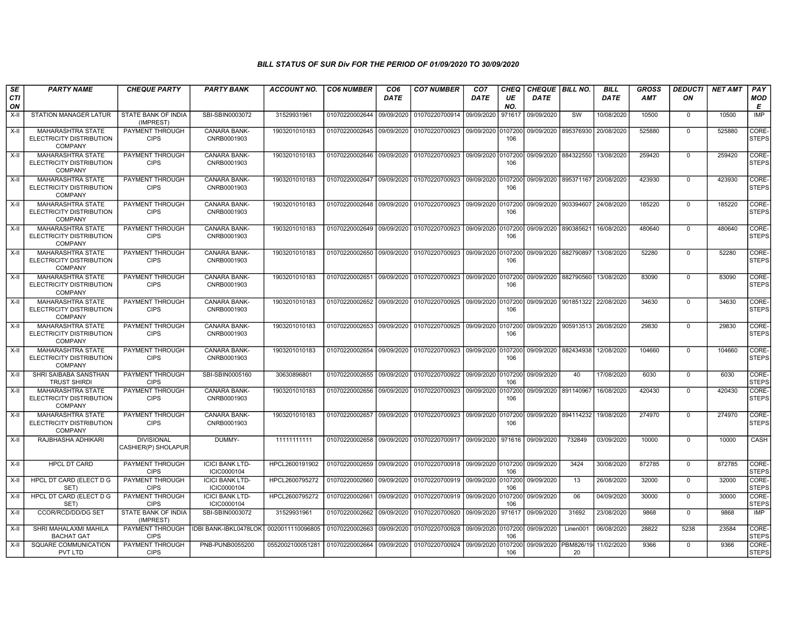| SE        | <b>PARTY NAME</b>                                                             | <b>CHEQUE PARTY</b>                      | <b>PARTY BANK</b>                     | <b>ACCOUNT NO.</b> | <b>CO6 NUMBER</b>         | CO <sub>6</sub> | <b>CO7 NUMBER</b>                                           | CO <sub>7</sub>    | <b>CHEQ</b>    | <b>CHEQUE   BILL NO.</b> |                                     | <b>BILL</b> | GROSS  | <b>DEDUCTI</b> | NET AMT | <b>PAY</b>            |
|-----------|-------------------------------------------------------------------------------|------------------------------------------|---------------------------------------|--------------------|---------------------------|-----------------|-------------------------------------------------------------|--------------------|----------------|--------------------------|-------------------------------------|-------------|--------|----------------|---------|-----------------------|
| CTI<br>ON |                                                                               |                                          |                                       |                    |                           | <b>DATE</b>     |                                                             | DATE               | UE<br>NO.      | DATE                     |                                     | <b>DATE</b> | AMT    | ON             |         | MOD<br>Е              |
| $X-II$    | STATION MANAGER LATUR                                                         | <b>STATE BANK OF INDIA</b><br>(IMPREST)  | SBI-SBIN0003072                       | 31529931961        | 01070220002644            | 09/09/2020      | 01070220700914                                              | 09/09/2020         | 971617         | 09/09/2020               | SW                                  | 10/08/2020  | 10500  | $\mathbf 0$    | 10500   | IMP                   |
| $X-H$     | MAHARASHTRA STATE<br>ELECTRICITY DISTRIBUTION<br><b>COMPANY</b>               | PAYMENT THROUGH<br><b>CIPS</b>           | <b>CANARA BANK-</b><br>CNRB0001903    | 1903201010183      |                           |                 | 01070220002645 09/09/2020 01070220700923 09/09/2020 0107200 |                    | 106            | 09/09/2020 895376930     |                                     | 20/08/2020  | 525880 | $\mathbf 0$    | 525880  | CORE-<br><b>STEPS</b> |
| X-II      | <b>MAHARASHTRA STATE</b><br>ELECTRICITY DISTRIBUTION<br><b>COMPANY</b>        | PAYMENT THROUGH<br><b>CIPS</b>           | <b>CANARA BANK-</b><br>CNRB0001903    | 1903201010183      |                           |                 | 01070220002646 09/09/2020 01070220700923                    | 09/09/2020 0107200 | 106            | 09/09/2020 884322550     |                                     | 13/08/2020  | 259420 | $\mathbf 0$    | 259420  | CORE-<br>STEPS        |
| X-II      | <b>MAHARASHTRA STATE</b><br>ELECTRICITY DISTRIBUTION<br><b>COMPANY</b>        | PAYMENT THROUGH<br><b>CIPS</b>           | CANARA BANK-<br>CNRB0001903           | 1903201010183      | 01070220002647            |                 | 09/09/2020 01070220700923                                   | 09/09/2020         | 0107200<br>106 | 09/09/2020 895371167     |                                     | 20/08/2020  | 423930 | $\mathbf 0$    | 423930  | CORE-<br>STEPS        |
| X-II      | <b>MAHARASHTRA STATE</b><br>ELECTRICITY DISTRIBUTION<br><b>COMPANY</b>        | PAYMENT THROUGH<br><b>CIPS</b>           | <b>CANARA BANK-</b><br>CNRB0001903    | 1903201010183      | 01070220002648 09/09/2020 |                 | 01070220700923                                              | 09/09/2020 0107200 | 106            | 09/09/2020 903394607     |                                     | 24/08/2020  | 185220 | $\Omega$       | 185220  | CORE-<br><b>STEPS</b> |
| $X-H$     | <b>MAHARASHTRA STATE</b><br>ELECTRICITY DISTRIBUTION<br><b>COMPANY</b>        | PAYMENT THROUGH<br><b>CIPS</b>           | CANARA BANK-<br>CNRB0001903           | 1903201010183      | 01070220002649 09/09/2020 |                 | 01070220700923                                              | 09/09/2020         | 107200<br>106  | 09/09/2020               | 890385621                           | 16/08/2020  | 480640 | $\Omega$       | 480640  | CORE-<br><b>STEPS</b> |
| X-II      | MAHARASHTRA STATE<br>ELECTRICITY DISTRIBUTION<br><b>COMPANY</b>               | PAYMENT THROUGH<br><b>CIPS</b>           | CANARA BANK-<br>CNRB0001903           | 1903201010183      | 01070220002650            | 09/09/2020      | 01070220700923                                              | 09/09/2020         | 107200<br>106  | 09/09/2020 882790897     |                                     | 13/08/2020  | 52280  | $\overline{0}$ | 52280   | CORE-<br><b>STEPS</b> |
| X-II      | <b>MAHARASHTRA STATE</b><br><b>ELECTRICITY DISTRIBUTION</b><br><b>COMPANY</b> | PAYMENT THROUGH<br><b>CIPS</b>           | CANARA BANK-<br>CNRB0001903           | 1903201010183      | 01070220002651            | 09/09/2020      | 01070220700923                                              | 09/09/2020         | 107200<br>106  | 09/09/2020 882790560     |                                     | 13/08/2020  | 83090  | $\mathbf 0$    | 83090   | CORE-<br><b>STEPS</b> |
| X-II      | MAHARASHTRA STATE<br>ELECTRICITY DISTRIBUTION<br>COMPANY                      | PAYMENT THROUGH<br><b>CIPS</b>           | CANARA BANK-<br>CNRB0001903           | 1903201010183      |                           |                 | 01070220002652 09/09/2020 01070220700925 09/09/2020         |                    | 0107200<br>106 |                          | 09/09/2020   901851322   22/08/2020 |             | 34630  | $\mathbf 0$    | 34630   | CORE-<br><b>STEPS</b> |
| X-II      | <b>MAHARASHTRA STATE</b><br>ELECTRICITY DISTRIBUTION<br><b>COMPANY</b>        | PAYMENT THROUGH<br><b>CIPS</b>           | <b>CANARA BANK-</b><br>CNRB0001903    | 1903201010183      |                           |                 | 01070220002653 09/09/2020 01070220700925 09/09/2020 0107200 |                    | 106            | 09/09/2020 905913513     |                                     | 26/08/2020  | 29830  | $\mathbf 0$    | 29830   | CORE-<br><b>STEPS</b> |
| X-II      | <b>MAHARASHTRA STATE</b><br><b>ELECTRICITY DISTRIBUTION</b><br><b>COMPANY</b> | PAYMENT THROUGH<br><b>CIPS</b>           | CANARA BANK-<br>CNRB0001903           | 1903201010183      |                           |                 | 01070220002654 09/09/2020 01070220700923 09/09/2020         |                    | 0107200<br>106 | 09/09/2020 882434938     |                                     | 12/08/2020  | 104660 | $\Omega$       | 104660  | CORE-<br><b>STEPS</b> |
| X-II      | SHRI SAIBABA SANSTHAN<br><b>TRUST SHIRDI</b>                                  | PAYMENT THROUGH<br><b>CIPS</b>           | SBI-SBIN0005160                       | 30630896801        | 01070220002655 09/09/2020 |                 | 01070220700922 09/09/2020 0107200                           |                    | 106            | 09/09/2020               | 40                                  | 17/08/2020  | 6030   | $^{\circ}$     | 6030    | CORE-<br><b>STEPS</b> |
| $X-II$    | <b>MAHARASHTRA STATE</b><br>ELECTRICITY DISTRIBUTION<br><b>COMPANY</b>        | PAYMENT THROUGH<br><b>CIPS</b>           | <b>CANARA BANK-</b><br>CNRB0001903    | 1903201010183      | 01070220002656            | 09/09/2020      | 01070220700923                                              | 09/09/2020         | 0107200<br>106 | 09/09/2020               | 891140967                           | 16/08/2020  | 420430 | $\mathbf 0$    | 420430  | CORE-<br>STEPS        |
| X-II      | <b>MAHARASHTRA STATE</b><br>ELECTRICITY DISTRIBUTION<br><b>COMPANY</b>        | PAYMENT THROUGH<br><b>CIPS</b>           | <b>CANARA BANK-</b><br>CNRB0001903    | 1903201010183      | 01070220002657            |                 | 09/09/2020 01070220700923                                   | 09/09/2020 0107200 | 106            | 09/09/2020 894114232     |                                     | 19/08/2020  | 274970 | $\mathbf 0$    | 274970  | CORE-<br><b>STEPS</b> |
| X-II      | RAJBHASHA ADHIKARI                                                            | <b>DIVISIONAL</b><br>CASHIER(P) SHOLAPUR | DUMMY-                                | 11111111111        |                           |                 | 01070220002658 09/09/2020 01070220700917 09/09/2020         |                    | 971616         | 09/09/2020               | 732849                              | 03/09/2020  | 10000  | $\mathbf 0$    | 10000   | CASH                  |
| $X-H$     | <b>HPCL DT CARD</b>                                                           | PAYMENT THROUGH<br><b>CIPS</b>           | <b>ICICI BANK LTD-</b><br>ICIC0000104 | HPCL2600191902     | 01070220002659 09/09/2020 |                 | 01070220700918 09/09/2020 0107200 09/09/2020                |                    | 106            |                          | 3424                                | 30/08/2020  | 872785 | $\Omega$       | 872785  | CORE-<br><b>STEPS</b> |
| X-II      | HPCL DT CARD (ELECT D G<br>SET)                                               | PAYMENT THROUGH<br><b>CIPS</b>           | <b>ICICI BANK LTD-</b><br>ICIC0000104 | HPCL2600795272     | 01070220002660            | 09/09/2020      | 01070220700919 09/09/2020                                   |                    | 107200<br>106  | 09/09/2020               | 13                                  | 26/08/2020  | 32000  | $\mathbf 0$    | 32000   | CORE-<br><b>STEPS</b> |
| X-II      | HPCL DT CARD (ELECT D G<br>SET)                                               | PAYMENT THROUGH<br><b>CIPS</b>           | <b>ICICI BANK LTD-</b><br>ICIC0000104 | HPCL2600795272     | 01070220002661            | 09/09/2020      | 01070220700919                                              | 09/09/2020         | 107200<br>106  | 09/09/2020               | 06                                  | 04/09/2020  | 30000  | $\mathbf 0$    | 30000   | CORE-<br>STEPS        |
| X-II      | <b>CCOR/RCD/DD/DG SET</b>                                                     | <b>STATE BANK OF INDIA</b><br>(IMPREST)  | SBI-SBIN0003072                       | 31529931961        | 01070220002662            | 09/09/2020      | 01070220700920                                              | 09/09/2020         | 971617         | 09/09/2020               | 31692                               | 23/08/2020  | 9868   | 0              | 9868    | <b>IMP</b>            |
| $X-II$    | SHRI MAHALAXMI MAHILA<br><b>BACHAT GAT</b>                                    | PAYMENT THROUGH<br><b>CIPS</b>           | IDBI BANK-IBKL0478LOK                 | 0020011110096805   | 01070220002663            | 09/09/2020      | 01070220700928                                              | 09/09/2020         | 0107200<br>106 | 09/09/2020               | Linen001                            | 06/08/2020  | 28822  | 5238           | 23584   | CORE-<br>STEPS        |
| X-II      | SQUARE COMMUNICATION<br>PVT LTD                                               | PAYMENT THROUGH<br><b>CIPS</b>           | PNB-PUNB0055200                       | 0552002100051281   | 01070220002664            | 09/09/2020      | 01070220700924                                              | 09/09/2020         | 107200<br>106  | 09/09/2020  PBM826/19-   | 20                                  | 11/02/2020  | 9366   | $\Omega$       | 9366    | CORE-<br>STEPS        |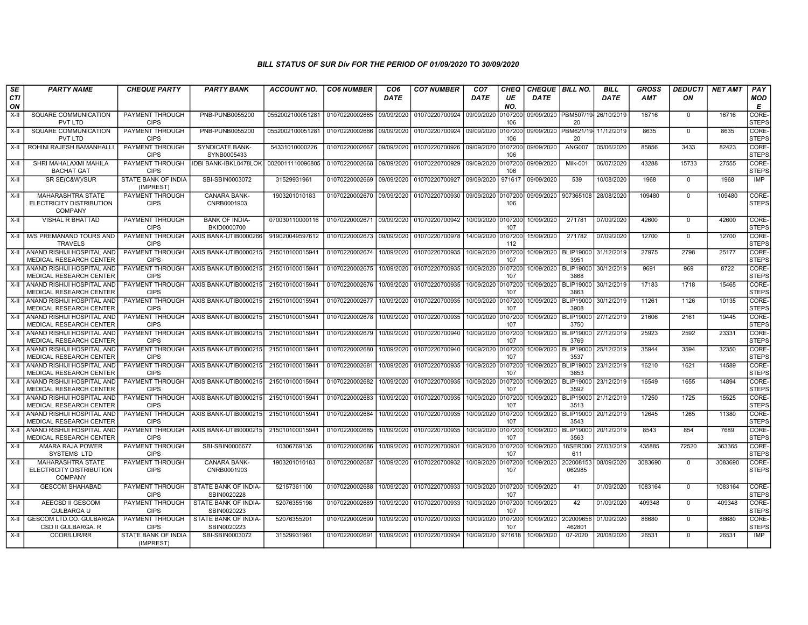| SE               | <b>PARTY NAME</b>                                                      | <b>CHEQUE PARTY</b>                     | <b>PARTY BANK</b>                     | <b>ACCOUNT NO.</b> | <b>CO6 NUMBER</b> | CO6         | <b>CO7 NUMBER</b> | CO <sub>7</sub> | CHEQ           | <b>CHEQUE   BILL NO.</b> |                                         | BILL        | <b>GROSS</b> | <b>DEDUCTI</b> | NET AMT | PAY                   |
|------------------|------------------------------------------------------------------------|-----------------------------------------|---------------------------------------|--------------------|-------------------|-------------|-------------------|-----------------|----------------|--------------------------|-----------------------------------------|-------------|--------------|----------------|---------|-----------------------|
| <b>CTI</b><br>ON |                                                                        |                                         |                                       |                    |                   | <b>DATE</b> |                   | <b>DATE</b>     | UE<br>NO.      | <b>DATE</b>              |                                         | <b>DATE</b> | <b>AMT</b>   | ON             |         | MOD<br>Е              |
| $X-II$           | <b>SQUARE COMMUNICATION</b><br><b>PVT LTD</b>                          | <b>PAYMENT THROUGH</b><br><b>CIPS</b>   | PNB-PUNB0055200                       | 0552002100051281   | 01070220002665    | 09/09/2020  | 01070220700924    | 09/09/2020      | 0107200<br>106 |                          | 09/09/2020 PBM507/19 26/10/2019<br>20   |             | 16716        | $\Omega$       | 16716   | CORE-<br><b>STEPS</b> |
| X-II             | SQUARE COMMUNICATION<br>PVT LTD                                        | PAYMENT THROUGH<br><b>CIPS</b>          | PNB-PUNB0055200                       | 0552002100051281   | 01070220002666    | 09/09/2020  | 01070220700924    | 09/09/2020      | 0107200<br>106 |                          | 09/09/2020   PBM621/19 11/12/2019<br>20 |             | 8635         | $\Omega$       | 8635    | CORE-<br><b>STEPS</b> |
| $X-H$            | ROHINI RAJESH BAMANHALL                                                | PAYMENT THROUGH<br><b>CIPS</b>          | <b>SYNDICATE BANK-</b><br>SYNB0005433 | 54331010000226     | 01070220002667    | 09/09/2020  | 01070220700926    | 09/09/2020      | 0107200<br>106 | 09/09/2020               | <b>ANG007</b>                           | 05/06/2020  | 85856        | 3433           | 82423   | CORE-<br><b>STEPS</b> |
| X-II             | SHRI MAHALAXMI MAHILA<br><b>BACHAT GAT</b>                             | PAYMENT THROUGH<br><b>CIPS</b>          | <b>IDBI BANK-IBKL0478LOK</b>          | 0020011110096805   | 01070220002668    | 09/09/2020  | 01070220700929    | 09/09/2020      | 107200<br>106  | 09/09/2020               | <b>Milk-001</b>                         | 06/07/2020  | 43288        | 15733          | 27555   | CORE-<br><b>STEPS</b> |
| X-II             | SR SE(C&W)/SUR                                                         | <b>STATE BANK OF INDIA</b><br>(IMPREST) | SBI-SBIN0003072                       | 31529931961        | 01070220002669    | 09/09/2020  | 01070220700927    | 09/09/2020      | 971617         | 09/09/2020               | 539                                     | 10/08/2020  | 1968         | $\mathbf 0$    | 1968    | <b>IMP</b>            |
| X-II             | <b>MAHARASHTRA STATE</b><br>ELECTRICITY DISTRIBUTION<br><b>COMPANY</b> | PAYMENT THROUGH<br><b>CIPS</b>          | <b>CANARA BANK-</b><br>CNRB0001903    | 1903201010183      | 01070220002670    | 09/09/2020  | 01070220700930    | 09/09/2020      | 0107200<br>106 | 09/09/2020 907365108     |                                         | 28/08/2020  | 109480       | $\mathbf{0}$   | 109480  | CORE-<br><b>STEPS</b> |
| X-II             | VISHAL R BHATTAD                                                       | PAYMENT THROUGH<br><b>CIPS</b>          | <b>BANK OF INDIA-</b><br>BKID0000700  | 070030110000116    | 01070220002671    | 09/09/2020  | 01070220700942    | 10/09/2020      | 0107200<br>107 | 10/09/2020               | 271781                                  | 07/09/2020  | 42600        | $\mathbf{0}$   | 42600   | CORE-<br><b>STEPS</b> |
| $X-H$            | M/S PREMANAND TOURS AND<br><b>TRAVELS</b>                              | PAYMENT THROUGH<br><b>CIPS</b>          | AXIS BANK-UTIB0000266                 | 919020049597612    | 01070220002673    | 09/09/2020  | 01070220700978    | 14/09/2020      | 0107200<br>112 | 15/09/2020               | 271782                                  | 07/09/2020  | 12700        | $\Omega$       | 12700   | CORE-<br><b>STEPS</b> |
| X-II             | ANAND RISHIJI HOSPITAL AND<br>MEDICAL RESEARCH CENTER                  | PAYMENT THROUGH<br><b>CIPS</b>          | AXIS BANK-UTIB0000215                 | 215010100015941    | 01070220002674    | 10/09/2020  | 01070220700935    | 10/09/2020      | 0107200<br>107 | 10/09/2020               | <b>BLIP19000</b><br>3951                | 31/12/2019  | 27975        | 2798           | 25177   | CORE-<br><b>STEPS</b> |
| X-II             | ANAND RISHIJI HOSPITAL AND<br>MEDICAL RESEARCH CENTER                  | PAYMENT THROUGH<br><b>CIPS</b>          | AXIS BANK-UTIB0000215                 | 215010100015941    | 01070220002675    | 10/09/2020  | 01070220700935    | 10/09/2020      | 0107200<br>107 | 10/09/2020               | <b>BLIP19000</b><br>3868                | 30/12/2019  | 9691         | 969            | 8722    | CORE-<br><b>STEPS</b> |
| X-II             | ANAND RISHIJI HOSPITAL AND<br>MEDICAL RESEARCH CENTER                  | PAYMENT THROUGH<br><b>CIPS</b>          | AXIS BANK-UTIB0000215                 | 215010100015941    | 01070220002676    | 10/09/2020  | 01070220700935    | 10/09/2020      | 0107200<br>107 | 10/09/2020               | <b>BLIP19000</b><br>3863                | 30/12/2019  | 17183        | 1718           | 15465   | CORE-<br><b>STEPS</b> |
| X-II             | ANAND RISHIJI HOSPITAL AND<br>MEDICAL RESEARCH CENTER                  | PAYMENT THROUGH<br><b>CIPS</b>          | AXIS BANK-UTIB0000215                 | 215010100015941    | 01070220002677    | 10/09/2020  | 01070220700935    | 10/09/2020      | 0107200<br>107 | 10/09/2020               | <b>BLIP19000</b><br>3908                | 30/12/2019  | 11261        | 1126           | 10135   | CORE-<br><b>STEPS</b> |
| X-II             | ANAND RISHIJI HOSPITAL AND<br>MEDICAL RESEARCH CENTER                  | PAYMENT THROUGH<br><b>CIPS</b>          | AXIS BANK-UTIB0000215                 | 215010100015941    | 01070220002678    | 10/09/2020  | 01070220700935    | 10/09/2020      | 107200<br>107  | 10/09/2020               | BLIP19000<br>3750                       | 27/12/2019  | 21606        | 2161           | 19445   | CORE-<br><b>STEPS</b> |
| X-II             | ANAND RISHIJI HOSPITAL AND<br><b>MEDICAL RESEARCH CENTER</b>           | PAYMENT THROUGH<br><b>CIPS</b>          | AXIS BANK-UTIB0000215                 | 215010100015941    | 01070220002679    | 10/09/2020  | 01070220700940    | 10/09/2020      | 0107200<br>107 | 10/09/2020               | <b>BLIP19000</b><br>3769                | 27/12/2019  | 25923        | 2592           | 23331   | CORE-<br><b>STEPS</b> |
| X-II             | ANAND RISHIJI HOSPITAL AND<br>MEDICAL RESEARCH CENTER                  | PAYMENT THROUGH<br><b>CIPS</b>          | AXIS BANK-UTIB0000215                 | 215010100015941    | 01070220002680    | 10/09/2020  | 01070220700940    | 10/09/2020      | 0107200<br>107 | 10/09/2020               | <b>BLIP19000</b><br>3537                | 25/12/2019  | 35944        | 3594           | 32350   | CORE-<br><b>STEPS</b> |
| X-II             | ANAND RISHIJI HOSPITAL AND<br>MEDICAL RESEARCH CENTER                  | <b>PAYMENT THROUGH</b><br><b>CIPS</b>   | AXIS BANK-UTIB0000215                 | 215010100015941    | 01070220002681    | 10/09/2020  | 01070220700935    | 10/09/2020      | 0107200<br>107 | 10/09/2020               | <b>BLIP19000</b><br>3653                | 23/12/2019  | 16210        | 1621           | 14589   | CORE-<br><b>STEPS</b> |
| $X-H$            | ANAND RISHIJI HOSPITAL AND<br><b>MEDICAL RESEARCH CENTER</b>           | PAYMENT THROUGH<br><b>CIPS</b>          | AXIS BANK-UTIB0000215                 | 215010100015941    | 01070220002682    | 10/09/2020  | 01070220700935    | 10/09/2020      | 0107200<br>107 | 10/09/2020               | BLIP19000<br>3592                       | 23/12/2019  | 16549        | 1655           | 14894   | CORE-<br><b>STEPS</b> |
| X-II             | ANAND RISHIJI HOSPITAL AND<br>MEDICAL RESEARCH CENTER                  | PAYMENT THROUGH<br><b>CIPS</b>          | AXIS BANK-UTIB0000215                 | 215010100015941    | 01070220002683    | 10/09/2020  | 01070220700935    | 10/09/2020      | 107200<br>107  | 10/09/2020               | <b>BLIP19000</b><br>3513                | 21/12/2019  | 17250        | 1725           | 15525   | CORE-<br><b>STEPS</b> |
| X-II             | ANAND RISHIJI HOSPITAL AND<br><b>MEDICAL RESEARCH CENTER</b>           | PAYMENT THROUGH<br><b>CIPS</b>          | AXIS BANK-UTIB0000215                 | 215010100015941    | 01070220002684    | 10/09/2020  | 01070220700935    | 10/09/2020      | 0107200<br>107 | 10/09/2020               | <b>BLIP19000</b><br>3543                | 20/12/2019  | 12645        | 1265           | 11380   | CORE-<br><b>STEPS</b> |
| $X-II$           | ANAND RISHIJI HOSPITAL AND<br>MEDICAL RESEARCH CENTER                  | PAYMENT THROUGH<br><b>CIPS</b>          | AXIS BANK-UTIB0000215                 | 21501010001594     | 01070220002685    | 10/09/2020  | 01070220700935    | 10/09/2020      | 0107200<br>107 | 10/09/2020               | <b>BLIP19000</b><br>3563                | 20/12/2019  | 8543         | 854            | 7689    | CORE-<br><b>STEPS</b> |
| $X-II$           | AMARA RAJA POWER<br>SYSTEMS LTD                                        | <b>PAYMENT THROUGH</b><br><b>CIPS</b>   | SBI-SBIN0006677                       | 10306769135        | 01070220002686    | 10/09/2020  | 01070220700931    | 10/09/2020      | 0107200<br>107 | 10/09/2020               | 18SER000<br>611                         | 27/03/2019  | 435885       | 72520          | 363365  | CORE-<br><b>STEPS</b> |
| $X-H$            | <b>MAHARASHTRA STATE</b><br>ELECTRICITY DISTRIBUTION<br>COMPANY        | PAYMENT THROUGH<br><b>CIPS</b>          | CANARA BANK-<br>CNRB0001903           | 1903201010183      | 01070220002687    | 10/09/2020  | 01070220700932    | 10/09/2020      | 0107200<br>107 | 10/09/2020               | 202008153<br>062985                     | 08/09/2020  | 3083690      | $\Omega$       | 3083690 | CORE-<br><b>STEPS</b> |
| X-II             | <b>GESCOM SHAHABAD</b>                                                 | PAYMENT THROUGH<br><b>CIPS</b>          | STATE BANK OF INDIA-<br>SBIN0020228   | 52157361100        | 01070220002688    | 10/09/2020  | 01070220700933    | 10/09/2020      | 0107200<br>107 | 10/09/2020               | 41                                      | 01/09/2020  | 1083164      | $\mathbf{0}$   | 1083164 | CORE-<br><b>STEPS</b> |
| X-II             | AEECSD II GESCOM<br><b>GULBARGA U</b>                                  | PAYMENT THROUGH<br><b>CIPS</b>          | STATE BANK OF INDIA-<br>SBIN0020223   | 52076355198        | 01070220002689    | 10/09/2020  | 01070220700933    | 10/09/2020      | 107200<br>107  | 10/09/2020               | 42                                      | 01/09/2020  | 409348       | $\mathbf{0}$   | 409348  | CORE-<br><b>STEPS</b> |
| X-II             | <b>GESCOM LTD.CO. GULBARGA</b><br>CSD II GULBARGA, R                   | PAYMENT THROUGH<br><b>CIPS</b>          | STATE BANK OF INDIA-<br>SBIN0020223   | 52076355201        | 01070220002690    | 10/09/2020  | 01070220700933    | 10/09/2020      | 0107200<br>107 | 10/09/2020               | 202009656<br>462801                     | 01/09/2020  | 86680        | $\mathbf{0}$   | 86680   | CORE-<br><b>STEPS</b> |
| $X-H$            | CCOR/LUR/RR                                                            | STATE BANK OF INDIA<br>(IMPREST)        | SBI-SBIN0003072                       | 31529931961        | 01070220002691    | 10/09/2020  | 01070220700934    | 10/09/2020      | 971618         | 10/09/2020               | 07-2020                                 | 20/08/2020  | 26531        | $\Omega$       | 26531   | <b>IMP</b>            |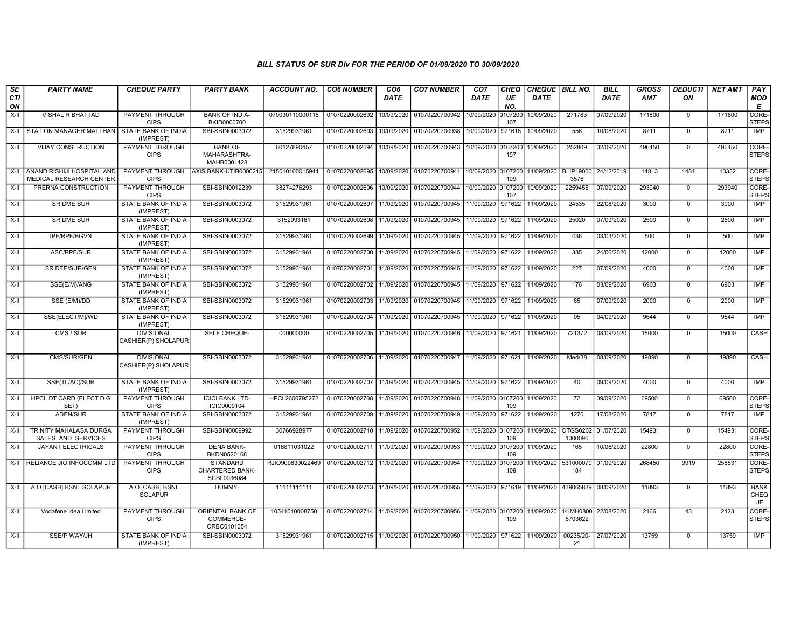| SE               | <b>PARTY NAME</b>                                            | <b>CHEQUE PARTY</b>                      | <b>PARTY BANK</b>                                        | <b>ACCOUNT NO.</b> | <b>CO6 NUMBER</b>                        | CO <sub>6</sub> | <b>CO7 NUMBER</b>                                                  | CO <sub>7</sub>    | <b>CHEQ</b> |                                                   | CHEQUE   BILL NO.                           | <b>BILL</b> | <b>GROSS</b> | <b>DEDUCTI</b> | <b>NET AMT</b> | PAY                              |
|------------------|--------------------------------------------------------------|------------------------------------------|----------------------------------------------------------|--------------------|------------------------------------------|-----------------|--------------------------------------------------------------------|--------------------|-------------|---------------------------------------------------|---------------------------------------------|-------------|--------------|----------------|----------------|----------------------------------|
| <b>CTI</b><br>ON |                                                              |                                          |                                                          |                    |                                          | <b>DATE</b>     |                                                                    | <b>DATE</b>        | UE<br>NO.   | <b>DATE</b>                                       |                                             | <b>DATE</b> | <b>AMT</b>   | ON             |                | <b>MOD</b><br>E                  |
| X-II             | VISHAL R BHATTAD                                             | PAYMENT THROUGH<br><b>CIPS</b>           | <b>BANK OF INDIA-</b><br>BKID0000700                     | 070030110000116    | 01070220002692                           | 10/09/2020      | 01070220700942                                                     | 10/09/2020 0107200 | 107         | 10/09/2020                                        | 271783                                      | 07/09/2020  | 171800       | $^{\circ}$     | 171800         | CORE-<br><b>STEPS</b>            |
|                  | X-II   STATION MANAGER MALTHAN                               | STATE BANK OF INDIA<br>(IMPREST)         | SBI-SBIN0003072                                          | 31529931961        | 01070220002693                           | 10/09/2020      | 01070220700938                                                     | 10/09/2020         | 971618      | 10/09/2020                                        | 556                                         | 10/08/2020  | 8711         | $\overline{0}$ | 8711           | IMP                              |
| X-II             | <b>VIJAY CONSTRUCTION</b>                                    | PAYMENT THROUGH<br><b>CIPS</b>           | <b>BANK OF</b><br>MAHARASHTRA-<br>MAHB0001128            | 60127890457        | 01070220002694                           |                 | 10/09/2020 01070220700943                                          | 10/09/2020 0107200 | 107         | 10/09/2020                                        | 252809                                      | 02/09/2020  | 496450       | $\Omega$       | 496450         | CORE-<br><b>STEPS</b>            |
| X-II             | ANAND RISHIJI HOSPITAL AND<br><b>MEDICAL RESEARCH CENTER</b> | <b>PAYMENT THROUGH</b><br><b>CIPS</b>    | AXIS BANK-UTIB0000215                                    | 215010100015941    |                                          |                 | 01070220002695 10/09/2020 01070220700941                           | 10/09/2020 0107200 | 109         |                                                   | 11/09/2020   BLIP19000   24/12/2019<br>3576 |             | 14813        | 1481           | 13332          | CORE-<br><b>STEPS</b>            |
| X-II             | PRERNA CONSTRUCTION                                          | PAYMENT THROUGH<br><b>CIPS</b>           | SBI-SBIN0012239                                          | 38274276293        | 01070220002696                           | 10/09/2020      | 01070220700944                                                     | 10/09/2020 0107200 | 107         | 10/09/2020                                        | 2259455                                     | 07/09/2020  | 293940       | $\mathbf 0$    | 293940         | CORE-<br><b>STEPS</b>            |
| $X-II$           | SR DME SUR                                                   | STATE BANK OF INDIA<br>(IMPREST)         | SBI-SBIN0003072                                          | 31529931961        | 01070220002697                           | 11/09/2020      | 01070220700945                                                     | 11/09/2020         | 971622      | 11/09/2020                                        | 24535                                       | 22/08/2020  | 3000         | $\overline{0}$ | 3000           | <b>IMP</b>                       |
| X-II             | <b>SR DME SUR</b>                                            | <b>STATE BANK OF INDIA</b><br>(IMPREST)  | SBI-SBIN0003072                                          | 3152993161         |                                          |                 | 01070220002698 11/09/2020 01070220700945                           | 11/09/2020 971622  |             | 11/09/2020                                        | 25020                                       | 07/09/2020  | 2500         | $\mathbf 0$    | 2500           | <b>IMP</b>                       |
| X-II             | <b>IPF/RPF/BGVN</b>                                          | STATE BANK OF INDIA<br>(IMPREST)         | SBI-SBIN0003072                                          | 31529931961        | 01070220002699                           | 11/09/2020      | 01070220700945                                                     | 11/09/2020 971622  |             | 11/09/2020                                        | 436                                         | 03/03/2020  | 500          | $\overline{0}$ | 500            | IMP                              |
| X-II             | ASC/RPF/SUR                                                  | STATE BANK OF INDIA<br>(IMPREST)         | SBI-SBIN0003072                                          | 31529931961        |                                          |                 | 01070220002700 11/09/2020 01070220700945                           | 11/09/2020         | 971622      | 11/09/2020                                        | 335                                         | 24/06/2020  | 12000        | $\mathbf{0}$   | 12000          | IMP                              |
| X-II             | SR DEE/SUR/GEN                                               | STATE BANK OF INDIA<br>(IMPREST)         | SBI-SBIN0003072                                          | 31529931961        | 01070220002701 11/09/2020                |                 | 01070220700945                                                     | 11/09/2020         | 971622      | 11/09/2020                                        | 227                                         | 07/09/2020  | 4000         | $\mathbf{0}$   | 4000           | IMP                              |
| $X-II$           | SSE(E/M)/ANG                                                 | <b>STATE BANK OF INDIA</b><br>(IMPREST)  | SBI-SBIN0003072                                          | 31529931961        |                                          |                 | 01070220002702 11/09/2020 01070220700945                           | 11/09/2020 971622  |             | 11/09/2020                                        | 176                                         | 03/09/2020  | 6903         | $\overline{0}$ | 6903           | <b>IMP</b>                       |
| X-II             | SSE (E/M)/DD                                                 | <b>STATE BANK OF INDIA</b><br>(IMPREST)  | SBI-SBIN0003072                                          | 31529931961        |                                          |                 | 01070220002703 11/09/2020 01070220700945                           | 11/09/2020 971622  |             | 11/09/2020                                        | 85                                          | 07/09/2020  | 2000         | $\mathbf 0$    | 2000           | IMP                              |
| $X-II$           | SSE(ELECT/M)/WD                                              | STATE BANK OF INDIA<br>(IMPREST)         | SBI-SBIN0003072                                          | 31529931961        | 01070220002704 11/09/2020                |                 | 01070220700945                                                     | 11/09/2020         | 971622      | 11/09/2020                                        | 05                                          | 04/09/2020  | 9544         | $\mathbf 0$    | 9544           | IMP                              |
| X-II             | CMS / SUR                                                    | <b>DIVISIONAL</b><br>CASHIER(P) SHOLAPUR | SELF CHEQUE-                                             | 000000000          | 01070220002705 11/09/2020                |                 | 01070220700946                                                     | 11/09/2020         | 971621      | 11/09/2020                                        | 721372                                      | 08/09/2020  | 15000        | $\mathbf 0$    | 15000          | CASH                             |
| X-II             | CMS/SUR/GEN                                                  | <b>DIVISIONAL</b><br>CASHIER(P) SHOLAPUR | SBI-SBIN0003072                                          | 31529931961        | 01070220002706 11/09/2020 01070220700947 |                 |                                                                    | 11/09/2020 971621  |             | 11/09/2020                                        | Med/38                                      | 08/09/2020  | 49890        | $\Omega$       | 49890          | CASH                             |
| X-II             | SSE(TL/AC)/SUR                                               | <b>STATE BANK OF INDIA</b><br>(IMPREST)  | SBI-SBIN0003072                                          | 31529931961        |                                          |                 | 01070220002707 11/09/2020 01070220700945                           | 11/09/2020 971622  |             | 11/09/2020                                        | 40                                          | 09/09/2020  | 4000         | $\mathbf 0$    | 4000           | <b>IMP</b>                       |
| X-II             | <b>HPCL DT CARD (ELECT D G</b><br>SET)                       | PAYMENT THROUGH<br><b>CIPS</b>           | <b>ICICI BANK LTD-</b><br>ICIC0000104                    | HPCL2600795272     | 01070220002708 11/09/2020                |                 | 01070220700948                                                     | 11/09/2020 0107200 | 109         | 11/09/2020                                        | 72                                          | 09/09/2020  | 69500        | $\mathbf{0}$   | 69500          | CORE-<br><b>STEPS</b>            |
| X-II             | ADEN/SUR                                                     | <b>STATE BANK OF INDIA</b><br>(IMPREST)  | SBI-SBIN0003072                                          | 31529931961        |                                          |                 | 01070220002709 11/09/2020 01070220700949                           | 11/09/2020         | 971622      | 11/09/2020                                        | 1270                                        | 17/08/2020  | 7817         | $\Omega$       | 7817           | <b>IMP</b>                       |
| $X-II$           | <b>TRINITY MAHALASA DURGA</b><br>SALES AND SERVICES          | <b>PAYMENT THROUGH</b><br><b>CIPS</b>    | SBI-SBIN0009992                                          | 30766928977        | 01070220002710 11/09/2020                |                 | 01070220700952                                                     | 11/09/2020 0107200 | 109         | 11/09/2020                                        | <b>OTGS0202</b><br>1000096                  | 01/07/2020  | 154931       | $\mathbf 0$    | 154931         | CORE-<br><b>STEPS</b>            |
| $X-H$            | <b>JAYANT ELECTRICALS</b>                                    | <b>PAYMENT THROUGH</b><br><b>CIPS</b>    | <b>DENA BANK-</b><br>BKDN0520168                         | 016811031022       | 01070220002711 11/09/2020                |                 | 01070220700953                                                     | 11/09/2020 0107200 | 109         | 11/09/2020                                        | 165                                         | 10/06/2020  | 22800        | $\overline{0}$ | 22800          | CORE-<br><b>STEPS</b>            |
|                  | X-II   RELIANCE JIO INFOCOMM LTD                             | <b>PAYMENT THROUGH</b><br><b>CIPS</b>    | <b>STANDARD</b><br><b>CHARTERED BANK-</b><br>SCBL0036084 | RJIO900630022469   | 01070220002712 11/09/2020 01070220700954 |                 |                                                                    | 11/09/2020 0107200 | 109         |                                                   | 11/09/2020 531000070 01/09/2020<br>184      |             | 268450       | 9919           | 258531         | CORE-<br><b>STEPS</b>            |
| $X-H$            | A.O. [CASH] BSNL SOLAPUR                                     | A.O.[CASH] BSNL<br><b>SOLAPUR</b>        | DUMMY-                                                   | 11111111111        |                                          |                 | 01070220002713 11/09/2020 01070220700955                           |                    |             | 11/09/2020 971619 11/09/2020 439065839 08/09/2020 |                                             |             | 11893        | $\mathbf 0$    | 11893          | <b>BANK</b><br>CHEQ<br><b>UE</b> |
| X-II             | Vodafone Idea Limited                                        | PAYMENT THROUGH<br><b>CIPS</b>           | ORIENTAL BANK OF<br>COMMERCE-<br>ORBC0101054             | 10541010008750     |                                          |                 | 01070220002714 11/09/2020 01070220700956                           | 11/09/2020 0107200 | 109         | 11/09/2020                                        | 14IMH0800<br>8703622                        | 22/08/2020  | 2166         | 43             | 2123           | CORE-<br><b>STEPS</b>            |
| $X-H$            | <b>SSE/P WAY/JH</b>                                          | STATE BANK OF INDIA<br>(IMPREST)         | SBI-SBIN0003072                                          | 31529931961        |                                          |                 | 01070220002715   11/09/2020   01070220700950   11/09/2020   971622 |                    |             | 11/09/2020                                        | 00235/20-<br>21                             | 27/07/2020  | 13759        | $\Omega$       | 13759          | IMP                              |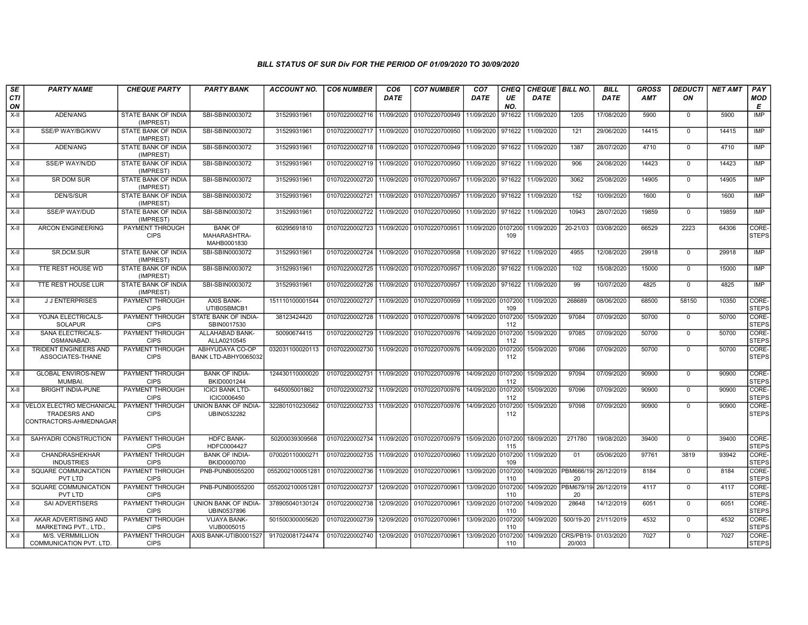| SE        | <b>PARTY NAME</b>                                                                | <b>CHEQUE PARTY</b>                     | <b>PARTY BANK</b>                             | ACCOUNT NO.                     | <b>CO6 NUMBER</b> | CO <sub>6</sub> | <b>CO7 NUMBER</b>                 | CO <sub>7</sub>    | CHEQ           | CHEQUE   BILL NO. |                             | <b>BILL</b> | <b>GROSS</b> | <b>DEDUCTI</b> | <b>NET AMT</b> | <b>PAY</b>            |
|-----------|----------------------------------------------------------------------------------|-----------------------------------------|-----------------------------------------------|---------------------------------|-------------------|-----------------|-----------------------------------|--------------------|----------------|-------------------|-----------------------------|-------------|--------------|----------------|----------------|-----------------------|
| CTI<br>ON |                                                                                  |                                         |                                               |                                 |                   | <b>DATE</b>     |                                   | DATE               | UE<br>NO.      | <b>DATE</b>       |                             | <b>DATE</b> | <b>AMT</b>   | ON             |                | <b>MOD</b><br>E       |
| $X-H$     | ADEN/ANG                                                                         | <b>STATE BANK OF INDIA</b><br>(IMPREST) | SBI-SBIN0003072                               | 31529931961                     | 01070220002716    | 11/09/2020      | 01070220700949                    | 11/09/2020         | 971622         | 11/09/2020        | 1205                        | 17/08/2020  | 5900         | $\mathbf 0$    | 5900           | IMP                   |
| $X-H$     | SSE/P WAY/BG/KWV                                                                 | <b>STATE BANK OF INDIA</b><br>(IMPREST) | SBI-SBIN0003072                               | 31529931961                     | 01070220002717    | 11/09/2020      | 01070220700950                    | 11/09/2020 971622  |                | 11/09/2020        | 121                         | 29/06/2020  | 14415        | $\mathbf 0$    | 14415          | IMP                   |
| X-II      | ADEN/ANG                                                                         | STATE BANK OF INDIA<br>(IMPREST)        | SBI-SBIN0003072                               | 31529931961                     | 01070220002718    | 11/09/2020      | 01070220700949                    | 11/09/2020 971622  |                | 11/09/2020        | 1387                        | 28/07/2020  | 4710         | $\mathbf 0$    | 4710           | IMP                   |
| X-II      | SSE/P WAY/N/DD                                                                   | <b>STATE BANK OF INDIA</b><br>(IMPREST) | SBI-SBIN0003072                               | 31529931961                     | 01070220002719    | 11/09/2020      | 01070220700950                    | 11/09/2020 971622  |                | 11/09/2020        | 906                         | 24/08/2020  | 14423        | $\mathbf 0$    | 14423          | <b>IMP</b>            |
| X-II      | SR DOM SUR                                                                       | STATE BANK OF INDIA<br>(IMPREST)        | SBI-SBIN0003072                               | 31529931961                     | 01070220002720    | 11/09/2020      | 01070220700957                    | 11/09/2020 971622  |                | 11/09/2020        | 3062                        | 25/08/2020  | 14905        | $\mathbf 0$    | 14905          | IMP                   |
| $X-H$     | <b>DEN/S/SUR</b>                                                                 | <b>STATE BANK OF INDIA</b><br>(IMPREST) | SBI-SBIN0003072                               | 31529931961                     | 01070220002721    | 11/09/2020      | 01070220700957                    | 11/09/2020 971622  |                | 11/09/2020        | 152                         | 10/09/2020  | 1600         | $\mathbf 0$    | 1600           | IMP                   |
| X-II      | <b>SSE/P WAY/DUD</b>                                                             | STATE BANK OF INDIA<br>(IMPREST)        | SBI-SBIN0003072                               | 31529931961                     | 01070220002722    | 11/09/2020      | 01070220700950                    | 11/09/2020 971622  |                | 11/09/2020        | 10943                       | 28/07/2020  | 19859        | $\mathbf 0$    | 19859          | <b>IMP</b>            |
| $X-H$     | <b>ARCON ENGINEERING</b>                                                         | PAYMENT THROUGH<br><b>CIPS</b>          | <b>BANK OF</b><br>MAHARASHTRA-<br>MAHB0001830 | 60295691810                     | 01070220002723    | 11/09/2020      | 01070220700951                    | 11/09/2020 0107200 | 109            | 11/09/2020        | 20-21/03                    | 03/08/2020  | 66529        | 2223           | 64306          | CORE-<br><b>STEPS</b> |
| X-II      | SR.DCM.SUR                                                                       | STATE BANK OF INDIA<br>(IMPREST)        | SBI-SBIN0003072                               | 31529931961                     | 01070220002724    | 11/09/2020      | 01070220700958                    | 11/09/2020         | 971622         | 11/09/2020        | 4955                        | 12/08/2020  | 29918        | $\mathbf 0$    | 29918          | <b>IMP</b>            |
| X-II      | TTE REST HOUSE WD                                                                | STATE BANK OF INDIA<br>(IMPREST)        | SBI-SBIN0003072                               | 31529931961                     | 01070220002725    | 11/09/2020      | 01070220700957                    | 11/09/2020 971622  |                | 11/09/2020        | 102                         | 15/08/2020  | 15000        | $\mathbf 0$    | 15000          | <b>IMP</b>            |
| $X-II$    | TTE REST HOUSE LUR                                                               | <b>STATE BANK OF INDIA</b><br>(IMPREST) | SBI-SBIN0003072                               | 31529931961                     | 01070220002726    | 11/09/2020      | 01070220700957                    | 11/09/2020 971622  |                | 11/09/2020        | 99                          | 10/07/2020  | 4825         | $\Omega$       | 4825           | <b>IMP</b>            |
| $X-H$     | <b>JJ ENTERPRISES</b>                                                            | <b>PAYMENT THROUGH</b><br><b>CIPS</b>   | <b>AXIS BANK-</b><br>UTIB0SBMCB1              | 151110100001544                 | 01070220002727    | 11/09/2020      | 01070220700959                    | 11/09/2020 0107200 | 109            | 11/09/2020        | 268689                      | 08/06/2020  | 68500        | 58150          | 10350          | CORE-<br><b>STEPS</b> |
| X-II      | YOJNA ELECTRICALS-<br><b>SOLAPUR</b>                                             | PAYMENT THROUGH<br><b>CIPS</b>          | STATE BANK OF INDIA-<br>SBIN0017530           | 38123424420                     | 01070220002728    | 11/09/2020      | 01070220700976                    | 14/09/2020 0107200 | 112            | 15/09/2020        | 97084                       | 07/09/2020  | 50700        | $\mathbf 0$    | 50700          | CORE-<br><b>STEPS</b> |
| X-II      | <b>SANA ELECTRICALS-</b><br><b>OSMANABAD</b>                                     | PAYMENT THROUGH<br><b>CIPS</b>          | ALLAHABAD BANK-<br>ALLA0210545                | 50090674415                     | 01070220002729    | 11/09/2020      | 01070220700976                    | 14/09/2020 0107200 | 112            | 15/09/2020        | 97085                       | 07/09/2020  | 50700        | $\mathbf 0$    | 50700          | CORE-<br><b>STEPS</b> |
| X-II      | <b>TRIDENT ENGINEERS AND</b><br>ASSOCIATES-THANE                                 | PAYMENT THROUGH<br><b>CIPS</b>          | ABHYUDAYA CO-OP<br>BANK LTD-ABHY0065032       | 032031100020113                 | 01070220002730    | 11/09/2020      | 01070220700976                    | 14/09/2020         | 010720<br>112  | 15/09/2020        | 97086                       | 07/09/2020  | 50700        | $\mathbf 0$    | 50700          | CORE-<br><b>STEPS</b> |
| X-II      | <b>GLOBAL ENVIROS-NEW</b><br><b>MUMBAI</b>                                       | PAYMENT THROUGH<br><b>CIPS</b>          | <b>BANK OF INDIA-</b><br>BKID0001244          | 124430110000020                 | 01070220002731    | 11/09/2020      | 01070220700976                    | 14/09/2020 0107200 | 112            | 15/09/2020        | 97094                       | 07/09/2020  | 90900        | $\overline{0}$ | 90900          | CORE-<br><b>STEPS</b> |
| X-II      | <b>BRIGHT INDIA-PUNE</b>                                                         | PAYMENT THROUGH<br><b>CIPS</b>          | <b>ICICI BANK LTD-</b><br>ICIC0006450         | 645005001862                    | 01070220002732    | 11/09/2020      | 01070220700976                    | 14/09/2020 0107200 | 112            | 15/09/2020        | 97096                       | 07/09/2020  | 90900        | $\Omega$       | 90900          | CORE-<br><b>STEPS</b> |
| $X-H$     | <b>VELOX ELECTRO MECHANICAL</b><br><b>TRADESRS AND</b><br>CONTRACTORS-AHMEDNAGAR | <b>PAYMENT THROUGH</b><br><b>CIPS</b>   | <b>UNION BANK OF INDIA-</b><br>UBIN0532282    | 322801010230562                 | 01070220002733    | 11/09/2020      | 01070220700976                    | 14/09/2020 0107200 | 112            | 15/09/2020        | 97098                       | 07/09/2020  | 90900        | $\mathbf 0$    | 90900          | CORE-<br><b>STEPS</b> |
| X-II      | SAHYADRI CONSTRUCTION                                                            | PAYMENT THROUGH<br><b>CIPS</b>          | <b>HDFC BANK-</b><br>HDFC0004427              | 50200039309568                  | 01070220002734    | 11/09/2020      | 01070220700979 15/09/2020 0107200 |                    | 115            | 18/09/2020        | 271780                      | 19/08/2020  | 39400        | $\mathbf 0$    | 39400          | CORE-<br><b>STEPS</b> |
| $X-H$     | <b>CHANDRASHEKHAR</b><br><b>INDUSTRIES</b>                                       | PAYMENT THROUGH<br><b>CIPS</b>          | <b>BANK OF INDIA-</b><br>BKID0000700          | 070020110000271                 | 01070220002735    | 11/09/2020      | 01070220700960                    | 11/09/2020 0107200 | 109            | 11/09/2020        | 01                          | 05/06/2020  | 97761        | 3819           | 93942          | CORE-<br><b>STEPS</b> |
| X-II      | SQUARE COMMUNICATION<br>PVT LTD                                                  | PAYMENT THROUGH<br><b>CIPS</b>          | PNB-PUNB0055200                               | 0552002100051281 01070220002736 |                   | 11/09/2020      | 01070220700961                    | 13/09/2020 0107200 | 110            |                   | 14/09/2020 PBM666/19-<br>20 | 26/12/2019  | 8184         | $\mathbf 0$    | 8184           | CORE-<br><b>STEPS</b> |
| $X-II$    | SQUARE COMMUNICATION<br>PVT LTD                                                  | PAYMENT THROUGH<br><b>CIPS</b>          | PNB-PUNB0055200                               | 0552002100051281                | 01070220002737    | 12/09/2020      | 01070220700961                    | 13/09/2020 0107200 | 110            | 14/09/2020        | PBM679/19 26/12/2019<br>20  |             | 4117         | $\Omega$       | 4117           | CORE-<br><b>STEPS</b> |
| $X-II$    | <b>SAI ADVERTISERS</b>                                                           | PAYMENT THROUGH<br><b>CIPS</b>          | UNION BANK OF INDIA-<br>UBIN0537896           | 378905040130124                 | 01070220002738    | 12/09/2020      | 01070220700961                    | 13/09/2020 0107200 | 110            | 14/09/2020        | 28648                       | 14/12/2019  | 6051         | $\mathbf 0$    | 6051           | CORE-<br><b>STEPS</b> |
| X-II      | AKAR ADVERTISING AND<br>MARKETING PVT., LTD.                                     | PAYMENT THROUGH<br><b>CIPS</b>          | <b>VIJAYA BANK-</b><br>VIJB0005015            | 501500300005620                 | 01070220002739    | 12/09/2020      | 01070220700961                    | 13/09/2020 0107200 | 110            | 14/09/2020        | 500/19-20                   | 21/11/2019  | 4532         | $\mathbf 0$    | 4532           | CORE-<br><b>STEPS</b> |
| X-II      | M/S. VERMMILLION<br><b>COMMUNICATION PVT. LTD.</b>                               | PAYMENT THROUGH<br><b>CIPS</b>          | AXIS BANK-UTIB0001527                         | 917020081724474                 | 01070220002740    | 12/09/2020      | 01070220700961                    | 13/09/2020         | 0107200<br>110 | 14/09/2020        | CRS/PB19-<br>20/003         | 01/03/2020  | 7027         | $\mathbf 0$    | 7027           | CORE-<br><b>STEPS</b> |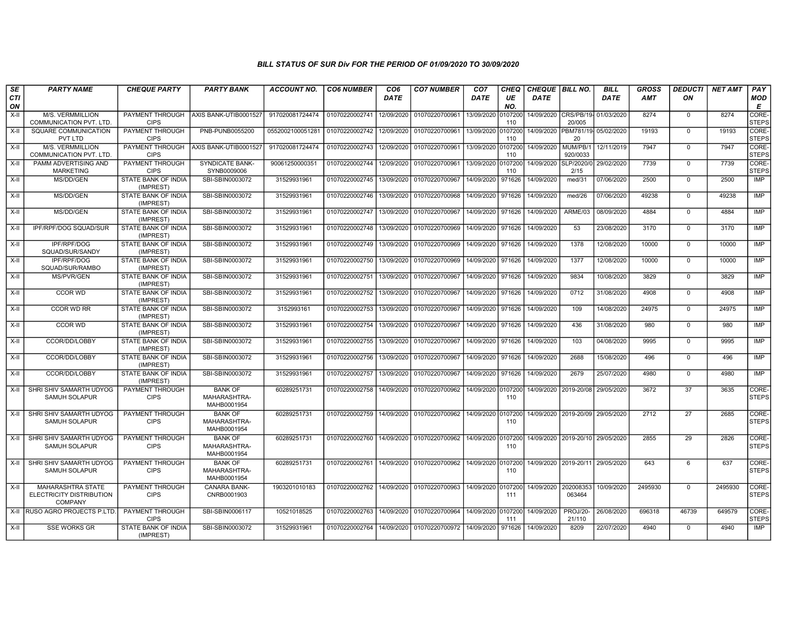| SE               | <b>PARTY NAME</b>                                                      | <b>CHEQUE PARTY</b>                     | <b>PARTY BANK</b>                             | <b>ACCOUNT NO.</b> | <b>CO6 NUMBER</b> | CO <sub>6</sub> | <b>CO7 NUMBER</b>         | CO <sub>7</sub>    | CHEQ           | <b>CHEQUE BILL NO.</b> |                                  | <b>BILL</b> | <b>GROSS</b> | <b>DEDUCTI</b> | <b>NET AMT</b> | PAY                   |
|------------------|------------------------------------------------------------------------|-----------------------------------------|-----------------------------------------------|--------------------|-------------------|-----------------|---------------------------|--------------------|----------------|------------------------|----------------------------------|-------------|--------------|----------------|----------------|-----------------------|
| <b>CTI</b><br>ON |                                                                        |                                         |                                               |                    |                   | <b>DATE</b>     |                           | DATE               | UE<br>NO.      | DATE                   |                                  | <b>DATE</b> | <b>AMT</b>   | ON             |                | <b>MOD</b><br>E       |
| X-II             | M/S. VERMMILLION<br>COMMUNICATION PVT. LTD.                            | PAYMENT THROUGH<br><b>CIPS</b>          | AXIS BANK-UTIB0001527                         | 917020081724474    | 01070220002741    | 12/09/2020      | 01070220700961            | 13/09/2020         | 107200<br>110  |                        | 14/09/2020 CRS/PB/19-<br>20/005  | 01/03/2020  | 8274         | $\mathbf 0$    | 8274           | CORE-<br><b>STEPS</b> |
| $X-H$            | SQUARE COMMUNICATION<br>PVT LTD                                        | PAYMENT THROUGH<br><b>CIPS</b>          | PNB-PUNB0055200                               | 0552002100051281   | 01070220002742    | 12/09/2020      | 01070220700961            | 13/09/2020         | 107200<br>110  |                        | 14/09/2020 PBM781/19-<br>20      | 05/02/2020  | 19193        | $\Omega$       | 19193          | CORE-<br>STEPS        |
| X-II             | M/S. VERMMILLION<br><b>COMMUNICATION PVT. LTD.</b>                     | <b>PAYMENT THROUGH</b><br><b>CIPS</b>   | AXIS BANK-UTIB0001527                         | 917020081724474    | 01070220002743    | 12/09/2020      | 01070220700961            | 13/09/2020         | 0107200<br>110 | 14/09/2020             | MUM/PB/1<br>920/0033             | 12/11/2019  | 7947         | $\mathbf 0$    | 7947           | CORE-<br><b>STEPS</b> |
| $X-II$           | PAMM ADVERTISING AND<br><b>MARKETING</b>                               | PAYMENT THROUGH<br><b>CIPS</b>          | SYNDICATE BANK-<br>SYNB0009006                | 90061250000351     | 01070220002744    | 12/09/2020      | 01070220700961            | 13/09/2020         | 0107200<br>110 | 14/09/2020 SLP/2020/0  | 2/15                             | 29/02/2020  | 7739         | $\mathbf 0$    | 7739           | CORE-<br>STEPS        |
| X-II             | MS/DD/GEN                                                              | STATE BANK OF INDIA<br>(IMPREST)        | SBI-SBIN0003072                               | 31529931961        | 01070220002745    | 13/09/2020      | 01070220700967            | 14/09/2020         | 971626         | 14/09/2020             | med/31                           | 07/06/2020  | 2500         | $\mathbf 0$    | 2500           | <b>IMP</b>            |
| $X-H$            | MS/DD/GEN                                                              | STATE BANK OF INDIA<br>(IMPREST)        | SBI-SBIN0003072                               | 31529931961        | 01070220002746    | 13/09/2020      | 01070220700968            | 14/09/2020         | 971626         | 14/09/2020             | med/26                           | 07/06/2020  | 49238        | $\Omega$       | 49238          | <b>IMP</b>            |
| X-II             | MS/DD/GEN                                                              | STATE BANK OF INDIA<br>(IMPREST)        | SBI-SBIN0003072                               | 31529931961        | 01070220002747    | 13/09/2020      | 01070220700967            | 14/09/2020         | 971626         | 14/09/2020             | ARME/03                          | 08/09/2020  | 4884         | $\mathbf 0$    | 4884           | <b>IMP</b>            |
| X-II             | IPF/RPF/DOG SQUAD/SUR                                                  | STATE BANK OF INDIA<br>(IMPREST)        | SBI-SBIN0003072                               | 31529931961        | 01070220002748    | 13/09/2020      | 01070220700969            | 14/09/2020         | 971626         | 14/09/2020             | 53                               | 23/08/2020  | 3170         | $\mathbf 0$    | 3170           | IMP                   |
| X-II             | <b>IPF/RPF/DOG</b><br>SQUAD/SUR/SANDY                                  | STATE BANK OF INDIA<br>(IMPREST)        | SBI-SBIN0003072                               | 31529931961        | 01070220002749    | 13/09/2020      | 01070220700969            | 14/09/2020         | 971626         | 14/09/2020             | 1378                             | 12/08/2020  | 10000        | $\Omega$       | 10000          | <b>IMP</b>            |
| $X-H$            | <b>IPF/RPF/DOG</b><br>SQUAD/SUR/RAMBO                                  | STATE BANK OF INDIA<br>(IMPREST)        | SBI-SBIN0003072                               | 31529931961        | 01070220002750    | 13/09/2020      | 01070220700969            | 14/09/2020         | 971626         | 14/09/2020             | 1377                             | 12/08/2020  | 10000        | $\Omega$       | 10000          | IMP                   |
| X-II             | <b>MS/PVR/GEN</b>                                                      | STATE BANK OF INDIA<br>(IMPREST)        | SBI-SBIN0003072                               | 31529931961        | 01070220002751    | 13/09/2020      | 01070220700967            | 14/09/2020         | 971626         | 14/09/2020             | 9834                             | 10/08/2020  | 3829         | $\mathbf 0$    | 3829           | <b>IMP</b>            |
| X-II             | <b>CCOR WD</b>                                                         | STATE BANK OF INDIA<br>(IMPREST)        | SBI-SBIN0003072                               | 31529931961        | 01070220002752    | 13/09/2020      | 01070220700967            | 14/09/2020         | 971626         | 14/09/2020             | 0712                             | 31/08/2020  | 4908         | $\mathbf 0$    | 4908           | IMP                   |
| X-II             | <b>CCOR WD RR</b>                                                      | STATE BANK OF INDIA<br>(IMPREST)        | SBI-SBIN0003072                               | 3152993161         | 01070220002753    | 13/09/2020      | 01070220700967            | 14/09/2020         | 971626         | 14/09/2020             | 109                              | 14/08/2020  | 24975        | $\mathbf 0$    | 24975          | <b>IMP</b>            |
| X-II             | <b>CCOR WD</b>                                                         | STATE BANK OF INDIA<br>(IMPREST)        | SBI-SBIN0003072                               | 31529931961        | 01070220002754    | 13/09/2020      | 01070220700967            | 14/09/2020         | 971626         | 14/09/2020             | 436                              | 31/08/2020  | 980          | $\mathbf 0$    | 980            | <b>IMP</b>            |
| X-II             | CCOR/DD/LOBBY                                                          | STATE BANK OF INDIA<br>(IMPREST)        | SBI-SBIN0003072                               | 31529931961        | 01070220002755    | 13/09/2020      | 01070220700967            | 14/09/2020         | 971626         | 14/09/2020             | 103                              | 04/08/2020  | 9995         | $\mathbf 0$    | 9995           | <b>IMP</b>            |
| $X-II$           | CCOR/DD/LOBBY                                                          | STATE BANK OF INDIA<br>(IMPREST)        | SBI-SBIN0003072                               | 31529931961        | 01070220002756    | 13/09/2020      | 01070220700967            | 14/09/2020         | 971626         | 14/09/2020             | 2688                             | 15/08/2020  | 496          | $\mathbf 0$    | 496            | <b>IMP</b>            |
| $X-H$            | CCOR/DD/LOBBY                                                          | STATE BANK OF INDIA<br>(IMPREST)        | SBI-SBIN0003072                               | 31529931961        | 01070220002757    | 13/09/2020      | 01070220700967            | 14/09/2020         | 971626         | 14/09/2020             | 2679                             | 25/07/2020  | 4980         | $\mathbf 0$    | 4980           | <b>IMP</b>            |
| X-II             | SHRI SHIV SAMARTH UDYOG<br><b>SAMUH SOLAPUR</b>                        | PAYMENT THROUGH<br><b>CIPS</b>          | <b>BANK OF</b><br>MAHARASHTRA-<br>MAHB0001954 | 60289251731        | 01070220002758    |                 | 14/09/2020 01070220700962 | 14/09/2020 0107200 | 110            |                        | 14/09/2020 2019-20/08 29/05/2020 |             | 3672         | 37             | 3635           | CORE-<br><b>STEPS</b> |
| X-II             | SHRI SHIV SAMARTH UDYOG<br>SAMUH SOLAPUR                               | PAYMENT THROUGH<br><b>CIPS</b>          | <b>BANK OF</b><br>MAHARASHTRA-<br>MAHB0001954 | 60289251731        | 01070220002759    | 14/09/2020      | 01070220700962            | 14/09/2020         | 0107200<br>110 |                        | 14/09/2020 2019-20/09 29/05/2020 |             | 2712         | 27             | 2685           | CORE-<br><b>STEPS</b> |
| X-II             | SHRI SHIV SAMARTH UDYOG<br>SAMUH SOLAPUR                               | PAYMENT THROUGH<br><b>CIPS</b>          | <b>BANK OF</b><br>MAHARASHTRA-<br>MAHB0001954 | 60289251731        | 01070220002760    | 14/09/2020      | 01070220700962            | 14/09/2020         | 0107200<br>110 |                        | 14/09/2020 2019-20/10 29/05/2020 |             | 2855         | 29             | 2826           | CORE-<br><b>STEPS</b> |
| X-II             | SHRI SHIV SAMARTH UDYOG<br>SAMUH SOLAPUR                               | PAYMENT THROUGH<br><b>CIPS</b>          | <b>BANK OF</b><br>MAHARASHTRA-<br>MAHB0001954 | 60289251731        | 01070220002761    | 14/09/2020      | 01070220700962            | 14/09/2020 0107200 | 110            |                        | 14/09/2020 2019-20/11 29/05/2020 |             | 643          | 6              | 637            | CORE-<br><b>STEPS</b> |
| X-II             | <b>MAHARASHTRA STATE</b><br>ELECTRICITY DISTRIBUTION<br><b>COMPANY</b> | PAYMENT THROUGH<br><b>CIPS</b>          | CANARA BANK-<br>CNRB0001903                   | 1903201010183      | 01070220002762    | 14/09/2020      | 01070220700963            | 14/09/2020         | 0107200<br>111 | 14/09/2020             | 202008353<br>063464              | 10/09/2020  | 2495930      | $\mathbf 0$    | 2495930        | CORE-<br><b>STEPS</b> |
| X-II             | RUSO AGRO PROJECTS P.LTD.                                              | PAYMENT THROUGH<br><b>CIPS</b>          | SBI-SBIN0006117                               | 10521018525        | 01070220002763    | 14/09/2020      | 01070220700964            | 14/09/2020         | 0107200<br>111 | 14/09/2020             | PROJ/20-<br>21/110               | 26/08/2020  | 696318       | 46739          | 649579         | CORE-<br>STEPS        |
| X-II             | <b>SSE WORKS GR</b>                                                    | <b>STATE BANK OF INDIA</b><br>(IMPREST) | SBI-SBIN0003072                               | 31529931961        | 01070220002764    | 14/09/2020      | 01070220700972            | 14/09/2020         | 971626         | 14/09/2020             | 8209                             | 22/07/2020  | 4940         | $\mathbf 0$    | 4940           | <b>IMP</b>            |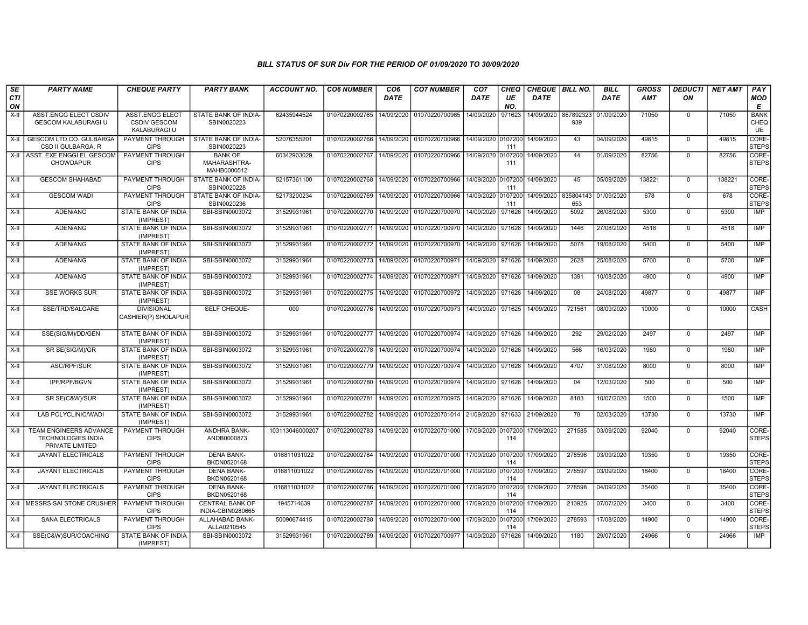| SE               | <b>PARTY NAME</b>                                                      | <b>CHEQUE PARTY</b>                                                  | <b>PARTY BANK</b>                             | <b>ACCOUNT NO.</b> | <b>CO6 NUMBER</b>                        | CO <sub>6</sub> | <b>CO7 NUMBER</b>                 | CO <sub>7</sub>    | <b>CHEQ</b>    | CHEQUE   BILL NO.    |                  | <b>BILL</b> | <b>GROSS</b> | <b>DEDUCTI</b> | <b>NET AMT</b> | <b>PAY</b>                |
|------------------|------------------------------------------------------------------------|----------------------------------------------------------------------|-----------------------------------------------|--------------------|------------------------------------------|-----------------|-----------------------------------|--------------------|----------------|----------------------|------------------|-------------|--------------|----------------|----------------|---------------------------|
| <b>CTI</b><br>ON |                                                                        |                                                                      |                                               |                    |                                          | <b>DATE</b>     |                                   | <b>DATE</b>        | UE<br>NO.      | <b>DATE</b>          |                  | <b>DATE</b> | <b>AMT</b>   | ON             |                | <b>MOD</b><br>Е           |
| $X-H$            | ASST.ENGG ELECT CSDIV<br><b>GESCOM KALABURAGI U</b>                    | <b>ASST.ENGG ELECT</b><br><b>CSDIV GESCOM</b><br><b>KALABURAGI U</b> | STATE BANK OF INDIA-<br>SBIN0020223           | 62435944524        | 01070220002765                           | 14/09/2020      | 01070220700965                    | 14/09/2020         | 971623         | 14/09/2020 867892323 | 939              | 01/09/2020  | 71050        | $\mathbf 0$    | 71050          | <b>BANK</b><br>CHEQ<br>UE |
| X-II             | <b>GESCOM LTD.CO. GULBARGA</b><br>CSD II GULBARGA, R                   | PAYMENT THROUGH<br><b>CIPS</b>                                       | STATE BANK OF INDIA-<br>SBIN0020223           | 52076355201        | 01070220002766                           | 14/09/2020      | 01070220700966                    | 14/09/2020 0107200 | 111            | 14/09/2020           | 43               | 04/09/2020  | 49815        | $\mathbf 0$    | 49815          | CORE-<br><b>STEPS</b>     |
|                  | X-II ASST. EXE ENGGI EL GESCOM<br><b>CHOWDAPUR</b>                     | <b>PAYMENT THROUGH</b><br><b>CIPS</b>                                | <b>BANK OF</b><br>MAHARASHTRA-<br>MAHB0000512 | 60342903029        | 01070220002767                           | 14/09/2020      | 01070220700966                    | 14/09/2020 0107200 | 111            | 14/09/2020           | 44               | 01/09/2020  | 82756        | $\Omega$       | 82756          | CORE-<br><b>STEPS</b>     |
| $X-II$           | <b>GESCOM SHAHABAD</b>                                                 | <b>PAYMENT THROUGH</b><br><b>CIPS</b>                                | STATE BANK OF INDIA-<br>SBIN0020228           | 52157361100        | 01070220002768                           | 14/09/2020      | 01070220700966                    | 14/09/2020 0107200 | 111            | 14/09/2020           | 45               | 05/09/2020  | 138221       | $\mathbf 0$    | 138221         | CORE-<br><b>STEPS</b>     |
| X-II             | <b>GESCOM WADI</b>                                                     | PAYMENT THROUGH<br><b>CIPS</b>                                       | STATE BANK OF INDIA-<br>SBIN0020236           | 52173200234        | 01070220002769                           | 14/09/2020      | 01070220700966                    | 14/09/2020 0107200 | 111            | 14/09/2020           | 835804143<br>653 | 01/09/2020  | 678          | $\Omega$       | 678            | CORE-<br><b>STEPS</b>     |
| X-II             | ADEN/ANG                                                               | STATE BANK OF INDIA<br>(IMPREST)                                     | SBI-SBIN0003072                               | 31529931961        | 01070220002770 14/09/2020                |                 | 01070220700970                    | 14/09/2020         | 971626         | 14/09/2020           | 5092             | 26/08/2020  | 5300         | $\mathbf 0$    | 5300           | IMP                       |
| X-II             | ADEN/ANG                                                               | <b>STATE BANK OF INDIA</b><br>(IMPREST)                              | SBI-SBIN0003072                               | 31529931961        | 01070220002771                           | 14/09/2020      | 01070220700970                    | 14/09/2020         | 971626         | 14/09/2020           | 1446             | 27/08/2020  | 4518         | $\Omega$       | 4518           | IMP                       |
| X-II             | ADEN/ANG                                                               | STATE BANK OF INDIA<br>(IMPREST)                                     | SBI-SBIN0003072                               | 31529931961        | 01070220002772                           | 14/09/2020      | 01070220700970                    | 14/09/2020         | 971626         | 14/09/2020           | 5078             | 19/08/2020  | 5400         | $\mathbf 0$    | 5400           | <b>IMP</b>                |
| $X-II$           | ADEN/ANG                                                               | <b>STATE BANK OF INDIA</b><br>(IMPREST)                              | SBI-SBIN0003072                               | 31529931961        | 01070220002773                           | 14/09/2020      | 01070220700971                    | 14/09/2020         | 971626         | 14/09/2020           | 2628             | 25/08/2020  | 5700         | $\mathbf 0$    | 5700           | <b>IMP</b>                |
| $X-H$            | ADEN/ANG                                                               | <b>STATE BANK OF INDIA</b><br>(IMPREST)                              | SBI-SBIN0003072                               | 31529931961        | 01070220002774 14/09/2020 01070220700971 |                 |                                   | 14/09/2020 971626  |                | 14/09/2020           | 1391             | 10/08/2020  | 4900         | $\Omega$       | 4900           | <b>IMP</b>                |
| X-II             | <b>SSE WORKS SUR</b>                                                   | STATE BANK OF INDIA<br>(IMPREST)                                     | SBI-SBIN0003072                               | 31529931961        | 01070220002775                           | 14/09/2020      | 01070220700972                    | 14/09/2020         | 971626         | 14/09/2020           | 08               | 24/08/2020  | 49877        | $\mathbf 0$    | 49877          | <b>IMP</b>                |
| X-II             | SSE/TRD/SALGARE                                                        | <b>DIVISIONAL</b><br>CASHIER(P) SHOLAPUR                             | SELF CHEQUE-                                  | 000                | 01070220002776                           | 14/09/2020      | 01070220700973                    | 14/09/2020         | 971625         | 14/09/2020           | 721561           | 08/09/2020  | 10000        | $\Omega$       | 10000          | CASH                      |
| X-II             | SSE(SIG/M)/DD/GEN                                                      | STATE BANK OF INDIA<br>(IMPREST)                                     | SBI-SBIN0003072                               | 31529931961        | 01070220002777 14/09/2020                |                 | 01070220700974                    | 14/09/2020 971626  |                | 14/09/2020           | 292              | 29/02/2020  | 2497         | $\mathbf 0$    | 2497           | IMP                       |
| $X-H$            | SR SE(SIG/M)/GR                                                        | STATE BANK OF INDIA<br>(IMPREST)                                     | SBI-SBIN0003072                               | 31529931961        | 01070220002778                           | 14/09/2020      | 01070220700974                    | 14/09/2020         | 971626         | 14/09/2020           | 566              | 16/03/2020  | 1980         | $\Omega$       | 1980           | <b>IMP</b>                |
| $X-II$           | ASC/RPF/SUR                                                            | STATE BANK OF INDIA<br>(IMPREST)                                     | SBI-SBIN0003072                               | 31529931961        | 01070220002779                           | 14/09/2020      | 01070220700974                    | 14/09/2020 971626  |                | 14/09/2020           | 4707             | 31/08/2020  | 8000         | $\Omega$       | 8000           | <b>IMP</b>                |
| X-II             | IPF/RPF/BGVN                                                           | <b>STATE BANK OF INDIA</b><br>(IMPREST)                              | SBI-SBIN0003072                               | 31529931961        | 01070220002780                           | 14/09/2020      | 01070220700974                    | 14/09/2020 971626  |                | 14/09/2020           | 04               | 12/03/2020  | 500          | $\mathbf 0$    | 500            | IMP                       |
| $X-H$            | SR SE(C&W)/SUR                                                         | <b>STATE BANK OF INDIA</b><br>(IMPREST)                              | SBI-SBIN0003072                               | 31529931961        | 01070220002781                           | 14/09/2020      | 01070220700975                    | 14/09/2020 971626  |                | 14/09/2020           | 8183             | 10/07/2020  | 1500         | $\Omega$       | 1500           | <b>IMP</b>                |
| X-II             | LAB POLYCLINIC/WADI                                                    | STATE BANK OF INDIA<br>(IMPREST)                                     | SBI-SBIN0003072                               | 31529931961        | 01070220002782                           | 14/09/2020      | 01070220701014 21/09/2020         |                    | 971633         | 21/09/2020           | 78               | 02/03/2020  | 13730        | $\mathbf 0$    | 13730          | IMP                       |
| X-II             | TEAM ENGINEERS ADVANCE<br><b>TECHNOLOGIES INDIA</b><br>PRIVATE LIMITED | <b>PAYMENT THROUGH</b><br><b>CIPS</b>                                | ANDHRA BANK-<br>ANDB0000873                   | 103113046000207    | 01070220002783                           | 14/09/2020      | 01070220701000                    | 17/09/2020 0107200 | 114            | 17/09/2020           | 271585           | 03/09/2020  | 92040        | $\Omega$       | 92040          | CORE-<br><b>STEPS</b>     |
| X-II             | JAYANT ELECTRICALS                                                     | PAYMENT THROUGH<br><b>CIPS</b>                                       | DENA BANK-<br>BKDN0520168                     | 016811031022       | 01070220002784                           | 14/09/2020      | 01070220701000 17/09/2020 0107200 |                    | 114            | 17/09/2020           | 278596           | 03/09/2020  | 19350        | $\mathbf 0$    | 19350          | CORE-<br><b>STEPS</b>     |
| $X-H$            | <b>JAYANT ELECTRICALS</b>                                              | PAYMENT THROUGH<br><b>CIPS</b>                                       | <b>DENA BANK-</b><br>BKDN0520168              | 016811031022       | 01070220002785                           | 14/09/2020      | 01070220701000                    | 17/09/2020 0107200 | 114            | 17/09/2020           | 278597           | 03/09/2020  | 18400        | $\Omega$       | 18400          | CORE-<br><b>STEPS</b>     |
| X-II             | <b>JAYANT ELECTRICALS</b>                                              | PAYMENT THROUGH<br><b>CIPS</b>                                       | <b>DENA BANK-</b><br>BKDN0520168              | 016811031022       | 01070220002786                           | 14/09/2020      | 01070220701000                    | 17/09/2020         | 0107200<br>114 | 17/09/2020           | 278598           | 04/09/2020  | 35400        | $\Omega$       | 35400          | CORE-<br><b>STEPS</b>     |
| $X-H$            | <b>MESSRS SAI STONE CRUSHER</b>                                        | <b>PAYMENT THROUGH</b><br><b>CIPS</b>                                | <b>CENTRAL BANK OF</b><br>INDIA-CBIN0280665   | 1945714639         | 01070220002787                           | 14/09/2020      | 01070220701000                    | 17/09/2020 0107200 | 114            | 17/09/2020           | 213925           | 07/07/2020  | 3400         | $\Omega$       | 3400           | CORE-<br><b>STEPS</b>     |
| X-II             | SANA ELECTRICALS                                                       | PAYMENT THROUGH<br><b>CIPS</b>                                       | ALLAHABAD BANK-<br>ALLA0210545                | 50090674415        | 01070220002788                           | 14/09/2020      | 01070220701000                    | 17/09/2020 0107200 | 114            | 17/09/2020           | 278593           | 17/08/2020  | 14900        | $\Omega$       | 14900          | CORE-<br><b>STEPS</b>     |
| X-II             | SSE(C&W)SUR/COACHING                                                   | STATE BANK OF INDIA<br>(IMPREST)                                     | SBI-SBIN0003072                               | 31529931961        | 01070220002789                           | 14/09/2020      | 01070220700977                    | 14/09/2020         | 971626         | 14/09/2020           | 1180             | 29/07/2020  | 24966        | $\mathbf 0$    | 24966          | <b>IMP</b>                |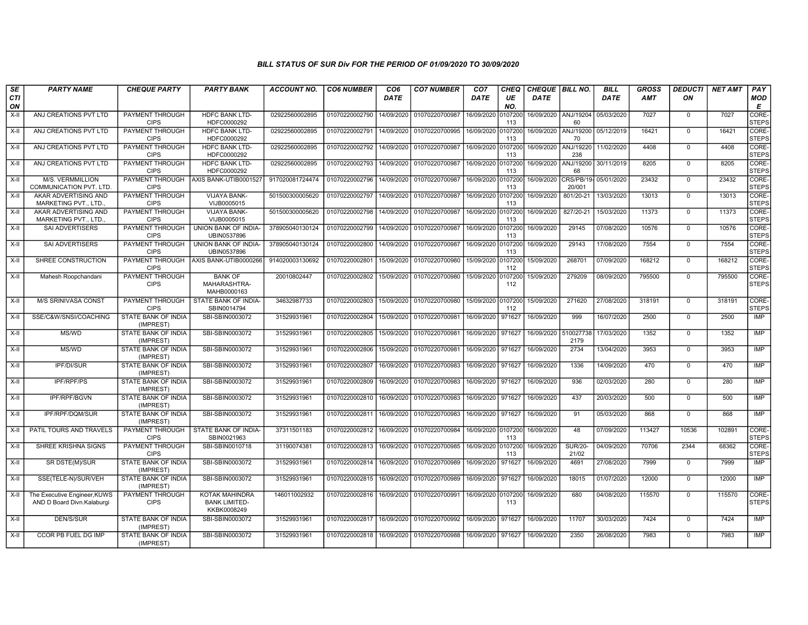| SE               | <b>PARTY NAME</b>                                          | <b>CHEQUE PARTY</b>                     | <b>PARTY BANK</b>                                     | ACCOUNT NO.     | <b>CO6 NUMBER</b>         | CO <sub>6</sub> | <b>CO7 NUMBER</b> | CO <sub>7</sub>    | <b>CHEQ</b>    | CHEQUE   BILL NO. |                                       | <b>BILL</b> | GROSS      | <b>DEDUCTI</b> | NET AMT | PAY                   |
|------------------|------------------------------------------------------------|-----------------------------------------|-------------------------------------------------------|-----------------|---------------------------|-----------------|-------------------|--------------------|----------------|-------------------|---------------------------------------|-------------|------------|----------------|---------|-----------------------|
| <b>CTI</b><br>ON |                                                            |                                         |                                                       |                 |                           | DATE            |                   | DATE               | UE<br>NO.      | <b>DATE</b>       |                                       | <b>DATE</b> | <b>AMT</b> | ON             |         | <b>MOD</b><br>E       |
| $X-H$            | ANJ CREATIONS PVT LTD                                      | <b>PAYMENT THROUGH</b><br><b>CIPS</b>   | <b>HDFC BANK LTD-</b><br>HDFC0000292                  | 02922560002895  | 01070220002790            | 14/09/2020      | 01070220700987    | 16/09/2020         | 0107200<br>113 |                   | 16/09/2020   ANJ/19204<br>60          | 05/03/2020  | 7027       | $\overline{0}$ | 7027    | CORE-<br><b>STEPS</b> |
| X-II             | ANJ CREATIONS PVT LTD                                      | <b>PAYMENT THROUGH</b><br><b>CIPS</b>   | <b>HDFC BANK LTD-</b><br>HDFC0000292                  | 02922560002895  | 01070220002791            | 14/09/2020      | 01070220700995    | 16/09/2020 0107200 | 113            |                   | 16/09/2020 ANJ/19200 05/12/2019<br>70 |             | 16421      | $\mathbf 0$    | 16421   | CORE-<br><b>STEPS</b> |
| X-II             | ANJ CREATIONS PVT LTD                                      | PAYMENT THROUGH<br><b>CIPS</b>          | <b>HDFC BANK LTD-</b><br>HDFC0000292                  | 02922560002895  | 01070220002792            | 14/09/2020      | 01070220700987    | 16/09/2020 0107200 | 113            | 16/09/2020        | ANJ/19220<br>238                      | 11/02/2020  | 4408       | $\mathbf 0$    | 4408    | CORE-<br><b>STEPS</b> |
| X-II             | ANJ CREATIONS PVT LTD                                      | PAYMENT THROUGH<br><b>CIPS</b>          | <b>HDFC BANK LTD-</b><br>HDFC0000292                  | 02922560002895  | 01070220002793            | 14/09/2020      | 01070220700987    | 16/09/2020 0107200 | 113            | 16/09/2020        | ANJ/19200<br>68                       | 30/11/2019  | 8205       | $\mathbf 0$    | 8205    | CORE-<br><b>STEPS</b> |
| X-II             | M/S. VERMMILLION<br>COMMUNICATION PVT. LTD.                | <b>PAYMENT THROUGH</b><br><b>CIPS</b>   | AXIS BANK-UTIB0001527                                 | 917020081724474 | 01070220002796            | 14/09/2020      | 01070220700987    | 16/09/2020 010720  | 113            | 16/09/2020        | CRS/PB/19-<br>20/001                  | 05/01/2020  | 23432      | $\mathbf 0$    | 23432   | CORE-<br><b>STEPS</b> |
| $X-II$           | AKAR ADVERTISING AND<br>MARKETING PVT., LTD.               | <b>PAYMENT THROUGH</b><br><b>CIPS</b>   | <b>VIJAYA BANK-</b><br>VIJB0005015                    | 501500300005620 | 01070220002797            | 14/09/2020      | 01070220700987    | 16/09/2020 0107200 | 113            | 16/09/2020        | 801/20-21                             | 13/03/2020  | 13013      | $\Omega$       | 13013   | CORE-<br><b>STEPS</b> |
| X-II             | AKAR ADVERTISING AND<br>MARKETING PVT., LTD.               | PAYMENT THROUGH<br><b>CIPS</b>          | VIJAYA BANK-<br>VIJB0005015                           | 501500300005620 | 01070220002798            | 14/09/2020      | 01070220700987    | 16/09/2020         | 0107200<br>113 | 16/09/2020        | 827/20-21                             | 15/03/2020  | 11373      | $\mathbf 0$    | 11373   | CORE-<br><b>STEPS</b> |
| $X-I$            | SAI ADVERTISERS                                            | PAYMENT THROUGH<br><b>CIPS</b>          | UNION BANK OF INDIA-<br>UBIN0537896                   | 378905040130124 | 01070220002799            | 14/09/2020      | 01070220700987    | 16/09/2020 0107200 | 113            | 16/09/2020        | 29145                                 | 07/08/2020  | 10576      | $\overline{0}$ | 10576   | CORE-<br><b>STEPS</b> |
| X-II             | <b>SAI ADVERTISERS</b>                                     | PAYMENT THROUGH<br><b>CIPS</b>          | UNION BANK OF INDIA-<br>UBIN0537896                   | 378905040130124 | 01070220002800            | 14/09/2020      | 01070220700987    | 16/09/2020 0107200 | 113            | 16/09/2020        | 29143                                 | 17/08/2020  | 7554       | $\mathbf 0$    | 7554    | CORE-<br><b>STEPS</b> |
| $X-H$            | SHREE CONSTRUCTION                                         | <b>PAYMENT THROUGH</b><br><b>CIPS</b>   | AXIS BANK-UTIB0000266                                 | 914020003130692 | 01070220002801            | 15/09/2020      | 01070220700980    | 15/09/2020 0107200 | 112            | 15/09/2020        | 268701                                | 07/09/2020  | 168212     | $\overline{0}$ | 168212  | CORE-<br><b>STEPS</b> |
| X-II             | Mahesh Roopchandani                                        | PAYMENT THROUGH<br><b>CIPS</b>          | <b>BANK OF</b><br>MAHARASHTRA-<br>MAHB0000163         | 20010802447     | 01070220002802            | 15/09/2020      | 01070220700980    | 15/09/2020 0107200 | 112            | 15/09/2020        | 279209                                | 08/09/2020  | 795500     | $\Omega$       | 795500  | CORE-<br><b>STEPS</b> |
| $X-H$            | <b>M/S SRINIVASA CONST</b>                                 | <b>PAYMENT THROUGH</b><br><b>CIPS</b>   | STATE BANK OF INDIA-<br>SBIN0014794                   | 34632987733     | 01070220002803            | 15/09/2020      | 01070220700980    | 15/09/2020 0107200 | 112            | 15/09/2020        | 271620                                | 27/08/2020  | 318191     | $\overline{0}$ | 318191  | CORE-<br><b>STEPS</b> |
| X-II             | SSE/C&W/SNSI/COACHING                                      | <b>STATE BANK OF INDIA</b><br>(IMPREST) | SBI-SBIN0003072                                       | 31529931961     | 01070220002804            | 15/09/2020      | 01070220700981    | 16/09/2020         | 971627         | 16/09/2020        | 999                                   | 16/07/2020  | 2500       | $\mathbf 0$    | 2500    | IMP                   |
| $X-H$            | MS/WD                                                      | STATE BANK OF INDIA<br>(IMPREST)        | SBI-SBIN0003072                                       | 31529931961     | 01070220002805            | 15/09/2020      | 01070220700981    | 16/09/2020         | 971627         | 16/09/2020        | 510027738<br>2179                     | 17/03/2020  | 1352       | $\Omega$       | 1352    | <b>IMP</b>            |
| X-II             | MS/WD                                                      | STATE BANK OF INDIA<br>(IMPREST)        | SBI-SBIN0003072                                       | 31529931961     | 01070220002806            | 15/09/2020      | 01070220700981    | 16/09/2020         | 971627         | 16/09/2020        | 2734                                  | 13/04/2020  | 3953       | $\mathbf 0$    | 3953    | IMP                   |
| $X-H$            | <b>IPF/DI/SUR</b>                                          | <b>STATE BANK OF INDIA</b><br>(IMPREST) | SBI-SBIN0003072                                       | 31529931961     | 01070220002807            | 16/09/2020      | 01070220700983    | 16/09/2020 971627  |                | 16/09/2020        | 1336                                  | 14/09/2020  | 470        | $\Omega$       | 470     | IMP                   |
| X-II             | <b>IPF/RPF/PS</b>                                          | STATE BANK OF INDIA<br>(IMPREST)        | SBI-SBIN0003072                                       | 31529931961     | 01070220002809            | 16/09/2020      | 01070220700983    | 16/09/2020 971627  |                | 16/09/2020        | 936                                   | 02/03/2020  | 280        | $\mathbf 0$    | 280     | <b>IMP</b>            |
| X-II             | IPF/RPF/BGVN                                               | <b>STATE BANK OF INDIA</b><br>(IMPREST) | SBI-SBIN0003072                                       | 31529931961     | 01070220002810            | 16/09/2020      | 01070220700983    | 16/09/2020 971627  |                | 16/09/2020        | 437                                   | 20/03/2020  | 500        | $\Omega$       | 500     | <b>IMP</b>            |
| $X-II$           | IPF/RPF/DQM/SUR                                            | STATE BANK OF INDIA<br>(IMPREST)        | SBI-SBIN0003072                                       | 31529931961     | 01070220002811            | 16/09/2020      | 01070220700983    | 16/09/2020 971627  |                | 16/09/2020        | 91                                    | 05/03/2020  | 868        | $\mathbf 0$    | 868     | <b>IMP</b>            |
| X-II             | PATIL TOURS AND TRAVELS                                    | PAYMENT THROUGH<br><b>CIPS</b>          | STATE BANK OF INDIA<br>SBIN0021963                    | 37311501183     | 01070220002812            | 16/09/2020      | 01070220700984    | 16/09/2020 0107200 | 113            | 16/09/2020        | 48                                    | 07/09/2020  | 113427     | 10536          | 102891  | CORE-<br><b>STEPS</b> |
| X-II             | SHREE KRISHNA SIGNS                                        | <b>PAYMENT THROUGH</b><br><b>CIPS</b>   | SBI-SBIN0010718                                       | 31190074381     | 01070220002813            | 16/09/2020      | 01070220700985    | 16/09/2020 0107200 | 113            | 16/09/2020        | <b>SUR/20-</b><br>21/02               | 04/09/2020  | 70706      | 2344           | 68362   | CORE-<br><b>STEPS</b> |
| $X-I$            | SR DSTE(M)/SUR                                             | <b>STATE BANK OF INDIA</b><br>(IMPREST) | SBI-SBIN0003072                                       | 31529931961     | 01070220002814            | 16/09/2020      | 01070220700989    | 16/09/2020         | 971627         | 16/09/2020        | 4691                                  | 27/08/2020  | 7999       | $\mathbf 0$    | 7999    | IMP                   |
| $X-II$           | SSE(TELE-N)/SUR/VEH                                        | STATE BANK OF INDIA<br>(IMPREST)        | SBI-SBIN0003072                                       | 31529931961     | 01070220002815            | 16/09/2020      | 01070220700989    | 16/09/2020         | 971627         | 16/09/2020        | 18015                                 | 01/07/2020  | 12000      | $\overline{0}$ | 12000   | <b>IMP</b>            |
| X-II             | The Executive Engineer, KUWS<br>AND D Board Divn.Kalaburgi | <b>PAYMENT THROUGH</b><br><b>CIPS</b>   | KOTAK MAHINDRA<br><b>BANK LIMITED-</b><br>KKBK0008249 | 146011002932    | 01070220002816            | 16/09/2020      | 01070220700991    | 16/09/2020 0107200 | 113            | 16/09/2020        | 680                                   | 04/08/2020  | 115570     | $\Omega$       | 115570  | CORE-<br><b>STEPS</b> |
| $X-H$            | DEN/S/SUR                                                  | STATE BANK OF INDIA<br>(IMPREST)        | SBI-SBIN0003072                                       | 31529931961     | 01070220002817 16/09/2020 |                 | 01070220700992    | 16/09/2020 971627  |                | 16/09/2020        | 11707                                 | 30/03/2020  | 7424       | $\overline{0}$ | 7424    | <b>IMP</b>            |
| X-II             | CCOR PB FUEL DG IMP                                        | STATE BANK OF INDIA<br>(IMPREST)        | SBI-SBIN0003072                                       | 31529931961     | 01070220002818            | 16/09/2020      | 01070220700988    | 16/09/2020 971627  |                | 16/09/2020        | 2350                                  | 26/08/2020  | 7983       | $\mathbf 0$    | 7983    | IMP                   |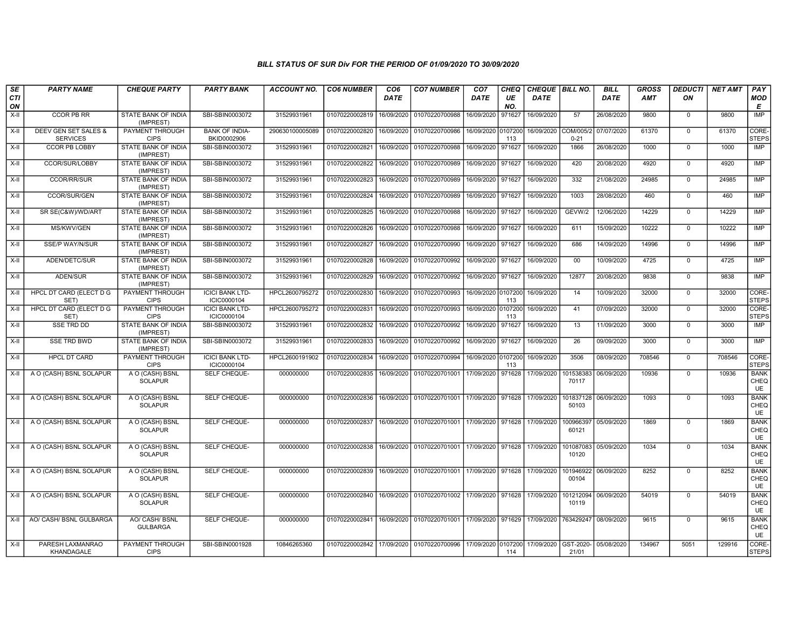| SE               | <b>PARTY NAME</b>                       | <b>CHEQUE PARTY</b>                     | <b>PARTY BANK</b>                     | <b>ACCOUNT NO.</b> | <b>CO6 NUMBER</b> | CO <sub>6</sub> | <b>CO7 NUMBER</b>                                 | CO <sub>7</sub>    | CHEQ           | CHEQUE   BILL NO. |                       | <b>BILL</b> | <b>GROSS</b> | <i><b>DEDUCTI</b></i> | <b>NET AMT</b> | PAY                       |
|------------------|-----------------------------------------|-----------------------------------------|---------------------------------------|--------------------|-------------------|-----------------|---------------------------------------------------|--------------------|----------------|-------------------|-----------------------|-------------|--------------|-----------------------|----------------|---------------------------|
| <b>CTI</b><br>ON |                                         |                                         |                                       |                    |                   | DATE            |                                                   | <b>DATE</b>        | UE<br>NO.      | DATE              |                       | <b>DATE</b> | <b>AMT</b>   | ON                    |                | <b>MOD</b><br>Е           |
| $X-H$            | <b>CCOR PB RR</b>                       | <b>STATE BANK OF INDIA</b><br>(IMPREST) | SBI-SBIN0003072                       | 31529931961        | 01070220002819    | 16/09/2020      | 01070220700988                                    | 16/09/2020         | 971627         | 16/09/2020        | 57                    | 26/08/2020  | 9800         | $\mathbf 0$           | 9800           | IMP                       |
| $X-II$           | DEEV GEN SET SALES &<br><b>SERVICES</b> | PAYMENT THROUGH<br><b>CIPS</b>          | <b>BANK OF INDIA-</b><br>BKID0002906  | 290630100005089    | 01070220002820    | 16/09/2020      | 01070220700986                                    | 16/09/2020 0107200 | 113            | 16/09/2020        | COM/005/2<br>$0 - 21$ | 07/07/2020  | 61370        | $\mathbf 0$           | 61370          | CORE-<br><b>STEPS</b>     |
| X-II             | <b>CCOR PB LOBBY</b>                    | <b>STATE BANK OF INDIA</b><br>(IMPREST) | SBI-SBIN0003072                       | 31529931961        | 01070220002821    | 16/09/2020      | 01070220700988                                    | 16/09/2020         | 971627         | 16/09/2020        | 1866                  | 26/08/2020  | 1000         | $\mathbf 0$           | 1000           | IMP                       |
| X-II             | CCOR/SUR/LOBBY                          | STATE BANK OF INDIA<br>(IMPREST)        | SBI-SBIN0003072                       | 31529931961        | 01070220002822    | 16/09/2020      | 01070220700989                                    | 16/09/2020         | 971627         | 16/09/2020        | 420                   | 20/08/2020  | 4920         | $\mathbf 0$           | 4920           | <b>IMP</b>                |
| $X-H$            | <b>CCOR/RR/SUR</b>                      | <b>STATE BANK OF INDIA</b><br>(IMPREST) | SBI-SBIN0003072                       | 31529931961        | 01070220002823    | 16/09/2020      | 01070220700989                                    | 16/09/2020         | 971627         | 16/09/2020        | 332                   | 21/08/2020  | 24985        | $\mathbf 0$           | 24985          | <b>IMP</b>                |
| $X-H$            | CCOR/SUR/GEN                            | <b>STATE BANK OF INDIA</b><br>(IMPREST) | SBI-SBIN0003072                       | 31529931961        | 01070220002824    | 16/09/2020      | 01070220700989                                    | 16/09/2020         | 971627         | 16/09/2020        | 1003                  | 28/08/2020  | 460          | $\mathbf 0$           | 460            | <b>IMP</b>                |
| X-II             | SR SE(C&W)/WD/ART                       | STATE BANK OF INDIA<br>(IMPREST)        | SBI-SBIN0003072                       | 31529931961        | 01070220002825    | 16/09/2020      | 01070220700988                                    | 16/09/2020 971627  |                | 16/09/2020        | GEVW/2                | 12/06/2020  | 14229        | $\Omega$              | 14229          | IMP                       |
| X-II             | MS/KWV/GEN                              | STATE BANK OF INDIA<br>(IMPREST)        | SBI-SBIN0003072                       | 31529931961        | 01070220002826    | 16/09/2020      | 01070220700988                                    | 16/09/2020         | 971627         | 16/09/2020        | 611                   | 15/09/2020  | 10222        | $\mathbf 0$           | 10222          | <b>IMP</b>                |
| $X-H$            | SSE/P WAY/N/SUR                         | STATE BANK OF INDIA<br>(IMPREST)        | SBI-SBIN0003072                       | 31529931961        | 01070220002827    | 16/09/2020      | 01070220700990                                    | 16/09/2020         | 971627         | 16/09/2020        | 686                   | 14/09/2020  | 14996        | $\overline{0}$        | 14996          | <b>IMP</b>                |
| $X-H$            | ADEN/DETC/SUR                           | <b>STATE BANK OF INDIA</b><br>(IMPREST) | SBI-SBIN0003072                       | 31529931961        | 01070220002828    | 16/09/2020      | 01070220700992                                    | 16/09/2020 971627  |                | 16/09/2020        | 00                    | 10/09/2020  | 4725         | $\overline{0}$        | 4725           | <b>IMP</b>                |
| X-II             | ADEN/SUR                                | <b>STATE BANK OF INDIA</b><br>(IMPREST) | SBI-SBIN0003072                       | 31529931961        | 01070220002829    | 16/09/2020      | 01070220700992                                    | 16/09/2020         | 971627         | 16/09/2020        | 12877                 | 20/08/2020  | 9838         | $\mathbf 0$           | 9838           | <b>IMP</b>                |
| $X-II$           | HPCL DT CARD (ELECT D G<br>SET)         | PAYMENT THROUGH<br><b>CIPS</b>          | <b>ICICI BANK LTD-</b><br>ICIC0000104 | HPCL2600795272     | 01070220002830    | 16/09/2020      | 01070220700993                                    | 16/09/2020 0107200 | 113            | 16/09/2020        | 14                    | 10/09/2020  | 32000        | $\Omega$              | 32000          | CORE-<br><b>STEPS</b>     |
| $X-H$            | HPCL DT CARD (ELECT D G<br>SET)         | <b>PAYMENT THROUGH</b><br><b>CIPS</b>   | <b>ICICI BANK LTD-</b><br>ICIC0000104 | HPCL2600795272     | 01070220002831    | 16/09/2020      | 01070220700993                                    | 16/09/2020         | 0107200<br>113 | 16/09/2020        | 41                    | 07/09/2020  | 32000        | $\overline{0}$        | 32000          | CORE-<br>STEPS            |
| X-II             | <b>SSE TRD DD</b>                       | <b>STATE BANK OF INDIA</b><br>(IMPREST) | SBI-SBIN0003072                       | 31529931961        | 01070220002832    | 16/09/2020      | 01070220700992                                    | 16/09/2020         | 971627         | 16/09/2020        | 13                    | 11/09/2020  | 3000         | $\mathbf 0$           | 3000           | <b>IMP</b>                |
| X-II             | <b>SSE TRD BWD</b>                      | STATE BANK OF INDIA<br>(IMPREST)        | SBI-SBIN0003072                       | 31529931961        | 01070220002833    | 16/09/2020      | 01070220700992                                    | 16/09/2020         | 971627         | 16/09/2020        | 26                    | 09/09/2020  | 3000         | $\mathbf 0$           | 3000           | <b>IMP</b>                |
| X-II             | <b>HPCL DT CARD</b>                     | PAYMENT THROUGH<br><b>CIPS</b>          | <b>ICICI BANK LTD-</b><br>ICIC0000104 | HPCL2600191902     | 01070220002834    | 16/09/2020      | 01070220700994                                    | 16/09/2020 0107200 | 113            | 16/09/2020        | 3506                  | 08/09/2020  | 708546       | $\overline{0}$        | 708546         | CORE-<br><b>STEPS</b>     |
| X-II             | A O (CASH) BSNL SOLAPUR                 | A O (CASH) BSNL<br><b>SOLAPUR</b>       | SELF CHEQUE-                          | 000000000          | 01070220002835    | 16/09/2020      | 01070220701001                                    | 17/09/2020         | 971628         | 17/09/2020        | 101538383<br>70117    | 06/09/2020  | 10936        | $\mathbf 0$           | 10936          | <b>BANK</b><br>CHEQ<br>UE |
| $X-H$            | A O (CASH) BSNL SOLAPUR                 | A O (CASH) BSNL<br><b>SOLAPUR</b>       | SELF CHEQUE-                          | 000000000          | 01070220002836    | 16/09/2020      | 01070220701001 17/09/2020 971628                  |                    |                | 17/09/2020        | 101837128<br>50103    | 06/09/2020  | 1093         | $\mathbf 0$           | 1093           | <b>BANK</b><br>CHEQ<br>UE |
| $X-H$            | A O (CASH) BSNL SOLAPUR                 | A O (CASH) BSNL<br><b>SOLAPUR</b>       | <b>SELF CHEQUE-</b>                   | 000000000          | 01070220002837    | 16/09/2020      | 01070220701001 17/09/2020 971628                  |                    |                | 17/09/2020        | 100966397<br>60121    | 05/09/2020  | 1869         | $\mathbf 0$           | 1869           | <b>BANK</b><br>CHEQ<br>UE |
| $X-H$            | A O (CASH) BSNL SOLAPUR                 | A O (CASH) BSNL<br><b>SOLAPUR</b>       | SELF CHEQUE-                          | 000000000          | 01070220002838    | 16/09/2020      | 01070220701001 17/09/2020 971628 17/09/2020       |                    |                |                   | 101087083<br>10120    | 05/09/2020  | 1034         | $\mathbf 0$           | 1034           | <b>BANK</b><br>CHEQ<br>UE |
| $X-H$            | A O (CASH) BSNL SOLAPUR                 | A O (CASH) BSNL<br><b>SOLAPUR</b>       | SELF CHEQUE-                          | 000000000          | 01070220002839    |                 | 16/09/2020 01070220701001 17/09/2020 971628       |                    |                | 17/09/2020        | 101946922<br>00104    | 06/09/2020  | 8252         | $\mathbf 0$           | 8252           | <b>BANK</b><br>CHEQ<br>UE |
| X-II             | A O (CASH) BSNL SOLAPUR                 | A O (CASH) BSNL<br><b>SOLAPUR</b>       | SELF CHEQUE-                          | 000000000          | 01070220002840    | 16/09/2020      | 01070220701002 17/09/2020 971628                  |                    |                | 17/09/2020        | 101212094<br>10119    | 06/09/2020  | 54019        | $\mathbf 0$           | 54019          | <b>BANK</b><br>CHEQ<br>UE |
| $X-H$            | AO/ CASH/ BSNL GULBARGA                 | AO/ CASH/ BSNL<br><b>GULBARGA</b>       | SELF CHEQUE-                          | 000000000          | 01070220002841    |                 | 16/09/2020   01070220701001   17/09/2020   971629 |                    |                | 17/09/2020        | 763429247             | 08/09/2020  | 9615         | $\Omega$              | 9615           | <b>BANK</b><br>CHEQ<br>UE |
| X-II             | PARESH LAXMANRAO<br>KHANDAGALE          | PAYMENT THROUGH<br><b>CIPS</b>          | SBI-SBIN0001928                       | 10846265360        | 01070220002842    | 17/09/2020      | 01070220700996                                    | 17/09/2020 0107200 | 114            | 17/09/2020        | GST-2020-<br>21/01    | 05/08/2020  | 134967       | 5051                  | 129916         | CORE-<br>STEPS            |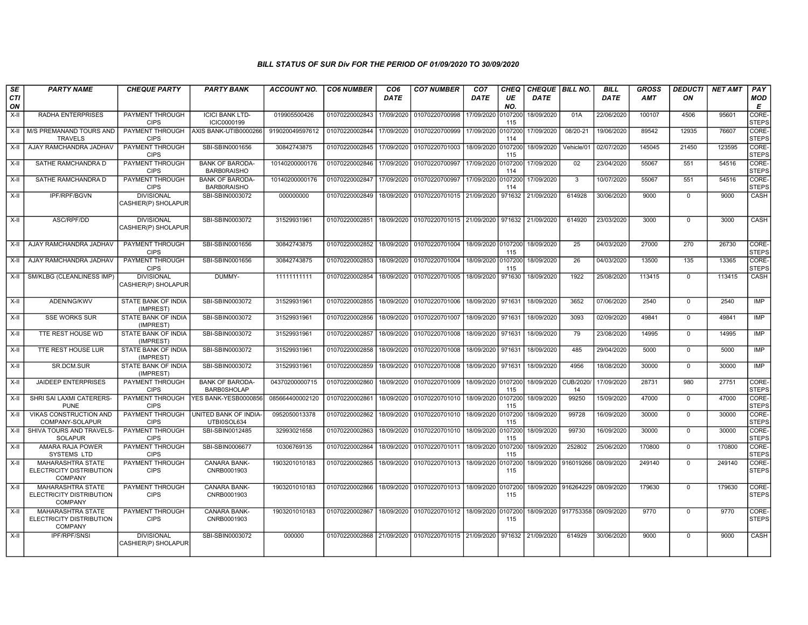| SE               | <b>PARTY NAME</b>                                                      | <b>CHEQUE PARTY</b>                      | <b>PARTY BANK</b>                            | <b>ACCOUNT NO.</b> | <b>CO6 NUMBER</b>         | CO <sub>6</sub> | <b>CO7 NUMBER</b>                                                  | CO <sub>7</sub>    | <b>CHEQ</b>    | CHEQUE   BILL NO. |                                 | <b>BILL</b> | <b>GROSS</b> | DEDUCTI        | <b>NET AMT</b> | PAY                   |
|------------------|------------------------------------------------------------------------|------------------------------------------|----------------------------------------------|--------------------|---------------------------|-----------------|--------------------------------------------------------------------|--------------------|----------------|-------------------|---------------------------------|-------------|--------------|----------------|----------------|-----------------------|
| <b>CTI</b><br>ON |                                                                        |                                          |                                              |                    |                           | DATE            |                                                                    | DATE               | UE<br>NO.      | <b>DATE</b>       |                                 | <b>DATE</b> | <b>AMT</b>   | ΟN             |                | <b>MOD</b><br>E       |
| $X-H$            | <b>RADHA ENTERPRISES</b>                                               | <b>PAYMENT THROUGH</b><br><b>CIPS</b>    | <b>ICICI BANK LTD-</b><br>ICIC0000199        | 019905500426       | 01070220002843            | 17/09/2020      | 01070220700998                                                     | 17/09/2020         | 0107200<br>115 | 18/09/2020        | 01A                             | 22/06/2020  | 100107       | 4506           | 95601          | CORE-<br><b>STEPS</b> |
|                  | X-II M/S PREMANAND TOURS AND<br><b>TRAVELS</b>                         | PAYMENT THROUGH<br><b>CIPS</b>           | AXIS BANK-UTIB0000266                        | 919020049597612    | 01070220002844 17/09/2020 |                 | 01070220700999 17/09/2020 0107200                                  |                    | 114            | 17/09/2020        | 08/20-21                        | 19/06/2020  | 89542        | 12935          | 76607          | CORE-<br><b>STEPS</b> |
| X-II             | AJAY RAMCHANDRA JADHAV                                                 | PAYMENT THROUGH<br><b>CIPS</b>           | SBI-SBIN0001656                              | 30842743875        | 01070220002845            | 17/09/2020      | 01070220701003                                                     | 18/09/2020 0107200 | 115            | 18/09/2020        | Vehicle/01                      | 02/07/2020  | 145045       | 21450          | 123595         | CORE-<br><b>STEPS</b> |
| $X-H$            | SATHE RAMCHANDRA D                                                     | PAYMENT THROUGH<br><b>CIPS</b>           | <b>BANK OF BARODA-</b><br><b>BARB0RAISHO</b> | 10140200000176     | 01070220002846            | 17/09/2020      | 01070220700997                                                     | 17/09/2020         | 0107200<br>114 | 17/09/2020        | 02                              | 23/04/2020  | 55067        | 551            | 54516          | CORE-<br><b>STEPS</b> |
| X-II             | SATHE RAMCHANDRA D                                                     | <b>PAYMENT THROUGH</b><br><b>CIPS</b>    | <b>BANK OF BARODA-</b><br><b>BARB0RAISHO</b> | 10140200000176     | 01070220002847            | 17/09/2020      | 01070220700997                                                     | 17/09/2020 0107200 | 114            | 17/09/2020        | 3                               | 10/07/2020  | 55067        | 551            | 54516          | CORE-<br><b>STEPS</b> |
| X-II             | <b>IPF/RPF/BGVN</b>                                                    | <b>DIVISIONAL</b><br>CASHIER(P) SHOLAPUR | SBI-SBIN0003072                              | 000000000          |                           |                 | 01070220002849   18/09/2020   01070220701015   21/09/2020   971632 |                    |                | 21/09/2020        | 614928                          | 30/06/2020  | 9000         | $\mathbf 0$    | 9000           | <b>CASH</b>           |
| X-II             | ASC/RPF/DD                                                             | <b>DIVISIONAL</b><br>CASHIER(P) SHOLAPUR | SBI-SBIN0003072                              | 31529931961        | 01070220002851 18/09/2020 |                 | 01070220701015 21/09/2020 971632                                   |                    |                | 21/09/2020        | 614920                          | 23/03/2020  | 3000         | $\mathbf 0$    | 3000           | <b>CASH</b>           |
| X-II             | AJAY RAMCHANDRA JADHAV                                                 | PAYMENT THROUGH<br><b>CIPS</b>           | SBI-SBIN0001656                              | 30842743875        | 01070220002852            | 18/09/2020      | 01070220701004                                                     | 18/09/2020 0107200 | 115            | 18/09/2020        | 25                              | 04/03/2020  | 27000        | 270            | 26730          | CORE-<br><b>STEPS</b> |
| X-II             | AJAY RAMCHANDRA JADHAV                                                 | <b>PAYMENT THROUGH</b><br><b>CIPS</b>    | SBI-SBIN0001656                              | 30842743875        | 01070220002853            | 18/09/2020      | 01070220701004                                                     | 18/09/2020 0107200 | 115            | 18/09/2020        | 26                              | 04/03/2020  | 13500        | 135            | 13365          | CORE-<br><b>STEPS</b> |
| $X-H$            | SM/KLBG (CLEANLINESS IMP)                                              | <b>DIVISIONAL</b><br>CASHIER(P) SHOLAPUR | DUMMY-                                       | 11111111111        | 01070220002854            | 18/09/2020      | 01070220701005                                                     | 18/09/2020         | 971630         | 18/09/2020        | 1922                            | 25/08/2020  | 113415       | $\mathbf 0$    | 113415         | CASH                  |
| $X-H$            | ADEN/NG/KWV                                                            | STATE BANK OF INDIA<br>(IMPREST)         | SBI-SBIN0003072                              | 31529931961        | 01070220002855            | 18/09/2020      | 01070220701006                                                     | 18/09/2020 971631  |                | 18/09/2020        | 3652                            | 07/06/2020  | 2540         | $\overline{0}$ | 2540           | <b>IMP</b>            |
| X-II             | <b>SSE WORKS SUR</b>                                                   | <b>STATE BANK OF INDIA</b><br>(IMPREST)  | SBI-SBIN0003072                              | 31529931961        | 01070220002856            | 18/09/2020      | 01070220701007                                                     | 18/09/2020 971631  |                | 18/09/2020        | 3093                            | 02/09/2020  | 49841        | $\mathbf 0$    | 49841          | IMP                   |
| $X-H$            | TTE REST HOUSE WD                                                      | <b>STATE BANK OF INDIA</b><br>(IMPREST)  | SBI-SBIN0003072                              | 31529931961        | 01070220002857            | 18/09/2020      | 01070220701008                                                     | 18/09/2020 971631  |                | 18/09/2020        | 79                              | 23/08/2020  | 14995        | $\overline{0}$ | 14995          | <b>IMP</b>            |
| X-II             | TTE REST HOUSE LUR                                                     | STATE BANK OF INDIA<br>(IMPREST)         | SBI-SBIN0003072                              | 31529931961        | 01070220002858            | 18/09/2020      | 01070220701008                                                     | 18/09/2020 971631  |                | 18/09/2020        | 485                             | 29/04/2020  | 5000         | $\mathbf 0$    | 5000           | IMP                   |
| X-II             | SR.DCM.SUR                                                             | <b>STATE BANK OF INDIA</b><br>(IMPREST)  | SBI-SBIN0003072                              | 31529931961        | 01070220002859            | 18/09/2020      | 01070220701008                                                     | 18/09/2020 971631  |                | 18/09/2020        | 4956                            | 18/08/2020  | 30000        | $\mathbf 0$    | 30000          | <b>IMP</b>            |
| X-II             | <b>JAIDEEP ENTERPRISES</b>                                             | PAYMENT THROUGH<br><b>CIPS</b>           | <b>BANK OF BARODA-</b><br><b>BARB0SHOLAP</b> | 04370200000715     | 01070220002860            | 18/09/2020      | 01070220701009                                                     | 18/09/2020 0107200 | 115            | 18/09/2020        | CUB/2020/<br>14                 | 17/09/2020  | 28731        | 980            | 27751          | CORE-<br><b>STEPS</b> |
| X-II             | SHRI SAI LAXMI CATERERS-<br><b>PUNE</b>                                | <b>PAYMENT THROUGH</b><br><b>CIPS</b>    | YES BANK-YESB0000856                         | 085664400002120    | 01070220002861            | 18/09/2020      | 01070220701010                                                     | 18/09/2020 0107200 | 115            | 18/09/2020        | 99250                           | 15/09/2020  | 47000        | $\mathbf 0$    | 47000          | CORE-<br><b>STEPS</b> |
| X-II             | <b>VIKAS CONSTRUCTION AND</b><br>COMPANY-SOLAPUR                       | PAYMENT THROUGH<br><b>CIPS</b>           | UNITED BANK OF INDIA-<br>UTBI0SOL634         | 0952050013378      | 01070220002862            | 18/09/2020      | 01070220701010                                                     | 18/09/2020 0107200 | 115            | 18/09/2020        | 99728                           | 16/09/2020  | 30000        | $\mathbf 0$    | 30000          | CORE-<br><b>STEPS</b> |
| $X-II$           | SHIVA TOURS AND TRAVELS-<br><b>SOLAPUR</b>                             | PAYMENT THROUGH<br><b>CIPS</b>           | SBI-SBIN0012485                              | 32993021658        | 01070220002863            | 18/09/2020      | 01070220701010                                                     | 18/09/2020 0107200 | 115            | 18/09/2020        | 99730                           | 16/09/2020  | 30000        | $\mathbf 0$    | 30000          | CORE-<br><b>STEPS</b> |
| $X-H$            | AMARA RAJA POWER<br><b>SYSTEMS LTD</b>                                 | <b>PAYMENT THROUGH</b><br><b>CIPS</b>    | SBI-SBIN0006677                              | 10306769135        | 01070220002864            | 18/09/2020      | 01070220701011                                                     | 18/09/2020 0107200 | 115            | 18/09/2020        | 252802                          | 25/06/2020  | 170800       | $\mathbf 0$    | 170800         | CORE-<br><b>STEPS</b> |
| $X-H$            | <b>MAHARASHTRA STATE</b><br>ELECTRICITY DISTRIBUTION<br><b>COMPANY</b> | <b>PAYMENT THROUGH</b><br><b>CIPS</b>    | CANARA BANK-<br>CNRB0001903                  | 1903201010183      | 01070220002865            |                 | 18/09/2020 01070220701013                                          | 18/09/2020         | 0107200<br>115 | 18/09/2020        | 916019266 08/09/2020            |             | 249140       | $\mathbf 0$    | 249140         | CORE-<br><b>STEPS</b> |
| $X-H$            | <b>MAHARASHTRA STATE</b><br>ELECTRICITY DISTRIBUTION<br><b>COMPANY</b> | PAYMENT THROUGH<br><b>CIPS</b>           | <b>CANARA BANK-</b><br>CNRB0001903           | 1903201010183      | 01070220002866            |                 | 18/09/2020 01070220701013 18/09/2020 0107200                       |                    | 115            |                   | 18/09/2020 916264229 08/09/2020 |             | 179630       | $\mathbf 0$    | 179630         | CORE-<br><b>STEPS</b> |
| X-II             | <b>MAHARASHTRA STATE</b><br>ELECTRICITY DISTRIBUTION<br><b>COMPANY</b> | PAYMENT THROUGH<br><b>CIPS</b>           | CANARA BANK-<br>CNRB0001903                  | 1903201010183      |                           |                 | 01070220002867   18/09/2020   01070220701012   18/09/2020 0107200  |                    | 115            |                   | 18/09/2020 917753358 09/09/2020 |             | 9770         | $\mathbf 0$    | 9770           | CORE-<br><b>STEPS</b> |
| $X-H$            | <b>IPF/RPF/SNSI</b>                                                    | <b>DIVISIONAL</b><br>CASHIER(P) SHOLAPUR | SBI-SBIN0003072                              | 000000             |                           |                 | 01070220002868 21/09/2020 01070220701015 21/09/2020 971632         |                    |                | 21/09/2020        | 614929                          | 30/06/2020  | 9000         | $\mathbf 0$    | 9000           | CASH                  |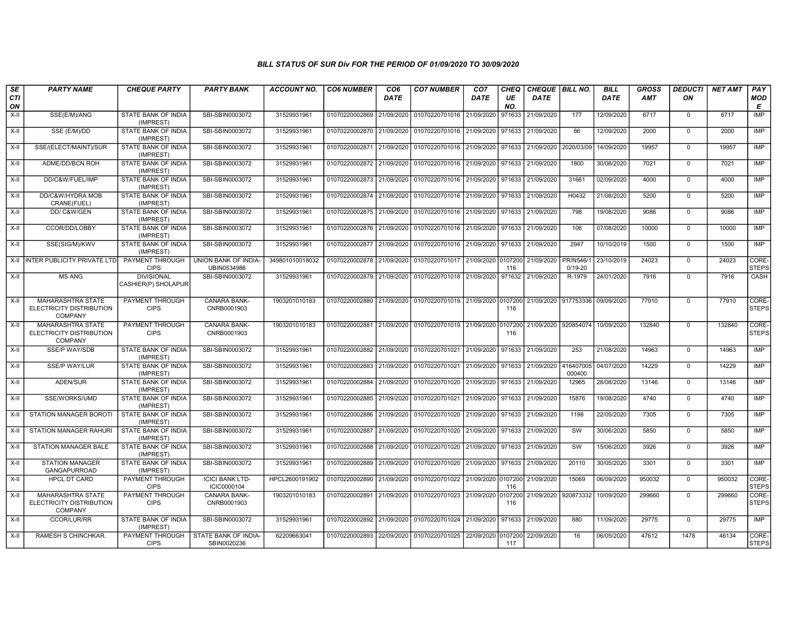| SE        | <b>PARTY NAME</b>                                                      | <b>CHEQUE PARTY</b>                      | <b>PARTY BANK</b>                     | ACCOUNT NO.     | <b>CO6 NUMBER</b>                        | CO <sub>6</sub> | <b>CO7 NUMBER</b>                                   | CO <sub>7</sub>     | <b>CHEQ</b>    | CHEQUE   BILL NO.    |                                | <b>BILL</b> | <b>GROSS</b> | DEDUCTI     | <b>NET AMT</b> | <b>PAY</b>            |
|-----------|------------------------------------------------------------------------|------------------------------------------|---------------------------------------|-----------------|------------------------------------------|-----------------|-----------------------------------------------------|---------------------|----------------|----------------------|--------------------------------|-------------|--------------|-------------|----------------|-----------------------|
| CTI<br>ON |                                                                        |                                          |                                       |                 |                                          | DATE            |                                                     | DATE                | UE<br>NO.      | <b>DATE</b>          |                                | <b>DATE</b> | <b>AMT</b>   | ΟN          |                | <b>MOD</b><br>Е       |
| $X-H$     | SSE(E/M)/ANG                                                           | <b>STATE BANK OF INDIA</b><br>(IMPREST)  | SBI-SBIN0003072                       | 31529931961     | 01070220002869 21/09/2020                |                 | 01070220701016                                      | 21/09/2020          | 971633         | 21/09/2020           | 177                            | 12/09/2020  | 6717         | $\mathbf 0$ | 6717           | <b>IMP</b>            |
| $X-H$     | SSE (E/M)/DD                                                           | <b>STATE BANK OF INDIA</b><br>(IMPREST)  | SBI-SBIN0003072                       | 31529931961     | 01070220002870 21/09/2020                |                 | 01070220701016 21/09/2020                           |                     | 971633         | 21/09/2020           | 86                             | 12/09/2020  | 2000         | $\mathbf 0$ | 2000           | IMP                   |
| X-II      | SSE/(ELECT/MAINT)/SUR                                                  | STATE BANK OF INDIA<br>(IMPREST)         | SBI-SBIN0003072                       | 31529931961     | 01070220002871 21/09/2020                |                 | 01070220701016                                      | 21/09/2020          | 971633         | 21/09/2020           | 2020/03/09                     | 14/09/2020  | 19957        | $\mathbf 0$ | 19957          | IMP                   |
| X-II      | ADME/DD/BCN ROH                                                        | <b>STATE BANK OF INDIA</b><br>(IMPREST)  | SBI-SBIN0003072                       | 31529931961     | 01070220002872 21/09/2020                |                 | 01070220701016                                      | 21/09/2020          | 971633         | 21/09/2020           | 1800                           | 30/08/2020  | 7021         | $\Omega$    | 7021           | <b>IMP</b>            |
| X-II      | DD/C&W/FUEL/IMP                                                        | STATE BANK OF INDIA<br>(IMPREST)         | SBI-SBIN0003072                       | 31529931961     | 01070220002873 21/09/2020                |                 | 01070220701016                                      | 21/09/2020          | 971633         | 21/09/2020           | 31661                          | 02/09/2020  | 4000         | $\Omega$    | 4000           | <b>IMP</b>            |
| $X-H$     | DD/C&W/HYDRA MOB<br>CRANE(FUEL)                                        | <b>STATE BANK OF INDIA</b><br>(IMPREST)  | SBI-SBIN0003072                       | 21529931961     |                                          |                 | 01070220002874 21/09/2020 01070220701016            | 21/09/2020   971633 |                | 21/09/2020           | H0432                          | 21/08/2020  | 5200         | $\mathbf 0$ | 5200           | IMP                   |
| X-II      | DD/C&W/GEN                                                             | STATE BANK OF INDIA<br>(IMPREST)         | SBI-SBIN0003072                       | 31529931961     | 01070220002875 21/09/2020                |                 | 01070220701016 21/09/2020                           |                     | 971633         | 21/09/2020           | 798                            | 19/08/2020  | 9086         | $\Omega$    | 9086           | IMP                   |
| $X-H$     | CCOR/DD/LOBBY                                                          | STATE BANK OF INDIA<br>(IMPREST)         | SBI-SBIN0003072                       | 31529931961     | 01070220002876 21/09/2020                |                 | 01070220701016                                      | 21/09/2020          | 971633         | 21/09/2020           | 106                            | 07/08/2020  | 10000        | $\mathbf 0$ | 10000          | <b>IMP</b>            |
| X-II      | SSE(SIG/M)/KWV                                                         | STATE BANK OF INDIA<br>(IMPREST)         | SBI-SBIN0003072                       | 31529931961     | 01070220002877 21/09/2020                |                 | 01070220701016                                      | 21/09/2020          | 971633         | 21/09/2020           | 2947                           | 10/10/2019  | 1500         | $\mathbf 0$ | 1500           | <b>IMP</b>            |
| $X-H$     | <b>INTER PUBLICITY PRIVATE LTD</b>                                     | <b>PAYMENT THROUGH</b><br><b>CIPS</b>    | UNION BANK OF INDIA-<br>UBIN0534986   | 349801010018032 | 01070220002878 21/09/2020 01070220701017 |                 |                                                     | 21/09/2020 0107200  | 116            | 21/09/2020           | <b>PR/N546/</b><br>$0/19 - 20$ | 23/10/2019  | 24023        | $\Omega$    | 24023          | CORE-<br><b>STEPS</b> |
| X-II      | <b>MS ANG</b>                                                          | <b>DIVISIONAL</b><br>CASHIER(P) SHOLAPUR | SBI-SBIN0003072                       | 31529931961     |                                          |                 | 01070220002879 21/09/2020 01070220701018            | 21/09/2020 971632   |                | 21/09/2020           | R-1979                         | 24/01/2020  | 7916         | $\mathbf 0$ | 7916           | CASH                  |
| $X-H$     | <b>MAHARASHTRA STATE</b><br>ELECTRICITY DISTRIBUTION<br>COMPANY        | PAYMENT THROUGH<br><b>CIPS</b>           | CANARA BANK-<br>CNRB0001903           | 1903201010183   |                                          |                 | 01070220002880 21/09/2020 01070220701019            | 21/09/2020 0107200  | 116            | 21/09/2020 917753336 |                                | 09/09/2020  | 77910        | $\mathbf 0$ | 77910          | CORE-<br><b>STEPS</b> |
| X-II      | <b>MAHARASHTRA STATE</b><br>ELECTRICITY DISTRIBUTION<br><b>COMPANY</b> | PAYMENT THROUGH<br><b>CIPS</b>           | CANARA BANK-<br>CNRB0001903           | 1903201010183   |                                          |                 | 01070220002881 21/09/2020 01070220701019 21/09/2020 |                     | 0107200<br>116 | 21/09/2020           | 920854074                      | 10/09/2020  | 132840       | $\mathbf 0$ | 132840         | CORE-<br><b>STEPS</b> |
| X-II      | <b>SSE/P WAY/SDB</b>                                                   | <b>STATE BANK OF INDIA</b><br>(IMPREST)  | SBI-SBIN0003072                       | 31529931961     |                                          |                 | 01070220002882 21/09/2020 01070220701021            | 21/09/2020          | 971633         | 21/09/2020           | 253                            | 21/08/2020  | 14963        | $\mathbf 0$ | 14963          | IMP                   |
| $X-II$    | <b>SSE/P WAY/LUR</b>                                                   | STATE BANK OF INDIA<br>(IMPREST)         | SBI-SBIN0003072                       | 31529931961     | 01070220002883 21/09/2020                |                 | 01070220701021                                      | 21/09/2020          | 971633         | 21/09/2020           | 416407005<br>000400            | 04/07/2020  | 14229        | $\Omega$    | 14229          | <b>IMP</b>            |
| X-II      | ADEN/SUR                                                               | STATE BANK OF INDIA<br>(IMPREST)         | SBI-SBIN0003072                       | 31529931961     |                                          |                 | 01070220002884 21/09/2020 01070220701020            | 21/09/2020 971633   |                | 21/09/2020           | 12965                          | 28/08/2020  | 13146        | $\mathbf 0$ | 13146          | IMP                   |
| $X-H$     | SSE/WORKS/UMD                                                          | <b>STATE BANK OF INDIA</b><br>(IMPREST)  | SBI-SBIN0003072                       | 31529931961     | 01070220002885 21/09/2020                |                 | 01070220701021                                      | 21/09/2020          | 971633         | 21/09/2020           | 15876                          | 19/08/2020  | 4740         | $\Omega$    | 4740           | IMP                   |
| $X-H$     | <b>STATION MANAGER BOROTI</b>                                          | STATE BANK OF INDIA<br>(IMPREST)         | SBI-SBIN0003072                       | 31529931961     | 01070220002886 21/09/2020                |                 | 01070220701020                                      | 21/09/2020          | 971633         | 21/09/2020           | 1198                           | 22/05/2020  | 7305         | $\mathbf 0$ | 7305           | <b>IMP</b>            |
| X-II      | STATION MANAGER RAHURI                                                 | STATE BANK OF INDIA<br>(IMPREST)         | SBI-SBIN0003072                       | 31529931961     | 01070220002887 21/09/2020 01070220701020 |                 |                                                     | 21/09/2020          | 971633         | 21/09/2020           | SW                             | 30/06/2020  | 5850         | $\Omega$    | 5850           | IMP                   |
| $X-II$    | <b>STATION MANAGER BALE</b>                                            | <b>STATE BANK OF INDIA</b><br>(IMPREST)  | SBI-SBIN0003072                       | 31529931961     | 01070220002888 21/09/2020                |                 | 01070220701020                                      | 21/09/2020          | 971633         | 21/09/2020           | SW                             | 15/06/2020  | 3926         | $\mathbf 0$ | 3926           | <b>IMP</b>            |
| $X-H$     | <b>STATION MANAGER</b><br><b>GANGAPURROAD</b>                          | <b>STATE BANK OF INDIA</b><br>(IMPREST)  | SBI-SBIN0003072                       | 31529931961     |                                          |                 | 01070220002889 21/09/2020 01070220701020            | 21/09/2020 971633   |                | 21/09/2020           | 20110                          | 30/05/2020  | 3301         | $\mathbf 0$ | 3301           | <b>IMP</b>            |
| X-II      | <b>HPCL DT CARD</b>                                                    | PAYMENT THROUGH<br><b>CIPS</b>           | <b>ICICI BANK LTD-</b><br>ICIC0000104 | HPCL2600191902  | 01070220002890 21/09/2020                |                 | 01070220701022                                      | 21/09/2020 0107200  | 116            | 21/09/2020           | 15069                          | 06/09/2020  | 950032       | $\mathbf 0$ | 950032         | CORE-<br><b>STEPS</b> |
| X-II      | MAHARASHTRA STATE<br>ELECTRICITY DISTRIBUTION<br><b>COMPANY</b>        | PAYMENT THROUGH<br><b>CIPS</b>           | CANARA BANK-<br>CNRB0001903           | 1903201010183   | 01070220002891                           | 21/09/2020      | 01070220701023                                      | 21/09/2020          | 0107200<br>116 | 21/09/2020           | 920873332                      | 10/09/2020  | 299660       | $\Omega$    | 299660         | CORE-<br><b>STEPS</b> |
| $X-II$    | CCOR/LUR/RR                                                            | STATE BANK OF INDIA<br>(IMPREST)         | SBI-SBIN0003072                       | 31529931961     | 01070220002892 21/09/2020                |                 | 01070220701024                                      | 21/09/2020          | 971633         | 21/09/2020           | 880                            | 11/09/2020  | 29775        | $\mathbf 0$ | 29775          | IMP                   |
| $X-H$     | <b>RAMESH S CHINCHKAR.</b>                                             | PAYMENT THROUGH<br><b>CIPS</b>           | STATE BANK OF INDIA<br>SBIN0020236    | 62209663041     |                                          |                 | 01070220002893 22/09/2020 01070220701025            | 22/09/2020          | 0107200<br>117 | 22/09/2020           | 16                             | 06/05/2020  | 47612        | 1478        | 46134          | CORE-<br><b>STEPS</b> |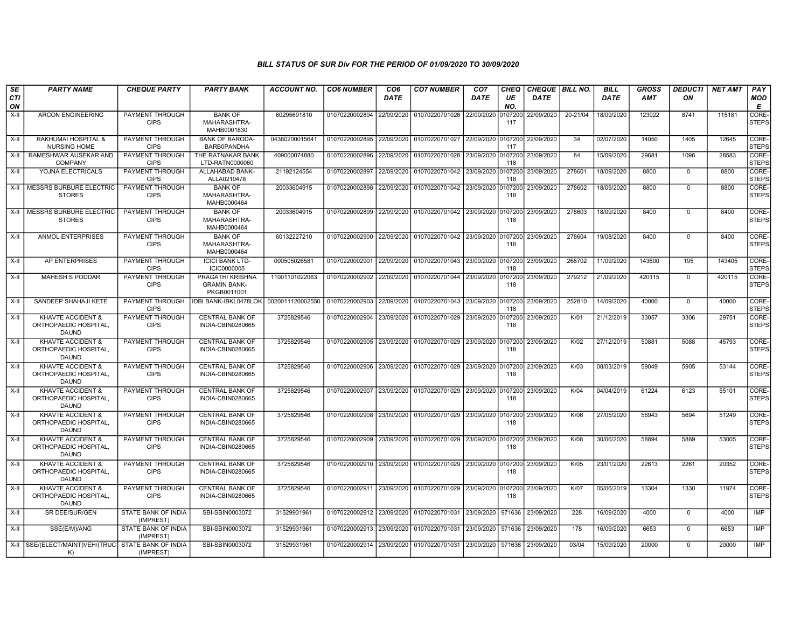| SE        | <b>PARTY NAME</b>                                                     | <b>CHEQUE PARTY</b>                   | <b>PARTY BANK</b>                                      | ACCOUNT NO.      | <b>CO6 NUMBER</b>         | CO <sub>6</sub> | <b>CO7 NUMBER</b>                                           | CO <sub>7</sub> | CHEQ           | <b>CHEQUE BILL NO.</b> |          | <b>BILL</b> | <b>GROSS</b> | <b>DEDUCTI</b> | <b>NET AMT</b> | <b>PAY</b>            |
|-----------|-----------------------------------------------------------------------|---------------------------------------|--------------------------------------------------------|------------------|---------------------------|-----------------|-------------------------------------------------------------|-----------------|----------------|------------------------|----------|-------------|--------------|----------------|----------------|-----------------------|
| CTI<br>ON |                                                                       |                                       |                                                        |                  |                           | DATE            |                                                             | DATE            | UE<br>NO.      | <b>DATE</b>            |          | DATE        | <b>AMT</b>   | ΟN             |                | <b>MOD</b><br>Е       |
| $X-II$    | <b>ARCON ENGINEERING</b>                                              | PAYMENT THROUGH<br><b>CIPS</b>        | <b>BANK OF</b><br>MAHARASHTRA-<br>MAHB0001830          | 60295691810      | 01070220002894            | 22/09/2020      | 01070220701026                                              | 22/09/2020      | 107200<br>117  | 22/09/2020             | 20-21/04 | 18/09/2020  | 123922       | 8741           | 115181         | CORE-<br><b>STEPS</b> |
| X-II      | RAKHUMAI HOSPITAL &<br><b>NURSING HOME</b>                            | PAYMENT THROUGH<br><b>CIPS</b>        | <b>BANK OF BARODA</b><br>BARB0PANDHA                   | 04380200015641   | 01070220002895            | 22/09/2020      | 01070220701027 22/09/2020                                   |                 | 0107200<br>117 | 22/09/2020             | 34       | 02/07/2020  | 14050        | 1405           | 12645          | CORE-<br><b>STEPS</b> |
| $X-H$     | RAMESHWAR AUSEKAR AND<br><b>COMPANY</b>                               | PAYMENT THROUGH<br><b>CIPS</b>        | THE RATNAKAR BANK<br>LTD-RATN0000060                   | 409000074880     | 01070220002896            | 22/09/2020      | 01070220701028 23/09/2020                                   |                 | 0107200<br>118 | 23/09/2020             | 84       | 15/09/2020  | 29681        | 1098           | 28583          | CORE-<br><b>STEPS</b> |
| $X-H$     | YOJNA ELECTRICALS                                                     | PAYMENT THROUGH<br><b>CIPS</b>        | ALLAHABAD BANK-<br>ALLA0210478                         | 21192124554      | 01070220002897            | 22/09/2020      | 01070220701042 23/09/2020                                   |                 | 0107200<br>118 | 23/09/2020             | 278601   | 18/09/2020  | 8800         | $\mathbf 0$    | 8800           | CORE-<br><b>STEPS</b> |
| $X-II$    | MESSRS BURBURE ELECTRIC<br><b>STORES</b>                              | PAYMENT THROUGH<br><b>CIPS</b>        | <b>BANK OF</b><br>MAHARASHTRA-<br>MAHB0000464          | 20033604915      | 01070220002898            | 22/09/2020      | 01070220701042 23/09/2020                                   |                 | 0107200<br>118 | 23/09/2020             | 278602   | 18/09/2020  | 8800         | $\mathbf 0$    | 8800           | CORE-<br><b>STEPS</b> |
| X-II      | <b>MESSRS BURBURE ELECTRIC</b><br><b>STORES</b>                       | <b>PAYMENT THROUGH</b><br><b>CIPS</b> | <b>BANK OF</b><br>MAHARASHTRA-<br>MAHB0000464          | 20033604915      | 01070220002899            | 22/09/2020      | 01070220701042 23/09/2020 0107200                           |                 | 118            | 23/09/2020             | 278603   | 18/09/2020  | 8400         | $\mathbf 0$    | 8400           | CORE-<br><b>STEPS</b> |
| X-II      | <b>ANMOL ENTERPRISES</b>                                              | PAYMENT THROUGH<br><b>CIPS</b>        | <b>BANK OF</b><br>MAHARASHTRA-<br>MAHB0000464          | 60132227210      | 01070220002900 22/09/2020 |                 | 01070220701042 23/09/2020 0107200                           |                 | 118            | 23/09/2020             | 278604   | 19/08/2020  | 8400         | $\mathbf 0$    | 8400           | CORE-<br><b>STEPS</b> |
| X-II      | AP ENTERPRISES                                                        | PAYMENT THROUGH<br><b>CIPS</b>        | <b>ICICI BANK LTD-</b><br><b>ICIC0000005</b>           | 000505026581     | 01070220002901            | 22/09/2020      | 01070220701043 23/09/2020                                   |                 | 0107200<br>118 | 23/09/2020             | 268702   | 11/09/2020  | 143600       | 195            | 143405         | CORE-<br><b>STEPS</b> |
| $X-II$    | <b>MAHESH S PODDAR</b>                                                | PAYMENT THROUGH<br><b>CIPS</b>        | PRAGATHI KRISHNA<br><b>GRAMIN BANK-</b><br>PKGB0011001 | 11001101022063   | 01070220002902            | 22/09/2020      | 01070220701044 23/09/2020                                   |                 | 0107200<br>118 | 23/09/2020             | 279212   | 21/09/2020  | 420115       | $\mathbf 0$    | 420115         | CORE-<br><b>STEPS</b> |
| $X-II$    | SANDEEP SHAHAJI KETE                                                  | PAYMENT THROUGH<br><b>CIPS</b>        | <b>IDBI BANK-IBKL0478LOK</b>                           | 0020011120002550 | 01070220002903            | 22/09/2020      | 01070220701043 23/09/2020 0107200                           |                 | 118            | 23/09/2020             | 252810   | 14/09/2020  | 40000        | $\Omega$       | 40000          | CORE-<br><b>STEPS</b> |
| $X-H$     | KHAVTE ACCIDENT &<br>ORTHOPAEDIC HOSPITAL,<br><b>DAUND</b>            | PAYMENT THROUGH<br><b>CIPS</b>        | <b>CENTRAL BANK OF</b><br>INDIA-CBIN0280665            | 3725829546       | 01070220002904            | 23/09/2020      | 01070220701029 23/09/2020                                   |                 | 107200<br>118  | 23/09/2020             | K/01     | 21/12/2019  | 33057        | 3306           | 29751          | CORE-<br><b>STEPS</b> |
| X-II      | <b>KHAVTE ACCIDENT &amp;</b><br>ORTHOPAEDIC HOSPITAL,<br><b>DAUND</b> | <b>PAYMENT THROUGH</b><br><b>CIPS</b> | <b>CENTRAL BANK OF</b><br>INDIA-CBIN0280665            | 3725829546       | 01070220002905            | 23/09/2020      | 01070220701029 23/09/2020                                   |                 | 0107200<br>118 | 23/09/2020             | K/02     | 27/12/2019  | 50881        | 5088           | 45793          | CORE-<br><b>STEPS</b> |
| X-II      | KHAVTE ACCIDENT &<br>ORTHOPAEDIC HOSPITAL<br><b>DAUND</b>             | PAYMENT THROUGH<br><b>CIPS</b>        | <b>CENTRAL BANK OF</b><br>INDIA-CBIN0280665            | 3725829546       | 01070220002906 23/09/2020 |                 | 01070220701029 23/09/2020 0107200                           |                 | 118            | 23/09/2020             | K/03     | 08/03/2019  | 59049        | 5905           | 53144          | CORE-<br><b>STEPS</b> |
| X-II      | KHAVTE ACCIDENT &<br>ORTHOPAEDIC HOSPITAL,<br><b>DAUND</b>            | PAYMENT THROUGH<br><b>CIPS</b>        | <b>CENTRAL BANK OF</b><br>INDIA-CBIN0280665            | 3725829546       | 01070220002907            | 23/09/2020      | 01070220701029 23/09/2020                                   |                 | 0107200<br>118 | 23/09/2020             | K/04     | 04/04/2019  | 61224        | 6123           | 55101          | CORE-<br><b>STEPS</b> |
| X-II      | KHAVTE ACCIDENT &<br>ORTHOPAEDIC HOSPITAL,<br><b>DAUND</b>            | PAYMENT THROUGH<br><b>CIPS</b>        | <b>CENTRAL BANK OF</b><br>INDIA-CBIN0280665            | 3725829546       | 01070220002908            | 23/09/2020      | 01070220701029 23/09/2020 0107200                           |                 | 118            | 23/09/2020             | K/06     | 27/05/2020  | 56943        | 5694           | 51249          | CORE-<br><b>STEPS</b> |
| X-II      | <b>KHAVTE ACCIDENT &amp;</b><br>ORTHOPAEDIC HOSPITAL,<br><b>DAUND</b> | PAYMENT THROUGH<br><b>CIPS</b>        | <b>CENTRAL BANK OF</b><br>INDIA-CBIN0280665            | 3725829546       | 01070220002909            | 23/09/2020      | 01070220701029 23/09/2020 0107200                           |                 | 118            | 23/09/2020             | K/08     | 30/06/2020  | 58894        | 5889           | 53005          | CORE-<br>STEPS        |
| X-II      | KHAVTE ACCIDENT &<br>ORTHOPAEDIC HOSPITAL,<br><b>DAUND</b>            | PAYMENT THROUGH<br><b>CIPS</b>        | <b>CENTRAL BANK OF</b><br>INDIA-CBIN0280665            | 3725829546       | 01070220002910 23/09/2020 |                 | 01070220701029 23/09/2020 0107200                           |                 | 118            | 23/09/2020             | K/05     | 23/01/2020  | 22613        | 2261           | 20352          | CORE-<br>STEPS        |
| X-II      | KHAVTE ACCIDENT &<br>ORTHOPAEDIC HOSPITAL,<br><b>DAUND</b>            | PAYMENT THROUGH<br><b>CIPS</b>        | <b>CENTRAL BANK OF</b><br>INDIA-CBIN0280665            | 3725829546       |                           |                 | 01070220002911 23/09/2020 01070220701029 23/09/2020 0107200 |                 | 118            | 23/09/2020             | K/07     | 05/06/2019  | 13304        | 1330           | 11974          | CORE-<br><b>STEPS</b> |
| X-II      | SR DEE/SUR/GEN                                                        | STATE BANK OF INDIA<br>(IMPREST)      | SBI-SBIN0003072                                        | 31529931961      | 01070220002912 23/09/2020 |                 | 01070220701031 23/09/2020                                   |                 | 971636         | 23/09/2020             | 228      | 16/09/2020  | 4000         | $\overline{0}$ | 4000           | <b>IMP</b>            |
| X-II      | SSE(E/M)/ANG                                                          | STATE BANK OF INDIA<br>(IMPREST)      | SBI-SBIN0003072                                        | 31529931961      | 01070220002913            | 23/09/2020      | 01070220701031 23/09/2020                                   |                 | 971636         | 23/09/2020             | 178      | 16/09/2020  | 6653         | $\Omega$       | 6653           | IMP                   |
|           | X-II SSE/(ELECT/MAINT)VEH/(TRUC STATE BANK OF INDIA<br>K)             | (IMPREST)                             | SBI-SBIN0003072                                        | 31529931961      | 01070220002914 23/09/2020 |                 | 01070220701031 23/09/2020 971636                            |                 |                | 23/09/2020             | 03/04    | 15/09/2020  | 20000        | $\Omega$       | 20000          | IMP                   |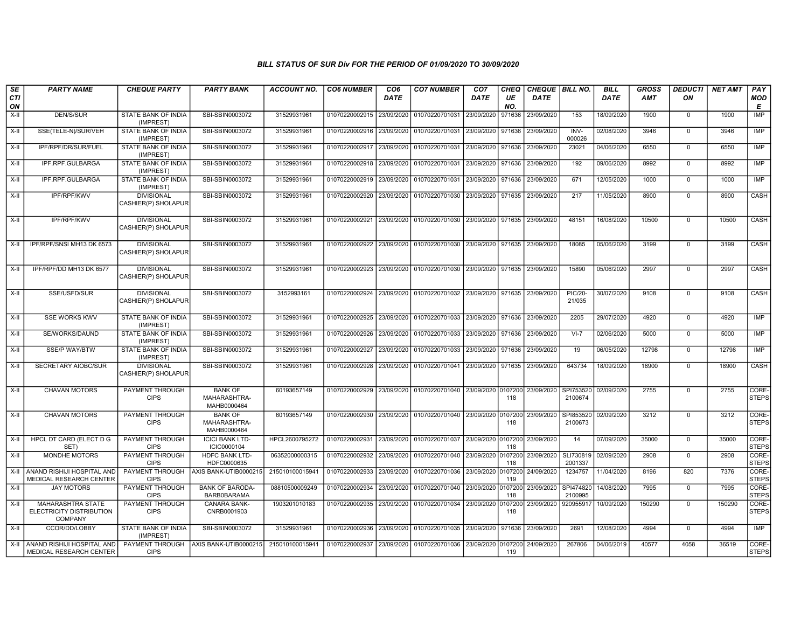| SE        | <b>PARTY NAME</b>                                        | <b>CHEQUE PARTY</b>                      | <b>PARTY BANK</b>                             | <b>ACCOUNT NO.</b> | <b>CO6 NUMBER</b>         | CO <sub>6</sub> | <b>CO7 NUMBER</b>                                              | CO <sub>7</sub>   | <b>CHEQ</b>    | CHEQUE   BILL NO. |                          | <b>BILL</b> | GROSS      | <b>DEDUCTI</b> | <b>NET AMT</b> | <b>PAY</b>            |
|-----------|----------------------------------------------------------|------------------------------------------|-----------------------------------------------|--------------------|---------------------------|-----------------|----------------------------------------------------------------|-------------------|----------------|-------------------|--------------------------|-------------|------------|----------------|----------------|-----------------------|
| CTI<br>ON |                                                          |                                          |                                               |                    |                           | <b>DATE</b>     |                                                                | DATE              | UE<br>NO.      | <b>DATE</b>       |                          | <b>DATE</b> | <b>AMT</b> | ΟN             |                | <b>MOD</b><br>E       |
| $X-H$     | <b>DEN/S/SUR</b>                                         | <b>STATE BANK OF INDIA</b><br>(IMPREST)  | SBI-SBIN0003072                               | 31529931961        | 01070220002915 23/09/2020 |                 | 01070220701031                                                 | 23/09/2020        | 971636         | 23/09/2020        | 153                      | 18/09/2020  | 1900       | $\mathbf 0$    | 1900           | IMP                   |
| $X-H$     | SSE(TELE-N)/SUR/VEH                                      | STATE BANK OF INDIA<br>(IMPREST)         | SBI-SBIN0003072                               | 31529931961        | 01070220002916            | 23/09/2020      | 01070220701031 23/09/2020 971636                               |                   |                | 23/09/2020        | INV-<br>000026           | 02/08/2020  | 3946       | $\mathbf 0$    | 3946           | IMP                   |
| X-II      | IPF/RPF/DR/SUR/FUEL                                      | STATE BANK OF INDIA<br>(IMPREST)         | SBI-SBIN0003072                               | 31529931961        | 01070220002917 23/09/2020 |                 | 01070220701031 23/09/2020 971636                               |                   |                | 23/09/2020        | 23021                    | 04/06/2020  | 6550       | $\mathbf 0$    | 6550           | IMP                   |
| X-II      | IPF.RPF.GULBARGA                                         | STATE BANK OF INDIA<br>(IMPREST)         | SBI-SBIN0003072                               | 31529931961        | 01070220002918 23/09/2020 |                 | 01070220701031                                                 | 23/09/2020        | 971636         | 23/09/2020        | 192                      | 09/06/2020  | 8992       | $\mathbf 0$    | 8992           | IMP                   |
| $X-H$     | IPF.RPF.GULBARGA                                         | STATE BANK OF INDIA<br>(IMPREST)         | SBI-SBIN0003072                               | 31529931961        | 01070220002919            | 23/09/2020      | 01070220701031 23/09/2020 971636                               |                   |                | 23/09/2020        | 671                      | 12/05/2020  | 1000       | $\mathbf 0$    | 1000           | <b>IMP</b>            |
| X-II      | <b>IPF/RPF/KWV</b>                                       | <b>DIVISIONAL</b><br>CASHIER(P) SHOLAPUR | SBI-SBIN0003072                               | 31529931961        | 01070220002920            | 23/09/2020      | 01070220701030 23/09/2020 971635                               |                   |                | 23/09/2020        | 217                      | 11/05/2020  | 8900       | $\mathbf 0$    | 8900           | CASH                  |
| $X-H$     | <b>IPF/RPF/KWV</b>                                       | <b>DIVISIONAL</b><br>CASHIER(P) SHOLAPUR | SBI-SBIN0003072                               | 31529931961        | 01070220002921 23/09/2020 |                 | 01070220701030 23/09/2020 971635                               |                   |                | 23/09/2020        | 48151                    | 16/08/2020  | 10500      | $\mathbf 0$    | 10500          | <b>CASH</b>           |
| $X-II$    | IPF/RPF/SNSI MH13 DK 6573                                | <b>DIVISIONAL</b><br>CASHIER(P) SHOLAPUR | SBI-SBIN0003072                               | 31529931961        | 01070220002922            | 23/09/2020      | 01070220701030 23/09/2020 971635 23/09/2020                    |                   |                |                   | 18085                    | 05/06/2020  | 3199       | $\mathbf 0$    | 3199           | CASH                  |
| $X-H$     | IPF/RPF/DD MH13 DK 6577                                  | <b>DIVISIONAL</b><br>CASHIER(P) SHOLAPUR | SBI-SBIN0003072                               | 31529931961        | 01070220002923            |                 | 23/09/2020   01070220701030   23/09/2020   971635   23/09/2020 |                   |                |                   | 15890                    | 05/06/2020  | 2997       | $\mathbf 0$    | 2997           | CASH                  |
| $X-H$     | SSE/USFD/SUR                                             | <b>DIVISIONAL</b><br>CASHIER(P) SHOLAPUR | SBI-SBIN0003072                               | 3152993161         | 01070220002924            | 23/09/2020      | 01070220701032 23/09/2020 971635                               |                   |                | 23/09/2020        | <b>PIC/20-</b><br>21/035 | 30/07/2020  | 9108       | $\mathbf 0$    | 9108           | CASH                  |
| X-II      | <b>SSE WORKS KWV</b>                                     | STATE BANK OF INDIA<br>(IMPREST)         | SBI-SBIN0003072                               | 31529931961        | 01070220002925            | 23/09/2020      | 01070220701033 23/09/2020 971636                               |                   |                | 23/09/2020        | 2205                     | 29/07/2020  | 4920       | $\mathbf 0$    | 4920           | <b>IMP</b>            |
| $X-H$     | SE/WORKS/DAUND                                           | <b>STATE BANK OF INDIA</b><br>(IMPREST)  | SBI-SBIN0003072                               | 31529931961        | 01070220002926            | 23/09/2020      | 01070220701033 23/09/2020 971636                               |                   |                | 23/09/2020        | $VI-7$                   | 02/06/2020  | 5000       | $\Omega$       | 5000           | IMP                   |
| $X-H$     | <b>SSE/P WAY/BTW</b>                                     | STATE BANK OF INDIA<br>(IMPREST)         | SBI-SBIN0003072                               | 31529931961        | 01070220002927            | 23/09/2020      | 01070220701033 23/09/2020 971636                               |                   |                | 23/09/2020        | 19                       | 06/05/2020  | 12798      | $\mathbf 0$    | 12798          | <b>IMP</b>            |
| X-II      | SECRETARY AIOBC/SUR                                      | <b>DIVISIONAL</b><br>CASHIER(P) SHOLAPUR | SBI-SBIN0003072                               | 31529931961        | 01070220002928            | 23/09/2020      | 01070220701041                                                 | 23/09/2020 971635 |                | 23/09/2020        | 643734                   | 18/09/2020  | 18900      | $\mathbf 0$    | 18900          | CASH                  |
| $X-H$     | <b>CHAVAN MOTORS</b>                                     | <b>PAYMENT THROUGH</b><br><b>CIPS</b>    | <b>BANK OF</b><br>MAHARASHTRA-<br>MAHB0000464 | 60193657149        | 01070220002929 23/09/2020 |                 | 01070220701040 23/09/2020 0107200                              |                   | 118            | 23/09/2020        | SPI753520<br>2100674     | 02/09/2020  | 2755       | $\overline{0}$ | 2755           | CORE-<br>STEPS        |
| $X-H$     | <b>CHAVAN MOTORS</b>                                     | PAYMENT THROUGH<br><b>CIPS</b>           | <b>BANK OF</b><br>MAHARASHTRA-<br>MAHB0000464 | 60193657149        | 01070220002930            | 23/09/2020      | 01070220701040 23/09/2020 0107200                              |                   | 118            | 23/09/2020        | SPI853520<br>2100673     | 02/09/2020  | 3212       | $\overline{0}$ | 3212           | CORE-<br><b>STEPS</b> |
| $X-II$    | HPCL DT CARD (ELECT D G<br>SET)                          | PAYMENT THROUGH<br><b>CIPS</b>           | <b>ICICI BANK LTD-</b><br>ICIC0000104         | HPCL2600795272     | 01070220002931            | 23/09/2020      | 01070220701037 23/09/2020 0107200                              |                   | 118            | 23/09/2020        | 14                       | 07/09/2020  | 35000      | $\Omega$       | 35000          | CORE-<br><b>STEPS</b> |
| $X-II$    | MONDHE MOTORS                                            | PAYMENT THROUGH<br><b>CIPS</b>           | HDFC BANK LTD-<br>HDFC0000635                 | 06352000000315     | 01070220002932            | 23/09/2020      | 01070220701040 23/09/2020                                      |                   | 0107200<br>118 | 23/09/2020        | SLI730819<br>2001337     | 02/09/2020  | 2908       | $\mathbf 0$    | 2908           | CORE-<br><b>STEPS</b> |
| $X-II$    | ANAND RISHIJI HOSPITAL AND<br>MEDICAL RESEARCH CENTER    | PAYMENT THROUGH<br><b>CIPS</b>           | AXIS BANK-UTIB0000215                         | 215010100015941    | 01070220002933            | 23/09/2020      | 01070220701036 23/09/2020 0107200                              |                   | 119            | 24/09/2020        | 1234757                  | 11/04/2020  | 8196       | 820            | 7376           | CORE-<br><b>STEPS</b> |
| X-II      | <b>JAY MOTORS</b>                                        | <b>PAYMENT THROUGH</b><br><b>CIPS</b>    | <b>BANK OF BARODA-</b><br>BARB0BARAMA         | 08810500009249     | 01070220002934            | 23/09/2020      | 01070220701040 23/09/2020 0107200                              |                   | 118            | 23/09/2020        | SPI474820<br>2100995     | 14/08/2020  | 7995       | $\mathbf{0}$   | 7995           | CORE-<br><b>STEPS</b> |
| X-II      | MAHARASHTRA STATE<br>ELECTRICITY DISTRIBUTION<br>COMPANY | PAYMENT THROUGH<br><b>CIPS</b>           | CANARA BANK-<br>CNRB0001903                   | 1903201010183      | 01070220002935            | 23/09/2020      | 01070220701034 23/09/2020 0107200                              |                   | 118            | 23/09/2020        | 920955917                | 10/09/2020  | 150290     | $\mathbf 0$    | 150290         | CORE-<br><b>STEPS</b> |
| $X-H$     | CCOR/DD/LOBBY                                            | STATE BANK OF INDIA<br>(IMPREST)         | SBI-SBIN0003072                               | 31529931961        | 01070220002936            | 23/09/2020      | 01070220701035 23/09/2020 971636                               |                   |                | 23/09/2020        | 2691                     | 12/08/2020  | 4994       | $\mathbf 0$    | 4994           | IMP                   |
| X-II      | ANAND RISHIJI HOSPITAL AND<br>MEDICAL RESEARCH CENTER    | <b>CIPS</b>                              | PAYMENT THROUGH AXIS BANK-UTIB0000215         | 215010100015941    | 01070220002937 23/09/2020 |                 | 01070220701036 23/09/2020 0107200 24/09/2020                   |                   | 119            |                   | 267806                   | 04/06/2019  | 40577      | 4058           | 36519          | CORE-<br><b>STEPS</b> |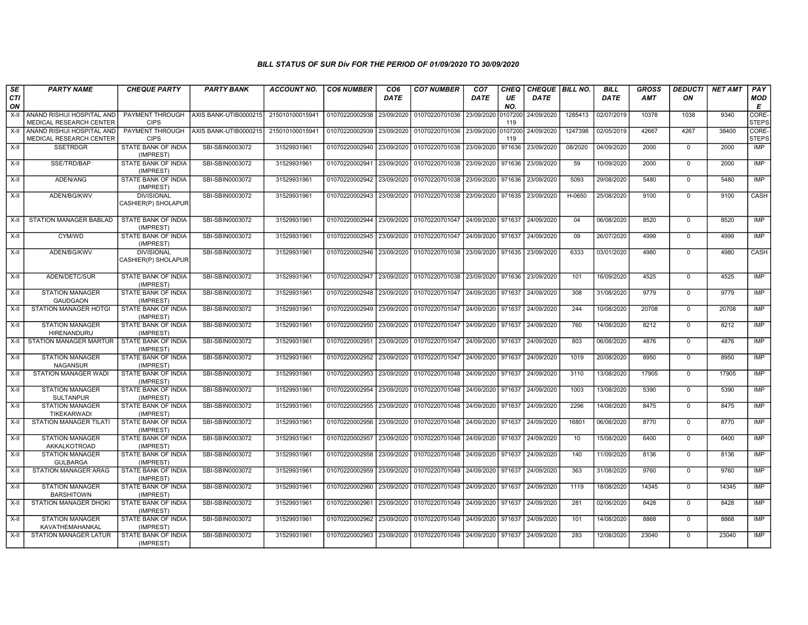| SE        | <b>PARTY NAME</b>                                            | <b>CHEQUE PARTY</b>                      | <b>PARTY BANK</b>     | <b>ACCOUNT NO.</b> | <b>CO6 NUMBER</b>         | CO <sub>6</sub> | <b>CO7 NUMBER</b>                                          | CO <sub>7</sub>   | <b>CHEQ</b>    | <b>CHEQUE   BILL NO.</b> |         | <b>BILL</b> | <b>GROSS</b> | <b>DEDUCTI</b> | <b>NET AMT</b> | <b>PAY</b>            |
|-----------|--------------------------------------------------------------|------------------------------------------|-----------------------|--------------------|---------------------------|-----------------|------------------------------------------------------------|-------------------|----------------|--------------------------|---------|-------------|--------------|----------------|----------------|-----------------------|
| CTI<br>ON |                                                              |                                          |                       |                    |                           | <b>DATE</b>     |                                                            | <b>DATE</b>       | UE<br>NO.      | <b>DATE</b>              |         | <b>DATE</b> | AMT          | OΝ             |                | MOD<br>E              |
| $X-H$     | ANAND RISHIJI HOSPITAL AND<br>MEDICAL RESEARCH CENTER        | PAYMENT THROUGH<br><b>CIPS</b>           | AXIS BANK-UTIB0000215 | 215010100015941    | 01070220002938 23/09/2020 |                 | 01070220701036                                             | 23/09/2020        | 0107200<br>119 | 24/09/2020               | 1285413 | 02/07/2019  | 10378        | 1038           | 9340           | CORE-<br><b>STEPS</b> |
| X-II      | ANAND RISHIJI HOSPITAL AND<br><b>MEDICAL RESEARCH CENTER</b> | PAYMENT THROUGH<br><b>CIPS</b>           | AXIS BANK-UTIB0000215 | 215010100015941    | 01070220002939 23/09/2020 |                 | 01070220701036 23/09/2020                                  |                   | 0107200<br>119 | 24/09/2020               | 1247398 | 02/05/2019  | 42667        | 4267           | 38400          | CORE-<br><b>STEPS</b> |
| X-II      | <b>SSETRDGR</b>                                              | STATE BANK OF INDIA<br>(IMPREST)         | SBI-SBIN0003072       | 31529931961        | 01070220002940 23/09/2020 |                 | 01070220701038                                             | 23/09/2020        | 971636         | 23/09/2020               | 08/2020 | 04/09/2020  | 2000         | $\mathbf 0$    | 2000           | <b>IMP</b>            |
| $X-H$     | SSE/TRD/BAP                                                  | STATE BANK OF INDIA<br>(IMPREST)         | SBI-SBIN0003072       | 31529931961        | 01070220002941 23/09/2020 |                 | 01070220701038                                             | 23/09/2020        | 971636         | 23/09/2020               | 59      | 10/09/2020  | 2000         | $\Omega$       | 2000           | <b>IMP</b>            |
| X-II      | ADEN/ANG                                                     | <b>STATE BANK OF INDIA</b><br>(IMPREST)  | SBI-SBIN0003072       | 31529931961        | 01070220002942            | 23/09/2020      | 01070220701038                                             | 23/09/2020        | 971636         | 23/09/2020               | 5093    | 29/08/2020  | 5480         | $\mathbf 0$    | 5480           | <b>IMP</b>            |
| X-II      | ADEN/BG/KWV                                                  | <b>DIVISIONAL</b><br>CASHIER(P) SHOLAPUR | SBI-SBIN0003072       | 31529931961        |                           |                 | 01070220002943 23/09/2020 01070220701038                   | 23/09/2020 971635 |                | 23/09/2020               | H-0650  | 25/08/2020  | 9100         | $\Omega$       | 9100           | CASH                  |
| X-II      | <b>STATION MANAGER BABLAD</b>                                | STATE BANK OF INDIA<br>(IMPREST)         | SBI-SBIN0003072       | 31529931961        |                           |                 | 01070220002944 23/09/2020 01070220701047 24/09/2020 971637 |                   |                | 24/09/2020               | 04      | 06/08/2020  | 8520         | $\mathbf 0$    | 8520           | <b>IMP</b>            |
| X-II      | CYM/WD                                                       | STATE BANK OF INDIA<br>(IMPREST)         | SBI-SBIN0003072       | 31529931961        | 01070220002945 23/09/2020 |                 | 01070220701047                                             | 24/09/2020        | 971637         | 24/09/2020               | 09      | 26/07/2020  | 4999         | $\mathbf 0$    | 4999           | <b>IMP</b>            |
| X-II      | ADEN/BG/KWV                                                  | <b>DIVISIONAL</b><br>CASHIER(P) SHOLAPUR | SBI-SBIN0003072       | 31529931961        |                           |                 | 01070220002946 23/09/2020 01070220701038                   | 23/09/2020        | 971635         | 23/09/2020               | 6333    | 03/01/2020  | 4980         | $\Omega$       | 4980           | CASH                  |
| X-II      | ADEN/DETC/SUR                                                | STATE BANK OF INDIA<br>(IMPREST)         | SBI-SBIN0003072       | 31529931961        | 01070220002947 23/09/2020 |                 | 01070220701038                                             | 23/09/2020        | 971636         | 23/09/2020               | 101     | 16/09/2020  | 4525         | $\mathbf 0$    | 4525           | IMP                   |
| X-II      | <b>STATION MANAGER</b><br><b>GAUDGAON</b>                    | <b>STATE BANK OF INDIA</b><br>(IMPREST)  | SBI-SBIN0003072       | 31529931961        | 01070220002948 23/09/2020 |                 | 01070220701047                                             | 24/09/2020        | 971637         | 24/09/2020               | 308     | 31/08/2020  | 9779         | $\mathbf 0$    | 9779           | <b>IMP</b>            |
| X-II      | <b>STATION MANAGER HOTGI</b>                                 | STATE BANK OF INDIA<br>(IMPREST)         | SBI-SBIN0003072       | 31529931961        | 01070220002949 23/09/2020 |                 | 01070220701047                                             | 24/09/2020 971637 |                | 24/09/2020               | 244     | 10/08/2020  | 20708        | $\Omega$       | 20708          | <b>IMP</b>            |
| X-II      | <b>STATION MANAGER</b><br>HIRENANDURU                        | STATE BANK OF INDIA<br>(IMPREST)         | SBI-SBIN0003072       | 31529931961        | 01070220002950            | 23/09/2020      | 01070220701047                                             | 24/09/2020        | 971637         | 24/09/2020               | 760     | 14/08/2020  | 8212         | $\mathbf 0$    | 8212           | <b>IMP</b>            |
| X-II      | <b>STATION MANAGER MARTUR</b>                                | <b>STATE BANK OF INDIA</b><br>(IMPREST)  | SBI-SBIN0003072       | 31529931961        | 01070220002951 23/09/2020 |                 | 01070220701047                                             | 24/09/2020        | 971637         | 24/09/2020               | 803     | 06/08/2020  | 4876         | $\Omega$       | 4876           | IMP                   |
| X-II      | <b>STATION MANAGER</b><br><b>NAGANSUR</b>                    | <b>STATE BANK OF INDIA</b><br>(IMPREST)  | SBI-SBIN0003072       | 31529931961        | 01070220002952 23/09/2020 |                 | 01070220701047                                             | 24/09/2020 971637 |                | 24/09/2020               | 1019    | 20/08/2020  | 8950         | $\mathbf 0$    | 8950           | <b>IMP</b>            |
| $X-II$    | <b>STATION MANAGER WADI</b>                                  | STATE BANK OF INDIA<br>(IMPREST)         | SBI-SBIN0003072       | 31529931961        | 01070220002953            | 23/09/2020      | 01070220701048                                             | 24/09/2020        | 971637         | 24/09/2020               | 3110    | 13/08/2020  | 17905        | $\mathbf 0$    | 17905          | IMP                   |
| $X-H$     | <b>STATION MANAGER</b><br><b>SULTANPUR</b>                   | STATE BANK OF INDIA<br>(IMPREST)         | SBI-SBIN0003072       | 31529931961        | 01070220002954            | 23/09/2020      | 01070220701048                                             | 24/09/2020        | 971637         | 24/09/2020               | 1003    | 13/08/2020  | 5390         | $\Omega$       | 5390           | <b>IMP</b>            |
| $X-H$     | <b>STATION MANAGER</b><br>TIKEKARWADI                        | <b>STATE BANK OF INDIA</b><br>(IMPREST)  | SBI-SBIN0003072       | 31529931961        | 01070220002955            | 23/09/2020      | 01070220701048                                             | 24/09/2020 971637 |                | 24/09/2020               | 2296    | 14/08/2020  | 8475         | $\mathbf 0$    | 8475           | <b>IMP</b>            |
| $X-II$    | <b>STATION MANAGER TILATI</b>                                | STATE BANK OF INDIA<br>(IMPREST)         | SBI-SBIN0003072       | 31529931961        | 01070220002956 23/09/2020 |                 | 01070220701048 24/09/2020                                  |                   | 971637         | 24/09/2020               | 16801   | 06/08/2020  | 8770         | $\mathbf 0$    | 8770           | IMP                   |
| X-II      | <b>STATION MANAGER</b><br>AKKALKOTROAD                       | STATE BANK OF INDIA<br>(IMPREST)         | SBI-SBIN0003072       | 31529931961        | 01070220002957            | 23/09/2020      | 01070220701048                                             | 24/09/2020        | 971637         | 24/09/2020               | 10      | 15/08/2020  | 6400         | $\mathbf 0$    | 6400           | IMP                   |
| X-II      | <b>STATION MANAGER</b><br><b>GULBARGA</b>                    | <b>STATE BANK OF INDIA</b><br>(IMPREST)  | SBI-SBIN0003072       | 31529931961        | 01070220002958            | 23/09/2020      | 01070220701048                                             | 24/09/2020        | 971637         | 24/09/2020               | 140     | 11/09/2020  | 8136         | $\Omega$       | 8136           | IMP                   |
| $X-II$    | STATION MANAGER ARAG                                         | STATE BANK OF INDIA<br>(IMPREST)         | SBI-SBIN0003072       | 31529931961        | 01070220002959            | 23/09/2020      | 01070220701049 24/09/2020                                  |                   | 971637         | 24/09/2020               | 363     | 31/08/2020  | 9760         | $\Omega$       | 9760           | <b>IMP</b>            |
| $X-H$     | <b>STATION MANAGER</b><br><b>BARSHITOWN</b>                  | <b>STATE BANK OF INDIA</b><br>(IMPREST)  | SBI-SBIN0003072       | 31529931961        | 01070220002960            |                 | 23/09/2020 01070220701049                                  | 24/09/2020 971637 |                | 24/09/2020               | 1119    | 18/08/2020  | 14345        | $\Omega$       | 14345          | IMP                   |
| X-II      | STATION MANAGER DHOKI                                        | STATE BANK OF INDIA<br>(IMPREST)         | SBI-SBIN0003072       | 31529931961        | 01070220002961 23/09/2020 |                 | 01070220701049 24/09/2020                                  |                   | 971637         | 24/09/2020               | 281     | 02/06/2020  | 8428         | $\Omega$       | 8428           | <b>IMP</b>            |
| X-II      | <b>STATION MANAGER</b><br>KAVATHEMAHANKAL                    | STATE BANK OF INDIA<br>(IMPREST)         | SBI-SBIN0003072       | 31529931961        | 01070220002962            | 23/09/2020      | 01070220701049                                             | 24/09/2020 971637 |                | 24/09/2020               | 101     | 14/08/2020  | 8868         | $\mathbf 0$    | 8868           | <b>IMP</b>            |
| X-II      | <b>STATION MANAGER LATUR</b>                                 | STATE BANK OF INDIA<br>(IMPREST)         | SBI-SBIN0003072       | 31529931961        |                           |                 | 01070220002963 23/09/2020 01070220701049 24/09/2020 971637 |                   |                | 24/09/2020               | 283     | 12/08/2020  | 23040        | $\Omega$       | 23040          | <b>IMP</b>            |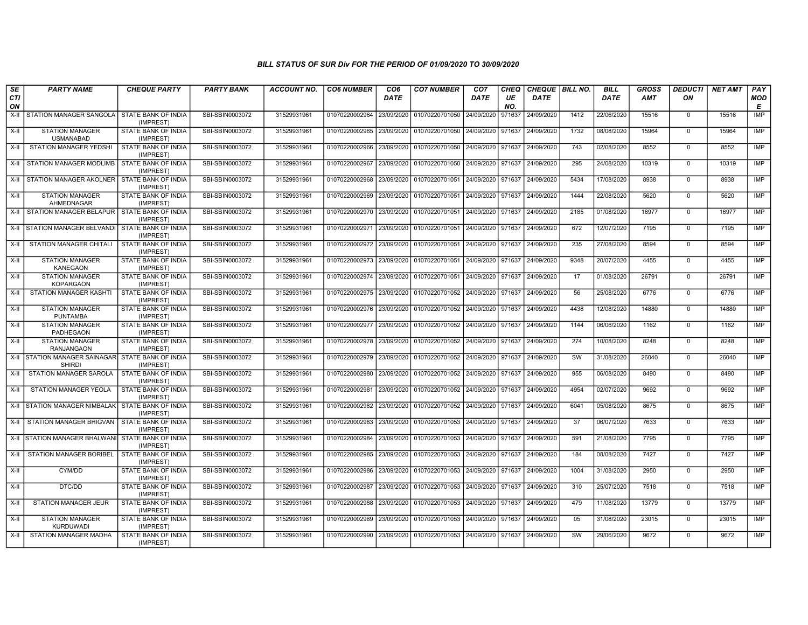| SE               | <b>PARTY NAME</b>                                             | <b>CHEQUE PARTY</b>                     | <b>PARTY BANK</b> | <b>ACCOUNT NO.</b> | <b>CO6 NUMBER</b>                        | CO <sub>6</sub> | <b>CO7 NUMBER</b>                        | CO <sub>7</sub>   | <b>CHEQ</b> | CHEQUE   BILL NO.            |                        | <b>BILL</b> | <b>GROSS</b> | <b>DEDUCTI</b> | <b>NET AMT</b> | PAY        |
|------------------|---------------------------------------------------------------|-----------------------------------------|-------------------|--------------------|------------------------------------------|-----------------|------------------------------------------|-------------------|-------------|------------------------------|------------------------|-------------|--------------|----------------|----------------|------------|
| <b>CTI</b><br>ON |                                                               |                                         |                   |                    |                                          | <b>DATE</b>     |                                          | <b>DATE</b>       | UE<br>NO.   | <b>DATE</b>                  |                        | <b>DATE</b> | AMT          | ON             |                | MOD<br>E   |
| $X-H$            | STATION MANAGER SANGOLA                                       | <b>STATE BANK OF INDIA</b><br>(IMPREST) | SBI-SBIN0003072   | 31529931961        | 01070220002964                           | 23/09/2020      | 01070220701050                           | 24/09/2020        | 971637      | 24/09/2020                   | 1412                   | 22/06/2020  | 15516        | $\mathbf 0$    | 15516          | <b>IMP</b> |
| $X-H$            | <b>STATION MANAGER</b><br><b>USMANABAD</b>                    | STATE BANK OF INDIA<br>(IMPREST)        | SBI-SBIN0003072   | 31529931961        | 01070220002965                           | 23/09/2020      | 01070220701050                           | 24/09/2020        | 971637      | 24/09/2020                   | 1732                   | 08/08/2020  | 15964        | $\mathbf 0$    | 15964          | <b>IMP</b> |
| X-II             | STATION MANAGER YEDSHI                                        | STATE BANK OF INDIA<br>(IMPREST)        | SBI-SBIN0003072   | 31529931961        | 01070220002966                           | 23/09/2020      | 01070220701050                           | 24/09/2020        | 971637      | 24/09/2020                   | 743                    | 02/08/2020  | 8552         | $\mathbf 0$    | 8552           | IMP        |
| X-II             | STATION MANAGER MODLIMB                                       | STATE BANK OF INDIA<br>(IMPREST)        | SBI-SBIN0003072   | 31529931961        | 01070220002967                           | 23/09/2020      | 01070220701050                           | 24/09/2020        | 971637      | 24/09/2020                   | 295                    | 24/08/2020  | 10319        | $\mathbf{0}$   | 10319          | <b>IMP</b> |
| $X-H$            | STATION MANAGER AKOLNER STATE BANK OF INDIA                   | (IMPREST)                               | SBI-SBIN0003072   | 31529931961        | 01070220002968                           | 23/09/2020      | 01070220701051                           | 24/09/2020        | 971637      | 24/09/2020                   | 5434                   | 17/08/2020  | 8938         | $\mathbf{0}$   | 8938           | <b>IMP</b> |
| X-II             | <b>STATION MANAGER</b><br>AHMEDNAGAR                          | <b>STATE BANK OF INDIA</b><br>(IMPREST) | SBI-SBIN0003072   | 31529931961        | 01070220002969                           |                 | 23/09/2020 01070220701051                | 24/09/2020 971637 |             | 24/09/2020                   | 1444                   | 22/08/2020  | 5620         | $\Omega$       | 5620           | IMP        |
| $X-H$            | STATION MANAGER BELAPUR STATE BANK OF INDIA                   | (IMPREST)                               | SBI-SBIN0003072   | 31529931961        | 01070220002970                           | 23/09/2020      | 01070220701051                           | 24/09/2020        | 971637      | 24/09/2020                   | 2185                   | 01/08/2020  | 16977        | $\mathbf 0$    | 16977          | IMP        |
| $X-H$            | STATION MANAGER BELVANDI                                      | STATE BANK OF INDIA<br>(IMPREST)        | SBI-SBIN0003072   | 31529931961        | 01070220002971                           | 23/09/2020      | 01070220701051                           | 24/09/2020        | 971637      | 24/09/2020                   | 672                    | 12/07/2020  | 7195         | $\overline{0}$ | 7195           | <b>IMP</b> |
| X-II             | STATION MANAGER CHITALI                                       | <b>STATE BANK OF INDIA</b><br>(IMPREST) | SBI-SBIN0003072   | 31529931961        | 01070220002972 23/09/2020                |                 | 01070220701051                           | 24/09/2020        | 971637      | 24/09/2020                   | 235                    | 27/08/2020  | 8594         | $\mathbf{0}$   | 8594           | <b>IMP</b> |
| $X-H$            | <b>STATION MANAGER</b><br><b>KANEGAON</b>                     | <b>STATE BANK OF INDIA</b><br>(IMPREST) | SBI-SBIN0003072   | 31529931961        | 01070220002973 23/09/2020 01070220701051 |                 |                                          |                   |             | 24/09/2020 971637 24/09/2020 | 9348                   | 20/07/2020  | 4455         | $\mathbf 0$    | 4455           | <b>IMP</b> |
| X-II             | <b>STATION MANAGER</b><br><b>KOPARGAON</b>                    | STATE BANK OF INDIA<br>(IMPREST)        | SBI-SBIN0003072   | 31529931961        | 01070220002974                           | 23/09/2020      | 01070220701051                           | 24/09/2020        | 971637      | 24/09/2020                   | 17                     | 01/08/2020  | 26791        | $\mathbf{0}$   | 26791          | <b>IMP</b> |
| $X-H$            | <b>STATION MANAGER KASHTI</b>                                 | STATE BANK OF INDIA<br>(IMPREST)        | SBI-SBIN0003072   | 31529931961        | 01070220002975                           | 23/09/2020      | 01070220701052                           | 24/09/2020        | 971637      | 24/09/2020                   | 56                     | 25/08/2020  | 6776         | $\mathbf 0$    | 6776           | <b>IMP</b> |
| $X-H$            | <b>STATION MANAGER</b><br><b>PUNTAMBA</b>                     | STATE BANK OF INDIA<br>(IMPREST)        | SBI-SBIN0003072   | 31529931961        | 01070220002976                           | 23/09/2020      | 01070220701052                           | 24/09/2020        | 971637      | 24/09/2020                   | 4438                   | 12/08/2020  | 14880        | $\Omega$       | 14880          | <b>IMP</b> |
| X-II             | <b>STATION MANAGER</b><br>PADHEGAON                           | STATE BANK OF INDIA<br>(IMPREST)        | SBI-SBIN0003072   | 31529931961        | 01070220002977                           | 23/09/2020      | 01070220701052                           | 24/09/2020        | 971637      | 24/09/2020                   | 1144                   | 06/06/2020  | 1162         | $\mathbf 0$    | 1162           | <b>IMP</b> |
| X-II             | <b>STATION MANAGER</b><br>RANJANGAON                          | STATE BANK OF INDIA<br>(IMPREST)        | SBI-SBIN0003072   | 31529931961        | 01070220002978                           | 23/09/2020      | 01070220701052                           | 24/09/2020        | 971637      | 24/09/2020                   | 274                    | 10/08/2020  | 8248         | $\Omega$       | 8248           | <b>IMP</b> |
| X-II             | STATION MANAGER SAINAGAR STATE BANK OF INDIA<br><b>SHIRDI</b> | (IMPREST)                               | SBI-SBIN0003072   | 31529931961        | 01070220002979                           | 23/09/2020      | 01070220701052                           | 24/09/2020        | 971637      | 24/09/2020                   | SW                     | 31/08/2020  | 26040        | $\mathbf 0$    | 26040          | <b>IMP</b> |
| X-II             | STATION MANAGER SAROLA                                        | STATE BANK OF INDIA<br>(IMPREST)        | SBI-SBIN0003072   | 31529931961        | 01070220002980                           | 23/09/2020      | 01070220701052                           | 24/09/2020        | 971637      | 24/09/2020                   | 955                    | 06/08/2020  | 8490         | $\mathbf{0}$   | 8490           | <b>IMP</b> |
| X-II             | STATION MANAGER YEOLA                                         | STATE BANK OF INDIA<br>(IMPREST)        | SBI-SBIN0003072   | 31529931961        | 01070220002981                           | 23/09/2020      | 01070220701052                           | 24/09/2020        | 971637      | 24/09/2020                   | 4954                   | 02/07/2020  | 9692         | $\mathbf{0}$   | 9692           | <b>IMP</b> |
| X-II             | <b>STATION MANAGER NIMBALAK</b>                               | STATE BANK OF INDIA<br>(IMPREST)        | SBI-SBIN0003072   | 31529931961        | 01070220002982                           | 23/09/2020      | 01070220701052                           | 24/09/2020        | 971637      | 24/09/2020                   | 6041                   | 05/08/2020  | 8675         | $\mathbf 0$    | 8675           | <b>IMP</b> |
| X-II             | STATION MANAGER BHIGVAN                                       | <b>STATE BANK OF INDIA</b><br>(IMPREST) | SBI-SBIN0003072   | 31529931961        | 01070220002983                           | 23/09/2020      | 01070220701053                           | 24/09/2020        | 971637      | 24/09/2020                   | 37                     | 06/07/2020  | 7633         | $\mathbf{0}$   | 7633           | <b>IMP</b> |
| X-II             | STATION MANAGER BHALWANI STATE BANK OF INDIA                  | (IMPREST)                               | SBI-SBIN0003072   | 31529931961        | 01070220002984                           | 23/09/2020      | 01070220701053                           | 24/09/2020        | 971637      | 24/09/2020                   | 591                    | 21/08/2020  | 7795         | $\mathbf 0$    | 7795           | <b>IMP</b> |
| $X-H$            | <b>STATION MANAGER BORIBEL</b>                                | STATE BANK OF INDIA<br>(IMPREST)        | SBI-SBIN0003072   | 31529931961        | 01070220002985                           | 23/09/2020      | 01070220701053                           | 24/09/2020        | 971637      | 24/09/2020                   | 184                    | 08/08/2020  | 7427         | $\mathbf{0}$   | 7427           | <b>IMP</b> |
| X-II             | CYM/DD                                                        | STATE BANK OF INDIA<br>(IMPREST)        | SBI-SBIN0003072   | 31529931961        | 01070220002986                           | 23/09/2020      | 01070220701053                           | 24/09/2020        | 971637      | 24/09/2020                   | 1004                   | 31/08/2020  | 2950         | $\mathbf{0}$   | 2950           | IMP        |
| X-II             | DTC/DD                                                        | STATE BANK OF INDIA<br>(IMPREST)        | SBI-SBIN0003072   | 31529931961        | 01070220002987                           | 23/09/2020      | 01070220701053                           | 24/09/2020        | 971637      | 24/09/2020                   | 310                    | 25/07/2020  | 7518         | $\mathbf 0$    | 7518           | <b>IMP</b> |
| X-II             | <b>STATION MANAGER JEUR</b>                                   | STATE BANK OF INDIA<br>(IMPREST)        | SBI-SBIN0003072   | 31529931961        | 01070220002988                           | 23/09/2020      | 01070220701053                           | 24/09/2020        | 971637      | 24/09/2020                   | 479                    | 11/08/2020  | 13779        | $\mathbf{0}$   | 13779          | <b>IMP</b> |
| $X-H$            | <b>STATION MANAGER</b><br><b>KURDUWADI</b>                    | <b>STATE BANK OF INDIA</b><br>(IMPREST) | SBI-SBIN0003072   | 31529931961        | 01070220002989                           |                 | 23/09/2020 01070220701053                | 24/09/2020        | 971637      | 24/09/2020                   | 05                     | 31/08/2020  | 23015        | $\mathbf 0$    | 23015          | <b>IMP</b> |
| $X-H$            | STATION MANAGER MADHA                                         | STATE BANK OF INDIA<br>(IMPREST)        | SBI-SBIN0003072   | 31529931961        | 01070220002990                           |                 | 23/09/2020   01070220701053   24/09/2020 |                   | 971637      | 24/09/2020                   | $\overline{\text{sw}}$ | 29/06/2020  | 9672         | $\Omega$       | 9672           | <b>IMP</b> |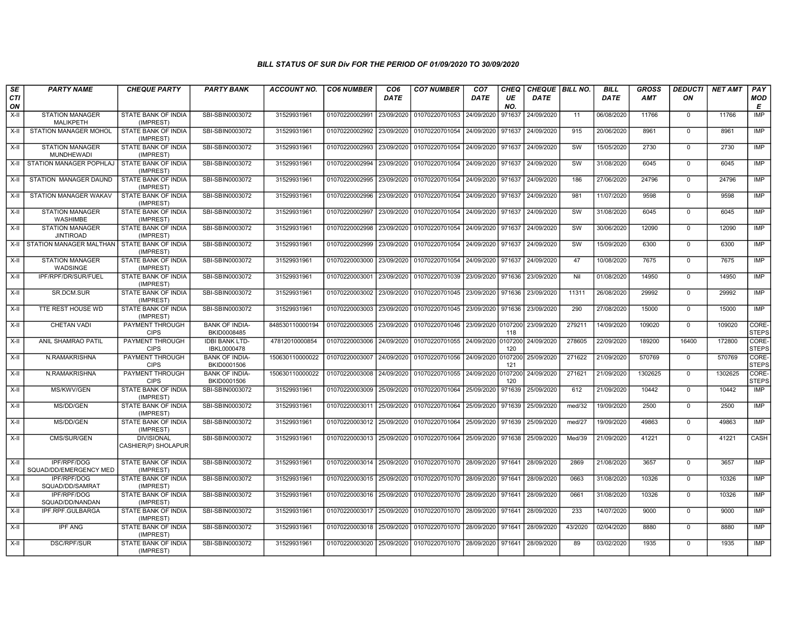| SE        | <b>PARTY NAME</b>                           | <b>CHEQUE PARTY</b>                      | <b>PARTY BANK</b>                    | <b>ACCOUNT NO.</b> | <b>CO6 NUMBER</b>         | CO <sub>6</sub> | <b>CO7 NUMBER</b>                                          | CO <sub>7</sub>    | <b>CHEQ</b>    | CHEQUE   BILL NO. |         | <b>BILL</b> | <b>GROSS</b> | <b>DEDUCTI</b> | <b>NET AMT</b> | PAY                   |
|-----------|---------------------------------------------|------------------------------------------|--------------------------------------|--------------------|---------------------------|-----------------|------------------------------------------------------------|--------------------|----------------|-------------------|---------|-------------|--------------|----------------|----------------|-----------------------|
| CTI<br>ON |                                             |                                          |                                      |                    |                           | DATE            |                                                            | DATE               | UE<br>NO.      | DATE              |         | <b>DATE</b> | <b>AMT</b>   | ON             |                | <b>MOD</b><br>Е       |
| $X-H$     | <b>STATION MANAGER</b><br><b>MALIKPETH</b>  | <b>STATE BANK OF INDIA</b><br>(IMPREST)  | SBI-SBIN0003072                      | 31529931961        | 01070220002991            | 23/09/2020      | 01070220701053                                             | 24/09/2020         | 971637         | 24/09/2020        | 11      | 06/08/2020  | 11766        | $\mathbf 0$    | 11766          | <b>IMP</b>            |
| X-II      | <b>STATION MANAGER MOHOL</b>                | STATE BANK OF INDIA<br>(IMPREST)         | SBI-SBIN0003072                      | 31529931961        | 01070220002992 23/09/2020 |                 | 01070220701054 24/09/2020 971637                           |                    |                | 24/09/2020        | 915     | 20/06/2020  | 8961         | $\mathbf 0$    | 8961           | IMP                   |
| $X-H$     | <b>STATION MANAGER</b><br><b>MUNDHEWADI</b> | STATE BANK OF INDIA<br>(IMPREST)         | SBI-SBIN0003072                      | 31529931961        | 01070220002993 23/09/2020 |                 | 01070220701054                                             | 24/09/2020 971637  |                | 24/09/2020        | SW      | 15/05/2020  | 2730         | $\mathbf 0$    | 2730           | IMP                   |
| X-II      | STATION MANAGER POPHLAJ                     | STATE BANK OF INDIA<br>(IMPREST)         | SBI-SBIN0003072                      | 31529931961        | 01070220002994 23/09/2020 |                 | 01070220701054                                             | 24/09/2020         | 971637         | 24/09/2020        | SW      | 31/08/2020  | 6045         | $\mathbf 0$    | 6045           | IMP                   |
| X-II      | STATION MANAGER DAUND                       | <b>STATE BANK OF INDIA</b><br>(IMPREST)  | SBI-SBIN0003072                      | 31529931961        | 01070220002995 23/09/2020 |                 | 01070220701054                                             | 24/09/2020         | 971637         | 24/09/2020        | 186     | 27/06/2020  | 24796        | $\mathbf 0$    | 24796          | <b>IMP</b>            |
| X-II      | <b>STATION MANAGER WAKAV</b>                | <b>STATE BANK OF INDIA</b><br>(IMPREST)  | SBI-SBIN0003072                      | 31529931961        | 01070220002996            | 23/09/2020      | 01070220701054                                             | 24/09/2020         | 971637         | 24/09/2020        | 981     | 11/07/2020  | 9598         | $\Omega$       | 9598           | IMP                   |
| $X-H$     | <b>STATION MANAGER</b><br><b>WASHIMBE</b>   | STATE BANK OF INDIA<br>(IMPREST)         | SBI-SBIN0003072                      | 31529931961        | 01070220002997            | 23/09/2020      | 01070220701054                                             | 24/09/2020 971637  |                | 24/09/2020        | SW      | 31/08/2020  | 6045         | $\Omega$       | 6045           | IMP                   |
| $X-H$     | <b>STATION MANAGER</b><br><b>JINTIROAD</b>  | STATE BANK OF INDIA<br>(IMPREST)         | SBI-SBIN0003072                      | 31529931961        | 01070220002998            | 23/09/2020      | 01070220701054                                             | 24/09/2020         | 971637         | 24/09/2020        | SW      | 30/06/2020  | 12090        | $\mathbf 0$    | 12090          | <b>IMP</b>            |
|           | X-II STATION MANAGER MALTHAN                | <b>STATE BANK OF INDIA</b><br>(IMPREST)  | SBI-SBIN0003072                      | 31529931961        | 01070220002999            | 23/09/2020      | 01070220701054                                             | 24/09/2020         | 971637         | 24/09/2020        | SW      | 15/09/2020  | 6300         | $\mathbf 0$    | 6300           | <b>IMP</b>            |
| $X-II$    | <b>STATION MANAGER</b><br>WADSINGE          | <b>STATE BANK OF INDIA</b><br>(IMPREST)  | SBI-SBIN0003072                      | 31529931961        | 01070220003000 23/09/2020 |                 | 01070220701054                                             | 24/09/2020 971637  |                | 24/09/2020        | 47      | 10/08/2020  | 7675         | $\mathbf 0$    | 7675           | IMP                   |
| X-II      | IPF/RPF/DR/SUR/FUEL                         | STATE BANK OF INDIA<br>(IMPREST)         | SBI-SBIN0003072                      | 31529931961        | 01070220003001            | 23/09/2020      | 01070220701039                                             | 23/09/2020         | 971636         | 23/09/2020        | Nil     | 01/08/2020  | 14950        | $\mathbf 0$    | 14950          | IMP                   |
| X-II      | SR.DCM.SUR                                  | STATE BANK OF INDIA<br>(IMPREST)         | SBI-SBIN0003072                      | 31529931961        | 01070220003002 23/09/2020 |                 | 01070220701045                                             | 23/09/2020         | 971636         | 23/09/2020        | 11311   | 26/08/2020  | 29992        | $\mathbf 0$    | 29992          | <b>IMP</b>            |
| X-II      | TTE REST HOUSE WD                           | <b>STATE BANK OF INDIA</b><br>(IMPREST)  | SBI-SBIN0003072                      | 31529931961        | 01070220003003 23/09/2020 |                 | 01070220701045 23/09/2020                                  |                    | 971636         | 23/09/2020        | 290     | 27/08/2020  | 15000        | $\mathbf 0$    | 15000          | <b>IMP</b>            |
| X-II      | <b>CHETAN VADI</b>                          | <b>PAYMENT THROUGH</b><br><b>CIPS</b>    | <b>BANK OF INDIA-</b><br>BKID0008485 | 848530110000194    | 01070220003005 23/09/2020 |                 | 01070220701046                                             | 23/09/2020 0107200 | 118            | 23/09/2020        | 279211  | 14/09/2020  | 109020       | $\mathbf 0$    | 109020         | CORE-<br><b>STEPS</b> |
| X-II      | ANIL SHAMRAO PATIL                          | PAYMENT THROUGH<br><b>CIPS</b>           | <b>IDBI BANK LTD-</b><br>IBKL0000478 | 47812010000854     | 01070220003006 24/09/2020 |                 | 01070220701055                                             | 24/09/2020 0107200 | 120            | 24/09/2020        | 278605  | 22/09/2020  | 189200       | 16400          | 172800         | CORE-<br><b>STEPS</b> |
| X-II      | N.RAMAKRISHNA                               | PAYMENT THROUGH<br><b>CIPS</b>           | <b>BANK OF INDIA-</b><br>BKID0001506 | 150630110000022    | 01070220003007            | 24/09/2020      | 01070220701056                                             | 24/09/2020         | 0107200<br>121 | 25/09/2020        | 271622  | 21/09/2020  | 570769       | $\Omega$       | 570769         | CORE-<br><b>STEPS</b> |
| X-II      | N.RAMAKRISHNA                               | PAYMENT THROUGH<br><b>CIPS</b>           | <b>BANK OF INDIA-</b><br>BKID0001506 | 150630110000022    | 01070220003008            | 24/09/2020      | 01070220701055                                             | 24/09/2020         | 0107200<br>120 | 24/09/2020        | 271621  | 21/09/2020  | 1302625      | $\mathbf 0$    | 1302625        | CORE-<br><b>STEPS</b> |
| $X-H$     | MS/KWV/GEN                                  | <b>STATE BANK OF INDIA</b><br>(IMPREST)  | SBI-SBIN0003072                      | 31529931961        | 01070220003009 25/09/2020 |                 | 01070220701064                                             | 25/09/2020         | 971639         | 25/09/2020        | 612     | 21/09/2020  | 10442        | $\mathbf 0$    | 10442          | IMP                   |
| X-II      | MS/DD/GEN                                   | <b>STATE BANK OF INDIA</b><br>(IMPREST)  | SBI-SBIN0003072                      | 31529931961        | 01070220003011 25/09/2020 |                 | 01070220701064                                             | 25/09/2020         | 971639         | 25/09/2020        | med/32  | 19/09/2020  | 2500         | $\mathbf 0$    | 2500           | IMP                   |
| X-II      | MS/DD/GEN                                   | STATE BANK OF INDIA<br>(IMPREST)         | SBI-SBIN0003072                      | 31529931961        | 01070220003012 25/09/2020 |                 | 01070220701064                                             | 25/09/2020         | 971639         | 25/09/2020        | med/27  | 19/09/2020  | 49863        | $\Omega$       | 49863          | <b>IMP</b>            |
| X-II      | CMS/SUR/GEN                                 | <b>DIVISIONAL</b><br>CASHIER(P) SHOLAPUR | SBI-SBIN0003072                      | 31529931961        | 01070220003013 25/09/2020 |                 | 01070220701064                                             | 25/09/2020         | 971638         | 25/09/2020        | Med/39  | 21/09/2020  | 41221        | $\mathbf 0$    | 41221          | <b>CASH</b>           |
| $X-II$    | IPF/RPF/DOG<br>SQUAD/DD/EMERGENCY MED       | <b>STATE BANK OF INDIA</b><br>(IMPREST)  | SBI-SBIN0003072                      | 31529931961        | 01070220003014 25/09/2020 |                 | 01070220701070                                             | 28/09/2020 971641  |                | 28/09/2020        | 2869    | 21/08/2020  | 3657         | $\Omega$       | 3657           | <b>IMP</b>            |
| X-II      | IPF/RPF/DOG<br>SQUAD/DD/SAMRAT              | STATE BANK OF INDIA<br>(IMPREST)         | SBI-SBIN0003072                      | 31529931961        | 01070220003015 25/09/2020 |                 | 01070220701070 28/09/2020                                  |                    | 971641         | 28/09/2020        | 0663    | 31/08/2020  | 10326        | $\mathbf 0$    | 10326          | <b>IMP</b>            |
| X-II      | <b>IPF/RPF/DOG</b><br>SQUAD/DD/NANDAN       | <b>STATE BANK OF INDIA</b><br>(IMPREST)  | SBI-SBIN0003072                      | 31529931961        | 01070220003016 25/09/2020 |                 | 01070220701070 28/09/2020                                  |                    | 971641         | 28/09/2020        | 0661    | 31/08/2020  | 10326        | $\mathbf 0$    | 10326          | <b>IMP</b>            |
| X-II      | IPF.RPF.GULBARGA                            | STATE BANK OF INDIA<br>(IMPREST)         | SBI-SBIN0003072                      | 31529931961        | 01070220003017 25/09/2020 |                 | 01070220701070 28/09/2020                                  |                    | 971641         | 28/09/2020        | 233     | 14/07/2020  | 9000         | $\mathbf 0$    | 9000           | IMP                   |
| X-II      | <b>IPF ANG</b>                              | <b>STATE BANK OF INDIA</b><br>(IMPREST)  | SBI-SBIN0003072                      | 31529931961        | 01070220003018 25/09/2020 |                 | 01070220701070                                             | 28/09/2020         | 971641         | 28/09/2020        | 43/2020 | 02/04/2020  | 8880         | $\Omega$       | 8880           | <b>IMP</b>            |
| $X-II$    | <b>DSC/RPF/SUR</b>                          | STATE BANK OF INDIA<br>(IMPREST)         | SBI-SBIN0003072                      | 31529931961        |                           |                 | 01070220003020 25/09/2020 01070220701070 28/09/2020 971641 |                    |                | 28/09/2020        | 89      | 03/02/2020  | 1935         | $\mathbf 0$    | 1935           | <b>IMP</b>            |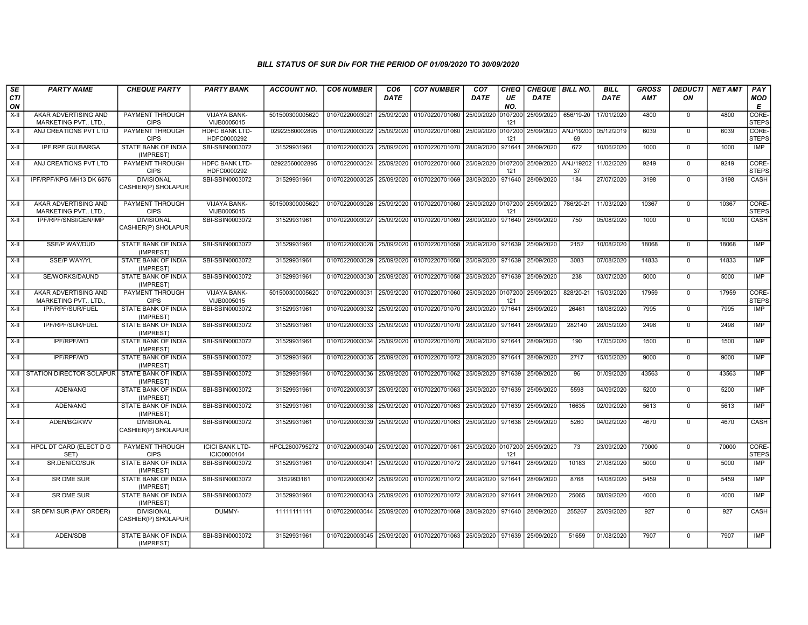| SE               | <b>PARTY NAME</b>                             | <b>CHEQUE PARTY</b>                      | <b>PARTY BANK</b>                     | <b>ACCOUNT NO.</b> | <b>CO6 NUMBER</b>         | CO <sub>6</sub> | <b>CO7 NUMBER</b>                 | CO <sub>7</sub>    | CHEQ           | CHEQUE   BILL NO.      |                 | <b>BILL</b> | <b>GROSS</b> | <b>DEDUCTI</b> | <b>NET AMT</b> | PAY                   |
|------------------|-----------------------------------------------|------------------------------------------|---------------------------------------|--------------------|---------------------------|-----------------|-----------------------------------|--------------------|----------------|------------------------|-----------------|-------------|--------------|----------------|----------------|-----------------------|
| <b>CTI</b><br>ON |                                               |                                          |                                       |                    |                           | <b>DATE</b>     |                                   | <b>DATE</b>        | UE<br>NO.      | <b>DATE</b>            |                 | <b>DATE</b> | AMT          | ON             |                | <b>MOD</b><br>E       |
| $X-H$            | AKAR ADVERTISING AND<br>MARKETING PVT., LTD.  | <b>PAYMENT THROUGH</b><br><b>CIPS</b>    | VIJAYA BANK-<br>VIJB0005015           | 501500300005620    | 01070220003021 25/09/2020 |                 | 01070220701060 25/09/2020 0107200 |                    | 121            | 25/09/2020 656/19-20   |                 | 17/01/2020  | 4800         | $\mathbf 0$    | 4800           | CORE-<br><b>STEPS</b> |
| $X-H$            | ANJ CREATIONS PVT LTD                         | PAYMENT THROUGH<br><b>CIPS</b>           | <b>HDFC BANK LTD-</b><br>HDFC0000292  | 02922560002895     | 01070220003022 25/09/2020 |                 | 01070220701060 25/09/2020         |                    | 0107200<br>121 | 25/09/2020   ANJ/19200 | 69              | 05/12/2019  | 6039         | $\overline{0}$ | 6039           | CORE-<br><b>STEPS</b> |
| X-II             | IPF.RPF.GULBARGA                              | STATE BANK OF INDIA<br>(IMPREST)         | SBI-SBIN0003072                       | 31529931961        | 01070220003023            | 25/09/2020      | 01070220701070 28/09/2020 971641  |                    |                | 28/09/2020             | 672             | 10/06/2020  | 1000         | $\mathbf 0$    | 1000           | IMP                   |
| $X-II$           | ANJ CREATIONS PVT LTD                         | PAYMENT THROUGH<br><b>CIPS</b>           | <b>HDFC BANK LTD-</b><br>HDFC0000292  | 02922560002895     | 01070220003024            | 25/09/2020      | 01070220701060                    | 25/09/2020 0107200 | 121            | 25/09/2020             | ANJ/19202<br>37 | 11/02/2020  | 9249         | $\overline{0}$ | 9249           | CORE-<br><b>STEPS</b> |
| $X-H$            | IPF/RPF/KPG MH13 DK 6576                      | <b>DIVISIONAL</b><br>CASHIER(P) SHOLAPUR | SBI-SBIN0003072                       | 31529931961        | 01070220003025            | 25/09/2020      | 01070220701069 28/09/2020 971640  |                    |                | 28/09/2020             | 184             | 27/07/2020  | 3198         | $\overline{0}$ | 3198           | CASH                  |
| $X-II$           | AKAR ADVERTISING AND<br>MARKETING PVT., LTD., | PAYMENT THROUGH<br><b>CIPS</b>           | <b>VIJAYA BANK-</b><br>VIJB0005015    | 501500300005620    | 01070220003026            | 25/09/2020      | 01070220701060 25/09/2020 0107200 |                    | 121            | 25/09/2020             | 786/20-21       | 11/03/2020  | 10367        | $\mathbf 0$    | 10367          | CORE-<br><b>STEPS</b> |
| $X-H$            | IPF/RPF/SNSI/GEN/IMP                          | <b>DIVISIONAL</b><br>CASHIER(P) SHOLAPUR | SBI-SBIN0003072                       | 31529931961        | 01070220003027            | 25/09/2020      | 01070220701069 28/09/2020 971640  |                    |                | 28/09/2020             | 750             | 05/08/2020  | 1000         | $\mathbf 0$    | 1000           | CASH                  |
| $X-II$           | <b>SSE/P WAY/DUD</b>                          | STATE BANK OF INDIA<br>(IMPREST)         | SBI-SBIN0003072                       | 31529931961        | 01070220003028            | 25/09/2020      | 01070220701058 25/09/2020 971639  |                    |                | 25/09/2020             | 2152            | 10/08/2020  | 18068        | $\overline{0}$ | 18068          | <b>IMP</b>            |
| $X-II$           | <b>SSE/P WAY/YL</b>                           | <b>STATE BANK OF INDIA</b><br>(IMPREST)  | SBI-SBIN0003072                       | 31529931961        | 01070220003029            | 25/09/2020      | 01070220701058 25/09/2020 971639  |                    |                | 25/09/2020             | 3083            | 07/08/2020  | 14833        | $\overline{0}$ | 14833          | <b>IMP</b>            |
| $X-H$            | SE/WORKS/DAUND                                | <b>STATE BANK OF INDIA</b><br>(IMPREST)  | SBI-SBIN0003072                       | 31529931961        | 01070220003030 25/09/2020 |                 | 01070220701058 25/09/2020 971639  |                    |                | 25/09/2020             | 238             | 03/07/2020  | 5000         | $\overline{0}$ | 5000           | IMP                   |
| $X-H$            | AKAR ADVERTISING AND<br>MARKETING PVT., LTD.  | PAYMENT THROUGH<br><b>CIPS</b>           | <b>VIJAYA BANK-</b><br>VIJB0005015    | 501500300005620    | 01070220003031            | 25/09/2020      | 01070220701060 25/09/2020 0107200 |                    | 121            | 25/09/2020             | 828/20-21       | 15/03/2020  | 17959        | $\mathbf 0$    | 17959          | CORE-<br><b>STEPS</b> |
| X-II             | IPF/RPF/SUR/FUEL                              | STATE BANK OF INDIA<br>(IMPREST)         | SBI-SBIN0003072                       | 31529931961        | 01070220003032            | 25/09/2020      | 01070220701070 28/09/2020 971641  |                    |                | 28/09/2020             | 26461           | 18/08/2020  | 7995         | $\mathbf 0$    | 7995           | <b>IMP</b>            |
| $X-H$            | IPF/RPF/SUR/FUEL                              | STATE BANK OF INDIA<br>(IMPREST)         | SBI-SBIN0003072                       | 31529931961        | 01070220003033            | 25/09/2020      | 01070220701070 28/09/2020 971641  |                    |                | 28/09/2020             | 282140          | 28/05/2020  | 2498         | $\overline{0}$ | 2498           | <b>IMP</b>            |
| $X-H$            | <b>IPF/RPF/WD</b>                             | <b>STATE BANK OF INDIA</b><br>(IMPREST)  | SBI-SBIN0003072                       | 31529931961        | 01070220003034            | 25/09/2020      | 01070220701070 28/09/2020 971641  |                    |                | 28/09/2020             | 190             | 17/05/2020  | 1500         | $\overline{0}$ | 1500           | IMP                   |
| $X-H$            | IPF/RPF/WD                                    | <b>STATE BANK OF INDIA</b><br>(IMPREST)  | SBI-SBIN0003072                       | 31529931961        | 01070220003035            | 25/09/2020      | 01070220701072 28/09/2020 971641  |                    |                | 28/09/2020             | 2717            | 15/05/2020  | 9000         | $\Omega$       | 9000           | <b>IMP</b>            |
| $X-H$            | STATION DIRECTOR SOLAPUR STATE BANK OF INDIA  | (IMPREST)                                | SBI-SBIN0003072                       | 31529931961        | 01070220003036            | 25/09/2020      | 01070220701062                    | 25/09/2020 971639  |                | 25/09/2020             | 96              | 01/09/2020  | 43563        | $\mathbf 0$    | 43563          | IMP                   |
| X-II             | ADEN/ANG                                      | <b>STATE BANK OF INDIA</b><br>(IMPREST)  | SBI-SBIN0003072                       | 31529931961        | 01070220003037            | 25/09/2020      | 01070220701063 25/09/2020 971639  |                    |                | 25/09/2020             | 5598            | 04/09/2020  | 5200         | $\mathbf 0$    | 5200           | <b>IMP</b>            |
| $X-H$            | ADEN/ANG                                      | <b>STATE BANK OF INDIA</b><br>(IMPREST)  | SBI-SBIN0003072                       | 31529931961        | 01070220003038            | 25/09/2020      | 01070220701063 25/09/2020 971639  |                    |                | 25/09/2020             | 16635           | 02/09/2020  | 5613         | $\mathbf 0$    | 5613           | <b>IMP</b>            |
| $X-H$            | ADEN/BG/KWV                                   | <b>DIVISIONAL</b><br>CASHIER(P) SHOLAPUR | SBI-SBIN0003072                       | 31529931961        | 01070220003039            | 25/09/2020      | 01070220701063 25/09/2020 971638  |                    |                | 25/09/2020             | 5260            | 04/02/2020  | 4670         | $\mathbf 0$    | 4670           | <b>CASH</b>           |
| $X-H$            | HPCL DT CARD (ELECT D G<br>SET)               | <b>PAYMENT THROUGH</b><br><b>CIPS</b>    | <b>ICICI BANK LTD-</b><br>ICIC0000104 | HPCL2600795272     | 01070220003040            | 25/09/2020      | 01070220701061                    | 25/09/2020 0107200 | 121            | 25/09/2020             | 73              | 23/09/2020  | 70000        | $\mathbf 0$    | 70000          | CORE-<br><b>STEPS</b> |
| $X-H$            | SR.DEN/CO/SUR                                 | <b>STATE BANK OF INDIA</b><br>(IMPREST)  | SBI-SBIN0003072                       | 31529931961        | 01070220003041 25/09/2020 |                 | 01070220701072 28/09/2020 971641  |                    |                | 28/09/2020             | 10183           | 21/08/2020  | 5000         | $\Omega$       | 5000           | IMP                   |
| X-II             | SR DME SUR                                    | STATE BANK OF INDIA<br>(IMPREST)         | SBI-SBIN0003072                       | 3152993161         | 01070220003042            | 25/09/2020      | 01070220701072 28/09/2020 971641  |                    |                | 28/09/2020             | 8768            | 14/08/2020  | 5459         | $\mathbf 0$    | 5459           | <b>IMP</b>            |
| X-II             | SR DME SUR                                    | STATE BANK OF INDIA<br>(IMPREST)         | SBI-SBIN0003072                       | 31529931961        | 01070220003043            | 25/09/2020      | 01070220701072 28/09/2020 971641  |                    |                | 28/09/2020             | 25065           | 08/09/2020  | 4000         | $\mathbf 0$    | 4000           | IMP                   |
| X-II             | SR DFM SUR (PAY ORDER)                        | <b>DIVISIONAL</b><br>CASHIER(P) SHOLAPUR | DUMMY-                                | 11111111111        | 01070220003044 25/09/2020 |                 | 01070220701069                    | 28/09/2020 971640  |                | 28/09/2020             | 255267          | 25/09/2020  | 927          | $\mathbf 0$    | 927            | CASH                  |
| X-II             | ADEN/SDB                                      | STATE BANK OF INDIA<br>(IMPREST)         | SBI-SBIN0003072                       | 31529931961        | 01070220003045 25/09/2020 |                 | 01070220701063 25/09/2020 971639  |                    |                | 25/09/2020             | 51659           | 01/08/2020  | 7907         | $\Omega$       | 7907           | <b>IMP</b>            |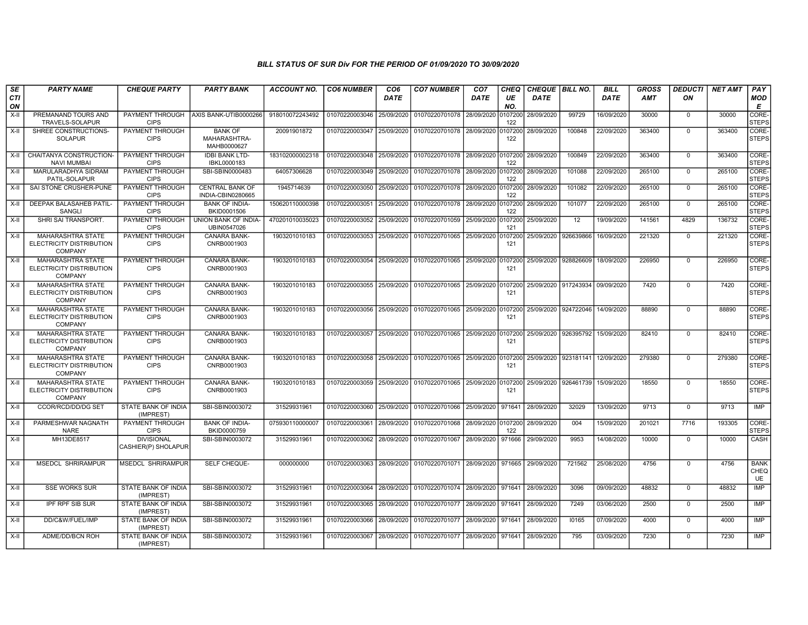| SE        | <b>PARTY NAME</b>                                                      | <b>CHEQUE PARTY</b>                      | <b>PARTY BANK</b>                             | <b>ACCOUNT NO.</b> | <b>CO6 NUMBER</b>         | CO <sub>6</sub> | <b>CO7 NUMBER</b>                                 | CO <sub>7</sub> | CHEQ           | CHEQUE   BILL NO.    |                                 | <b>BILL</b> | <b>GROSS</b> | <b>DEDUCTI</b> | <b>NET AMT</b> | <b>PAY</b>                       |
|-----------|------------------------------------------------------------------------|------------------------------------------|-----------------------------------------------|--------------------|---------------------------|-----------------|---------------------------------------------------|-----------------|----------------|----------------------|---------------------------------|-------------|--------------|----------------|----------------|----------------------------------|
| CTI<br>ON |                                                                        |                                          |                                               |                    |                           | <b>DATE</b>     |                                                   | <b>DATE</b>     | UE<br>NO.      | <b>DATE</b>          |                                 | <b>DATE</b> | AMT          | ON             |                | <b>MOD</b><br>Е                  |
| X-II      | PREMANAND TOURS AND<br>TRAVELS-SOLAPUR                                 | <b>CIPS</b>                              | PAYMENT THROUGH AXIS BANK-UTIB0000266         | 918010072243492    | 01070220003046            | 25/09/2020      | 01070220701078 28/09/2020                         |                 | 0107200<br>122 | 28/09/2020           | 99729                           | 16/09/2020  | 30000        | $\mathbf 0$    | 30000          | CORE-<br><b>STEPS</b>            |
| X-II      | SHREE CONSTRUCTIONS-<br><b>SOLAPUR</b>                                 | <b>PAYMENT THROUGH</b><br><b>CIPS</b>    | <b>BANK OF</b><br>MAHARASHTRA-<br>MAHB0000627 | 20091901872        | 01070220003047 25/09/2020 |                 | 01070220701078 28/09/2020                         |                 | 0107200<br>122 | 28/09/2020           | 100848                          | 22/09/2020  | 363400       | $\Omega$       | 363400         | CORE-<br><b>STEPS</b>            |
| X-II      | CHAITANYA CONSTRUCTION-<br><b>NAVI MUMBAI</b>                          | PAYMENT THROUGH<br><b>CIPS</b>           | <b>IDBI BANK LTD-</b><br>IBKL0000183          | 183102000002318    | 01070220003048            | 25/09/2020      | 01070220701078 28/09/2020 0107200                 |                 | 122            | 28/09/2020           | 100849                          | 22/09/2020  | 363400       | $\mathbf 0$    | 363400         | CORE-<br><b>STEPS</b>            |
| X-II      | MARULARADHYA SIDRAM<br>PATIL-SOLAPUR                                   | <b>PAYMENT THROUGH</b><br><b>CIPS</b>    | SBI-SBIN0000483                               | 64057306628        | 01070220003049            | 25/09/2020      | 01070220701078 28/09/2020                         |                 | 0107200<br>122 | 28/09/2020           | 101088                          | 22/09/2020  | 265100       | $\Omega$       | 265100         | CORE-<br><b>STEPS</b>            |
| X-II      | SAI STONE CRUSHER-PUNE                                                 | PAYMENT THROUGH<br><b>CIPS</b>           | <b>CENTRAL BANK OF</b><br>INDIA-CBIN0280665   | 1945714639         | 01070220003050            | 25/09/2020      | 01070220701078 28/09/2020                         |                 | 0107200<br>122 | 28/09/2020           | 101082                          | 22/09/2020  | 265100       | $\mathbf 0$    | 265100         | CORE-<br><b>STEPS</b>            |
| $X-I$     | DEEPAK BALASAHEB PATIL-<br>SANGLI                                      | PAYMENT THROUGH<br><b>CIPS</b>           | <b>BANK OF INDIA-</b><br>BKID0001506          | 150620110000398    | 01070220003051            | 25/09/2020      | 01070220701078 28/09/2020                         |                 | 0107200<br>122 | 28/09/2020           | 101077                          | 22/09/2020  | 265100       | $\mathbf 0$    | 265100         | CORE-<br><b>STEPS</b>            |
| $X-H$     | SHRI SAI TRANSPORT.                                                    | PAYMENT THROUGH<br><b>CIPS</b>           | UNION BANK OF INDIA-<br>UBIN0547026           | 470201010035023    | 01070220003052            | 25/09/2020      | 01070220701059 25/09/2020                         |                 | 0107200<br>121 | 25/09/2020           | 12                              | 19/09/2020  | 141561       | 4829           | 136732         | CORE-<br><b>STEPS</b>            |
| $X-H$     | <b>MAHARASHTRA STATE</b><br>ELECTRICITY DISTRIBUTION<br><b>COMPANY</b> | PAYMENT THROUGH<br><b>CIPS</b>           | <b>CANARA BANK-</b><br>CNRB0001903            | 1903201010183      | 01070220003053            | 25/09/2020      | 01070220701065 25/09/2020                         |                 | 0107200<br>121 | 25/09/2020 926639866 |                                 | 16/09/2020  | 221320       | $\mathbf 0$    | 221320         | CORE-<br><b>STEPS</b>            |
| X-II      | <b>MAHARASHTRA STATE</b><br>ELECTRICITY DISTRIBUTION<br><b>COMPANY</b> | PAYMENT THROUGH<br><b>CIPS</b>           | CANARA BANK-<br>CNRB0001903                   | 1903201010183      | 01070220003054            | 25/09/2020      | 01070220701065 25/09/2020 0107200                 |                 | 121            | 25/09/2020 928826609 |                                 | 18/09/2020  | 226950       | $\mathbf 0$    | 226950         | CORE-<br><b>STEPS</b>            |
| X-II      | <b>MAHARASHTRA STATE</b><br>ELECTRICITY DISTRIBUTION<br><b>COMPANY</b> | PAYMENT THROUGH<br><b>CIPS</b>           | <b>CANARA BANK-</b><br>CNRB0001903            | 1903201010183      | 01070220003055            |                 | 25/09/2020   01070220701065   25/09/2020 0107200  |                 | 121            |                      | 25/09/2020 917243934 09/09/2020 |             | 7420         | $\Omega$       | 7420           | CORE-<br><b>STEPS</b>            |
| X-II      | <b>MAHARASHTRA STATE</b><br>ELECTRICITY DISTRIBUTION<br><b>COMPANY</b> | <b>PAYMENT THROUGH</b><br><b>CIPS</b>    | <b>CANARA BANK-</b><br>CNRB0001903            | 1903201010183      | 01070220003056            | 25/09/2020      | 01070220701065 25/09/2020 0107200                 |                 | 121            |                      | 25/09/2020 924722046            | 14/09/2020  | 88890        | $\Omega$       | 88890          | CORE-<br><b>STEPS</b>            |
| X-II      | <b>MAHARASHTRA STATE</b><br>ELECTRICITY DISTRIBUTION<br><b>COMPANY</b> | PAYMENT THROUGH<br><b>CIPS</b>           | <b>CANARA BANK-</b><br>CNRB0001903            | 1903201010183      | 01070220003057            | 25/09/2020      | 01070220701065 25/09/2020 0107200                 |                 | 121            |                      | 25/09/2020   926395792          | 15/09/2020  | 82410        | $\Omega$       | 82410          | CORE-<br><b>STEPS</b>            |
| X-II      | <b>MAHARASHTRA STATE</b><br>ELECTRICITY DISTRIBUTION<br><b>COMPANY</b> | PAYMENT THROUGH<br><b>CIPS</b>           | <b>CANARA BANK-</b><br>CNRB0001903            | 1903201010183      | 01070220003058 25/09/2020 |                 | 01070220701065 25/09/2020 0107200                 |                 | 121            |                      | 25/09/2020 923181141 12/09/2020 |             | 279380       | $\Omega$       | 279380         | CORE-<br><b>STEPS</b>            |
| $X-H$     | <b>MAHARASHTRA STATE</b><br>ELECTRICITY DISTRIBUTION<br><b>COMPANY</b> | PAYMENT THROUGH<br><b>CIPS</b>           | <b>CANARA BANK-</b><br>CNRB0001903            | 1903201010183      | 01070220003059 25/09/2020 |                 | 01070220701065 25/09/2020 0107200                 |                 | 121            | 25/09/2020 926461739 |                                 | 15/09/2020  | 18550        | $\Omega$       | 18550          | CORE-<br><b>STEPS</b>            |
| X-II      | <b>CCOR/RCD/DD/DG SET</b>                                              | STATE BANK OF INDIA<br>(IMPREST)         | SBI-SBIN0003072                               | 31529931961        | 01070220003060            | 25/09/2020      | 01070220701066 25/09/2020                         |                 | 971641         | 28/09/2020           | 32029                           | 13/09/2020  | 9713         | $\Omega$       | 9713           | <b>IMP</b>                       |
| X-II      | PARMESHWAR NAGNATH<br><b>NARE</b>                                      | PAYMENT THROUGH<br><b>CIPS</b>           | <b>BANK OF INDIA-</b><br>BKID0000759          | 075930110000007    | 01070220003061            | 28/09/2020      | 01070220701068 28/09/2020 0107200                 |                 | 122            | 28/09/2020           | 004                             | 15/09/2020  | 201021       | 7716           | 193305         | CORE-<br><b>STEPS</b>            |
| X-II      | MH13DE8517                                                             | <b>DIVISIONAL</b><br>CASHIER(P) SHOLAPUR | SBI-SBIN0003072                               | 31529931961        | 01070220003062            | 28/09/2020      | 01070220701067 28/09/2020                         |                 | 971666         | 29/09/2020           | 9953                            | 14/08/2020  | 10000        | $\Omega$       | 10000          | CASH                             |
| X-II      | MSEDCL SHRIRAMPUR                                                      | <b>MSEDCL SHRIRAMPUR</b>                 | SELF CHEQUE-                                  | 000000000          | 01070220003063            |                 | 28/09/2020   01070220701071   28/09/2020   971665 |                 |                | 29/09/2020           | 721562                          | 25/08/2020  | 4756         | $\mathbf 0$    | 4756           | <b>BANK</b><br>CHEQ<br><b>UE</b> |
| X-II      | <b>SSE WORKS SUR</b>                                                   | STATE BANK OF INDIA<br>(IMPREST)         | SBI-SBIN0003072                               | 31529931961        | 01070220003064            | 28/09/2020      | 01070220701074 28/09/2020                         |                 | 971641         | 28/09/2020           | 3096                            | 09/09/2020  | 48832        | $\mathbf 0$    | 48832          | <b>IMP</b>                       |
| X-II      | <b>IPF RPF SIB SUR</b>                                                 | STATE BANK OF INDIA<br>(IMPREST)         | SBI-SBIN0003072                               | 31529931961        | 01070220003065            | 28/09/2020      | 01070220701077 28/09/2020 971641                  |                 |                | 28/09/2020           | 7249                            | 03/06/2020  | 2500         | $\mathbf 0$    | 2500           | <b>IMP</b>                       |
| X-II      | DD/C&W/FUEL/IMP                                                        | <b>STATE BANK OF INDIA</b><br>(IMPREST)  | SBI-SBIN0003072                               | 31529931961        | 01070220003066            | 28/09/2020      | 01070220701077 28/09/2020                         |                 | 971641         | 28/09/2020           | 10165                           | 07/09/2020  | 4000         | $\Omega$       | 4000           | <b>IMP</b>                       |
| X-II      | ADME/DD/BCN ROH                                                        | STATE BANK OF INDIA<br>(IMPREST)         | SBI-SBIN0003072                               | 31529931961        | 01070220003067            | 28/09/2020      | 01070220701077 28/09/2020                         |                 | 971641         | 28/09/2020           | 795                             | 03/09/2020  | 7230         | $\Omega$       | 7230           | <b>IMP</b>                       |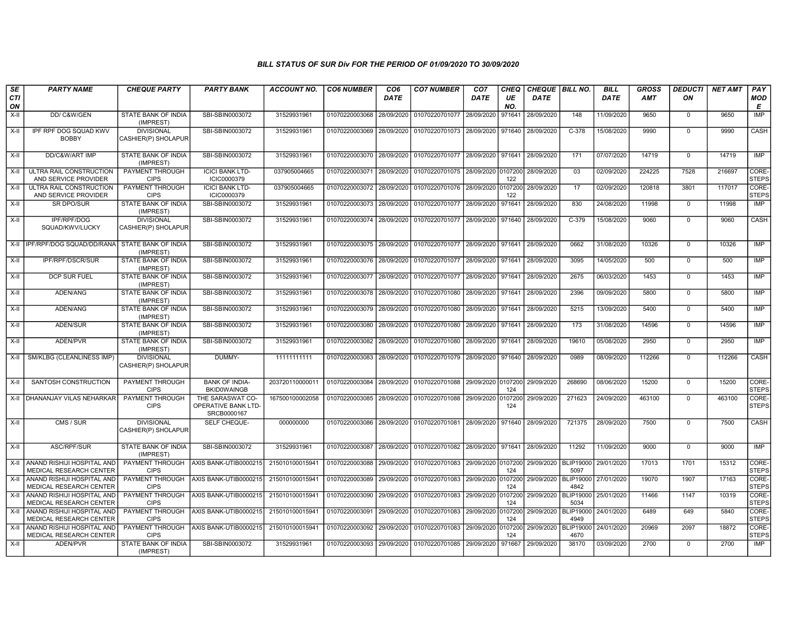| SE               | <b>PARTY NAME</b>                                            | <b>CHEQUE PARTY</b>                      | <b>PARTY BANK</b>                                      | <b>ACCOUNT NO.</b> | <b>CO6 NUMBER</b> | CO <sub>6</sub> | <b>CO7 NUMBER</b>                                          | CO <sub>7</sub>    | <b>CHEQ</b>    | CHEQUE   BILL NO. |                          | <b>BILL</b> | <b>GROSS</b> | <b>DEDUCTI</b> | <b>NET AMT</b> | PAY                   |
|------------------|--------------------------------------------------------------|------------------------------------------|--------------------------------------------------------|--------------------|-------------------|-----------------|------------------------------------------------------------|--------------------|----------------|-------------------|--------------------------|-------------|--------------|----------------|----------------|-----------------------|
| <b>CTI</b><br>ON |                                                              |                                          |                                                        |                    |                   | <b>DATE</b>     |                                                            | <b>DATE</b>        | UE<br>NO.      | <b>DATE</b>       |                          | <b>DATE</b> | <b>AMT</b>   | ΟN             |                | <b>MOD</b><br>Е       |
| $X-H$            | DD/C&W/GEN                                                   | <b>STATE BANK OF INDIA</b><br>(IMPREST)  | SBI-SBIN0003072                                        | 31529931961        | 01070220003068    | 28/09/2020      | 01070220701077                                             | 28/09/2020         | 971641         | 28/09/2020        | $\overline{148}$         | 11/09/2020  | 9650         | $^{\circ}$     | 9650           | <b>IMP</b>            |
| X-II             | IPF RPF DOG SQUAD KWV<br><b>BOBBY</b>                        | <b>DIVISIONAL</b><br>CASHIER(P) SHOLAPUR | SBI-SBIN0003072                                        | 31529931961        | 01070220003069    |                 | 28/09/2020   01070220701073   28/09/2020   971640          |                    |                | 28/09/2020        | $C-378$                  | 15/08/2020  | 9990         | $\mathbf 0$    | 9990           | <b>CASH</b>           |
| $X-H$            | DD/C&W/ART IMP                                               | <b>STATE BANK OF INDIA</b><br>(IMPREST)  | SBI-SBIN0003072                                        | 31529931961        | 01070220003070    | 28/09/2020      | 01070220701077                                             | 28/09/2020         | 971641         | 28/09/2020        | 171                      | 07/07/2020  | 14719        | $\mathbf 0$    | 14719          | <b>IMP</b>            |
| X-II             | ULTRA RAIL CONSTRUCTION<br>AND SERVICE PROVIDER              | <b>PAYMENT THROUGH</b><br><b>CIPS</b>    | <b>ICICI BANK LTD-</b><br>ICIC0000379                  | 037905004665       | 01070220003071    | 28/09/2020      | 01070220701075                                             | 28/09/2020         | 0107200<br>122 | 28/09/2020        | 03                       | 02/09/2020  | 224225       | 7528           | 216697         | CORE-<br><b>STEPS</b> |
| $X-I$            | ULTRA RAIL CONSTRUCTION<br>AND SERVICE PROVIDER              | PAYMENT THROUGH<br><b>CIPS</b>           | <b>ICICI BANK LTD-</b><br>ICIC0000379                  | 037905004665       | 01070220003072    | 28/09/2020      | 01070220701076                                             | 28/09/2020         | 0107200<br>122 | 28/09/2020        | 17                       | 02/09/2020  | 120818       | 3801           | 117017         | CORE-<br><b>STEPS</b> |
| $X-II$           | <b>SR DPO/SUR</b>                                            | <b>STATE BANK OF INDIA</b><br>(IMPREST)  | SBI-SBIN0003072                                        | 31529931961        | 01070220003073    | 28/09/2020      | 01070220701077                                             | 28/09/2020         | 971641         | 28/09/2020        | 830                      | 24/08/2020  | 11998        | $\mathbf 0$    | 11998          | IMP                   |
| $X-H$            | IPF/RPF/DOG<br>SQUAD/KWV/LUCKY                               | <b>DIVISIONAL</b><br>CASHIER(P) SHOLAPUR | SBI-SBIN0003072                                        | 31529931961        | 01070220003074    | 28/09/2020      | 01070220701077                                             | 28/09/2020         | 971640         | 28/09/2020        | $C-379$                  | 15/08/2020  | 9060         | $\Omega$       | 9060           | CASH                  |
|                  | X-II IPF/RPF/DOG SQUAD/DD/RANA                               | STATE BANK OF INDIA<br>(IMPREST)         | SBI-SBIN0003072                                        | 31529931961        | 01070220003075    |                 | 28/09/2020 01070220701077                                  | 28/09/2020 971641  |                | 28/09/2020        | 0662                     | 31/08/2020  | 10326        | $\Omega$       | 10326          | <b>IMP</b>            |
| $X-II$           | <b>IPF/RPF/DSCR/SUR</b>                                      | STATE BANK OF INDIA<br>(IMPREST)         | SBI-SBIN0003072                                        | 31529931961        |                   |                 | 01070220003076 28/09/2020 01070220701077                   | 28/09/2020 971641  |                | 28/09/2020        | 3095                     | 14/05/2020  | 500          | $\Omega$       | 500            | <b>IMP</b>            |
| $X-H$            | <b>DCP SUR FUEL</b>                                          | STATE BANK OF INDIA<br>(IMPREST)         | SBI-SBIN0003072                                        | 31529931961        | 01070220003077    | 28/09/2020      | 01070220701077                                             | 28/09/2020         | 971641         | 28/09/2020        | 2675                     | 06/03/2020  | 1453         | $\mathbf 0$    | 1453           | <b>IMP</b>            |
| X-II             | ADEN/ANG                                                     | STATE BANK OF INDIA<br>(IMPREST)         | SBI-SBIN0003072                                        | 31529931961        | 01070220003078    | 28/09/2020      | 01070220701080                                             | 28/09/2020         | 971641         | 28/09/2020        | 2396                     | 09/09/2020  | 5800         | $\mathbf 0$    | 5800           | IMP                   |
| X-II             | ADEN/ANG                                                     | STATE BANK OF INDIA<br>(IMPREST)         | SBI-SBIN0003072                                        | 31529931961        | 01070220003079    | 28/09/2020      | 01070220701080                                             | 28/09/2020         | 971641         | 28/09/2020        | 5215                     | 13/09/2020  | 5400         | $^{\circ}$     | 5400           | IMP                   |
| X-II             | ADEN/SUR                                                     | STATE BANK OF INDIA<br>(IMPREST)         | SBI-SBIN0003072                                        | 31529931961        | 01070220003080    | 28/09/2020      | 01070220701080                                             | 28/09/2020         | 971641         | 28/09/2020        | 173                      | 31/08/2020  | 14596        | $\Omega$       | 14596          | <b>IMP</b>            |
| $X-H$            | ADEN/PVR                                                     | <b>STATE BANK OF INDIA</b><br>(IMPREST)  | SBI-SBIN0003072                                        | 31529931961        | 01070220003082    | 28/09/2020      | 01070220701080                                             | 28/09/2020         | 971641         | 28/09/2020        | 19610                    | 05/08/2020  | 2950         | $\mathbf 0$    | 2950           | IMP                   |
| $X-H$            | SM/KLBG (CLEANLINESS IMP)                                    | <b>DIVISIONAL</b><br>CASHIER(P) SHOLAPUR | DUMMY-                                                 | 11111111111        | 01070220003083    |                 | 28/09/2020   01070220701079   28/09/2020   971640          |                    |                | 28/09/2020        | 0989                     | 08/09/2020  | 112266       | $\mathbf 0$    | 112266         | <b>CASH</b>           |
| X-II             | SANTOSH CONSTRUCTION                                         | PAYMENT THROUGH<br><b>CIPS</b>           | <b>BANK OF INDIA-</b><br><b>BKID0WAINGB</b>            | 203720110000011    | 01070220003084    | 28/09/2020      | 01070220701088                                             | 29/09/2020 0107200 | 124            | 29/09/2020        | 268690                   | 08/06/2020  | 15200        | $\mathbf 0$    | 15200          | CORE-<br><b>STEPS</b> |
|                  | X-II   DHANANJAY VILAS NEHARKAR                              | <b>PAYMENT THROUGH</b><br><b>CIPS</b>    | THE SARASWAT CO-<br>OPERATIVE BANK LTD-<br>SRCB0000167 | 167500100002058    | 01070220003085    | 28/09/2020      | 01070220701088                                             | 29/09/2020         | 0107200<br>124 | 29/09/2020        | 271623                   | 24/09/2020  | 463100       | $^{\circ}$     | 463100         | CORE-<br><b>STEPS</b> |
| X-II             | CMS / SUR                                                    | <b>DIVISIONAL</b><br>CASHIER(P) SHOLAPUR | SELF CHEQUE-                                           | 000000000          |                   |                 | 01070220003086 28/09/2020 01070220701081 28/09/2020 971640 |                    |                | 28/09/2020        | 721375                   | 28/09/2020  | 7500         | $\mathbf 0$    | 7500           | CASH                  |
| $X-H$            | ASC/RPF/SUR                                                  | STATE BANK OF INDIA<br>(IMPREST)         | SBI-SBIN0003072                                        | 31529931961        | 01070220003087    |                 | 28/09/2020 01070220701082                                  | 28/09/2020 971641  |                | 28/09/2020        | 11292                    | 11/09/2020  | 9000         | $\mathbf{0}$   | 9000           | <b>IMP</b>            |
| X-II             | ANAND RISHIJI HOSPITAL AND<br>MEDICAL RESEARCH CENTER        | PAYMENT THROUGH<br><b>CIPS</b>           | AXIS BANK-UTIB0000215                                  | 215010100015941    | 01070220003088    | 29/09/2020      | 01070220701083                                             | 29/09/2020 0107200 | 124            | 29/09/2020        | <b>BLIP19000</b><br>5097 | 29/01/2020  | 17013        | 1701           | 15312          | CORE-<br><b>STEPS</b> |
| X-II             | ANAND RISHIJI HOSPITAL AND<br>MEDICAL RESEARCH CENTER        | PAYMENT THROUGH<br><b>CIPS</b>           | AXIS BANK-UTIB0000215                                  | 215010100015941    | 01070220003089    | 29/09/2020      | 01070220701083                                             | 29/09/2020         | 0107200<br>124 | 29/09/2020        | <b>BLIP19000</b><br>4842 | 27/01/2020  | 19070        | 1907           | 17163          | CORE-<br><b>STEPS</b> |
| X-II             | ANAND RISHIJI HOSPITAL AND<br>MEDICAL RESEARCH CENTER        | <b>PAYMENT THROUGH</b><br><b>CIPS</b>    | AXIS BANK-UTIB0000215                                  | 215010100015941    | 01070220003090    | 29/09/2020      | 01070220701083                                             | 29/09/2020         | 0107200<br>124 | 29/09/2020        | <b>BLIP19000</b><br>5034 | 25/01/2020  | 11466        | 1147           | 10319          | CORE-<br><b>STEPS</b> |
| $X-II$           | ANAND RISHIJI HOSPITAL AND<br>MEDICAL RESEARCH CENTER        | PAYMENT THROUGH<br><b>CIPS</b>           | AXIS BANK-UTIB0000215                                  | 215010100015941    | 01070220003091    | 29/09/2020      | 01070220701083                                             | 29/09/2020         | 0107200<br>124 | 29/09/2020        | <b>BLIP19000</b><br>4949 | 24/01/2020  | 6489         | 649            | 5840           | CORE-<br><b>STEPS</b> |
| $X-H$            | ANAND RISHIJI HOSPITAL AND<br><b>MEDICAL RESEARCH CENTER</b> | <b>PAYMENT THROUGH</b><br><b>CIPS</b>    | AXIS BANK-UTIB0000215                                  | 215010100015941    | 01070220003092    | 29/09/2020      | 01070220701083                                             | 29/09/2020         | 0107200<br>124 | 29/09/2020        | <b>BLIP19000</b><br>4670 | 24/01/2020  | 20969        | 2097           | 18872          | CORE-<br><b>STEPS</b> |
| $X-H$            | ADEN/PVR                                                     | STATE BANK OF INDIA<br>(IMPREST)         | SBI-SBIN0003072                                        | 31529931961        |                   |                 | 01070220003093 29/09/2020 01070220701085                   | 29/09/2020         | 971667         | 29/09/2020        | 38170                    | 03/09/2020  | 2700         | $\mathbf 0$    | 2700           | <b>IMP</b>            |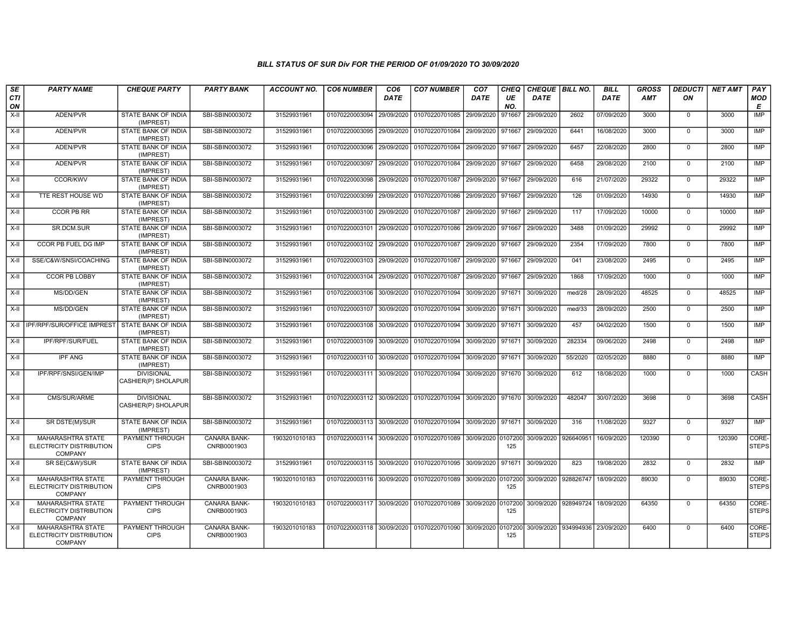| SE<br><b>CTI</b><br>ON | <b>PARTY NAME</b>                                                      | <b>CHEQUE PARTY</b>                      | <b>PARTY BANK</b>                  | <b>ACCOUNT NO.</b> | <b>CO6 NUMBER</b>                        | CO <sub>6</sub><br><b>DATE</b> | <b>CO7 NUMBER</b>                                                     | CO <sub>7</sub><br><b>DATE</b> | CHEQ<br>UE<br>NO. | CHEQUE   BILL NO.<br><b>DATE</b> |                      | <b>BILL</b><br><b>DATE</b> | <b>GROSS</b><br><b>AMT</b> | <b>DEDUCTI</b><br>ON | <b>NET AMT</b> | PAY<br><b>MOD</b><br>E |
|------------------------|------------------------------------------------------------------------|------------------------------------------|------------------------------------|--------------------|------------------------------------------|--------------------------------|-----------------------------------------------------------------------|--------------------------------|-------------------|----------------------------------|----------------------|----------------------------|----------------------------|----------------------|----------------|------------------------|
| $X-H$                  | ADEN/PVR                                                               | <b>STATE BANK OF INDIA</b><br>(IMPREST)  | SBI-SBIN0003072                    | 31529931961        | 01070220003094                           | 29/09/2020                     | 01070220701085                                                        | 29/09/2020                     | 971667            | 29/09/2020                       | 2602                 | 07/09/2020                 | 3000                       | $\mathbf 0$          | 3000           | <b>IMP</b>             |
| $X-H$                  | ADEN/PVR                                                               | <b>STATE BANK OF INDIA</b><br>(IMPREST)  | SBI-SBIN0003072                    | 31529931961        | 01070220003095                           |                                | 29/09/2020 01070220701084                                             | 29/09/2020                     | 971667            | 29/09/2020                       | 6441                 | 16/08/2020                 | 3000                       | $\mathbf 0$          | 3000           | IMP                    |
| X-II                   | ADEN/PVR                                                               | STATE BANK OF INDIA<br>(IMPREST)         | SBI-SBIN0003072                    | 31529931961        | 01070220003096                           | 29/09/2020                     | 01070220701084                                                        | 29/09/2020                     | 971667            | 29/09/2020                       | 6457                 | 22/08/2020                 | 2800                       | $\mathbf 0$          | 2800           | IMP                    |
| X-II                   | ADEN/PVR                                                               | STATE BANK OF INDIA<br>(IMPREST)         | SBI-SBIN0003072                    | 31529931961        | 01070220003097                           | 29/09/2020                     | 01070220701084                                                        | 29/09/2020                     | 971667            | 29/09/2020                       | 6458                 | 29/08/2020                 | 2100                       | $^{\circ}$           | 2100           | <b>IMP</b>             |
| $X-H$                  | <b>CCOR/KWV</b>                                                        | STATE BANK OF INDIA<br>(IMPREST)         | SBI-SBIN0003072                    | 31529931961        | 01070220003098                           |                                | 29/09/2020 01070220701087                                             | 29/09/2020                     | 971667            | 29/09/2020                       | 616                  | 21/07/2020                 | 29322                      | $\mathbf 0$          | 29322          | IMP                    |
| $X-H$                  | TTE REST HOUSE WD                                                      | <b>STATE BANK OF INDIA</b><br>(IMPREST)  | SBI-SBIN0003072                    | 31529931961        |                                          |                                | 01070220003099 29/09/2020 01070220701086                              | 29/09/2020 971667              |                   | 29/09/2020                       | 126                  | 01/09/2020                 | 14930                      | $\Omega$             | 14930          | IMP                    |
| X-II                   | <b>CCOR PB RR</b>                                                      | STATE BANK OF INDIA<br>(IMPREST)         | SBI-SBIN0003072                    | 31529931961        | 01070220003100                           | 29/09/2020                     | 01070220701087                                                        | 29/09/2020                     | 971667            | 29/09/2020                       | 117                  | 17/09/2020                 | 10000                      | $^{\circ}$           | 10000          | IMP                    |
| X-II                   | SR.DCM.SUR                                                             | STATE BANK OF INDIA<br>(IMPREST)         | SBI-SBIN0003072                    | 31529931961        | 01070220003101                           | 29/09/2020                     | 01070220701086                                                        | 29/09/2020                     | 971667            | 29/09/2020                       | 3488                 | 01/09/2020                 | 29992                      | $\Omega$             | 29992          | <b>IMP</b>             |
| X-II                   | CCOR PB FUEL DG IMP                                                    | STATE BANK OF INDIA<br>(IMPREST)         | SBI-SBIN0003072                    | 31529931961        | 01070220003102 29/09/2020 01070220701087 |                                |                                                                       | 29/09/2020                     | 971667            | 29/09/2020                       | 2354                 | 17/09/2020                 | 7800                       | $^{\circ}$           | 7800           | <b>IMP</b>             |
| $X-H$                  | SSE/C&W/SNSI/COACHING                                                  | <b>STATE BANK OF INDIA</b><br>(IMPREST)  | SBI-SBIN0003072                    | 31529931961        |                                          |                                | 01070220003103 29/09/2020 01070220701087                              | 29/09/2020 971667              |                   | 29/09/2020                       | 041                  | 23/08/2020                 | 2495                       | $\Omega$             | 2495           | IMP                    |
| X-II                   | <b>CCOR PB LOBBY</b>                                                   | STATE BANK OF INDIA<br>(IMPREST)         | SBI-SBIN0003072                    | 31529931961        | 01070220003104                           | 29/09/2020                     | 01070220701087                                                        | 29/09/2020                     | 971667            | 29/09/2020                       | 1868                 | 17/09/2020                 | 1000                       | $^{\circ}$           | 1000           | IMP                    |
| X-II                   | MS/DD/GEN                                                              | STATE BANK OF INDIA<br>(IMPREST)         | SBI-SBIN0003072                    | 31529931961        | 01070220003106                           | 30/09/2020                     | 01070220701094                                                        | 30/09/2020                     | 971671            | 30/09/2020                       | med/28               | 28/09/2020                 | 48525                      | $\Omega$             | 48525          | <b>IMP</b>             |
| X-II                   | MS/DD/GEN                                                              | STATE BANK OF INDIA<br>(IMPREST)         | SBI-SBIN0003072                    | 31529931961        | 01070220003107                           | 30/09/2020                     | 01070220701094                                                        | 30/09/2020                     | 971671            | 30/09/2020                       | med/33               | 28/09/2020                 | 2500                       | $\mathbf 0$          | 2500           | <b>IMP</b>             |
|                        | X-II I IPF/RPF/SUR/OFFICE IMPREST STATE BANK OF INDIA                  | (IMPREST)                                | SBI-SBIN0003072                    | 31529931961        | 01070220003108                           |                                | 30/09/2020 01070220701094                                             | 30/09/2020 971671              |                   | 30/09/2020                       | 457                  | 04/02/2020                 | 1500                       | $\mathbf 0$          | 1500           | IMP                    |
| X-II                   | IPF/RPF/SUR/FUEL                                                       | STATE BANK OF INDIA<br>(IMPREST)         | SBI-SBIN0003072                    | 31529931961        | 01070220003109                           |                                | 30/09/2020 01070220701094                                             | 30/09/2020 971671              |                   | 30/09/2020                       | 282334               | 09/06/2020                 | 2498                       | $\Omega$             | 2498           | <b>IMP</b>             |
| $X-H$                  | <b>IPF ANG</b>                                                         | STATE BANK OF INDIA<br>(IMPREST)         | SBI-SBIN0003072                    | 31529931961        | 01070220003110                           |                                | 30/09/2020 01070220701094                                             | 30/09/2020 971671              |                   | 30/09/2020                       | 55/2020              | 02/05/2020                 | 8880                       | $\Omega$             | 8880           | IMP                    |
| X-II                   | IPF/RPF/SNSI/GEN/IMP                                                   | <b>DIVISIONAL</b><br>CASHIER(P) SHOLAPUR | SBI-SBIN0003072                    | 31529931961        |                                          |                                | 01070220003111 30/09/2020 01070220701094                              | 30/09/2020 971670              |                   | 30/09/2020                       | 612                  | 18/08/2020                 | 1000                       | $\mathbf 0$          | 1000           | <b>CASH</b>            |
| X-II                   | CMS/SUR/ARME                                                           | <b>DIVISIONAL</b><br>CASHIER(P) SHOLAPUR | SBI-SBIN0003072                    | 31529931961        | 01070220003112                           |                                | 30/09/2020 01070220701094                                             | 30/09/2020 971670              |                   | 30/09/2020                       | 482047               | 30/07/2020                 | 3698                       | $^{\circ}$           | 3698           | CASH                   |
| $X-H$                  | SR DSTE(M)/SUR                                                         | STATE BANK OF INDIA<br>(IMPREST)         | SBI-SBIN0003072                    | 31529931961        |                                          |                                | 01070220003113 30/09/2020 01070220701094 30/09/2020 971671 30/09/2020 |                                |                   |                                  | 316                  | 11/08/2020                 | 9327                       | $\overline{0}$       | 9327           | IMP                    |
| X-II                   | <b>MAHARASHTRA STATE</b><br>ELECTRICITY DISTRIBUTION<br>COMPANY        | <b>PAYMENT THROUGH</b><br><b>CIPS</b>    | <b>CANARA BANK-</b><br>CNRB0001903 | 1903201010183      | 01070220003114 30/09/2020                |                                | 01070220701089                                                        | 30/09/2020 0107200             | 125               | 30/09/2020                       | 926640951            | 16/09/2020                 | 120390                     | $\Omega$             | 120390         | CORE-<br><b>STEPS</b>  |
| X-II                   | SR SE(C&W)/SUR                                                         | <b>STATE BANK OF INDIA</b><br>(IMPREST)  | SBI-SBIN0003072                    | 31529931961        |                                          |                                | 01070220003115 30/09/2020 01070220701095                              | 30/09/2020                     | 971671            | 30/09/2020                       | 823                  | 19/08/2020                 | 2832                       | $\mathbf 0$          | 2832           | <b>IMP</b>             |
| X-II                   | <b>MAHARASHTRA STATE</b><br>ELECTRICITY DISTRIBUTION<br><b>COMPANY</b> | PAYMENT THROUGH<br><b>CIPS</b>           | CANARA BANK-<br>CNRB0001903        | 1903201010183      |                                          |                                | 01070220003116 30/09/2020 01070220701089                              | 30/09/2020 0107200             | 125               | 30/09/2020 928826747             |                      | 18/09/2020                 | 89030                      | $\Omega$             | 89030          | CORE-<br><b>STEPS</b>  |
| $X-H$                  | <b>MAHARASHTRA STATE</b><br>ELECTRICITY DISTRIBUTION<br><b>COMPANY</b> | <b>PAYMENT THROUGH</b><br><b>CIPS</b>    | <b>CANARA BANK-</b><br>CNRB0001903 | 1903201010183      |                                          |                                | 01070220003117 30/09/2020 01070220701089 30/09/2020 0107200           |                                | 125               |                                  | 30/09/2020 928949724 | 18/09/2020                 | 64350                      | $^{\circ}$           | 64350          | CORE-<br><b>STEPS</b>  |
| $X-H$                  | <b>MAHARASHTRA STATE</b><br>ELECTRICITY DISTRIBUTION<br><b>COMPANY</b> | PAYMENT THROUGH<br><b>CIPS</b>           | CANARA BANK-<br>CNRB0001903        | 1903201010183      |                                          |                                | 01070220003118 30/09/2020 01070220701090 30/09/2020                   |                                | 0107200<br>125    |                                  | 30/09/2020 934994936 | 23/09/2020                 | 6400                       | $^{\circ}$           | 6400           | CORE-<br><b>STEPS</b>  |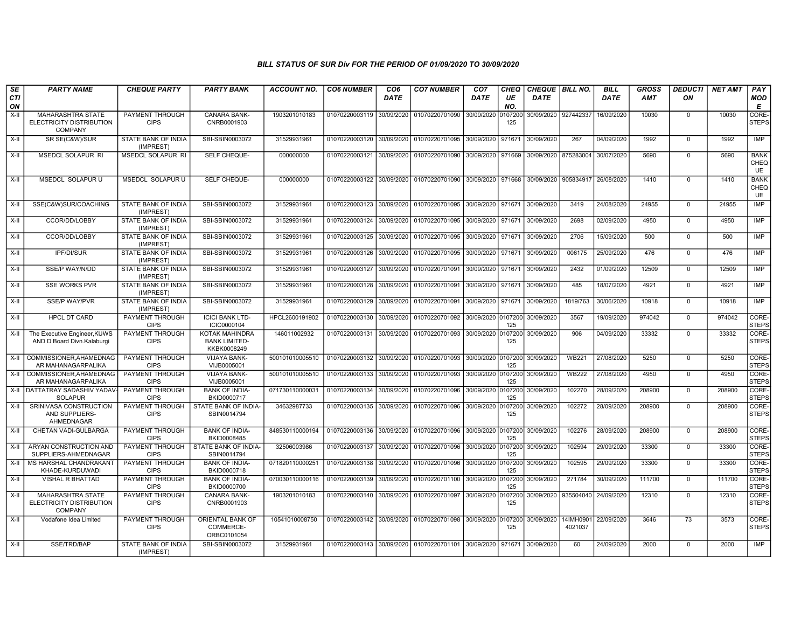| <b>SE</b> | <b>PARTY NAME</b>                                                      | <b>CHEQUE PARTY</b>                     | <b>PARTY BANK</b>                                            | <b>ACCOUNT NO.</b> | <b>CO6 NUMBER</b>         | CO <sub>6</sub> | <b>CO7 NUMBER</b>                                          | CO <sub>7</sub>    | <b>CHEQ</b>    | CHEQUE BILL NO.      |                      | <b>BILL</b> | <b>GROSS</b> | <b>DEDUCTI</b> | <b>NET AMT</b> | PAY                              |
|-----------|------------------------------------------------------------------------|-----------------------------------------|--------------------------------------------------------------|--------------------|---------------------------|-----------------|------------------------------------------------------------|--------------------|----------------|----------------------|----------------------|-------------|--------------|----------------|----------------|----------------------------------|
| CTI<br>ON |                                                                        |                                         |                                                              |                    |                           | <b>DATE</b>     |                                                            | <b>DATE</b>        | UE<br>NO.      | DATE                 |                      | <b>DATE</b> | <b>AMT</b>   | ON             |                | <b>MOD</b><br>E                  |
| $X-H$     | <b>MAHARASHTRA STATE</b><br>ELECTRICITY DISTRIBUTION<br><b>COMPANY</b> | PAYMENT THROUGH<br><b>CIPS</b>          | <b>CANARA BANK-</b><br>CNRB0001903                           | 1903201010183      | 01070220003119            | 30/09/2020      | 01070220701090                                             | 30/09/2020         | 0107200<br>125 | 30/09/2020 927442337 |                      | 16/09/2020  | 10030        | $\mathbf 0$    | 10030          | CORE-<br><b>STEPS</b>            |
| X-II      | SR SE(C&W)/SUR                                                         | STATE BANK OF INDIA<br>(IMPREST)        | SBI-SBIN0003072                                              | 31529931961        | 01070220003120            | 30/09/2020      | 01070220701095                                             | 30/09/2020         | 971671         | 30/09/2020           | 267                  | 04/09/2020  | 1992         | $\mathbf 0$    | 1992           | <b>IMP</b>                       |
| $X-H$     | MSEDCL SOLAPUR RI                                                      | <b>MSEDCL SOLAPUR RI</b>                | <b>SELF CHEQUE-</b>                                          | 000000000          | 01070220003121            | 30/09/2020      | 01070220701090 30/09/2020 971669                           |                    |                | 30/09/2020 875283004 |                      | 30/07/2020  | 5690         | $\Omega$       | 5690           | <b>BANK</b><br>CHEQ<br><b>UE</b> |
| X-II      | MSEDCL SOLAPUR U                                                       | MSEDCL SOLAPUR U                        | <b>SELF CHEQUE-</b>                                          | 000000000          | 01070220003122            | 30/09/2020      | 01070220701090 30/09/2020 971668                           |                    |                | 30/09/2020           | 905834917            | 26/08/2020  | 1410         | $\Omega$       | 1410           | <b>BANK</b><br>CHEQ<br>UE        |
| X-II      | SSE(C&W)SUR/COACHING                                                   | STATE BANK OF INDIA<br>(IMPREST)        | SBI-SBIN0003072                                              | 31529931961        | 01070220003123            | 30/09/2020      | 01070220701095                                             | 30/09/2020         | 971671         | 30/09/2020           | 3419                 | 24/08/2020  | 24955        | $\mathbf 0$    | 24955          | IMP                              |
| X-II      | CCOR/DD/LOBBY                                                          | STATE BANK OF INDIA<br>(IMPREST)        | SBI-SBIN0003072                                              | 31529931961        | 01070220003124            | 30/09/2020      | 01070220701095                                             | 30/09/2020 971671  |                | 30/09/2020           | 2698                 | 02/09/2020  | 4950         | $\mathbf 0$    | 4950           | <b>IMP</b>                       |
| $X-H$     | CCOR/DD/LOBBY                                                          | STATE BANK OF INDIA<br>(IMPREST)        | SBI-SBIN0003072                                              | 31529931961        | 01070220003125            | 30/09/2020      | 01070220701095 30/09/2020 971671                           |                    |                | 30/09/2020           | 2706                 | 15/09/2020  | 500          | $\Omega$       | 500            | IMP                              |
| $X-H$     | <b>IPF/DI/SUR</b>                                                      | <b>STATE BANK OF INDIA</b><br>(IMPREST) | SBI-SBIN0003072                                              | 31529931961        | 01070220003126            | 30/09/2020      | 01070220701095                                             | 30/09/2020 971671  |                | 30/09/2020           | 006175               | 25/09/2020  | 476          | $\mathbf 0$    | 476            | <b>IMP</b>                       |
| $X-H$     | SSE/P WAY/N/DD                                                         | <b>STATE BANK OF INDIA</b><br>(IMPREST) | SBI-SBIN0003072                                              | 31529931961        | 01070220003127            | 30/09/2020      | 01070220701091                                             | 30/09/2020 971671  |                | 30/09/2020           | 2432                 | 01/09/2020  | 12509        | $\overline{0}$ | 12509          | <b>IMP</b>                       |
| X-II      | <b>SSE WORKS PVR</b>                                                   | STATE BANK OF INDIA<br>(IMPREST)        | SBI-SBIN0003072                                              | 31529931961        | 01070220003128            | 30/09/2020      | 01070220701091                                             | 30/09/2020 971671  |                | 30/09/2020           | 485                  | 18/07/2020  | 4921         | $\mathbf 0$    | 4921           | <b>IMP</b>                       |
| $X-II$    | <b>SSE/P WAY/PVR</b>                                                   | <b>STATE BANK OF INDIA</b><br>(IMPREST) | SBI-SBIN0003072                                              | 31529931961        | 01070220003129            | 30/09/2020      | 01070220701091                                             | 30/09/2020 971671  |                | 30/09/2020           | 1819/763             | 30/06/2020  | 10918        | $\Omega$       | 10918          | <b>IMP</b>                       |
| $X-H$     | <b>HPCL DT CARD</b>                                                    | PAYMENT THROUGH<br><b>CIPS</b>          | <b>ICICI BANK LTD-</b><br>ICIC0000104                        | HPCL2600191902     | 01070220003130            | 30/09/2020      | 01070220701092 30/09/2020 0107200                          |                    | 125            | 30/09/2020           | 3567                 | 19/09/2020  | 974042       | $\Omega$       | 974042         | CORE-<br><b>STEPS</b>            |
| $X-H$     | The Executive Engineer, KUWS<br>AND D Board Divn.Kalaburgi             | <b>PAYMENT THROUGH</b><br><b>CIPS</b>   | <b>KOTAK MAHINDRA</b><br><b>BANK LIMITED-</b><br>KKBK0008249 | 146011002932       | 01070220003131 30/09/2020 |                 | 01070220701093 30/09/2020                                  |                    | 0107200<br>125 | 30/09/2020           | 906                  | 04/09/2020  | 33332        | $\overline{0}$ | 33332          | CORE-<br><b>STEPS</b>            |
| $X-H$     | COMMISSIONER.AHAMEDNAG<br>AR MAHANAGARPALIKA                           | <b>PAYMENT THROUGH</b><br><b>CIPS</b>   | <b>VIJAYA BANK-</b><br>VIJB0005001                           | 500101010005510    | 01070220003132 30/09/2020 |                 | 01070220701093 30/09/2020 0107200                          |                    | 125            | 30/09/2020           | <b>WB221</b>         | 27/08/2020  | 5250         | $\mathbf 0$    | 5250           | CORE-<br><b>STEPS</b>            |
| $X-H$     | COMMISSIONER.AHAMEDNAG<br>AR MAHANAGARPALIKA                           | PAYMENT THROUGH<br><b>CIPS</b>          | <b>VIJAYA BANK-</b><br>VIJB0005001                           | 500101010005510    | 01070220003133            | 30/09/2020      | 01070220701093 30/09/2020 0107200                          |                    | 125            | 30/09/2020           | <b>WB222</b>         | 27/08/2020  | 4950         | $\Omega$       | 4950           | CORE-<br><b>STEPS</b>            |
| X-II      | DATTATRAY SADASHIV YADAV-<br><b>SOLAPUR</b>                            | PAYMENT THROUGH<br><b>CIPS</b>          | <b>BANK OF INDIA-</b><br>BKID0000717                         | 071730110000031    | 01070220003134            | 30/09/2020      | 01070220701096                                             | 30/09/2020         | 0107200<br>125 | 30/09/2020           | 102270               | 28/09/2020  | 208900       | $\mathbf 0$    | 208900         | CORE-<br><b>STEPS</b>            |
| $X-II$    | SRINIVASA CONSTRUCTION<br>AND SUPPLIERS-<br>AHMEDNAGAR                 | <b>PAYMENT THROUGH</b><br><b>CIPS</b>   | STATE BANK OF INDIA-<br>SBIN0014794                          | 34632987733        | 01070220003135            | 30/09/2020      | 01070220701096                                             | 30/09/2020 0107200 | 125            | 30/09/2020           | 102272               | 28/09/2020  | 208900       | $\Omega$       | 208900         | CORE-<br><b>STEPS</b>            |
| X-II      | CHETAN VADI-GULBARGA                                                   | PAYMENT THROUGH<br><b>CIPS</b>          | <b>BANK OF INDIA-</b><br>BKID0008485                         | 848530110000194    | 01070220003136            | 30/09/2020      | 01070220701096 30/09/2020 0107200                          |                    | 125            | 30/09/2020           | 102276               | 28/09/2020  | 208900       | $\Omega$       | 208900         | CORE-<br><b>STEPS</b>            |
| X-II      | ARYAN CONSTRUCTION AND<br>SUPPLIERS-AHMEDNAGAR                         | PAYMENT THROUGH<br><b>CIPS</b>          | STATE BANK OF INDIA-<br>SBIN0014794                          | 32506003986        | 01070220003137            | 30/09/2020      | 01070220701096                                             | 30/09/2020         | 0107200<br>125 | 30/09/2020           | 102594               | 29/09/2020  | 33300        | $\Omega$       | 33300          | CORE-<br><b>STEPS</b>            |
| $X-II$    | MS HARSHAL CHANDRAKANT<br>KHADE-KURDUWADI                              | PAYMENT THROUGH<br><b>CIPS</b>          | <b>BANK OF INDIA-</b><br>BKID0000718                         | 071820110000251    | 01070220003138            | 30/09/2020      | 01070220701096 30/09/2020 0107200                          |                    | 125            | 30/09/2020           | 102595               | 29/09/2020  | 33300        | $\mathbf 0$    | 33300          | CORE-<br><b>STEPS</b>            |
| X-II      | <b>VISHAL R BHATTAD</b>                                                | PAYMENT THROUGH<br><b>CIPS</b>          | <b>BANK OF INDIA-</b><br>BKID0000700                         | 070030110000116    | 01070220003139            | 30/09/2020      | 01070220701100                                             | 30/09/2020 010720  | 125            | 30/09/2020           | 271784               | 30/09/2020  | 111700       | $\mathbf 0$    | 111700         | CORE-<br><b>STEPS</b>            |
| X-II      | <b>MAHARASHTRA STATE</b><br>ELECTRICITY DISTRIBUTION<br><b>COMPANY</b> | <b>PAYMENT THROUGH</b><br><b>CIPS</b>   | <b>CANARA BANK-</b><br>CNRB0001903                           | 1903201010183      | 01070220003140 30/09/2020 |                 | 01070220701097 30/09/2020 0107200                          |                    | 125            | 30/09/2020           | 935504040 24/09/2020 |             | 12310        | $\Omega$       | 12310          | CORE-<br><b>STEPS</b>            |
| $X-II$    | Vodafone Idea Limited                                                  | PAYMENT THROUGH<br><b>CIPS</b>          | ORIENTAL BANK OF<br>COMMERCE-<br>ORBC0101054                 | 10541010008750     | 01070220003142 30/09/2020 |                 | 01070220701098 30/09/2020 0107200                          |                    | 125            | 30/09/2020           | 14IMH0901<br>4021037 | 22/09/2020  | 3646         | 73             | 3573           | CORE-<br><b>STEPS</b>            |
| $X-H$     | SSE/TRD/BAP                                                            | STATE BANK OF INDIA<br>(IMPREST)        | SBI-SBIN0003072                                              | 31529931961        |                           |                 | 01070220003143 30/09/2020 01070220701101 30/09/2020 971671 |                    |                | 30/09/2020           | 60                   | 24/09/2020  | 2000         | $\Omega$       | 2000           | IMP                              |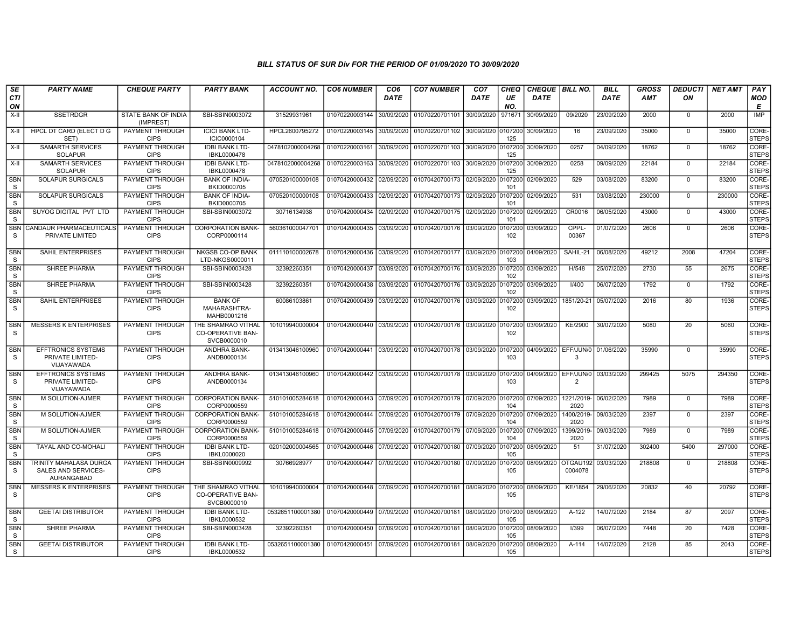| SE                        | <b>PARTY NAME</b>                                           | <b>CHEQUE PARTY</b>                   | <b>PARTY BANK</b>                                             | <b>ACCOUNT NO.</b>                                                                      | <b>CO6 NUMBER</b>                        | CO <sub>6</sub> | <b>CO7 NUMBER</b>                                                    | CO <sub>7</sub>    | <b>CHEQ</b>    | <b>CHEQUE   BILL NO.</b> |                                          | <b>BILL</b> | GROSS      | <b>DEDUCTI</b> | NET AMT | <b>PAY</b>            |
|---------------------------|-------------------------------------------------------------|---------------------------------------|---------------------------------------------------------------|-----------------------------------------------------------------------------------------|------------------------------------------|-----------------|----------------------------------------------------------------------|--------------------|----------------|--------------------------|------------------------------------------|-------------|------------|----------------|---------|-----------------------|
| <b>CTI</b><br>ON          |                                                             |                                       |                                                               |                                                                                         |                                          | <b>DATE</b>     |                                                                      | DATE               | UE<br>NO.      | <b>DATE</b>              |                                          | <b>DATE</b> | <b>AMT</b> | ΟN             |         | MOD<br>E              |
| X-II                      | <b>SSETRDGR</b>                                             | STATE BANK OF INDIA<br>(IMPREST)      | SBI-SBIN0003072                                               | 31529931961                                                                             | 01070220003144 30/09/2020                |                 | 01070220701101                                                       | 30/09/2020         | 971671         | 30/09/2020               | 09/2020                                  | 23/09/2020  | 2000       | $\mathbf 0$    | 2000    | <b>IMP</b>            |
| X-II                      | <b>HPCL DT CARD (ELECT D G</b><br>SET)                      | PAYMENT THROUGH<br><b>CIPS</b>        | <b>ICICI BANK LTD-</b><br>ICIC0000104                         | HPCL2600795272                                                                          | 01070220003145 30/09/2020                |                 | 01070220701102 30/09/2020 0107200                                    |                    | 125            | 30/09/2020               | 16                                       | 23/09/2020  | 35000      | $\mathbf 0$    | 35000   | CORE-<br>STEPS        |
| X-II                      | <b>SAMARTH SERVICES</b><br><b>SOLAPUR</b>                   | <b>PAYMENT THROUGH</b><br><b>CIPS</b> | <b>IDBI BANK LTD-</b><br>IBKL0000478                          | 0478102000004268                                                                        | 01070220003161 30/09/2020                |                 | 01070220701103                                                       | 30/09/2020         | 0107200<br>125 | 30/09/2020               | 0257                                     | 04/09/2020  | 18762      | $\mathbf 0$    | 18762   | CORE-<br><b>STEPS</b> |
| X-II                      | <b>SAMARTH SERVICES</b><br><b>SOLAPUR</b>                   | <b>PAYMENT THROUGH</b><br><b>CIPS</b> | <b>IDBI BANK LTD-</b><br>IBKL0000478                          | 0478102000004268                                                                        | 01070220003163 30/09/2020                |                 | 01070220701103                                                       | 30/09/2020 0107200 | 125            | 30/09/2020               | 0258                                     | 09/09/2020  | 22184      | $\Omega$       | 22184   | CORE-<br><b>STEPS</b> |
| <b>SBN</b><br>S.          | <b>SOLAPUR SURGICALS</b>                                    | PAYMENT THROUGH<br><b>CIPS</b>        | <b>BANK OF INDIA-</b><br>BKID0000705                          | 070520100000108                                                                         | 01070420000432 02/09/2020                |                 | 01070420700173                                                       | 02/09/2020         | 0107200<br>101 | 02/09/2020               | 529                                      | 03/08/2020  | 83200      | $\mathbf 0$    | 83200   | CORE-<br>STEPS        |
| <b>SBN</b><br>S           | <b>SOLAPUR SURGICALS</b>                                    | <b>PAYMENT THROUGH</b><br><b>CIPS</b> | <b>BANK OF INDIA-</b><br>BKID0000705                          | 070520100000108                                                                         | 01070420000433 02/09/2020                |                 | 01070420700173 02/09/2020                                            |                    | 101            | 0107200 02/09/2020       | 531                                      | 03/08/2020  | 230000     | $\overline{0}$ | 230000  | CORE-<br><b>STEPS</b> |
| <b>SBN</b><br>S           | SUYOG DIGITAL PVT LTD                                       | PAYMENT THROUGH<br><b>CIPS</b>        | SBI-SBIN0003072                                               | 30716134938                                                                             |                                          |                 | 01070420000434 02/09/2020 01070420700175                             | 02/09/2020         | 0107200<br>101 | 02/09/2020               | CR0016                                   | 06/05/2020  | 43000      | $^{\circ}$     | 43000   | CORE-<br><b>STEPS</b> |
| S                         | SBN CANDAUR PHARMACEUTICALS<br>PRIVATE LIMITED              | PAYMENT THROUGH<br><b>CIPS</b>        | <b>CORPORATION BANK-</b><br>CORP0000114                       | 560361000047701                                                                         |                                          |                 | 01070420000435 03/09/2020 01070420700176                             | 03/09/2020         | 0107200<br>102 | 03/09/2020               | CPPL-<br>00367                           | 01/07/2020  | 2606       | $\mathbf 0$    | 2606    | CORE-<br><b>STEPS</b> |
| <b>SBN</b><br>S           | <b>SAHIL ENTERPRISES</b>                                    | <b>PAYMENT THROUGH</b><br><b>CIPS</b> | <b>NKGSB CO-OP BANK</b><br>LTD-NKGS0000011                    | 011110100002678                                                                         | 01070420000436 03/09/2020                |                 | 01070420700177                                                       | 03/09/2020 0107200 | 103            | 04/09/2020               | SAHIL-21                                 | 06/08/2020  | 49212      | 2008           | 47204   | CORE-<br><b>STEPS</b> |
| <b>SBN</b><br>S           | SHREE PHARMA                                                | PAYMENT THROUGH<br><b>CIPS</b>        | SBI-SBIN0003428                                               | 32392260351                                                                             |                                          |                 | 01070420000437 03/09/2020 01070420700176                             | 03/09/2020         | 0107200<br>102 | 03/09/2020               | H/548                                    | 25/07/2020  | 2730       | 55             | 2675    | CORE-<br><b>STEPS</b> |
| <b>SBN</b><br>S           | <b>SHREE PHARMA</b>                                         | <b>PAYMENT THROUGH</b><br><b>CIPS</b> | SBI-SBIN0003428                                               | 32392260351                                                                             |                                          |                 | 01070420000438 03/09/2020 01070420700176 03/09/2020                  |                    | 0107200<br>102 | 03/09/2020               | I/400                                    | 06/07/2020  | 1792       | $\mathbf 0$    | 1792    | CORE-<br><b>STEPS</b> |
| <b>SBN</b><br>S           | <b>SAHIL ENTERPRISES</b>                                    | PAYMENT THROUGH<br><b>CIPS</b>        | <b>BANK OF</b><br>MAHARASHTRA-<br>MAHB0001216                 | 60086103861                                                                             |                                          |                 | 01070420000439 03/09/2020 01070420700176 03/09/2020 0107200          |                    | 102            | 03/09/2020               | 1851/20-21                               | 05/07/2020  | 2016       | 80             | 1936    | CORE-<br><b>STEPS</b> |
| SBN<br>$\mathbf S$        | <b>MESSERS K ENTERPRISES</b>                                | PAYMENT THROUGH<br><b>CIPS</b>        | THE SHAMRAO VITHAL<br>CO-OPERATIVE BAN-<br>SVCB0000010        | 101019940000004                                                                         |                                          |                 | 01070420000440 03/09/2020 01070420700176 03/09/2020 0107200          |                    | 102            | 03/09/2020               | KE/2900                                  | 30/07/2020  | 5080       | 20             | 5060    | CORE-<br><b>STEPS</b> |
| <b>SBN</b><br>S           | <b>EFFTRONICS SYSTEMS</b><br>PRIVATE LIMITED-<br>VIJAYAWADA | PAYMENT THROUGH<br><b>CIPS</b>        | ANDHRA BANK-<br>ANDB0000134                                   | 013413046100960                                                                         |                                          |                 | 01070420000441 03/09/2020 01070420700178 03/09/2020 0107200          |                    | 103            |                          | 04/09/2020   EFF/JUN/0   01/06/2020<br>3 |             | 35990      | $^{\circ}$     | 35990   | CORE-<br><b>STEPS</b> |
| <b>SBN</b><br>S           | <b>EFFTRONICS SYSTEMS</b><br>PRIVATE LIMITED-<br>VIJAYAWADA | PAYMENT THROUGH<br><b>CIPS</b>        | ANDHRA BANK-<br>ANDB0000134                                   | 013413046100960                                                                         |                                          |                 | 01070420000442   03/09/2020   01070420700178   03/09/2020   0107200  |                    | 103            |                          | 04/09/2020 EFF/JUN/0<br>$\overline{2}$   | 03/03/2020  | 299425     | 5075           | 294350  | CORE-<br><b>STEPS</b> |
| SBN<br>S                  | M SOLUTION-AJMER                                            | <b>PAYMENT THROUGH</b><br><b>CIPS</b> | <b>CORPORATION BANK-</b><br>CORP0000559                       | 510101005284618                                                                         |                                          |                 |                                                                      |                    | 104            | 07/09/2020               | 1221/2019-<br>2020                       | 06/02/2020  | 7989       | $^{\circ}$     | 7989    | CORE-<br><b>STEPS</b> |
| <b>SBN</b><br>S           | M SOLUTION-AJMER                                            | <b>PAYMENT THROUGH</b><br><b>CIPS</b> | <b>CORPORATION BANK-</b><br>CORP0000559                       | 510101005284618                                                                         |                                          |                 | l 01070420000444 l 07/09/2020 l 01070420700179 l 07/09/2020 l0107200 |                    | 104            | 07/09/2020               | 1400/2019-<br>2020                       | 09/03/2020  | 2397       | $\mathbf 0$    | 2397    | CORE-<br><b>STEPS</b> |
| SBN<br>S                  | M SOLUTION-AJMER                                            | PAYMENT THROUGH<br><b>CIPS</b>        | <b>CORPORATION BANK-</b><br>CORP0000559                       | 510101005284618                                                                         |                                          |                 | 01070420000445 07/09/2020 01070420700179 07/09/2020                  |                    | 0107200<br>104 | 07/09/2020               | 1399/2019-<br>2020                       | 09/03/2020  | 7989       | $\Omega$       | 7989    | CORE-<br>STEPS        |
| <b>SBN</b><br>S           | TAYAL AND CO-MOHALI                                         | PAYMENT THROUGH<br><b>CIPS</b>        | <b>IDBI BANK LTD-</b><br>IBKL0000020                          | 020102000004565                                                                         | 01070420000446 07/09/2020                |                 | 01070420700180                                                       | 07/09/2020 0107200 | 105            | 08/09/2020               | 51                                       | 31/07/2020  | 302400     | 5400           | 297000  | CORE-<br><b>STEPS</b> |
| <b>SBN</b><br>$\mathbf S$ | TRINITY MAHALASA DURGA<br>SALES AND SERVICES-<br>AURANGABAD | <b>PAYMENT THROUGH</b><br><b>CIPS</b> | SBI-SBIN0009992                                               | 30766928977                                                                             |                                          |                 | 01070420000447 07/09/2020 01070420700180                             | 07/09/2020         | 0107200<br>105 | 08/09/2020               | OTGAU192<br>0004078                      | 03/03/2020  | 218808     | $^{\circ}$     | 218808  | CORE-<br><b>STEPS</b> |
| <b>SBN</b><br>S           | <b>MESSERS K ENTERPRISES</b>                                | PAYMENT THROUGH<br><b>CIPS</b>        | THE SHAMRAO VITHAL<br><b>CO-OPERATIVE BAN-</b><br>SVCB0000010 | 101019940000004                                                                         | 01070420000448 07/09/2020 01070420700181 |                 |                                                                      | 08/09/2020 0107200 | 105            | 08/09/2020               | KE/1854                                  | 29/06/2020  | 20832      | 40             | 20792   | CORE-<br><b>STEPS</b> |
| SBN<br>S                  | <b>GEETAI DISTRIBUTOR</b>                                   | <b>PAYMENT THROUGH</b><br><b>CIPS</b> | <b>IDBI BANK LTD-</b><br>IBKL0000532                          | 0532651100001380 01070420000449 07/09/2020 01070420700181 08/09/2020 0107200 08/09/2020 |                                          |                 |                                                                      |                    | 105            |                          | A-122                                    | 14/07/2020  | 2184       | 87             | 2097    | CORE-<br><b>STEPS</b> |
| <b>SBN</b><br>S           | SHREE PHARMA                                                | <b>PAYMENT THROUGH</b><br><b>CIPS</b> | SBI-SBIN0003428                                               | 32392260351                                                                             |                                          |                 | 01070420000450 07/09/2020 01070420700181                             | 08/09/2020         | 0107200<br>105 | 08/09/2020               | 1/399                                    | 06/07/2020  | 7448       | 20             | 7428    | CORE-<br><b>STEPS</b> |
| <b>SBN</b><br>S           | <b>GEETAI DISTRIBUTOR</b>                                   | PAYMENT THROUGH<br><b>CIPS</b>        | <b>IDBI BANK LTD-</b><br>IBKL0000532                          | 0532651100001380 01070420000451 07/09/2020 01070420700181                               |                                          |                 |                                                                      | 08/09/2020         | 0107200<br>105 | 08/09/2020               | A-114                                    | 14/07/2020  | 2128       | 85             | 2043    | CORE-<br><b>STEPS</b> |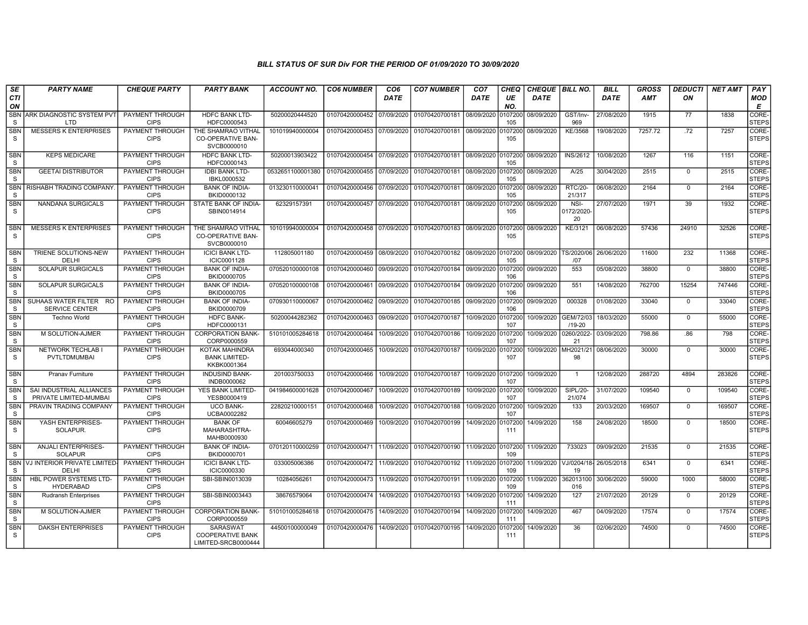| SE<br><b>CTI</b>           | <b>PARTY NAME</b>                                  | <b>CHEQUE PARTY</b>                   | <b>PARTY BANK</b>                                             | <b>ACCOUNT NO.</b> | <b>CO6 NUMBER</b>         | CO <sub>6</sub><br><b>DATE</b> | <b>CO7 NUMBER</b>         | CO <sub>7</sub><br><b>DATE</b> | CHEQ<br>UE     | <b>CHEQUE   BILL NO.</b><br><b>DATE</b> |                             | <b>BILL</b><br><b>DATE</b> | <b>GROSS</b><br><b>AMT</b> | <b>DEDUCTI</b><br>ON | <b>NET AMT</b> | PAY<br>MOD            |
|----------------------------|----------------------------------------------------|---------------------------------------|---------------------------------------------------------------|--------------------|---------------------------|--------------------------------|---------------------------|--------------------------------|----------------|-----------------------------------------|-----------------------------|----------------------------|----------------------------|----------------------|----------------|-----------------------|
| ON                         |                                                    |                                       |                                                               |                    |                           |                                |                           |                                | NO.            |                                         |                             |                            |                            |                      |                | E                     |
| <b>SBN</b><br>S            | ARK DIAGNOSTIC SYSTEM PVT<br><b>LTD</b>            | <b>PAYMENT THROUGH</b><br><b>CIPS</b> | <b>HDFC BANK LTD-</b><br>HDFC0000543                          | 50200020444520     | 01070420000452            | 07/09/2020                     | 01070420700181 08/09/2020 |                                | 107200<br>105  | 08/09/2020                              | GST/Inv-<br>969             | 27/08/2020                 | 1915                       | $\overline{77}$      | 1838           | CORE-<br><b>STEPS</b> |
| <b>SBN</b><br>S            | <b>MESSERS K ENTERPRISES</b>                       | PAYMENT THROUGH<br><b>CIPS</b>        | THE SHAMRAO VITHAL<br><b>CO-OPERATIVE BAN-</b><br>SVCB0000010 | 101019940000004    | 01070420000453 07/09/2020 |                                | 01070420700181 08/09/2020 |                                | 107200<br>105  | 08/09/2020                              | KE/3568                     | 19/08/2020                 | 7257.72                    | .72                  | 7257           | CORE-<br><b>STEPS</b> |
| <b>SBN</b><br>S            | <b>KEPS MEDICARE</b>                               | PAYMENT THROUGH<br><b>CIPS</b>        | <b>HDFC BANK LTD-</b><br>HDFC0000143                          | 50200013903422     | 01070420000454            | 07/09/2020                     | 01070420700181 08/09/2020 |                                | 107200<br>105  | 08/09/2020                              | <b>INS/2612</b>             | 10/08/2020                 | 1267                       | 116                  | 1151           | CORE-<br><b>STEPS</b> |
| <b>SBN</b><br>S            | <b>GEETAI DISTRIBUTOR</b>                          | <b>PAYMENT THROUGH</b><br><b>CIPS</b> | <b>IDBI BANK LTD-</b><br>IBKL0000532                          | 0532651100001380   | 01070420000455 07/09/2020 |                                | 01070420700181            | 08/09/2020                     | 0107200<br>105 | 08/09/2020                              | A/25                        | 30/04/2020                 | 2515                       | $\mathbf 0$          | 2515           | CORE-<br><b>STEPS</b> |
| <b>SBN</b><br>S            | RISHABH TRADING COMPANY                            | PAYMENT THROUGH<br><b>CIPS</b>        | <b>BANK OF INDIA-</b><br>BKID0000132                          | 013230110000041    | 01070420000456            | 07/09/2020                     | 01070420700181            | 08/09/2020                     | 107200<br>105  | 08/09/2020                              | <b>RTC/20-</b><br>21/317    | 06/08/2020                 | 2164                       | $\mathbf 0$          | 2164           | CORE-<br><b>STEPS</b> |
| <b>SBN</b><br>S            | NANDANA SURGICALS                                  | PAYMENT THROUGH<br><b>CIPS</b>        | STATE BANK OF INDIA-<br>SBIN0014914                           | 62329157391        | 01070420000457            | 07/09/2020                     | 01070420700181            | 08/09/2020                     | 107200<br>105  | 08/09/2020                              | NSI-<br>0172/2020<br>20     | 27/07/2020                 | 1971                       | 39                   | 1932           | CORE-<br><b>STEPS</b> |
| <b>SBN</b><br><sub>S</sub> | <b>MESSERS K ENTERPRISES</b>                       | PAYMENT THROUGH<br><b>CIPS</b>        | THE SHAMRAO VITHAL<br><b>CO-OPERATIVE BAN-</b><br>SVCB0000010 | 101019940000004    | 01070420000458            | 07/09/2020                     | 01070420700183            | 08/09/2020                     | 107200<br>105  | 08/09/2020                              | KE/3121                     | 06/08/2020                 | 57436                      | 24910                | 32526          | CORE-<br><b>STEPS</b> |
| <b>SBN</b><br>S            | <b>TRIENE SOLUTIONS-NEW</b><br>DELHI               | PAYMENT THROUGH<br><b>CIPS</b>        | <b>ICICI BANK LTD-</b><br>ICIC0001128                         | 112805001180       | 01070420000459            | 08/09/2020                     | 01070420700182            | 08/09/2020                     | 0107200<br>105 | 08/09/2020                              | TS/2020/06<br>107           | 26/06/2020                 | 11600                      | 232                  | 11368          | CORE-<br><b>STEPS</b> |
| <b>SBN</b><br>S            | <b>SOLAPUR SURGICALS</b>                           | PAYMENT THROUGH<br><b>CIPS</b>        | <b>BANK OF INDIA-</b><br>BKID0000705                          | 070520100000108    | 01070420000460            | 09/09/2020                     | 01070420700184            | 09/09/2020                     | 107200<br>106  | 09/09/2020                              | 553                         | 05/08/2020                 | 38800                      | $\mathbf 0$          | 38800          | CORE-<br><b>STEPS</b> |
| <b>SBN</b><br><sub>S</sub> | <b>SOLAPUR SURGICALS</b>                           | PAYMENT THROUGH<br><b>CIPS</b>        | <b>BANK OF INDIA-</b><br>BKID0000705                          | 070520100000108    | 01070420000461            | 09/09/2020                     | 01070420700184            | 09/09/2020                     | 107200<br>106  | 09/09/2020                              | 551                         | 14/08/2020                 | 762700                     | 15254                | 747446         | CORE-<br><b>STEPS</b> |
| <b>SBN</b><br>S            | SUHAAS WATER FILTER RO<br><b>SERVICE CENTER</b>    | PAYMENT THROUGH<br><b>CIPS</b>        | <b>BANK OF INDIA-</b><br>BKID0000709                          | 070930110000067    | 01070420000462            | 09/09/2020                     | 01070420700185 09/09/2020 |                                | 107200<br>106  | 09/09/2020                              | 000328                      | 01/08/2020                 | 33040                      | $\mathbf 0$          | 33040          | CORE-<br><b>STEPS</b> |
| <b>SBN</b><br>S            | <b>Techno World</b>                                | PAYMENT THROUGH<br><b>CIPS</b>        | <b>HDFC BANK-</b><br>HDFC0000131                              | 50200044282362     | 01070420000463            | 09/09/2020                     | 01070420700187            | 10/09/2020                     | 0107200<br>107 | 10/09/2020                              | GEM/72/03<br>$/19 - 20$     | 18/03/2020                 | 55000                      | $\mathbf 0$          | 55000          | CORE-<br><b>STEPS</b> |
| <b>SBN</b><br>S            | M SOLUTION-AJMER                                   | <b>PAYMENT THROUGH</b><br><b>CIPS</b> | <b>CORPORATION BANK-</b><br>CORP0000559                       | 510101005284618    | 01070420000464            | 10/09/2020                     | 01070420700186            | 10/09/2020                     | 107200<br>107  | 10/09/2020                              | 0260/2022<br>21             | 03/09/2020                 | 798.86                     | .86                  | 798            | CORE-<br><b>STEPS</b> |
| <b>SBN</b><br>S            | NETWORK TECHLAB I<br>PVTLTDMUMBAI                  | PAYMENT THROUGH<br><b>CIPS</b>        | KOTAK MAHINDRA<br><b>BANK LIMITED-</b><br>KKBK0001364         | 693044000340       | 01070420000465            | 10/09/2020                     | 01070420700187            | 10/09/2020                     | 107200<br>107  | 10/09/2020 MH2021/21                    | 98                          | 08/06/2020                 | 30000                      | $\mathbf{0}$         | 30000          | CORE-<br><b>STEPS</b> |
| <b>SBN</b><br>S            | Pranav Furniture                                   | <b>PAYMENT THROUGH</b><br><b>CIPS</b> | <b>INDUSIND BANK-</b><br>INDB0000062                          | 201003750033       | 01070420000466            | 10/09/2020                     | 01070420700187            | 10/09/2020                     | 0107200<br>107 | 10/09/2020                              | $\overline{1}$              | 12/08/2020                 | 288720                     | 4894                 | 283826         | CORE-<br><b>STEPS</b> |
| <b>SBN</b><br><sub>S</sub> | SAI INDUSTRIAL ALLIANCES<br>PRIVATE LIMITED-MUMBAI | PAYMENT THROUGH<br><b>CIPS</b>        | YES BANK LIMITED-<br>YESB0000419                              | 041984600001628    | 01070420000467            | 10/09/2020                     | 01070420700189            | 10/09/2020                     | 0107200<br>107 | 10/09/2020                              | <b>SIPL/20-</b><br>21/074   | 31/07/2020                 | 109540                     | $\mathbf 0$          | 109540         | CORE-<br><b>STEPS</b> |
| SBN<br><b>S</b>            | PRAVIN TRADING COMPANY                             | PAYMENT THROUGH<br><b>CIPS</b>        | <b>UCO BANK-</b><br>UCBA0002282                               | 22820210000151     | 01070420000468            | 10/09/2020                     | 01070420700188            | 10/09/2020                     | 0107200<br>107 | 10/09/2020                              | 133                         | 20/03/2020                 | 169507                     | $\mathbf{0}$         | 169507         | CORE-<br><b>STEPS</b> |
| <b>SBN</b><br>S            | YASH ENTERPRISES-<br>SOLAPUR.                      | PAYMENT THROUGH<br><b>CIPS</b>        | <b>BANK OF</b><br>MAHARASHTRA-<br>MAHB0000930                 | 60046605279        | 01070420000469            | 10/09/2020                     | 01070420700199            | 14/09/2020                     | 107200<br>111  | 14/09/2020                              | 158                         | 24/08/2020                 | 18500                      | $\mathbf 0$          | 18500          | CORE-<br><b>STEPS</b> |
| SBN<br>S                   | <b>ANJALI ENTERPRISES-</b><br><b>SOLAPUR</b>       | PAYMENT THROUGH<br><b>CIPS</b>        | <b>BANK OF INDIA-</b><br>BKID0000701                          | 070120110000259    | 01070420000471            | 11/09/2020                     | 01070420700190            | 11/09/2020                     | 107200<br>109  | 11/09/2020                              | 733023                      | 09/09/2020                 | 21535                      | $\Omega$             | 21535          | CORE-<br><b>STEPS</b> |
| <b>SBN</b><br>S            | VJ INTERIOR PRIVATE LIMITED-<br>DELHI              | <b>PAYMENT THROUGH</b><br><b>CIPS</b> | <b>ICICI BANK LTD-</b><br>ICIC0000330                         | 033005006386       | 01070420000472            | 11/09/2020                     | 01070420700192            | 11/09/2020                     | 0107200<br>109 | 11/09/2020                              | VJ/0204/18-26/05/2018<br>19 |                            | 6341                       | $\mathbf 0$          | 6341           | CORE-<br><b>STEPS</b> |
| <b>SBN</b><br>S            | HBL POWER SYSTEMS LTD-<br><b>HYDERABAD</b>         | <b>PAYMENT THROUGH</b><br><b>CIPS</b> | SBI-SBIN0013039                                               | 10284056261        | 01070420000473            | 11/09/2020                     | 01070420700191            | 11/09/2020                     | 107200<br>109  | 11/09/2020                              | 362013100<br>016            | 30/06/2020                 | 59000                      | 1000                 | 58000          | CORE-<br><b>STEPS</b> |
| <b>SBN</b><br>S            | <b>Rudransh Enterprises</b>                        | PAYMENT THROUGH<br><b>CIPS</b>        | SBI-SBIN0003443                                               | 38676579064        | 01070420000474            | 14/09/2020                     | 01070420700193            | 14/09/2020                     | 0107200<br>111 | 14/09/2020                              | 127                         | 21/07/2020                 | 20129                      | $\mathbf{0}$         | 20129          | CORE-<br><b>STEPS</b> |
| <b>SBN</b><br>S            | M SOLUTION-AJMER                                   | PAYMENT THROUGH<br><b>CIPS</b>        | <b>CORPORATION BANK-</b><br>CORP0000559                       | 510101005284618    | 01070420000475            | 14/09/2020                     | 01070420700194            | 14/09/2020                     | 0107200<br>111 | 14/09/2020                              | 467                         | 04/09/2020                 | 17574                      | $\Omega$             | 17574          | CORE-<br><b>STEPS</b> |
| <b>SBN</b><br>S            | <b>DAKSH ENTERPRISES</b>                           | PAYMENT THROUGH<br><b>CIPS</b>        | SARASWAT<br><b>COOPERATIVE BANK</b><br>LIMITED-SRCB0000444    | 44500100000049     | 01070420000476            | 14/09/2020                     | 01070420700195            | 14/09/2020                     | 107200<br>111  | 14/09/2020                              | 36                          | 02/06/2020                 | 74500                      | $\mathbf 0$          | 74500          | CORE-<br><b>STEPS</b> |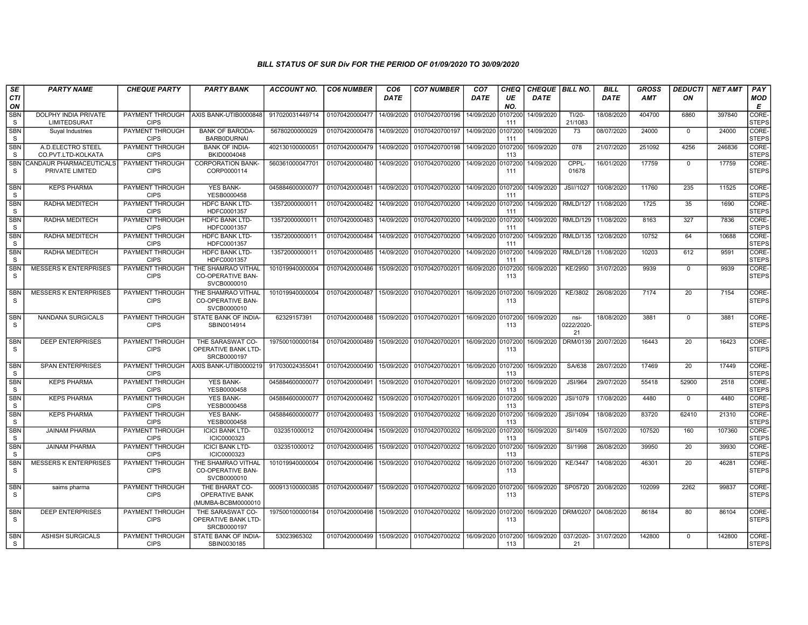| SE<br><b>CTI</b>           | <b>PARTY NAME</b>                           | <b>CHEQUE PARTY</b>                   | <b>PARTY BANK</b>                                             | <b>ACCOUNT NO.</b> | <b>CO6 NUMBER</b> | CO <sub>6</sub><br><b>DATE</b> | <b>CO7 NUMBER</b> | CO <sub>7</sub><br><b>DATE</b> | <b>CHEQ</b><br>UE | CHEQUE   BILL NO.<br><b>DATE</b> |                                    | <b>BILL</b><br><b>DATE</b> | GROSS<br>AMT | <b>DEDUCTI</b><br>ON | <b>NET AMT</b> | PAY                   |
|----------------------------|---------------------------------------------|---------------------------------------|---------------------------------------------------------------|--------------------|-------------------|--------------------------------|-------------------|--------------------------------|-------------------|----------------------------------|------------------------------------|----------------------------|--------------|----------------------|----------------|-----------------------|
| ON                         |                                             |                                       |                                                               |                    |                   |                                |                   |                                | NO.               |                                  |                                    |                            |              |                      |                | <b>MOD</b><br>E       |
| <b>SBN</b><br>S.           | DOLPHY INDIA PRIVATE<br><b>LIMITEDSURAT</b> | PAYMENT THROUGH<br><b>CIPS</b>        | AXIS BANK-UTIB0000848                                         | 917020031449714    | 01070420000477    | 14/09/2020                     | 01070420700196    | 14/09/2020                     | 0107200<br>111    | 14/09/2020                       | TI/20-<br>21/1083                  | 18/08/2020                 | 404700       | 6860                 | 397840         | CORE-<br><b>STEPS</b> |
| <b>SBN</b><br>S            | Suyal Industries                            | <b>PAYMENT THROUGH</b><br><b>CIPS</b> | <b>BANK OF BARODA-</b><br>BARB0DURNAI                         | 56780200000029     | 01070420000478    | 14/09/2020                     | 01070420700197    | 14/09/2020                     | 0107200<br>111    | 14/09/2020                       | $\overline{73}$                    | 08/07/2020                 | 24000        | $\overline{0}$       | 24000          | CORE-<br>STEPS        |
| SBN<br><sub>S</sub>        | A.D.ELECTRO STEEL<br>CO.PVT.LTD-KOLKATA     | PAYMENT THROUGH<br><b>CIPS</b>        | <b>BANK OF INDIA-</b><br>BKID0004048                          | 402130100000051    | 01070420000479    | 14/09/2020                     | 01070420700198    | 14/09/2020 010720              | 113               | 16/09/2020                       | 078                                | 21/07/2020                 | 251092       | 4256                 | 246836         | CORE-<br><b>STEPS</b> |
| <b>SBN</b><br>S            | CANDAUR PHARMACEUTICALS<br>PRIVATE LIMITED  | PAYMENT THROUGH<br><b>CIPS</b>        | <b>CORPORATION BANK-</b><br>CORP0000114                       | 560361000047701    | 01070420000480    | 14/09/2020                     | 01070420700200    | 14/09/2020                     | 0107200<br>111    | 14/09/2020                       | CPPL-<br>01678                     | 16/01/2020                 | 17759        | $\overline{0}$       | 17759          | CORE-<br><b>STEPS</b> |
| SBN<br>S.                  | <b>KEPS PHARMA</b>                          | PAYMENT THROUGH<br><b>CIPS</b>        | <b>YES BANK-</b><br>YESB0000458                               | 045884600000077    | 01070420000481    | 14/09/2020                     | 01070420700200    | 14/09/2020 0107200             | 111               | 14/09/2020                       | JSI//1027                          | 10/08/2020                 | 11760        | 235                  | 11525          | CORE-<br><b>STEPS</b> |
| <b>SBN</b><br>S            | RADHA MEDITECH                              | PAYMENT THROUGH<br><b>CIPS</b>        | <b>HDFC BANK LTD-</b><br>HDFC0001357                          | 13572000000011     | 01070420000482    | 14/09/2020                     | 01070420700200    | 14/09/2020                     | 010720<br>111     | 14/09/2020                       | <b>RMLD/127</b>                    | 11/08/2020                 | 1725         | 35                   | 1690           | CORE-<br><b>STEPS</b> |
| <b>SBN</b><br><sub>S</sub> | RADHA MEDITECH                              | PAYMENT THROUGH<br><b>CIPS</b>        | <b>HDFC BANK LTD-</b><br>HDFC0001357                          | 13572000000011     | 01070420000483    | 14/09/2020                     | 01070420700200    | 14/09/2020 0107200             | 111               |                                  | 14/09/2020   RMLD/129   11/08/2020 |                            | 8163         | 327                  | 7836           | CORE-<br><b>STEPS</b> |
| <b>SBN</b><br><sub>S</sub> | RADHA MEDITECH                              | PAYMENT THROUGH<br><b>CIPS</b>        | <b>HDFC BANK LTD-</b><br>HDFC0001357                          | 13572000000011     | 01070420000484    | 14/09/2020                     | 01070420700200    | 14/09/2020                     | 0107200<br>111    | 14/09/2020                       | <b>RMLD/135</b>                    | 12/08/2020                 | 10752        | 64                   | 10688          | CORE-<br>STEPS        |
| <b>SBN</b><br><sub>S</sub> | RADHA MEDITECH                              | PAYMENT THROUGH<br><b>CIPS</b>        | <b>HDFC BANK LTD-</b><br>HDFC0001357                          | 13572000000011     | 01070420000485    | 14/09/2020                     | 01070420700200    | 14/09/2020                     | 0107200<br>111    | 14/09/2020                       | RMLD/128 11/08/2020                |                            | 10203        | 612                  | 9591           | CORE-<br><b>STEPS</b> |
| SBN<br><sub>S</sub>        | <b>MESSERS K ENTERPRISES</b>                | PAYMENT THROUGH<br><b>CIPS</b>        | THE SHAMRAO VITHAL<br><b>CO-OPERATIVE BAN-</b><br>SVCB0000010 | 101019940000004    | 01070420000486    | 15/09/2020                     | 01070420700201    | 16/09/2020                     | 0107200<br>113    | 16/09/2020                       | KE/2950                            | 31/07/2020                 | 9939         | $\mathbf 0$          | 9939           | CORE-<br>STEPS        |
| SBN<br>S                   | <b>MESSERS K ENTERPRISES</b>                | PAYMENT THROUGH<br><b>CIPS</b>        | THE SHAMRAO VITHAL<br>CO-OPERATIVE BAN-<br>SVCB0000010        | 101019940000004    | 01070420000487    | 15/09/2020                     | 01070420700201    | 16/09/2020 0107200             | 113               | 16/09/2020                       | KE/3802                            | 26/08/2020                 | 7174         | 20                   | 7154           | CORE-<br><b>STEPS</b> |
| <b>SBN</b><br>S            | <b>NANDANA SURGICALS</b>                    | <b>PAYMENT THROUGH</b><br><b>CIPS</b> | STATE BANK OF INDIA-<br>SBIN0014914                           | 62329157391        | 01070420000488    | 15/09/2020                     | 01070420700201    | 16/09/2020 0107200             | 113               | 16/09/2020                       | nsi-<br>0222/2020<br>21            | 18/08/2020                 | 3881         | $\overline{0}$       | 3881           | CORE-<br><b>STEPS</b> |
| <b>SBN</b><br>S.           | <b>DEEP ENTERPRISES</b>                     | PAYMENT THROUGH<br><b>CIPS</b>        | THE SARASWAT CO-<br><b>OPERATIVE BANK LTD-</b><br>SRCB0000197 | 197500100000184    | 01070420000489    | 15/09/2020                     | 01070420700201    | 16/09/2020 0107200             | 113               | 16/09/2020                       | DRM/0139 20/07/2020                |                            | 16443        | 20                   | 16423          | CORE-<br>STEPS        |
| <b>SBN</b><br>S.           | <b>SPAN ENTERPRISES</b>                     | PAYMENT THROUGH<br><b>CIPS</b>        | AXIS BANK-UTIB0000219                                         | 917030024355041    | 01070420000490    | 15/09/2020                     | 01070420700201    | 16/09/2020 0107200             | 113               | 16/09/2020                       | SA/638                             | 28/07/2020                 | 17469        | 20                   | 17449          | CORE-<br><b>STEPS</b> |
| <b>SBN</b><br>S            | <b>KEPS PHARMA</b>                          | PAYMENT THROUGH<br><b>CIPS</b>        | YES BANK-<br>YESB0000458                                      | 045884600000077    | 01070420000491    | 15/09/2020                     | 01070420700201    | 16/09/2020 0107200             | 113               | 16/09/2020                       | <b>JSI/964</b>                     | 29/07/2020                 | 55418        | 52900                | 2518           | CORE-<br><b>STEPS</b> |
| <b>SBN</b><br>S            | <b>KEPS PHARMA</b>                          | PAYMENT THROUGH<br><b>CIPS</b>        | <b>YES BANK-</b><br>YESB0000458                               | 045884600000077    | 01070420000492    | 15/09/2020                     | 01070420700201    | 16/09/2020                     | 0107200<br>113    | 16/09/2020                       | <b>JSI/1079</b>                    | 17/08/2020                 | 4480         | $\mathbf 0$          | 4480           | CORE-<br><b>STEPS</b> |
| <b>SBN</b><br>S            | <b>KEPS PHARMA</b>                          | PAYMENT THROUGH<br><b>CIPS</b>        | <b>YES BANK-</b><br>YESB0000458                               | 045884600000077    | 01070420000493    | 15/09/2020                     | 01070420700202    | 16/09/2020 010720              | 113               | 16/09/2020                       | JSI/1094                           | 18/08/2020                 | 83720        | 62410                | 21310          | CORE-<br><b>STEPS</b> |
| SBN<br>S.                  | <b>JAINAM PHARMA</b>                        | PAYMENT THROUGH<br><b>CIPS</b>        | <b>ICICI BANK LTD-</b><br>ICIC0000323                         | 032351000012       | 01070420000494    | 15/09/2020                     | 01070420700202    | 16/09/2020                     | 0107200<br>113    | 16/09/2020                       | SI/1409                            | 15/07/2020                 | 107520       | 160                  | 107360         | CORE-<br><b>STEPS</b> |
| <b>SBN</b><br><sub>S</sub> | <b>JAINAM PHARMA</b>                        | <b>PAYMENT THROUGH</b><br><b>CIPS</b> | <b>ICICI BANK LTD-</b><br>ICIC0000323                         | 032351000012       | 01070420000495    | 15/09/2020                     | 01070420700202    | 16/09/2020 0107200             | 113               | 16/09/2020                       | SI/1998                            | 26/08/2020                 | 39950        | 20                   | 39930          | CORE-<br><b>STEPS</b> |
| <b>SBN</b><br><sub>S</sub> | <b>MESSERS K ENTERPRISES</b>                | PAYMENT THROUGH<br><b>CIPS</b>        | THE SHAMRAO VITHAL<br>CO-OPERATIVE BAN-<br>SVCB0000010        | 101019940000004    | 01070420000496    | 15/09/2020                     | 01070420700202    | 16/09/2020 0107200             | 113               | 16/09/2020                       | <b>KE/3447</b>                     | 14/08/2020                 | 46301        | 20                   | 46281          | CORE-<br><b>STEPS</b> |
| <b>SBN</b><br><sub>S</sub> | saims pharma                                | PAYMENT THROUGH<br><b>CIPS</b>        | THE BHARAT CO-<br><b>OPERATIVE BANK</b><br>(MUMBA-BCBM0000010 | 000913100000385    | 01070420000497    | 15/09/2020                     | 01070420700202    | 16/09/2020 0107200             | 113               | 16/09/2020                       | SP05720                            | 20/08/2020                 | 102099       | 2262                 | 99837          | CORE-<br><b>STEPS</b> |
| <b>SBN</b><br><sub>S</sub> | <b>DEEP ENTERPRISES</b>                     | PAYMENT THROUGH<br><b>CIPS</b>        | THE SARASWAT CO-<br><b>OPERATIVE BANK LTD-</b><br>SRCB0000197 | 197500100000184    | 01070420000498    | 15/09/2020                     | 01070420700202    | 16/09/2020 0107200             | 113               | 16/09/2020   DRM/0207            |                                    | 04/08/2020                 | 86184        | 80                   | 86104          | CORE-<br><b>STEPS</b> |
| <b>SBN</b><br><b>S</b>     | <b>ASHISH SURGICALS</b>                     | PAYMENT THROUGH<br><b>CIPS</b>        | STATE BANK OF INDIA-<br>SBIN0030185                           | 53023965302        | 01070420000499    | 15/09/2020                     | 01070420700202    | 16/09/2020                     | 0107200<br>113    | 16/09/2020                       | 037/2020-<br>21                    | 31/07/2020                 | 142800       | $\Omega$             | 142800         | CORE-<br><b>STEPS</b> |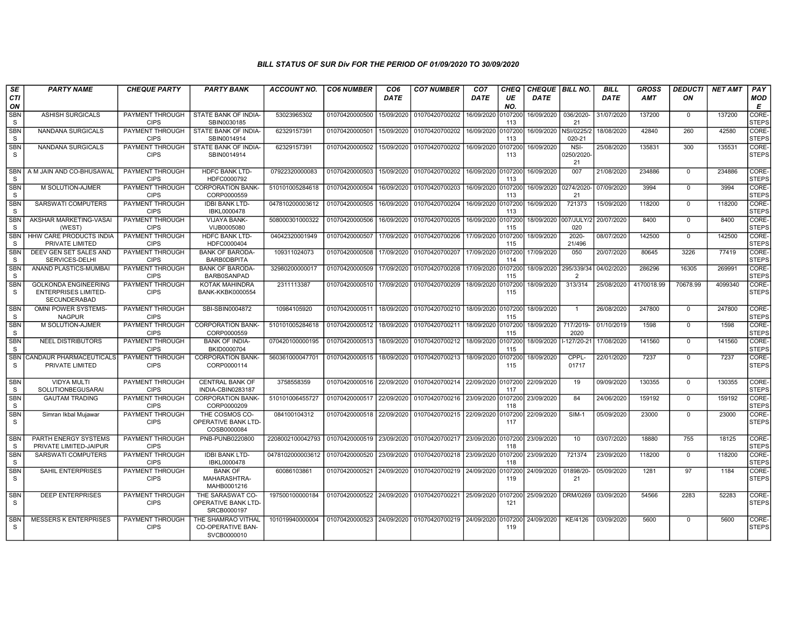| <b>SE</b>                  | <b>PARTY NAME</b>                                                          | <b>CHEQUE PARTY</b>                   | <b>PARTY BANK</b>                                             | <b>ACCOUNT NO.</b>                         | <b>CO6 NUMBER</b>         | CO <sub>6</sub> | <b>CO7 NUMBER</b>                                           | CO <sub>7</sub> | <b>CHEQ</b>    | CHEQUE BILL NO.      |                              | <b>BILL</b> | <b>GROSS</b> | <b>DEDUCTI</b> | <b>NET AMT</b> | PAY                   |
|----------------------------|----------------------------------------------------------------------------|---------------------------------------|---------------------------------------------------------------|--------------------------------------------|---------------------------|-----------------|-------------------------------------------------------------|-----------------|----------------|----------------------|------------------------------|-------------|--------------|----------------|----------------|-----------------------|
| <b>CTI</b><br>ON           |                                                                            |                                       |                                                               |                                            |                           | DATE            |                                                             | DATE            | UE<br>NO.      | <b>DATE</b>          |                              | <b>DATE</b> | <b>AMT</b>   | ON             |                | <b>MOD</b><br>E       |
| <b>SBN</b><br>S            | <b>ASHISH SURGICALS</b>                                                    | PAYMENT THROUGH<br><b>CIPS</b>        | STATE BANK OF INDIA-<br>SBIN0030185                           | 53023965302                                | 01070420000500            | 15/09/2020      | 01070420700202                                              | 16/09/2020      | 107200<br>113  | 16/09/2020           | 036/2020-<br>21              | 31/07/2020  | 137200       | $\Omega$       | 137200         | CORE-<br><b>STEPS</b> |
| <b>SBN</b><br>S            | <b>NANDANA SURGICALS</b>                                                   | PAYMENT THROUGH<br><b>CIPS</b>        | STATE BANK OF INDIA-<br>SBIN0014914                           | 62329157391                                | 01070420000501            | 15/09/2020      | 01070420700202                                              | 16/09/2020      | 107200<br>113  | 16/09/2020           | NSI/0225/2<br>020-21         | 18/08/2020  | 42840        | 260            | 42580          | CORE-<br><b>STEPS</b> |
| SBN<br>S.                  | NANDANA SURGICALS                                                          | PAYMENT THROUGH<br><b>CIPS</b>        | STATE BANK OF INDIA-<br>SBIN0014914                           | 62329157391                                | 01070420000502            | 15/09/2020      | 01070420700202                                              | 16/09/2020      | 107200<br>113  | 16/09/2020           | NSI-<br>0250/2020<br>21      | 25/08/2020  | 135831       | 300            | 135531         | CORE-<br><b>STEPS</b> |
| <b>SBN</b><br><sub>S</sub> | A M JAIN AND CO-BHUSAWAL                                                   | <b>PAYMENT THROUGH</b><br><b>CIPS</b> | <b>HDFC BANK LTD-</b><br>HDFC0000792                          | 07922320000083                             | 01070420000503            | 15/09/2020      | 01070420700202                                              | 16/09/2020      | 0107200<br>113 | 16/09/2020           | 007                          | 21/08/2020  | 234886       | $\Omega$       | 234886         | CORE-<br><b>STEPS</b> |
| <b>SBN</b><br><sub>S</sub> | M SOLUTION-AJMER                                                           | PAYMENT THROUGH<br><b>CIPS</b>        | <b>CORPORATION BANK-</b><br>CORP0000559                       | 510101005284618                            | 01070420000504            | 16/09/2020      | 01070420700203                                              | 16/09/2020      | 0107200<br>113 | 16/09/2020 0274/2020 | 21                           | 07/09/2020  | 3994         | $\Omega$       | 3994           | CORE-<br><b>STEPS</b> |
| <b>SBN</b><br>S            | SARSWATI COMPUTERS                                                         | PAYMENT THROUGH<br><b>CIPS</b>        | <b>IDBI BANK LTD-</b><br>IBKL0000478                          | 047810200003612                            | 01070420000505            | 16/09/2020      | 01070420700204                                              | 16/09/2020      | 107200<br>113  | 16/09/2020           | 721373                       | 15/09/2020  | 118200       | $\mathbf{0}$   | 118200         | CORE-<br><b>STEPS</b> |
| SBN<br>S                   | AKSHAR MARKETING-VASAI<br>(WEST)                                           | PAYMENT THROUGH<br><b>CIPS</b>        | VIJAYA BANK-<br>VIJB0005080                                   | 508000301000322                            | 01070420000506            | 16/09/2020      | 01070420700205                                              | 16/09/2020      | 0107200<br>115 | 18/09/2020           | 007/JULY/<br>020             | 20/07/2020  | 8400         | $\mathbf{0}$   | 8400           | CORE-<br><b>STEPS</b> |
| <b>SBN</b><br><sub>S</sub> | <b>HHW CARE PRODUCTS INDIA</b><br>PRIVATE LIMITED                          | PAYMENT THROUGH<br><b>CIPS</b>        | <b>HDFC BANK LTD-</b><br>HDFC0000404                          | 04042320001949                             | 01070420000507            | 17/09/2020      | 01070420700206                                              | 17/09/2020      | 0107200<br>115 | 18/09/2020           | $2020 -$<br>21/496           | 08/07/2020  | 142500       | $\Omega$       | 142500         | CORE-<br><b>STEPS</b> |
| <b>SBN</b><br>S            | DEEV GEN SET SALES AND<br>SERVICES-DELHI                                   | PAYMENT THROUGH<br><b>CIPS</b>        | <b>BANK OF BARODA-</b><br>BARB0DBPITA                         | 109311024073                               | 01070420000508            | 17/09/2020      | 01070420700207                                              | 17/09/2020      | 107200<br>114  | 17/09/2020           | 050                          | 20/07/2020  | 80645        | 3226           | 77419          | CORE-<br><b>STEPS</b> |
| <b>SBN</b><br>S            | ANAND PLASTICS-MUMBAI                                                      | PAYMENT THROUGH<br><b>CIPS</b>        | <b>BANK OF BARODA-</b><br><b>BARB0SANPAD</b>                  | 32980200000017                             | 01070420000509            | 17/09/2020      | 01070420700208                                              | 17/09/2020      | 0107200<br>115 | 18/09/2020           | 295/339/34<br>$\overline{2}$ | 04/02/2020  | 286296       | 16305          | 269991         | CORE-<br><b>STEPS</b> |
| <b>SBN</b><br><sub>S</sub> | <b>GOLKONDA ENGINEERING</b><br><b>ENTERPRISES LIMITED-</b><br>SECUNDERABAD | PAYMENT THROUGH<br><b>CIPS</b>        | KOTAK MAHINDRA<br><b>BANK-KKBK0000554</b>                     | 2311113387                                 | 01070420000510            | 17/09/2020      | 01070420700209                                              | 18/09/2020      | 0107200<br>115 | 18/09/2020           | 313/314                      | 25/08/2020  | 4170018.99   | 70678.99       | 4099340        | CORE-<br><b>STEPS</b> |
| <b>SBN</b><br><sub>S</sub> | OMNI POWER SYSTEMS-<br><b>NAGPUR</b>                                       | PAYMENT THROUGH<br><b>CIPS</b>        | SBI-SBIN0004872                                               | 10984105920                                | 01070420000511            | 18/09/2020      | 01070420700210                                              | 18/09/2020      | 0107200<br>115 | 18/09/2020           | $\mathbf{1}$                 | 26/08/2020  | 247800       | $\mathbf 0$    | 247800         | CORE-<br><b>STEPS</b> |
| <b>SBN</b><br>S            | M SOLUTION-AJMER                                                           | PAYMENT THROUGH<br><b>CIPS</b>        | <b>CORPORATION BANK-</b><br>CORP0000559                       | 510101005284618                            | 01070420000512            | 18/09/2020      | 01070420700211                                              | 18/09/2020      | 0107200<br>115 | 18/09/2020           | 717/2019-<br>2020            | 01/10/2019  | 1598         | $\Omega$       | 1598           | CORE-<br><b>STEPS</b> |
| <b>SBN</b><br><sub>S</sub> | <b>NEEL DISTRIBUTORS</b>                                                   | PAYMENT THROUGH<br><b>CIPS</b>        | <b>BANK OF INDIA-</b><br>BKID0000704                          | 070420100000195                            | 01070420000513            | 18/09/2020      | 01070420700212                                              | 18/09/2020      | 0107200<br>115 | 18/09/2020           | $-127/20-21$                 | 17/08/2020  | 141560       | $\Omega$       | 141560         | CORE-<br><b>STEPS</b> |
| <b>SBN</b><br><sub>S</sub> | CANDAUR PHARMACEUTICALS<br>PRIVATE LIMITED                                 | PAYMENT THROUGH<br><b>CIPS</b>        | <b>CORPORATION BANK-</b><br>CORP0000114                       | 560361000047701                            | 01070420000515            | 18/09/2020      | 01070420700213                                              | 18/09/2020      | 107200<br>115  | 18/09/2020           | CPPL-<br>01717               | 22/01/2020  | 7237         | $\mathbf 0$    | 7237           | CORE-<br><b>STEPS</b> |
| <b>SBN</b><br><b>S</b>     | <b>VIDYA MULTI</b><br><b>SOLUTIONBEGUSARAI</b>                             | PAYMENT THROUGH<br><b>CIPS</b>        | <b>CENTRAL BANK OF</b><br>INDIA-CBIN0283187                   | 3758558359                                 | 01070420000516 22/09/2020 |                 | 01070420700214                                              | 22/09/2020      | 0107200<br>117 | 22/09/2020           | 19                           | 09/09/2020  | 130355       | $\mathbf 0$    | 130355         | CORE-<br><b>STEPS</b> |
| <b>SBN</b><br>S.           | <b>GAUTAM TRADING</b>                                                      | PAYMENT THROUGH<br><b>CIPS</b>        | <b>CORPORATION BANK-</b><br>CORP0000209                       | 510101006455727                            | 01070420000517            | 22/09/2020      | 01070420700216 23/09/2020 0107200                           |                 | 118            | 23/09/2020           | 84                           | 24/06/2020  | 159192       | $\Omega$       | 159192         | CORE-<br><b>STEPS</b> |
| <b>SBN</b><br>S            | Simran Ikbal Mujawar                                                       | PAYMENT THROUGH<br><b>CIPS</b>        | THE COSMOS CO-<br>OPERATIVE BANK LTD-<br>COSB0000084          | 084100104312                               | 01070420000518 22/09/2020 |                 | 01070420700215                                              | 22/09/2020      | 0107200<br>117 | 22/09/2020           | <b>SIM-1</b>                 | 05/09/2020  | 23000        | $\Omega$       | 23000          | CORE-<br><b>STEPS</b> |
| <b>SBN</b><br><sub>S</sub> | PARTH ENERGY SYSTEMS<br>PRIVATE LIMITED-JAIPUR                             | PAYMENT THROUGH<br><b>CIPS</b>        | PNB-PUNB0220800                                               | 2208002100042793 01070420000519 23/09/2020 |                           |                 | 01070420700217 23/09/2020                                   |                 | 0107200<br>118 | 23/09/2020           | 10                           | 03/07/2020  | 18880        | 755            | 18125          | CORE-<br><b>STEPS</b> |
| SBN<br>S                   | SARSWATI COMPUTERS                                                         | PAYMENT THROUGH<br><b>CIPS</b>        | <b>IDBI BANK LTD-</b><br>IBKL0000478                          | 0478102000003612 01070420000520            |                           | 23/09/2020      | 01070420700218                                              | 23/09/2020      | 0107200<br>118 | 23/09/2020           | 721374                       | 23/09/2020  | 118200       | $\mathbf 0$    | 118200         | CORE-<br><b>STEPS</b> |
| <b>SBN</b><br>S.           | SAHIL ENTERPRISES                                                          | PAYMENT THROUGH<br><b>CIPS</b>        | <b>BANK OF</b><br>MAHARASHTRA-<br>MAHB0001216                 | 60086103861                                | 01070420000521            | 24/09/2020      | 01070420700219                                              | 24/09/2020      | 0107200<br>119 | 24/09/2020           | 01898/20-<br>21              | 05/09/2020  | 1281         | 97             | 1184           | CORE-<br><b>STEPS</b> |
| <b>SBN</b><br><sub>S</sub> | <b>DEEP ENTERPRISES</b>                                                    | PAYMENT THROUGH<br><b>CIPS</b>        | THE SARASWAT CO-<br>OPERATIVE BANK LTD-<br>SRCB0000197        | 197500100000184                            |                           |                 | 01070420000522 24/09/2020 01070420700221 25/09/2020 0107200 |                 | 121            | 25/09/2020           | <b>DRM/0269</b>              | 03/09/2020  | 54566        | 2283           | 52283          | CORE-<br><b>STEPS</b> |
| <b>SBN</b><br>S.           | <b>MESSERS K ENTERPRISES</b>                                               | <b>PAYMENT THROUGH</b><br><b>CIPS</b> | THE SHAMRAO VITHAL<br><b>CO-OPERATIVE BAN-</b><br>SVCB0000010 | 101019940000004                            |                           |                 | 01070420000523 24/09/2020 01070420700219 24/09/2020 0107200 |                 | 119            | 24/09/2020           | <b>KE/4126</b>               | 03/09/2020  | 5600         | $\mathbf{0}$   | 5600           | CORE-<br><b>STEPS</b> |